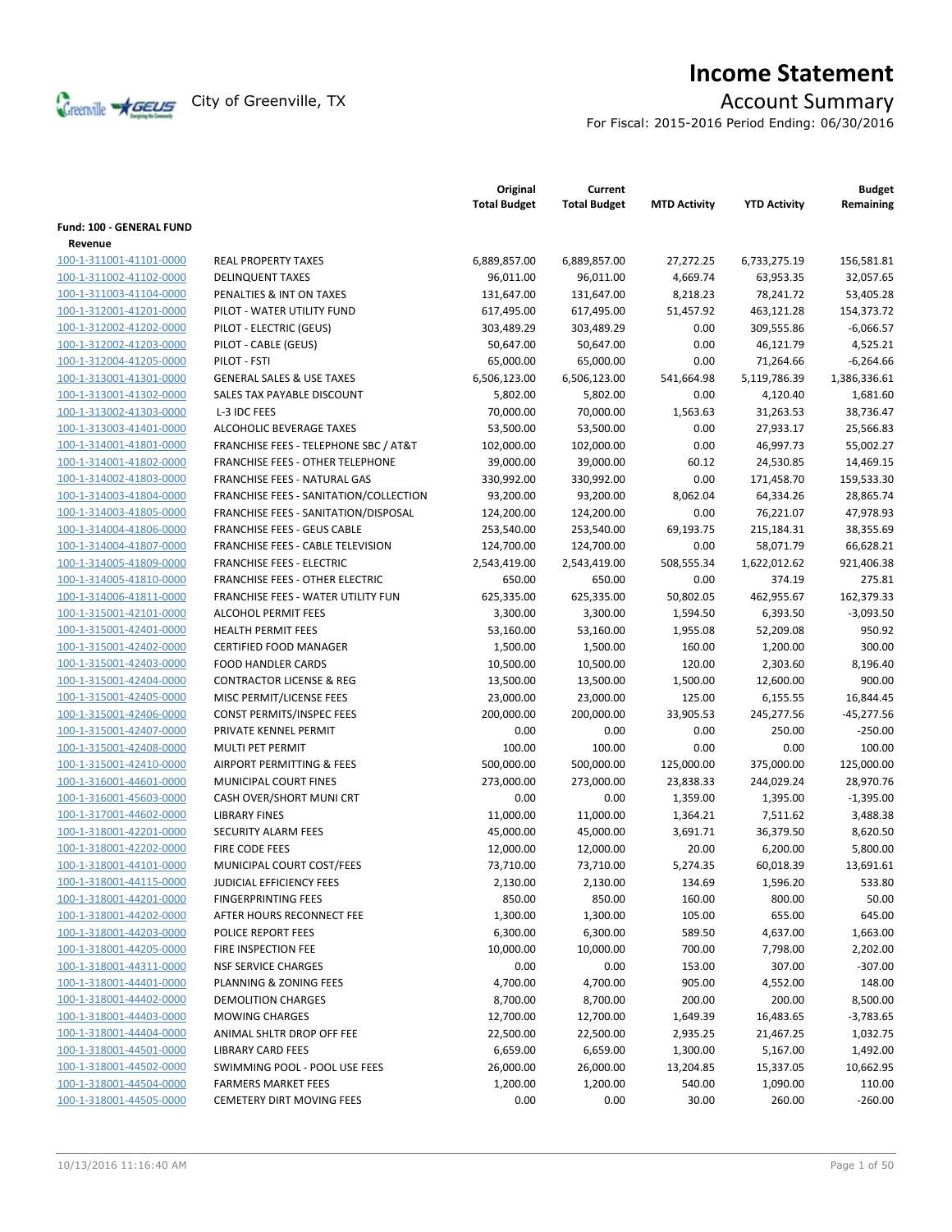

# **Income Statement**

For Fiscal: 2015-2016 Period Ending: 06/30/2016

|                                                    |                                         | Original<br><b>Total Budget</b> | Current<br><b>Total Budget</b> | <b>MTD Activity</b> | <b>YTD Activity</b>      | <b>Budget</b><br>Remaining |
|----------------------------------------------------|-----------------------------------------|---------------------------------|--------------------------------|---------------------|--------------------------|----------------------------|
| <b>Fund: 100 - GENERAL FUND</b>                    |                                         |                                 |                                |                     |                          |                            |
| Revenue                                            |                                         |                                 |                                |                     |                          |                            |
| 100-1-311001-41101-0000                            | <b>REAL PROPERTY TAXES</b>              | 6,889,857.00                    | 6,889,857.00                   | 27,272.25           | 6,733,275.19             | 156,581.81                 |
| 100-1-311002-41102-0000                            | <b>DELINQUENT TAXES</b>                 | 96,011.00                       | 96,011.00                      | 4,669.74            | 63,953.35                | 32,057.65                  |
| 100-1-311003-41104-0000                            | PENALTIES & INT ON TAXES                | 131,647.00                      | 131,647.00                     | 8,218.23            | 78,241.72                | 53,405.28                  |
| 100-1-312001-41201-0000                            | PILOT - WATER UTILITY FUND              | 617,495.00                      | 617,495.00                     | 51,457.92           | 463,121.28               | 154,373.72                 |
| 100-1-312002-41202-0000                            | PILOT - ELECTRIC (GEUS)                 | 303,489.29                      | 303,489.29                     | 0.00                | 309,555.86               | $-6,066.57$                |
| 100-1-312002-41203-0000                            | PILOT - CABLE (GEUS)                    | 50,647.00                       | 50,647.00                      | 0.00                | 46,121.79                | 4,525.21                   |
| 100-1-312004-41205-0000                            | PILOT - FSTI                            | 65,000.00                       | 65,000.00                      | 0.00                | 71,264.66                | $-6,264.66$                |
| 100-1-313001-41301-0000                            | <b>GENERAL SALES &amp; USE TAXES</b>    | 6,506,123.00                    | 6,506,123.00                   | 541,664.98          | 5,119,786.39             | 1,386,336.61               |
| 100-1-313001-41302-0000                            | SALES TAX PAYABLE DISCOUNT              | 5,802.00                        | 5,802.00                       | 0.00                | 4,120.40                 | 1,681.60                   |
| 100-1-313002-41303-0000                            | L-3 IDC FEES                            | 70,000.00                       | 70,000.00                      | 1,563.63            | 31,263.53                | 38,736.47                  |
| 100-1-313003-41401-0000                            | ALCOHOLIC BEVERAGE TAXES                | 53,500.00                       | 53,500.00                      | 0.00                | 27,933.17                | 25,566.83                  |
| 100-1-314001-41801-0000                            | FRANCHISE FEES - TELEPHONE SBC / AT&T   | 102,000.00                      | 102,000.00                     | 0.00                | 46,997.73                | 55,002.27                  |
| 100-1-314001-41802-0000                            | <b>FRANCHISE FEES - OTHER TELEPHONE</b> | 39,000.00                       | 39,000.00                      | 60.12               | 24,530.85                | 14,469.15                  |
| 100-1-314002-41803-0000                            | FRANCHISE FEES - NATURAL GAS            | 330,992.00                      | 330,992.00                     | 0.00                | 171,458.70               | 159,533.30                 |
| 100-1-314003-41804-0000                            | FRANCHISE FEES - SANITATION/COLLECTION  | 93,200.00                       | 93,200.00                      | 8,062.04            | 64,334.26                | 28,865.74                  |
| 100-1-314003-41805-0000                            | FRANCHISE FEES - SANITATION/DISPOSAL    | 124,200.00                      | 124,200.00                     | 0.00                | 76,221.07                | 47,978.93                  |
| 100-1-314004-41806-0000                            | <b>FRANCHISE FEES - GEUS CABLE</b>      | 253,540.00                      | 253,540.00                     | 69,193.75           | 215,184.31               | 38,355.69                  |
| 100-1-314004-41807-0000                            | FRANCHISE FEES - CABLE TELEVISION       | 124,700.00                      | 124,700.00                     | 0.00                | 58,071.79                | 66,628.21                  |
| 100-1-314005-41809-0000                            | <b>FRANCHISE FEES - ELECTRIC</b>        | 2,543,419.00                    | 2,543,419.00                   | 508,555.34          | 1,622,012.62             | 921,406.38                 |
| 100-1-314005-41810-0000                            | <b>FRANCHISE FEES - OTHER ELECTRIC</b>  | 650.00                          | 650.00                         | 0.00                | 374.19                   | 275.81                     |
| 100-1-314006-41811-0000                            | FRANCHISE FEES - WATER UTILITY FUN      | 625,335.00                      | 625,335.00                     | 50,802.05           | 462,955.67               | 162,379.33                 |
| 100-1-315001-42101-0000                            | <b>ALCOHOL PERMIT FEES</b>              | 3,300.00                        | 3,300.00                       | 1,594.50            | 6,393.50                 | $-3,093.50$                |
| 100-1-315001-42401-0000                            | <b>HEALTH PERMIT FEES</b>               | 53,160.00                       | 53,160.00                      | 1,955.08            | 52,209.08                | 950.92                     |
| 100-1-315001-42402-0000                            | CERTIFIED FOOD MANAGER                  | 1,500.00                        | 1,500.00                       | 160.00              | 1,200.00                 | 300.00                     |
|                                                    | <b>FOOD HANDLER CARDS</b>               | 10,500.00                       | 10,500.00                      | 120.00              |                          | 8,196.40                   |
| 100-1-315001-42403-0000<br>100-1-315001-42404-0000 | <b>CONTRACTOR LICENSE &amp; REG</b>     |                                 |                                |                     | 2,303.60                 | 900.00                     |
| 100-1-315001-42405-0000                            | MISC PERMIT/LICENSE FEES                | 13,500.00<br>23,000.00          | 13,500.00<br>23,000.00         | 1,500.00<br>125.00  | 12,600.00<br>6,155.55    | 16,844.45                  |
| 100-1-315001-42406-0000                            | <b>CONST PERMITS/INSPEC FEES</b>        | 200,000.00                      | 200,000.00                     | 33,905.53           | 245,277.56               | $-45,277.56$               |
| 100-1-315001-42407-0000                            | PRIVATE KENNEL PERMIT                   | 0.00                            | 0.00                           | 0.00                | 250.00                   | $-250.00$                  |
|                                                    | <b>MULTI PET PERMIT</b>                 |                                 |                                | 0.00                |                          | 100.00                     |
| 100-1-315001-42408-0000                            |                                         | 100.00                          | 100.00                         |                     | 0.00                     |                            |
| 100-1-315001-42410-0000                            | AIRPORT PERMITTING & FEES               | 500,000.00                      | 500,000.00                     | 125,000.00          | 375,000.00<br>244,029.24 | 125,000.00                 |
| 100-1-316001-44601-0000                            | MUNICIPAL COURT FINES                   | 273,000.00                      | 273,000.00                     | 23,838.33           |                          | 28,970.76                  |
| 100-1-316001-45603-0000                            | CASH OVER/SHORT MUNI CRT                | 0.00                            | 0.00                           | 1,359.00            | 1,395.00                 | $-1,395.00$                |
| 100-1-317001-44602-0000                            | <b>LIBRARY FINES</b>                    | 11,000.00                       | 11,000.00                      | 1,364.21            | 7,511.62                 | 3,488.38                   |
| 100-1-318001-42201-0000                            | <b>SECURITY ALARM FEES</b>              | 45,000.00                       | 45,000.00                      | 3,691.71            | 36,379.50                | 8,620.50                   |
| 100-1-318001-42202-0000                            | FIRE CODE FEES                          | 12,000.00                       | 12,000.00                      | 20.00               | 6,200.00                 | 5,800.00                   |
| 100-1-318001-44101-0000                            | MUNICIPAL COURT COST/FEES               | 73,710.00                       | 73,710.00                      | 5,274.35            | 60,018.39                | 13,691.61                  |
| 100-1-318001-44115-0000                            | JUDICIAL EFFICIENCY FEES                | 2,130.00                        | 2,130.00                       | 134.69              | 1,596.20                 | 533.80                     |
| 100-1-318001-44201-0000                            | <b>FINGERPRINTING FEES</b>              | 850.00                          | 850.00                         | 160.00              | 800.00                   | 50.00                      |
| 100-1-318001-44202-0000                            | AFTER HOURS RECONNECT FEE               | 1,300.00                        | 1,300.00                       | 105.00              | 655.00                   | 645.00                     |
| 100-1-318001-44203-0000                            | POLICE REPORT FEES                      | 6,300.00                        | 6,300.00                       | 589.50              | 4,637.00                 | 1,663.00                   |
| 100-1-318001-44205-0000                            | FIRE INSPECTION FEE                     | 10,000.00                       | 10,000.00                      | 700.00              | 7,798.00                 | 2,202.00                   |
| 100-1-318001-44311-0000                            | <b>NSF SERVICE CHARGES</b>              | 0.00                            | 0.00                           | 153.00              | 307.00                   | $-307.00$                  |
| 100-1-318001-44401-0000                            | PLANNING & ZONING FEES                  | 4,700.00                        | 4,700.00                       | 905.00              | 4,552.00                 | 148.00                     |
| 100-1-318001-44402-0000                            | DEMOLITION CHARGES                      | 8,700.00                        | 8,700.00                       | 200.00              | 200.00                   | 8,500.00                   |
| 100-1-318001-44403-0000                            | <b>MOWING CHARGES</b>                   | 12,700.00                       | 12,700.00                      | 1,649.39            | 16,483.65                | $-3,783.65$                |
| 100-1-318001-44404-0000                            | ANIMAL SHLTR DROP OFF FEE               | 22,500.00                       | 22,500.00                      | 2,935.25            | 21,467.25                | 1,032.75                   |
| 100-1-318001-44501-0000                            | <b>LIBRARY CARD FEES</b>                | 6,659.00                        | 6,659.00                       | 1,300.00            | 5,167.00                 | 1,492.00                   |
| 100-1-318001-44502-0000                            | SWIMMING POOL - POOL USE FEES           | 26,000.00                       | 26,000.00                      | 13,204.85           | 15,337.05                | 10,662.95                  |
| 100-1-318001-44504-0000                            | <b>FARMERS MARKET FEES</b>              | 1,200.00                        | 1,200.00                       | 540.00              | 1,090.00                 | 110.00                     |
| 100-1-318001-44505-0000                            | <b>CEMETERY DIRT MOVING FEES</b>        | 0.00                            | 0.00                           | 30.00               | 260.00                   | $-260.00$                  |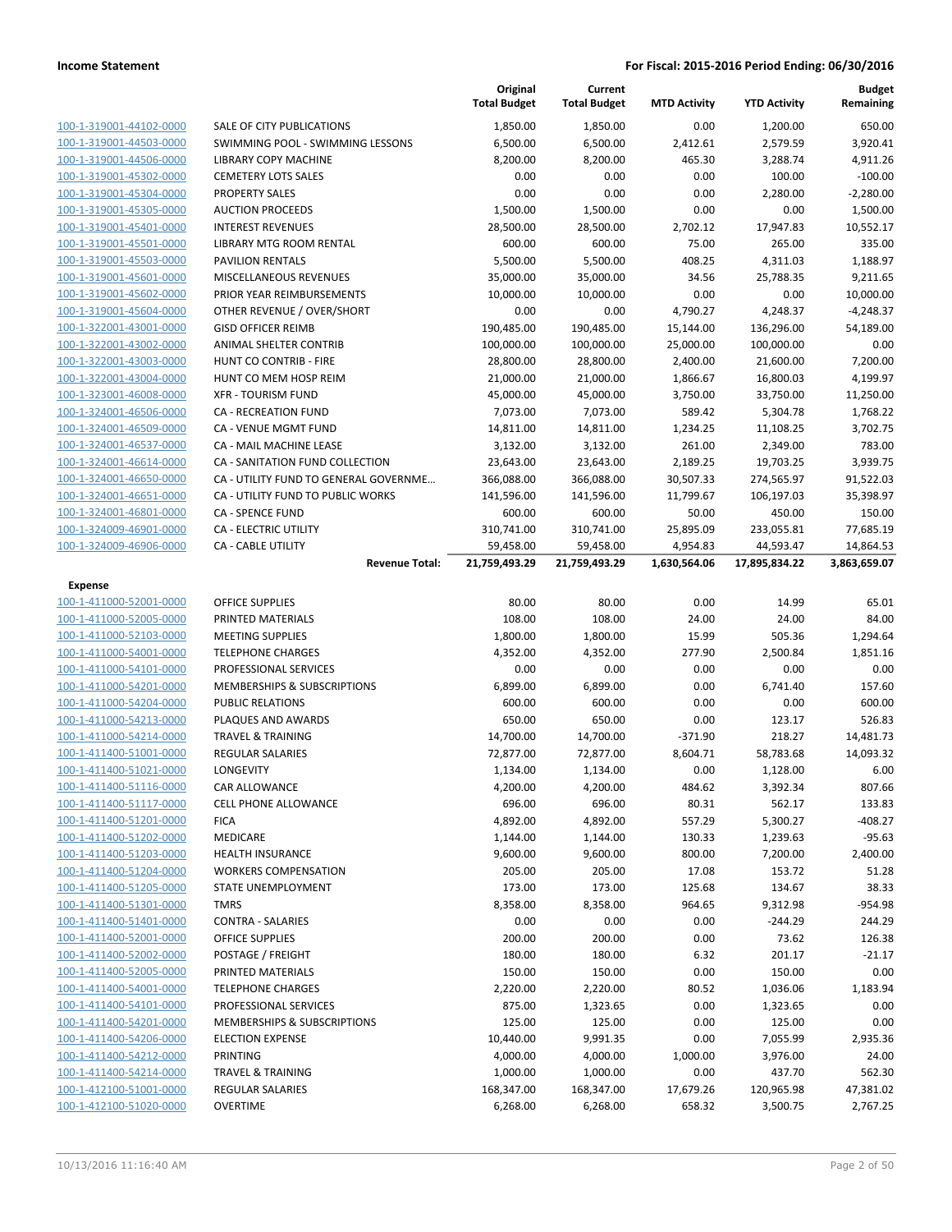|                                                    |                                                                          | Original<br><b>Total Budget</b> | Current<br><b>Total Budget</b> | <b>MTD Activity</b> | <b>YTD Activity</b>   | <b>Budget</b><br>Remaining |
|----------------------------------------------------|--------------------------------------------------------------------------|---------------------------------|--------------------------------|---------------------|-----------------------|----------------------------|
| 100-1-319001-44102-0000                            | SALE OF CITY PUBLICATIONS                                                | 1,850.00                        | 1,850.00                       | 0.00                | 1,200.00              | 650.00                     |
| 100-1-319001-44503-0000                            | SWIMMING POOL - SWIMMING LESSONS                                         | 6,500.00                        | 6,500.00                       | 2,412.61            | 2,579.59              | 3,920.41                   |
| 100-1-319001-44506-0000                            | LIBRARY COPY MACHINE                                                     | 8,200.00                        | 8,200.00                       | 465.30              | 3,288.74              | 4,911.26                   |
| 100-1-319001-45302-0000                            | <b>CEMETERY LOTS SALES</b>                                               | 0.00                            | 0.00                           | 0.00                | 100.00                | $-100.00$                  |
| 100-1-319001-45304-0000                            | <b>PROPERTY SALES</b>                                                    | 0.00                            | 0.00                           | 0.00                | 2,280.00              | $-2,280.00$                |
| 100-1-319001-45305-0000                            | <b>AUCTION PROCEEDS</b>                                                  | 1,500.00                        | 1,500.00                       | 0.00                | 0.00                  | 1,500.00                   |
| 100-1-319001-45401-0000                            | <b>INTEREST REVENUES</b>                                                 | 28,500.00                       | 28,500.00                      | 2,702.12            | 17,947.83             | 10,552.17                  |
| 100-1-319001-45501-0000                            | <b>LIBRARY MTG ROOM RENTAL</b>                                           | 600.00                          | 600.00                         | 75.00               | 265.00                | 335.00                     |
| 100-1-319001-45503-0000                            | <b>PAVILION RENTALS</b>                                                  | 5,500.00                        | 5,500.00                       | 408.25              | 4,311.03              | 1,188.97                   |
| 100-1-319001-45601-0000                            | MISCELLANEOUS REVENUES                                                   | 35,000.00                       | 35,000.00                      | 34.56               | 25,788.35             | 9,211.65                   |
| 100-1-319001-45602-0000                            | PRIOR YEAR REIMBURSEMENTS                                                | 10,000.00                       | 10,000.00                      | 0.00                | 0.00                  | 10,000.00                  |
| 100-1-319001-45604-0000                            | OTHER REVENUE / OVER/SHORT                                               | 0.00                            | 0.00                           | 4,790.27            | 4,248.37              | $-4,248.37$                |
| 100-1-322001-43001-0000                            | <b>GISD OFFICER REIMB</b>                                                | 190,485.00                      | 190,485.00                     | 15,144.00           | 136,296.00            | 54,189.00                  |
| 100-1-322001-43002-0000                            | ANIMAL SHELTER CONTRIB                                                   | 100,000.00                      | 100,000.00                     | 25,000.00           | 100,000.00            | 0.00                       |
| 100-1-322001-43003-0000                            | HUNT CO CONTRIB - FIRE                                                   | 28,800.00                       | 28,800.00                      | 2,400.00            | 21,600.00             | 7,200.00                   |
| 100-1-322001-43004-0000                            | HUNT CO MEM HOSP REIM                                                    | 21,000.00                       | 21,000.00                      | 1,866.67            | 16,800.03             | 4,199.97                   |
| 100-1-323001-46008-0000                            | <b>XFR - TOURISM FUND</b>                                                | 45,000.00                       | 45,000.00                      | 3,750.00            | 33,750.00             | 11,250.00                  |
| 100-1-324001-46506-0000<br>100-1-324001-46509-0000 | <b>CA - RECREATION FUND</b>                                              | 7,073.00                        | 7,073.00                       | 589.42              | 5,304.78              | 1,768.22                   |
| 100-1-324001-46537-0000                            | <b>CA - VENUE MGMT FUND</b><br><b>CA - MAIL MACHINE LEASE</b>            | 14,811.00                       | 14,811.00                      | 1,234.25            | 11,108.25             | 3,702.75<br>783.00         |
|                                                    |                                                                          | 3,132.00                        | 3,132.00                       | 261.00              | 2,349.00<br>19,703.25 |                            |
| 100-1-324001-46614-0000                            | CA - SANITATION FUND COLLECTION<br>CA - UTILITY FUND TO GENERAL GOVERNME | 23,643.00                       | 23,643.00<br>366,088.00        | 2,189.25            |                       | 3,939.75                   |
| 100-1-324001-46650-0000<br>100-1-324001-46651-0000 | CA - UTILITY FUND TO PUBLIC WORKS                                        | 366,088.00<br>141,596.00        |                                | 30,507.33           | 274,565.97            | 91,522.03<br>35,398.97     |
| 100-1-324001-46801-0000                            | <b>CA - SPENCE FUND</b>                                                  |                                 | 141,596.00                     | 11,799.67<br>50.00  | 106,197.03            | 150.00                     |
| 100-1-324009-46901-0000                            | CA - ELECTRIC UTILITY                                                    | 600.00<br>310,741.00            | 600.00<br>310,741.00           | 25,895.09           | 450.00<br>233,055.81  | 77,685.19                  |
| 100-1-324009-46906-0000                            | <b>CA - CABLE UTILITY</b>                                                | 59,458.00                       | 59,458.00                      | 4,954.83            | 44,593.47             | 14,864.53                  |
|                                                    | <b>Revenue Total:</b>                                                    | 21,759,493.29                   | 21,759,493.29                  | 1,630,564.06        | 17,895,834.22         | 3,863,659.07               |
| Expense                                            |                                                                          |                                 |                                |                     |                       |                            |
| 100-1-411000-52001-0000                            | <b>OFFICE SUPPLIES</b>                                                   | 80.00                           | 80.00                          | 0.00                | 14.99                 | 65.01                      |
| 100-1-411000-52005-0000                            | PRINTED MATERIALS                                                        | 108.00                          | 108.00                         | 24.00               | 24.00                 | 84.00                      |
| 100-1-411000-52103-0000                            | <b>MEETING SUPPLIES</b>                                                  | 1,800.00                        | 1,800.00                       | 15.99               | 505.36                | 1,294.64                   |
| 100-1-411000-54001-0000                            | <b>TELEPHONE CHARGES</b>                                                 | 4,352.00                        | 4,352.00                       | 277.90              | 2,500.84              | 1,851.16                   |
| 100-1-411000-54101-0000                            | PROFESSIONAL SERVICES                                                    | 0.00                            | 0.00                           | 0.00                | 0.00                  | 0.00                       |
| 100-1-411000-54201-0000                            | MEMBERSHIPS & SUBSCRIPTIONS                                              | 6,899.00                        | 6,899.00                       | 0.00                | 6,741.40              | 157.60                     |
| 100-1-411000-54204-0000                            | PUBLIC RELATIONS                                                         | 600.00                          | 600.00                         | 0.00                | 0.00                  | 600.00                     |
| 100-1-411000-54213-0000                            | PLAQUES AND AWARDS                                                       | 650.00                          | 650.00                         | 0.00                | 123.17                | 526.83                     |
| 100-1-411000-54214-0000                            | <b>TRAVEL &amp; TRAINING</b>                                             | 14,700.00                       | 14,700.00                      | $-371.90$           | 218.27                | 14,481.73                  |
| 100-1-411400-51001-0000                            | REGULAR SALARIES                                                         | 72,877.00                       | 72,877.00                      | 8,604.71            | 58,783.68             | 14,093.32                  |
| 100-1-411400-51021-0000                            | LONGEVITY                                                                | 1,134.00                        | 1,134.00                       | 0.00                | 1,128.00              | 6.00                       |
| 100-1-411400-51116-0000                            | CAR ALLOWANCE                                                            | 4,200.00                        | 4,200.00                       | 484.62              | 3,392.34              | 807.66                     |
| 100-1-411400-51117-0000                            | <b>CELL PHONE ALLOWANCE</b>                                              | 696.00                          | 696.00                         | 80.31               | 562.17                | 133.83                     |
| 100-1-411400-51201-0000                            | <b>FICA</b>                                                              | 4,892.00                        | 4,892.00                       | 557.29              | 5,300.27              | $-408.27$                  |
| 100-1-411400-51202-0000                            | <b>MEDICARE</b>                                                          | 1,144.00                        | 1,144.00                       | 130.33              | 1,239.63              | $-95.63$                   |
| 100-1-411400-51203-0000                            | <b>HEALTH INSURANCE</b>                                                  | 9,600.00                        | 9,600.00                       | 800.00              | 7,200.00              | 2,400.00                   |
| 100-1-411400-51204-0000                            | <b>WORKERS COMPENSATION</b>                                              | 205.00                          | 205.00                         | 17.08               | 153.72                | 51.28                      |
| 100-1-411400-51205-0000                            | STATE UNEMPLOYMENT                                                       | 173.00                          | 173.00                         | 125.68              | 134.67                | 38.33                      |
| 100-1-411400-51301-0000                            | <b>TMRS</b>                                                              | 8,358.00                        | 8,358.00                       | 964.65              | 9,312.98              | $-954.98$                  |
| 100-1-411400-51401-0000                            | <b>CONTRA - SALARIES</b>                                                 | 0.00                            | 0.00                           | 0.00                | $-244.29$             | 244.29                     |
| 100-1-411400-52001-0000                            | <b>OFFICE SUPPLIES</b>                                                   | 200.00                          | 200.00                         | 0.00                | 73.62                 | 126.38                     |
| 100-1-411400-52002-0000                            | POSTAGE / FREIGHT                                                        | 180.00                          | 180.00                         | 6.32                | 201.17                | $-21.17$                   |
| 100-1-411400-52005-0000                            | PRINTED MATERIALS                                                        | 150.00                          | 150.00                         | 0.00                | 150.00                | 0.00                       |
| 100-1-411400-54001-0000                            | <b>TELEPHONE CHARGES</b>                                                 | 2,220.00                        | 2,220.00                       | 80.52               | 1,036.06              | 1,183.94                   |
| 100-1-411400-54101-0000                            | PROFESSIONAL SERVICES                                                    | 875.00                          | 1,323.65                       | 0.00                | 1,323.65              | 0.00                       |
| 100-1-411400-54201-0000                            | MEMBERSHIPS & SUBSCRIPTIONS                                              | 125.00                          | 125.00                         | 0.00                | 125.00                | 0.00                       |
| 100-1-411400-54206-0000                            | <b>ELECTION EXPENSE</b>                                                  | 10,440.00                       | 9,991.35                       | 0.00                | 7,055.99              | 2,935.36                   |
| 100-1-411400-54212-0000                            | PRINTING                                                                 | 4,000.00                        | 4,000.00                       | 1,000.00            | 3,976.00              | 24.00                      |
| 100-1-411400-54214-0000                            | <b>TRAVEL &amp; TRAINING</b>                                             | 1,000.00                        | 1,000.00                       | 0.00                | 437.70                | 562.30                     |
| 100-1-412100-51001-0000                            | <b>REGULAR SALARIES</b>                                                  | 168,347.00                      | 168,347.00                     | 17,679.26           | 120,965.98            | 47,381.02                  |
| 100-1-412100-51020-0000                            | <b>OVERTIME</b>                                                          | 6,268.00                        | 6,268.00                       | 658.32              | 3,500.75              | 2,767.25                   |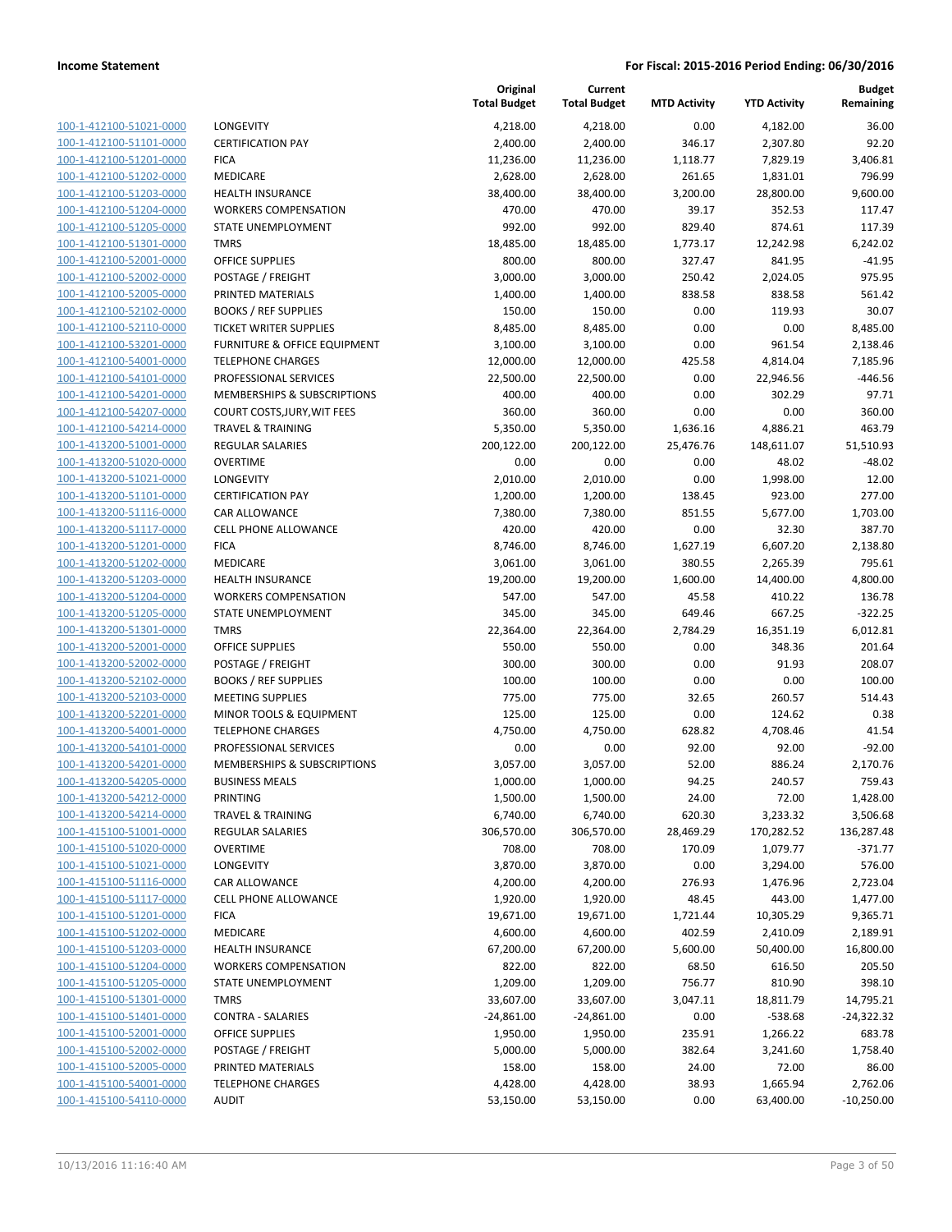| 100-1-412100-51021-0000<br>100-1-412100-51101-0000<br>100-1-412100-51201-0000<br>100-1-412100-51202-0000<br>100-1-412100-51203-0000<br>100-1-412100-51204-0000<br>100-1-412100-51205-0000<br>100-1-412100-51301-0000<br>100-1-412100-52001-0000<br>100-1-412100-52002-0000<br>100-1-412100-52005-0000<br>100-1-412100-52102-0000<br>100-1-412100-52110-0000<br>100-1-412100-53201-0000<br>100-1-412100-54001-0000<br>100-1-412100-54101-0000<br>100-1-412100-54201-0000<br>100-1-412100-54207-0000<br>100-1-412100-54214-0000<br>100-1-413200-51001-0000<br>100-1-413200-51020-0000<br>100-1-413200-51021-0000<br>100-1-413200-51101-0000<br>100-1-413200-51116-0000<br>100-1-413200-51117-0000<br>100-1-413200-51201-0000<br>100-1-413200-51202-0000<br>100-1-413200-51203-0000<br>100-1-413200-51204-0000<br>100-1-413200-51205-0000<br>100-1-413200-51301-0000<br>100-1-413200-52001-0000<br>100-1-413200-52002-0000<br>100-1-413200-52102-0000<br>100-1-413200-52103-0000<br>100-1-413200-52201-0000<br>100-1-413200-54001-0000<br>100-1-413200-54101-0000<br>100-1-413200-54201-0000<br>100-1-413200-54205-0000<br>100-1-413200-54212-0000<br><u>100-1-413200-54214-0000</u><br>100-1-415100-51001-0000<br>100-1-415100-51020-0000<br>100-1-415100-51021-0000<br><u>100-1-415100-51116-0000</u><br>100-1-415100-51117-0000<br><u>100-1-415100-51201-0000</u><br>100-1-415100-51202-0000<br><u>100-1-415100-51203-0000</u><br><u>100-1-415100-51204-0000</u><br><u>100-1-415100-51205-0000</u><br>100-1-415100-51301-0000<br>100-1-415100-51401-0000<br>100-1-415100-52001-0000<br><u>100-1-415100-52002-0000</u><br><u>100-1-415100-52005-0000</u><br><u>100-1-415100-54001-0000</u><br>100-1-415100-54110-0000 |  |
|----------------------------------------------------------------------------------------------------------------------------------------------------------------------------------------------------------------------------------------------------------------------------------------------------------------------------------------------------------------------------------------------------------------------------------------------------------------------------------------------------------------------------------------------------------------------------------------------------------------------------------------------------------------------------------------------------------------------------------------------------------------------------------------------------------------------------------------------------------------------------------------------------------------------------------------------------------------------------------------------------------------------------------------------------------------------------------------------------------------------------------------------------------------------------------------------------------------------------------------------------------------------------------------------------------------------------------------------------------------------------------------------------------------------------------------------------------------------------------------------------------------------------------------------------------------------------------------------------------------------------------------------------------------------------------------------------------------------|--|
|                                                                                                                                                                                                                                                                                                                                                                                                                                                                                                                                                                                                                                                                                                                                                                                                                                                                                                                                                                                                                                                                                                                                                                                                                                                                                                                                                                                                                                                                                                                                                                                                                                                                                                                      |  |
|                                                                                                                                                                                                                                                                                                                                                                                                                                                                                                                                                                                                                                                                                                                                                                                                                                                                                                                                                                                                                                                                                                                                                                                                                                                                                                                                                                                                                                                                                                                                                                                                                                                                                                                      |  |
|                                                                                                                                                                                                                                                                                                                                                                                                                                                                                                                                                                                                                                                                                                                                                                                                                                                                                                                                                                                                                                                                                                                                                                                                                                                                                                                                                                                                                                                                                                                                                                                                                                                                                                                      |  |
|                                                                                                                                                                                                                                                                                                                                                                                                                                                                                                                                                                                                                                                                                                                                                                                                                                                                                                                                                                                                                                                                                                                                                                                                                                                                                                                                                                                                                                                                                                                                                                                                                                                                                                                      |  |
|                                                                                                                                                                                                                                                                                                                                                                                                                                                                                                                                                                                                                                                                                                                                                                                                                                                                                                                                                                                                                                                                                                                                                                                                                                                                                                                                                                                                                                                                                                                                                                                                                                                                                                                      |  |
|                                                                                                                                                                                                                                                                                                                                                                                                                                                                                                                                                                                                                                                                                                                                                                                                                                                                                                                                                                                                                                                                                                                                                                                                                                                                                                                                                                                                                                                                                                                                                                                                                                                                                                                      |  |
|                                                                                                                                                                                                                                                                                                                                                                                                                                                                                                                                                                                                                                                                                                                                                                                                                                                                                                                                                                                                                                                                                                                                                                                                                                                                                                                                                                                                                                                                                                                                                                                                                                                                                                                      |  |
|                                                                                                                                                                                                                                                                                                                                                                                                                                                                                                                                                                                                                                                                                                                                                                                                                                                                                                                                                                                                                                                                                                                                                                                                                                                                                                                                                                                                                                                                                                                                                                                                                                                                                                                      |  |
|                                                                                                                                                                                                                                                                                                                                                                                                                                                                                                                                                                                                                                                                                                                                                                                                                                                                                                                                                                                                                                                                                                                                                                                                                                                                                                                                                                                                                                                                                                                                                                                                                                                                                                                      |  |
|                                                                                                                                                                                                                                                                                                                                                                                                                                                                                                                                                                                                                                                                                                                                                                                                                                                                                                                                                                                                                                                                                                                                                                                                                                                                                                                                                                                                                                                                                                                                                                                                                                                                                                                      |  |
|                                                                                                                                                                                                                                                                                                                                                                                                                                                                                                                                                                                                                                                                                                                                                                                                                                                                                                                                                                                                                                                                                                                                                                                                                                                                                                                                                                                                                                                                                                                                                                                                                                                                                                                      |  |
|                                                                                                                                                                                                                                                                                                                                                                                                                                                                                                                                                                                                                                                                                                                                                                                                                                                                                                                                                                                                                                                                                                                                                                                                                                                                                                                                                                                                                                                                                                                                                                                                                                                                                                                      |  |
|                                                                                                                                                                                                                                                                                                                                                                                                                                                                                                                                                                                                                                                                                                                                                                                                                                                                                                                                                                                                                                                                                                                                                                                                                                                                                                                                                                                                                                                                                                                                                                                                                                                                                                                      |  |
|                                                                                                                                                                                                                                                                                                                                                                                                                                                                                                                                                                                                                                                                                                                                                                                                                                                                                                                                                                                                                                                                                                                                                                                                                                                                                                                                                                                                                                                                                                                                                                                                                                                                                                                      |  |
|                                                                                                                                                                                                                                                                                                                                                                                                                                                                                                                                                                                                                                                                                                                                                                                                                                                                                                                                                                                                                                                                                                                                                                                                                                                                                                                                                                                                                                                                                                                                                                                                                                                                                                                      |  |
|                                                                                                                                                                                                                                                                                                                                                                                                                                                                                                                                                                                                                                                                                                                                                                                                                                                                                                                                                                                                                                                                                                                                                                                                                                                                                                                                                                                                                                                                                                                                                                                                                                                                                                                      |  |
|                                                                                                                                                                                                                                                                                                                                                                                                                                                                                                                                                                                                                                                                                                                                                                                                                                                                                                                                                                                                                                                                                                                                                                                                                                                                                                                                                                                                                                                                                                                                                                                                                                                                                                                      |  |
|                                                                                                                                                                                                                                                                                                                                                                                                                                                                                                                                                                                                                                                                                                                                                                                                                                                                                                                                                                                                                                                                                                                                                                                                                                                                                                                                                                                                                                                                                                                                                                                                                                                                                                                      |  |
|                                                                                                                                                                                                                                                                                                                                                                                                                                                                                                                                                                                                                                                                                                                                                                                                                                                                                                                                                                                                                                                                                                                                                                                                                                                                                                                                                                                                                                                                                                                                                                                                                                                                                                                      |  |
|                                                                                                                                                                                                                                                                                                                                                                                                                                                                                                                                                                                                                                                                                                                                                                                                                                                                                                                                                                                                                                                                                                                                                                                                                                                                                                                                                                                                                                                                                                                                                                                                                                                                                                                      |  |
|                                                                                                                                                                                                                                                                                                                                                                                                                                                                                                                                                                                                                                                                                                                                                                                                                                                                                                                                                                                                                                                                                                                                                                                                                                                                                                                                                                                                                                                                                                                                                                                                                                                                                                                      |  |
|                                                                                                                                                                                                                                                                                                                                                                                                                                                                                                                                                                                                                                                                                                                                                                                                                                                                                                                                                                                                                                                                                                                                                                                                                                                                                                                                                                                                                                                                                                                                                                                                                                                                                                                      |  |
|                                                                                                                                                                                                                                                                                                                                                                                                                                                                                                                                                                                                                                                                                                                                                                                                                                                                                                                                                                                                                                                                                                                                                                                                                                                                                                                                                                                                                                                                                                                                                                                                                                                                                                                      |  |
|                                                                                                                                                                                                                                                                                                                                                                                                                                                                                                                                                                                                                                                                                                                                                                                                                                                                                                                                                                                                                                                                                                                                                                                                                                                                                                                                                                                                                                                                                                                                                                                                                                                                                                                      |  |
|                                                                                                                                                                                                                                                                                                                                                                                                                                                                                                                                                                                                                                                                                                                                                                                                                                                                                                                                                                                                                                                                                                                                                                                                                                                                                                                                                                                                                                                                                                                                                                                                                                                                                                                      |  |
|                                                                                                                                                                                                                                                                                                                                                                                                                                                                                                                                                                                                                                                                                                                                                                                                                                                                                                                                                                                                                                                                                                                                                                                                                                                                                                                                                                                                                                                                                                                                                                                                                                                                                                                      |  |
|                                                                                                                                                                                                                                                                                                                                                                                                                                                                                                                                                                                                                                                                                                                                                                                                                                                                                                                                                                                                                                                                                                                                                                                                                                                                                                                                                                                                                                                                                                                                                                                                                                                                                                                      |  |
|                                                                                                                                                                                                                                                                                                                                                                                                                                                                                                                                                                                                                                                                                                                                                                                                                                                                                                                                                                                                                                                                                                                                                                                                                                                                                                                                                                                                                                                                                                                                                                                                                                                                                                                      |  |
|                                                                                                                                                                                                                                                                                                                                                                                                                                                                                                                                                                                                                                                                                                                                                                                                                                                                                                                                                                                                                                                                                                                                                                                                                                                                                                                                                                                                                                                                                                                                                                                                                                                                                                                      |  |
|                                                                                                                                                                                                                                                                                                                                                                                                                                                                                                                                                                                                                                                                                                                                                                                                                                                                                                                                                                                                                                                                                                                                                                                                                                                                                                                                                                                                                                                                                                                                                                                                                                                                                                                      |  |
|                                                                                                                                                                                                                                                                                                                                                                                                                                                                                                                                                                                                                                                                                                                                                                                                                                                                                                                                                                                                                                                                                                                                                                                                                                                                                                                                                                                                                                                                                                                                                                                                                                                                                                                      |  |
|                                                                                                                                                                                                                                                                                                                                                                                                                                                                                                                                                                                                                                                                                                                                                                                                                                                                                                                                                                                                                                                                                                                                                                                                                                                                                                                                                                                                                                                                                                                                                                                                                                                                                                                      |  |
|                                                                                                                                                                                                                                                                                                                                                                                                                                                                                                                                                                                                                                                                                                                                                                                                                                                                                                                                                                                                                                                                                                                                                                                                                                                                                                                                                                                                                                                                                                                                                                                                                                                                                                                      |  |
|                                                                                                                                                                                                                                                                                                                                                                                                                                                                                                                                                                                                                                                                                                                                                                                                                                                                                                                                                                                                                                                                                                                                                                                                                                                                                                                                                                                                                                                                                                                                                                                                                                                                                                                      |  |
|                                                                                                                                                                                                                                                                                                                                                                                                                                                                                                                                                                                                                                                                                                                                                                                                                                                                                                                                                                                                                                                                                                                                                                                                                                                                                                                                                                                                                                                                                                                                                                                                                                                                                                                      |  |
|                                                                                                                                                                                                                                                                                                                                                                                                                                                                                                                                                                                                                                                                                                                                                                                                                                                                                                                                                                                                                                                                                                                                                                                                                                                                                                                                                                                                                                                                                                                                                                                                                                                                                                                      |  |
|                                                                                                                                                                                                                                                                                                                                                                                                                                                                                                                                                                                                                                                                                                                                                                                                                                                                                                                                                                                                                                                                                                                                                                                                                                                                                                                                                                                                                                                                                                                                                                                                                                                                                                                      |  |
|                                                                                                                                                                                                                                                                                                                                                                                                                                                                                                                                                                                                                                                                                                                                                                                                                                                                                                                                                                                                                                                                                                                                                                                                                                                                                                                                                                                                                                                                                                                                                                                                                                                                                                                      |  |
|                                                                                                                                                                                                                                                                                                                                                                                                                                                                                                                                                                                                                                                                                                                                                                                                                                                                                                                                                                                                                                                                                                                                                                                                                                                                                                                                                                                                                                                                                                                                                                                                                                                                                                                      |  |
|                                                                                                                                                                                                                                                                                                                                                                                                                                                                                                                                                                                                                                                                                                                                                                                                                                                                                                                                                                                                                                                                                                                                                                                                                                                                                                                                                                                                                                                                                                                                                                                                                                                                                                                      |  |
|                                                                                                                                                                                                                                                                                                                                                                                                                                                                                                                                                                                                                                                                                                                                                                                                                                                                                                                                                                                                                                                                                                                                                                                                                                                                                                                                                                                                                                                                                                                                                                                                                                                                                                                      |  |
|                                                                                                                                                                                                                                                                                                                                                                                                                                                                                                                                                                                                                                                                                                                                                                                                                                                                                                                                                                                                                                                                                                                                                                                                                                                                                                                                                                                                                                                                                                                                                                                                                                                                                                                      |  |
|                                                                                                                                                                                                                                                                                                                                                                                                                                                                                                                                                                                                                                                                                                                                                                                                                                                                                                                                                                                                                                                                                                                                                                                                                                                                                                                                                                                                                                                                                                                                                                                                                                                                                                                      |  |
|                                                                                                                                                                                                                                                                                                                                                                                                                                                                                                                                                                                                                                                                                                                                                                                                                                                                                                                                                                                                                                                                                                                                                                                                                                                                                                                                                                                                                                                                                                                                                                                                                                                                                                                      |  |
|                                                                                                                                                                                                                                                                                                                                                                                                                                                                                                                                                                                                                                                                                                                                                                                                                                                                                                                                                                                                                                                                                                                                                                                                                                                                                                                                                                                                                                                                                                                                                                                                                                                                                                                      |  |
|                                                                                                                                                                                                                                                                                                                                                                                                                                                                                                                                                                                                                                                                                                                                                                                                                                                                                                                                                                                                                                                                                                                                                                                                                                                                                                                                                                                                                                                                                                                                                                                                                                                                                                                      |  |
|                                                                                                                                                                                                                                                                                                                                                                                                                                                                                                                                                                                                                                                                                                                                                                                                                                                                                                                                                                                                                                                                                                                                                                                                                                                                                                                                                                                                                                                                                                                                                                                                                                                                                                                      |  |
|                                                                                                                                                                                                                                                                                                                                                                                                                                                                                                                                                                                                                                                                                                                                                                                                                                                                                                                                                                                                                                                                                                                                                                                                                                                                                                                                                                                                                                                                                                                                                                                                                                                                                                                      |  |
|                                                                                                                                                                                                                                                                                                                                                                                                                                                                                                                                                                                                                                                                                                                                                                                                                                                                                                                                                                                                                                                                                                                                                                                                                                                                                                                                                                                                                                                                                                                                                                                                                                                                                                                      |  |
|                                                                                                                                                                                                                                                                                                                                                                                                                                                                                                                                                                                                                                                                                                                                                                                                                                                                                                                                                                                                                                                                                                                                                                                                                                                                                                                                                                                                                                                                                                                                                                                                                                                                                                                      |  |
|                                                                                                                                                                                                                                                                                                                                                                                                                                                                                                                                                                                                                                                                                                                                                                                                                                                                                                                                                                                                                                                                                                                                                                                                                                                                                                                                                                                                                                                                                                                                                                                                                                                                                                                      |  |
|                                                                                                                                                                                                                                                                                                                                                                                                                                                                                                                                                                                                                                                                                                                                                                                                                                                                                                                                                                                                                                                                                                                                                                                                                                                                                                                                                                                                                                                                                                                                                                                                                                                                                                                      |  |
|                                                                                                                                                                                                                                                                                                                                                                                                                                                                                                                                                                                                                                                                                                                                                                                                                                                                                                                                                                                                                                                                                                                                                                                                                                                                                                                                                                                                                                                                                                                                                                                                                                                                                                                      |  |
|                                                                                                                                                                                                                                                                                                                                                                                                                                                                                                                                                                                                                                                                                                                                                                                                                                                                                                                                                                                                                                                                                                                                                                                                                                                                                                                                                                                                                                                                                                                                                                                                                                                                                                                      |  |
|                                                                                                                                                                                                                                                                                                                                                                                                                                                                                                                                                                                                                                                                                                                                                                                                                                                                                                                                                                                                                                                                                                                                                                                                                                                                                                                                                                                                                                                                                                                                                                                                                                                                                                                      |  |
|                                                                                                                                                                                                                                                                                                                                                                                                                                                                                                                                                                                                                                                                                                                                                                                                                                                                                                                                                                                                                                                                                                                                                                                                                                                                                                                                                                                                                                                                                                                                                                                                                                                                                                                      |  |
|                                                                                                                                                                                                                                                                                                                                                                                                                                                                                                                                                                                                                                                                                                                                                                                                                                                                                                                                                                                                                                                                                                                                                                                                                                                                                                                                                                                                                                                                                                                                                                                                                                                                                                                      |  |
|                                                                                                                                                                                                                                                                                                                                                                                                                                                                                                                                                                                                                                                                                                                                                                                                                                                                                                                                                                                                                                                                                                                                                                                                                                                                                                                                                                                                                                                                                                                                                                                                                                                                                                                      |  |
|                                                                                                                                                                                                                                                                                                                                                                                                                                                                                                                                                                                                                                                                                                                                                                                                                                                                                                                                                                                                                                                                                                                                                                                                                                                                                                                                                                                                                                                                                                                                                                                                                                                                                                                      |  |
|                                                                                                                                                                                                                                                                                                                                                                                                                                                                                                                                                                                                                                                                                                                                                                                                                                                                                                                                                                                                                                                                                                                                                                                                                                                                                                                                                                                                                                                                                                                                                                                                                                                                                                                      |  |

|                         |                                        | Original<br><b>Total Budget</b> | Current<br><b>Total Budget</b> | <b>MTD Activity</b> | <b>YTD Activity</b> | <b>Budget</b><br>Remaining |
|-------------------------|----------------------------------------|---------------------------------|--------------------------------|---------------------|---------------------|----------------------------|
| 100-1-412100-51021-0000 | LONGEVITY                              | 4,218.00                        | 4,218.00                       | 0.00                | 4,182.00            | 36.00                      |
| 100-1-412100-51101-0000 | <b>CERTIFICATION PAY</b>               | 2,400.00                        | 2,400.00                       | 346.17              | 2,307.80            | 92.20                      |
| 100-1-412100-51201-0000 | <b>FICA</b>                            | 11,236.00                       | 11,236.00                      | 1,118.77            | 7,829.19            | 3,406.81                   |
| 100-1-412100-51202-0000 | MEDICARE                               | 2,628.00                        | 2,628.00                       | 261.65              | 1,831.01            | 796.99                     |
| 100-1-412100-51203-0000 | <b>HEALTH INSURANCE</b>                | 38,400.00                       | 38,400.00                      | 3,200.00            | 28,800.00           | 9,600.00                   |
| 100-1-412100-51204-0000 | <b>WORKERS COMPENSATION</b>            | 470.00                          | 470.00                         | 39.17               | 352.53              | 117.47                     |
| 100-1-412100-51205-0000 | STATE UNEMPLOYMENT                     | 992.00                          | 992.00                         | 829.40              | 874.61              | 117.39                     |
| 100-1-412100-51301-0000 | <b>TMRS</b>                            | 18,485.00                       | 18,485.00                      | 1,773.17            | 12,242.98           | 6,242.02                   |
| 100-1-412100-52001-0000 | <b>OFFICE SUPPLIES</b>                 | 800.00                          | 800.00                         | 327.47              | 841.95              | $-41.95$                   |
| 100-1-412100-52002-0000 | POSTAGE / FREIGHT                      | 3,000.00                        | 3,000.00                       | 250.42              | 2,024.05            | 975.95                     |
| 100-1-412100-52005-0000 | PRINTED MATERIALS                      | 1,400.00                        | 1,400.00                       | 838.58              | 838.58              | 561.42                     |
| 100-1-412100-52102-0000 | <b>BOOKS / REF SUPPLIES</b>            | 150.00                          | 150.00                         | 0.00                | 119.93              | 30.07                      |
| 100-1-412100-52110-0000 | <b>TICKET WRITER SUPPLIES</b>          | 8,485.00                        | 8,485.00                       | 0.00                | 0.00                | 8,485.00                   |
| 100-1-412100-53201-0000 | FURNITURE & OFFICE EQUIPMENT           | 3,100.00                        | 3,100.00                       | 0.00                | 961.54              | 2,138.46                   |
| 100-1-412100-54001-0000 | <b>TELEPHONE CHARGES</b>               | 12,000.00                       | 12,000.00                      | 425.58              | 4,814.04            | 7,185.96                   |
| 100-1-412100-54101-0000 | PROFESSIONAL SERVICES                  | 22,500.00                       | 22,500.00                      | 0.00                | 22,946.56           | $-446.56$                  |
| 100-1-412100-54201-0000 | MEMBERSHIPS & SUBSCRIPTIONS            | 400.00                          | 400.00                         | 0.00                | 302.29              | 97.71                      |
| 100-1-412100-54207-0000 | COURT COSTS, JURY, WIT FEES            | 360.00                          | 360.00                         | 0.00                | 0.00                | 360.00                     |
| 100-1-412100-54214-0000 | <b>TRAVEL &amp; TRAINING</b>           | 5,350.00                        | 5,350.00                       | 1,636.16            | 4,886.21            | 463.79                     |
| 100-1-413200-51001-0000 | <b>REGULAR SALARIES</b>                | 200,122.00                      | 200,122.00                     | 25,476.76           | 148,611.07          | 51,510.93                  |
| 100-1-413200-51020-0000 | <b>OVERTIME</b>                        | 0.00                            | 0.00                           | 0.00                | 48.02               | $-48.02$                   |
| 100-1-413200-51021-0000 | <b>LONGEVITY</b>                       | 2,010.00                        | 2,010.00                       | 0.00                | 1,998.00            | 12.00                      |
| 100-1-413200-51101-0000 | <b>CERTIFICATION PAY</b>               | 1,200.00                        | 1,200.00                       | 138.45              | 923.00              | 277.00                     |
| 100-1-413200-51116-0000 | CAR ALLOWANCE                          | 7,380.00                        | 7,380.00                       | 851.55              | 5,677.00            | 1,703.00                   |
| 100-1-413200-51117-0000 | <b>CELL PHONE ALLOWANCE</b>            | 420.00                          | 420.00                         | 0.00                | 32.30               | 387.70                     |
| 100-1-413200-51201-0000 | <b>FICA</b>                            | 8,746.00                        | 8,746.00                       | 1,627.19            | 6,607.20            | 2,138.80                   |
| 100-1-413200-51202-0000 | MEDICARE                               | 3,061.00                        | 3,061.00                       | 380.55              | 2,265.39            | 795.61                     |
| 100-1-413200-51203-0000 | <b>HEALTH INSURANCE</b>                | 19,200.00                       | 19,200.00                      | 1,600.00            | 14,400.00           | 4,800.00                   |
| 100-1-413200-51204-0000 | <b>WORKERS COMPENSATION</b>            | 547.00                          | 547.00                         | 45.58               | 410.22              | 136.78                     |
| 100-1-413200-51205-0000 | STATE UNEMPLOYMENT                     | 345.00                          | 345.00                         | 649.46              | 667.25              | $-322.25$                  |
| 100-1-413200-51301-0000 | <b>TMRS</b>                            | 22,364.00                       | 22,364.00                      | 2,784.29            | 16,351.19           | 6,012.81                   |
| 100-1-413200-52001-0000 | OFFICE SUPPLIES                        | 550.00                          | 550.00                         | 0.00                | 348.36              | 201.64                     |
| 100-1-413200-52002-0000 | POSTAGE / FREIGHT                      | 300.00                          | 300.00                         | 0.00                | 91.93               | 208.07                     |
| 100-1-413200-52102-0000 | <b>BOOKS / REF SUPPLIES</b>            | 100.00                          | 100.00                         | 0.00                | 0.00                | 100.00                     |
| 100-1-413200-52103-0000 | <b>MEETING SUPPLIES</b>                | 775.00                          | 775.00                         | 32.65               | 260.57              | 514.43                     |
| 100-1-413200-52201-0000 | MINOR TOOLS & EQUIPMENT                | 125.00                          | 125.00                         | 0.00                | 124.62              | 0.38                       |
| 100-1-413200-54001-0000 | <b>TELEPHONE CHARGES</b>               | 4,750.00                        | 4,750.00                       | 628.82              | 4,708.46            | 41.54                      |
| 100-1-413200-54101-0000 | PROFESSIONAL SERVICES                  | 0.00                            | 0.00                           | 92.00               | 92.00               | $-92.00$                   |
| 100-1-413200-54201-0000 | <b>MEMBERSHIPS &amp; SUBSCRIPTIONS</b> | 3,057.00                        | 3,057.00                       | 52.00               | 886.24              | 2,170.76                   |
| 100-1-413200-54205-0000 | <b>BUSINESS MEALS</b>                  | 1,000.00                        | 1,000.00                       | 94.25               | 240.57              | 759.43                     |
| 100-1-413200-54212-0000 | PRINTING                               | 1,500.00                        | 1,500.00                       | 24.00               | 72.00               | 1,428.00                   |
| 100-1-413200-54214-0000 | <b>TRAVEL &amp; TRAINING</b>           | 6,740.00                        | 6,740.00                       | 620.30              | 3,233.32            | 3,506.68                   |
| 100-1-415100-51001-0000 | REGULAR SALARIES                       | 306,570.00                      | 306,570.00                     | 28,469.29           | 170,282.52          | 136,287.48                 |
| 100-1-415100-51020-0000 | <b>OVERTIME</b>                        | 708.00                          | 708.00                         | 170.09              | 1,079.77            | $-371.77$                  |
| 100-1-415100-51021-0000 | LONGEVITY                              | 3,870.00                        | 3,870.00                       | 0.00                | 3,294.00            | 576.00                     |
| 100-1-415100-51116-0000 | CAR ALLOWANCE                          | 4,200.00                        | 4,200.00                       | 276.93              | 1,476.96            | 2,723.04                   |
| 100-1-415100-51117-0000 | <b>CELL PHONE ALLOWANCE</b>            | 1,920.00                        | 1,920.00                       | 48.45               | 443.00              | 1,477.00                   |
| 100-1-415100-51201-0000 | <b>FICA</b>                            | 19,671.00                       | 19,671.00                      | 1,721.44            | 10,305.29           | 9,365.71                   |
| 100-1-415100-51202-0000 | MEDICARE                               | 4,600.00                        | 4,600.00                       | 402.59              | 2,410.09            | 2,189.91                   |
| 100-1-415100-51203-0000 | <b>HEALTH INSURANCE</b>                | 67,200.00                       | 67,200.00                      | 5,600.00            | 50,400.00           | 16,800.00                  |
| 100-1-415100-51204-0000 | <b>WORKERS COMPENSATION</b>            | 822.00                          | 822.00                         | 68.50               | 616.50              | 205.50                     |
| 100-1-415100-51205-0000 | STATE UNEMPLOYMENT                     | 1,209.00                        | 1,209.00                       | 756.77              | 810.90              | 398.10                     |
| 100-1-415100-51301-0000 | <b>TMRS</b>                            | 33,607.00                       | 33,607.00                      | 3,047.11            | 18,811.79           | 14,795.21                  |
| 100-1-415100-51401-0000 | <b>CONTRA - SALARIES</b>               | $-24,861.00$                    | $-24,861.00$                   | 0.00                | $-538.68$           | $-24,322.32$               |
| 100-1-415100-52001-0000 | <b>OFFICE SUPPLIES</b>                 | 1,950.00                        | 1,950.00                       | 235.91              | 1,266.22            | 683.78                     |
| 100-1-415100-52002-0000 | POSTAGE / FREIGHT                      | 5,000.00                        | 5,000.00                       | 382.64              | 3,241.60            | 1,758.40                   |
| 100-1-415100-52005-0000 | PRINTED MATERIALS                      | 158.00                          | 158.00                         | 24.00               | 72.00               | 86.00                      |
| 100-1-415100-54001-0000 | <b>TELEPHONE CHARGES</b>               | 4,428.00                        | 4,428.00                       | 38.93               | 1,665.94            | 2,762.06                   |
| 100-1-415100-54110-0000 | <b>AUDIT</b>                           | 53,150.00                       | 53,150.00                      | 0.00                | 63,400.00           | $-10,250.00$               |
|                         |                                        |                                 |                                |                     |                     |                            |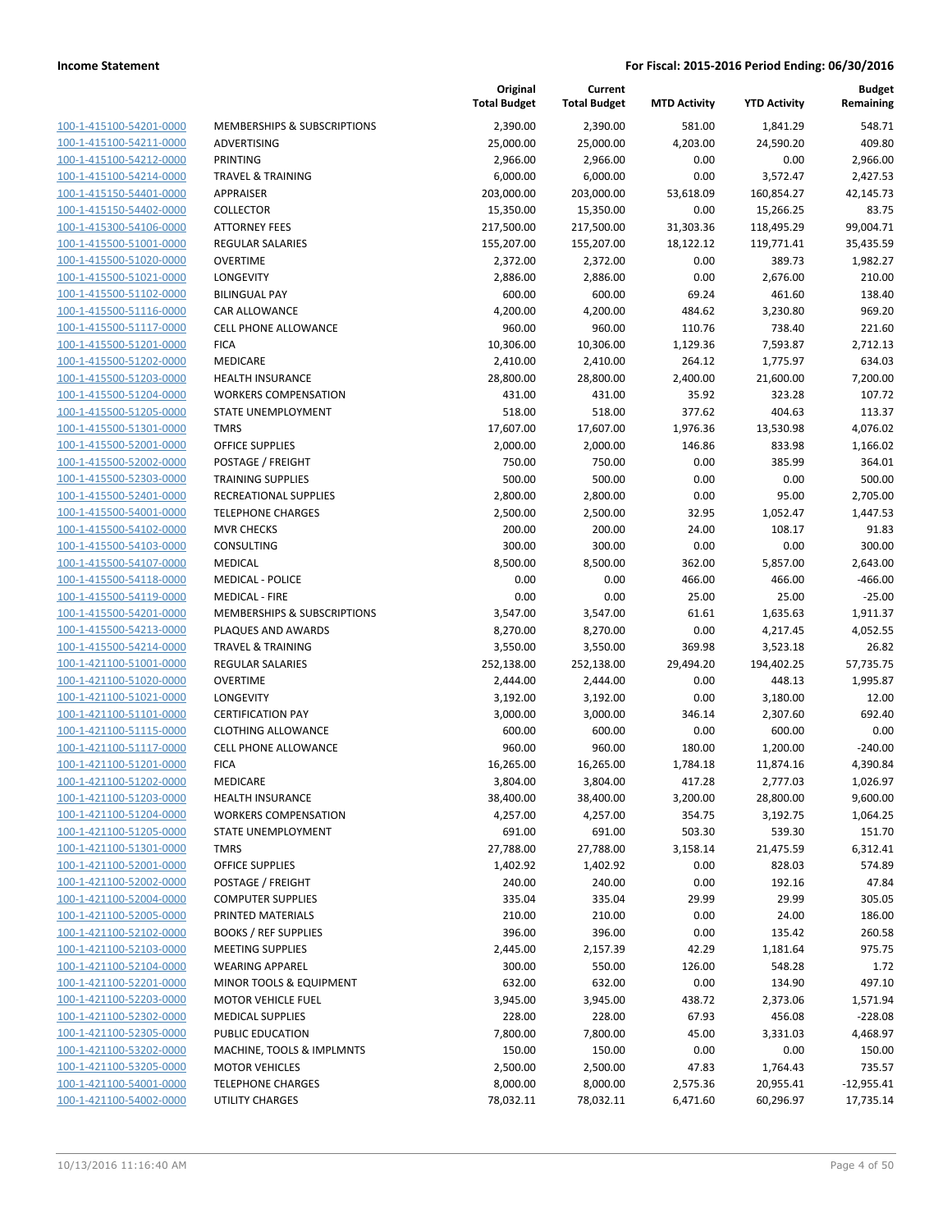| 100-1-415100-54201-0000        |
|--------------------------------|
| 100-1-415100-54211-0000        |
| 100-1-415100-54212-0000        |
| 100-1-415100-54214-0000        |
| 100-1-415150-54401-0000        |
| 100-1-415150-54402-0000        |
| 100-1-415300-54106-0000        |
| 100-1-415500-51001-0000        |
| 100-1-415500-51020-0000        |
| 100-1-415500-51021-0000        |
| 100-1-415500-51102-0000        |
| 100-1-415500-51116-0000        |
| 100-1-415500-51117-0000        |
| 100-1-415500-51201-0000        |
| 100-1-415500-51202-0000        |
| 100-1-415500-51203-0000        |
| 100-1-415500-51204-0000        |
| 100-1-415500-51205-0000        |
| 100-1-415500-51301-0000        |
| 100-1-415500-52001-0000        |
| 100-1-415500-52002-0000        |
| 100-1-415500-52303-0000        |
| 100-1-415500-52401-0000        |
| 100-1-415500-54001-0000        |
| 100-1-415500-54102-0000        |
|                                |
| 100-1-415500-54103-0000        |
| 100-1-415500-54107-0000        |
| 100-1-415500-54118-0000        |
| 100-1-415500-54119-0000        |
| 100-1-415500-54201-0000        |
| 100-1-415500-54213-0000        |
| 100-1-415500-54214-0000        |
| 100-1-421100-51001-0000        |
| 100-1-421100-51020-0000        |
| 100-1-421100-51021-0000        |
| 100-1-421100-51101-0000        |
| 100-1-421100-51115-0000        |
| 100-1-421100-51117-0000        |
| 100-1-421100-51201-0000        |
| 100-1-421100-51202-0000        |
| 100-1-421100-51203-0000        |
| 100-1-421100-51204-0000        |
| <u>100-1-421100-51205-0000</u> |
| 100-1-421100-51301-0000        |
| <u>100-1-421100-52001-0000</u> |
| 100-1-421100-52002-0000        |
| 100-1-421100-52004-0000        |
| <u>100-1-421100-52005-0000</u> |
| <u>100-1-421100-52102-0000</u> |
| <u>100-1-421100-52103-0000</u> |
| 100-1-421100-52104-0000        |
| 100-1-421100-52201-0000        |
| <u>100-1-421100-52203-0000</u> |
| <u>100-1-421100-52302-0000</u> |
| <u>100-1-421100-52305-0000</u> |
| <u>100-1-421100-53202-0000</u> |
| 100-1-421100-53205-0000        |
| <u>100-1-421100-54001-0000</u> |
| <u>100-1-421100-54002-0000</u> |
|                                |

|                                                    |                                                          | Original<br><b>Total Budget</b> | Current<br><b>Total Budget</b> | <b>MTD Activity</b> | <b>YTD Activity</b> | <b>Budget</b><br>Remaining |
|----------------------------------------------------|----------------------------------------------------------|---------------------------------|--------------------------------|---------------------|---------------------|----------------------------|
| 100-1-415100-54201-0000                            | MEMBERSHIPS & SUBSCRIPTIONS                              | 2,390.00                        | 2,390.00                       | 581.00              | 1,841.29            | 548.71                     |
| 100-1-415100-54211-0000                            | ADVERTISING                                              | 25,000.00                       | 25,000.00                      | 4,203.00            | 24,590.20           | 409.80                     |
| 100-1-415100-54212-0000                            | PRINTING                                                 | 2,966.00                        | 2,966.00                       | 0.00                | 0.00                | 2,966.00                   |
| 100-1-415100-54214-0000                            | <b>TRAVEL &amp; TRAINING</b>                             | 6,000.00                        | 6,000.00                       | 0.00                | 3,572.47            | 2,427.53                   |
| 100-1-415150-54401-0000                            | <b>APPRAISER</b>                                         | 203,000.00                      | 203,000.00                     | 53,618.09           | 160,854.27          | 42,145.73                  |
| 100-1-415150-54402-0000                            | <b>COLLECTOR</b>                                         | 15,350.00                       | 15,350.00                      | 0.00                | 15,266.25           | 83.75                      |
| 100-1-415300-54106-0000                            | <b>ATTORNEY FEES</b>                                     | 217,500.00                      | 217,500.00                     | 31,303.36           | 118,495.29          | 99,004.71                  |
| 100-1-415500-51001-0000                            | REGULAR SALARIES                                         | 155,207.00                      | 155,207.00                     | 18,122.12           | 119,771.41          | 35,435.59                  |
| 100-1-415500-51020-0000                            | <b>OVERTIME</b>                                          | 2,372.00                        | 2,372.00                       | 0.00                | 389.73              | 1,982.27                   |
| 100-1-415500-51021-0000                            | LONGEVITY                                                | 2,886.00                        | 2,886.00                       | 0.00                | 2,676.00            | 210.00                     |
| 100-1-415500-51102-0000                            | <b>BILINGUAL PAY</b>                                     | 600.00                          | 600.00                         | 69.24               | 461.60              | 138.40                     |
| 100-1-415500-51116-0000                            | CAR ALLOWANCE                                            | 4,200.00                        | 4,200.00                       | 484.62              | 3,230.80            | 969.20                     |
| 100-1-415500-51117-0000                            | <b>CELL PHONE ALLOWANCE</b>                              | 960.00                          | 960.00                         | 110.76              | 738.40              | 221.60                     |
| 100-1-415500-51201-0000                            | <b>FICA</b>                                              | 10,306.00                       | 10,306.00                      | 1,129.36            | 7,593.87            | 2,712.13                   |
| 100-1-415500-51202-0000                            | MEDICARE                                                 | 2,410.00                        | 2,410.00                       | 264.12              | 1,775.97            | 634.03                     |
| 100-1-415500-51203-0000                            | <b>HEALTH INSURANCE</b>                                  | 28,800.00                       | 28,800.00                      | 2,400.00            | 21,600.00           | 7,200.00                   |
| 100-1-415500-51204-0000                            | <b>WORKERS COMPENSATION</b>                              | 431.00                          | 431.00                         | 35.92               | 323.28              | 107.72                     |
| 100-1-415500-51205-0000                            | STATE UNEMPLOYMENT                                       | 518.00                          | 518.00                         | 377.62              | 404.63              | 113.37                     |
| 100-1-415500-51301-0000                            | <b>TMRS</b>                                              | 17,607.00                       | 17,607.00                      | 1,976.36            | 13,530.98           | 4,076.02                   |
| 100-1-415500-52001-0000                            | <b>OFFICE SUPPLIES</b>                                   | 2,000.00                        | 2,000.00                       | 146.86              | 833.98              | 1,166.02                   |
| 100-1-415500-52002-0000                            | POSTAGE / FREIGHT                                        | 750.00                          | 750.00                         | 0.00                | 385.99              | 364.01                     |
| 100-1-415500-52303-0000<br>100-1-415500-52401-0000 | <b>TRAINING SUPPLIES</b><br><b>RECREATIONAL SUPPLIES</b> | 500.00                          | 500.00                         | 0.00                | 0.00                | 500.00                     |
| 100-1-415500-54001-0000                            |                                                          | 2,800.00                        | 2,800.00                       | 0.00                | 95.00               | 2,705.00                   |
| 100-1-415500-54102-0000                            | <b>TELEPHONE CHARGES</b><br><b>MVR CHECKS</b>            | 2,500.00<br>200.00              | 2,500.00<br>200.00             | 32.95<br>24.00      | 1,052.47<br>108.17  | 1,447.53<br>91.83          |
| 100-1-415500-54103-0000                            | CONSULTING                                               | 300.00                          | 300.00                         | 0.00                | 0.00                | 300.00                     |
| 100-1-415500-54107-0000                            | MEDICAL                                                  | 8,500.00                        | 8,500.00                       | 362.00              | 5,857.00            | 2,643.00                   |
| 100-1-415500-54118-0000                            | <b>MEDICAL - POLICE</b>                                  | 0.00                            | 0.00                           | 466.00              | 466.00              | $-466.00$                  |
| 100-1-415500-54119-0000                            | <b>MEDICAL - FIRE</b>                                    | 0.00                            | 0.00                           | 25.00               | 25.00               | $-25.00$                   |
| 100-1-415500-54201-0000                            | MEMBERSHIPS & SUBSCRIPTIONS                              | 3,547.00                        | 3,547.00                       | 61.61               | 1,635.63            | 1,911.37                   |
| 100-1-415500-54213-0000                            | PLAQUES AND AWARDS                                       | 8,270.00                        | 8,270.00                       | 0.00                | 4,217.45            | 4,052.55                   |
| 100-1-415500-54214-0000                            | <b>TRAVEL &amp; TRAINING</b>                             | 3,550.00                        | 3,550.00                       | 369.98              | 3,523.18            | 26.82                      |
| 100-1-421100-51001-0000                            | <b>REGULAR SALARIES</b>                                  | 252,138.00                      | 252,138.00                     | 29,494.20           | 194,402.25          | 57,735.75                  |
| 100-1-421100-51020-0000                            | <b>OVERTIME</b>                                          | 2,444.00                        | 2,444.00                       | 0.00                | 448.13              | 1,995.87                   |
| 100-1-421100-51021-0000                            | <b>LONGEVITY</b>                                         | 3,192.00                        | 3,192.00                       | 0.00                | 3,180.00            | 12.00                      |
| 100-1-421100-51101-0000                            | <b>CERTIFICATION PAY</b>                                 | 3,000.00                        | 3,000.00                       | 346.14              | 2,307.60            | 692.40                     |
| 100-1-421100-51115-0000                            | <b>CLOTHING ALLOWANCE</b>                                | 600.00                          | 600.00                         | 0.00                | 600.00              | 0.00                       |
| 100-1-421100-51117-0000                            | <b>CELL PHONE ALLOWANCE</b>                              | 960.00                          | 960.00                         | 180.00              | 1,200.00            | $-240.00$                  |
| 100-1-421100-51201-0000                            | <b>FICA</b>                                              | 16,265.00                       | 16,265.00                      | 1,784.18            | 11,874.16           | 4,390.84                   |
| 100-1-421100-51202-0000                            | <b>MEDICARE</b>                                          | 3,804.00                        | 3,804.00                       | 417.28              | 2,777.03            | 1,026.97                   |
| 100-1-421100-51203-0000                            | <b>HEALTH INSURANCE</b>                                  | 38,400.00                       | 38,400.00                      | 3,200.00            | 28,800.00           | 9,600.00                   |
| 100-1-421100-51204-0000                            | <b>WORKERS COMPENSATION</b>                              | 4,257.00                        | 4,257.00                       | 354.75              | 3,192.75            | 1,064.25                   |
| 100-1-421100-51205-0000                            | <b>STATE UNEMPLOYMENT</b>                                | 691.00                          | 691.00                         | 503.30              | 539.30              | 151.70                     |
| 100-1-421100-51301-0000                            | <b>TMRS</b>                                              | 27,788.00                       | 27,788.00                      | 3,158.14            | 21,475.59           | 6,312.41                   |
| 100-1-421100-52001-0000                            | OFFICE SUPPLIES                                          | 1,402.92                        | 1,402.92                       | 0.00                | 828.03              | 574.89                     |
| 100-1-421100-52002-0000                            | POSTAGE / FREIGHT                                        | 240.00                          | 240.00                         | 0.00                | 192.16              | 47.84                      |
| 100-1-421100-52004-0000                            | <b>COMPUTER SUPPLIES</b>                                 | 335.04                          | 335.04                         | 29.99               | 29.99               | 305.05                     |
| 100-1-421100-52005-0000                            | PRINTED MATERIALS                                        | 210.00                          | 210.00                         | 0.00                | 24.00               | 186.00                     |
| 100-1-421100-52102-0000                            | <b>BOOKS / REF SUPPLIES</b>                              | 396.00                          | 396.00                         | 0.00                | 135.42              | 260.58                     |
| 100-1-421100-52103-0000                            | <b>MEETING SUPPLIES</b>                                  | 2,445.00                        | 2,157.39                       | 42.29               | 1,181.64            | 975.75                     |
| 100-1-421100-52104-0000                            | <b>WEARING APPAREL</b>                                   | 300.00                          | 550.00                         | 126.00              | 548.28              | 1.72                       |
| 100-1-421100-52201-0000                            | MINOR TOOLS & EQUIPMENT                                  | 632.00                          | 632.00                         | 0.00                | 134.90              | 497.10                     |
| 100-1-421100-52203-0000                            | <b>MOTOR VEHICLE FUEL</b>                                | 3,945.00                        | 3,945.00                       | 438.72              | 2,373.06            | 1,571.94                   |
| 100-1-421100-52302-0000                            | <b>MEDICAL SUPPLIES</b>                                  | 228.00                          | 228.00                         | 67.93               | 456.08              | $-228.08$                  |
| 100-1-421100-52305-0000                            | PUBLIC EDUCATION                                         | 7,800.00                        | 7,800.00                       | 45.00               | 3,331.03            | 4,468.97                   |
| 100-1-421100-53202-0000                            | MACHINE, TOOLS & IMPLMNTS                                | 150.00                          | 150.00                         | 0.00                | 0.00                | 150.00                     |
| 100-1-421100-53205-0000                            | <b>MOTOR VEHICLES</b>                                    | 2,500.00                        | 2,500.00                       | 47.83               | 1,764.43            | 735.57                     |
| 100-1-421100-54001-0000                            | <b>TELEPHONE CHARGES</b>                                 | 8,000.00                        | 8,000.00                       | 2,575.36            | 20,955.41           | $-12,955.41$               |
| 100-1-421100-54002-0000                            | UTILITY CHARGES                                          | 78,032.11                       | 78,032.11                      | 6,471.60            | 60,296.97           | 17,735.14                  |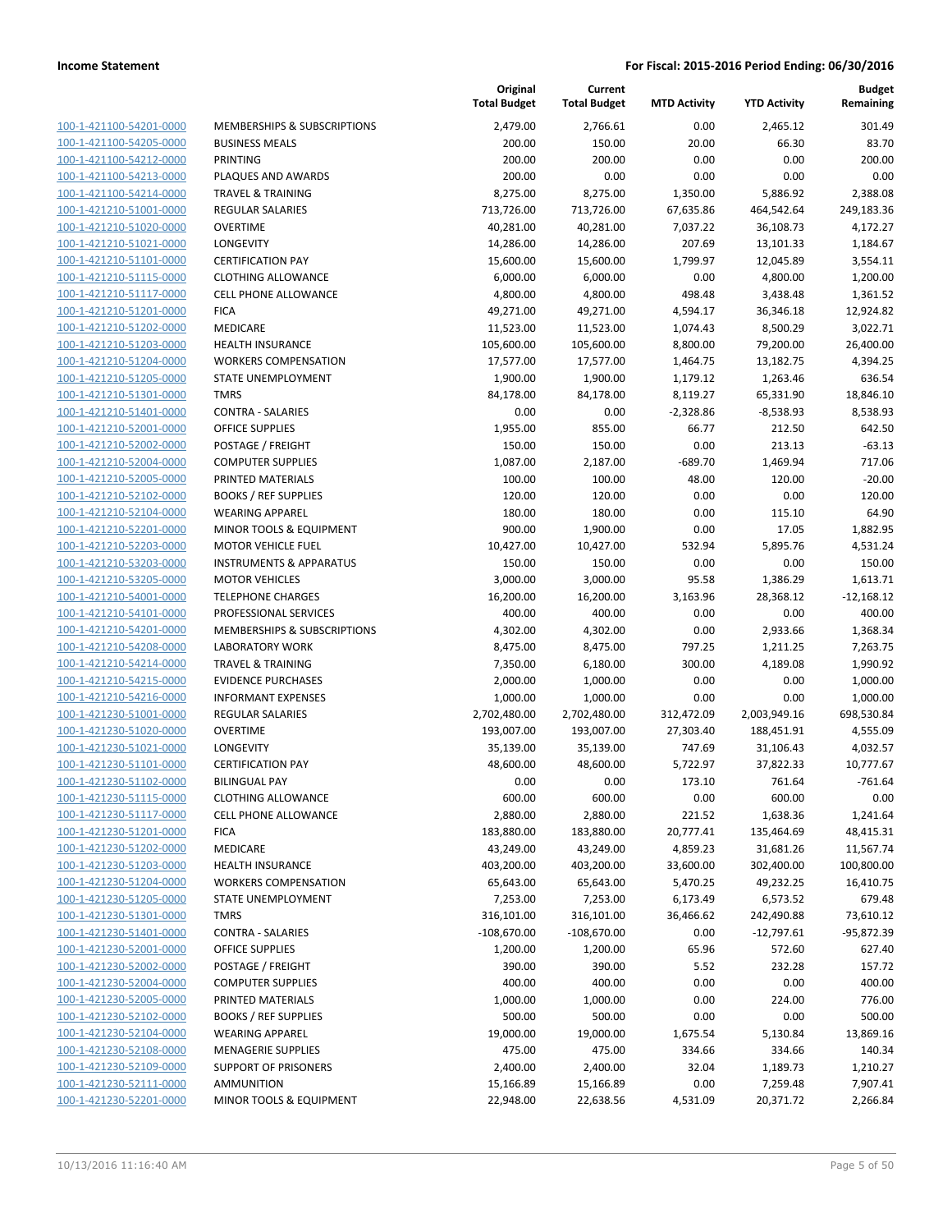100-1-421100-54201-0000 100-1-421100-54205-0000 100-1-421100-54212-0000 100-1-421100-54213-0000 100-1-421100-54214-0000 100-1-421210-51001-0000 100-1-421210-51020-0000 100-1-421210-51021-0000 100-1-421210-51101-0000 100-1-421210-51115-0000 100-1-421210-51117-0000 100-1-421210-51201-0000 100-1-421210-51202-0000 100-1-421210-51203-0000 100-1-421210-51204-0000 100-1-421210-51205-0000 100-1-421210-51301-0000 100-1-421210-51401-0000 100-1-421210-52001-0000 100-1-421210-52002-0000 100-1-421210-52004-0000 100-1-421210-52005-0000 PRINTED MATERIALS 100.00 100.00 48.00 120.00 -20.00 100-1-421210-52102-0000 100-1-421210-52104-0000 100-1-421210-52201-0000 100-1-421210-52203-0000 100-1-421210-53203-0000 100-1-421210-53205-0000 100-1-421210-54001-0000 100-1-421210-54101-0000 100-1-421210-54201-0000 100-1-421210-54208-0000 100-1-421210-54214-0000 100-1-421210-54215-0000 100-1-421210-54216-0000 100-1-421230-51001-0000 100-1-421230-51020-0000 100-1-421230-51021-0000 100-1-421230-51101-0000 100-1-421230-51102-0000 100-1-421230-51115-0000 100-1-421230-51117-0000 100-1-421230-51201-0000 100-1-421230-51202-0000 100-1-421230-51203-0000 100-1-421230-51204-0000 100-1-421230-51205-0000 100-1-421230-51301-0000 100-1-421230-51401-0000 100-1-421230-52001-0000 100-1-421230-52002-0000 100-1-421230-52004-0000 COMPUTER SUPPLIES 400.00 400.00 0.00 0.00 400.00 100-1-421230-52005-0000 100-1-421230-52102-0000 100-1-421230-52104-0000 100-1-421230-52108-0000 100-1-421230-52109-0000 100-1-421230-52111-0000 100-1-421230-52201-0000

|                                                   | Original<br><b>Total Budget</b> | Current<br><b>Total Budget</b> | <b>MTD Activity</b> | <b>YTD Activity</b> | <b>Budget</b><br>Remaining |
|---------------------------------------------------|---------------------------------|--------------------------------|---------------------|---------------------|----------------------------|
| <b>MEMBERSHIPS &amp; SUBSCRIPTIONS</b>            | 2,479.00                        | 2,766.61                       | 0.00                | 2,465.12            | 301.49                     |
| <b>BUSINESS MEALS</b>                             | 200.00                          | 150.00                         | 20.00               | 66.30               | 83.70                      |
| PRINTING                                          | 200.00                          | 200.00                         | 0.00                | 0.00                | 200.00                     |
| PLAQUES AND AWARDS                                | 200.00                          | 0.00                           | 0.00                | 0.00                | 0.00                       |
| <b>TRAVEL &amp; TRAINING</b>                      | 8,275.00                        | 8,275.00                       | 1,350.00            | 5,886.92            | 2,388.08                   |
| <b>REGULAR SALARIES</b>                           | 713,726.00                      | 713,726.00                     | 67,635.86           | 464,542.64          | 249,183.36                 |
| <b>OVERTIME</b>                                   | 40,281.00                       | 40,281.00                      | 7,037.22            | 36,108.73           | 4,172.27                   |
| <b>LONGEVITY</b>                                  | 14,286.00                       | 14,286.00                      | 207.69              | 13,101.33           | 1,184.67                   |
| <b>CERTIFICATION PAY</b>                          | 15,600.00                       | 15,600.00                      | 1,799.97            | 12,045.89           | 3,554.11                   |
| <b>CLOTHING ALLOWANCE</b>                         | 6,000.00                        | 6,000.00                       | 0.00                | 4,800.00            | 1,200.00                   |
| <b>CELL PHONE ALLOWANCE</b>                       | 4,800.00                        | 4,800.00                       | 498.48              | 3,438.48            | 1,361.52                   |
| <b>FICA</b>                                       | 49,271.00                       | 49,271.00                      | 4,594.17            | 36,346.18           | 12,924.82                  |
| <b>MEDICARE</b>                                   | 11,523.00                       | 11,523.00                      | 1,074.43            | 8,500.29            | 3,022.71                   |
| <b>HEALTH INSURANCE</b>                           | 105,600.00                      | 105,600.00                     | 8,800.00            | 79,200.00           | 26,400.00                  |
| <b>WORKERS COMPENSATION</b>                       | 17,577.00                       | 17,577.00                      | 1,464.75            | 13,182.75           | 4,394.25                   |
| STATE UNEMPLOYMENT                                | 1,900.00                        | 1,900.00                       | 1,179.12            | 1,263.46            | 636.54                     |
| <b>TMRS</b>                                       | 84,178.00                       | 84,178.00                      | 8,119.27            | 65,331.90           | 18,846.10                  |
| <b>CONTRA - SALARIES</b>                          | 0.00                            | 0.00                           | $-2,328.86$         | $-8,538.93$         | 8,538.93                   |
| <b>OFFICE SUPPLIES</b>                            | 1,955.00                        | 855.00                         | 66.77               | 212.50              | 642.50                     |
| POSTAGE / FREIGHT                                 | 150.00                          | 150.00                         | 0.00                | 213.13              | $-63.13$                   |
| <b>COMPUTER SUPPLIES</b>                          | 1,087.00                        | 2,187.00                       | $-689.70$           | 1,469.94            | 717.06                     |
| PRINTED MATERIALS                                 | 100.00                          | 100.00                         | 48.00               | 120.00              | $-20.00$                   |
| <b>BOOKS / REF SUPPLIES</b>                       | 120.00                          | 120.00                         | 0.00                | 0.00                | 120.00                     |
| <b>WEARING APPAREL</b>                            | 180.00                          | 180.00                         | 0.00                | 115.10              | 64.90                      |
| MINOR TOOLS & EQUIPMENT                           | 900.00                          | 1,900.00                       | 0.00                | 17.05               | 1,882.95                   |
| <b>MOTOR VEHICLE FUEL</b>                         | 10,427.00                       | 10,427.00                      | 532.94              | 5,895.76            | 4,531.24                   |
| <b>INSTRUMENTS &amp; APPARATUS</b>                | 150.00                          | 150.00                         | 0.00                | 0.00                | 150.00                     |
| <b>MOTOR VEHICLES</b>                             | 3,000.00                        | 3,000.00                       | 95.58               | 1,386.29            | 1,613.71                   |
| <b>TELEPHONE CHARGES</b><br>PROFESSIONAL SERVICES | 16,200.00<br>400.00             | 16,200.00<br>400.00            | 3,163.96<br>0.00    | 28,368.12<br>0.00   | $-12,168.12$<br>400.00     |
| MEMBERSHIPS & SUBSCRIPTIONS                       | 4,302.00                        | 4,302.00                       | 0.00                | 2,933.66            | 1,368.34                   |
| <b>LABORATORY WORK</b>                            | 8,475.00                        | 8,475.00                       | 797.25              | 1,211.25            | 7,263.75                   |
| <b>TRAVEL &amp; TRAINING</b>                      | 7,350.00                        | 6,180.00                       | 300.00              | 4,189.08            | 1,990.92                   |
| <b>EVIDENCE PURCHASES</b>                         | 2,000.00                        | 1,000.00                       | 0.00                | 0.00                | 1,000.00                   |
| <b>INFORMANT EXPENSES</b>                         | 1,000.00                        | 1,000.00                       | 0.00                | 0.00                | 1,000.00                   |
| <b>REGULAR SALARIES</b>                           | 2,702,480.00                    | 2,702,480.00                   | 312,472.09          | 2,003,949.16        | 698,530.84                 |
| <b>OVERTIME</b>                                   | 193,007.00                      | 193,007.00                     | 27,303.40           | 188,451.91          | 4,555.09                   |
| LONGEVITY                                         | 35,139.00                       | 35,139.00                      | 747.69              | 31,106.43           | 4,032.57                   |
| <b>CERTIFICATION PAY</b>                          | 48,600.00                       | 48,600.00                      | 5,722.97            | 37,822.33           | 10,777.67                  |
| <b>BILINGUAL PAY</b>                              | 0.00                            | 0.00                           | 173.10              | 761.64              | $-761.64$                  |
| <b>CLOTHING ALLOWANCE</b>                         | 600.00                          | 600.00                         | 0.00                | 600.00              | 0.00                       |
| <b>CELL PHONE ALLOWANCE</b>                       | 2,880.00                        | 2,880.00                       | 221.52              | 1,638.36            | 1,241.64                   |
| <b>FICA</b>                                       | 183,880.00                      | 183,880.00                     | 20,777.41           | 135,464.69          | 48,415.31                  |
| <b>MEDICARE</b>                                   | 43,249.00                       | 43,249.00                      | 4,859.23            | 31,681.26           | 11,567.74                  |
| <b>HEALTH INSURANCE</b>                           | 403,200.00                      | 403,200.00                     | 33,600.00           | 302,400.00          | 100,800.00                 |
| <b>WORKERS COMPENSATION</b>                       | 65,643.00                       | 65,643.00                      | 5,470.25            | 49,232.25           | 16,410.75                  |
| STATE UNEMPLOYMENT                                | 7,253.00                        | 7,253.00                       | 6,173.49            | 6,573.52            | 679.48                     |
| <b>TMRS</b>                                       | 316,101.00                      | 316,101.00                     | 36,466.62           | 242,490.88          | 73,610.12                  |
| <b>CONTRA - SALARIES</b>                          | $-108,670.00$                   | $-108,670.00$                  | 0.00                | $-12,797.61$        | -95,872.39                 |
| <b>OFFICE SUPPLIES</b>                            | 1,200.00                        | 1,200.00                       | 65.96               | 572.60              | 627.40                     |
| POSTAGE / FREIGHT                                 | 390.00                          | 390.00                         | 5.52                | 232.28              | 157.72                     |
| <b>COMPUTER SUPPLIES</b>                          | 400.00                          | 400.00                         | 0.00                | 0.00                | 400.00                     |
| PRINTED MATERIALS                                 | 1,000.00                        | 1,000.00                       | 0.00                | 224.00              | 776.00                     |
| <b>BOOKS / REF SUPPLIES</b>                       | 500.00                          | 500.00                         | 0.00                | 0.00                | 500.00                     |
| <b>WEARING APPAREL</b>                            | 19,000.00                       | 19,000.00                      | 1,675.54            | 5,130.84            | 13,869.16                  |
| <b>MENAGERIE SUPPLIES</b>                         | 475.00                          | 475.00                         | 334.66              | 334.66              | 140.34                     |
| <b>SUPPORT OF PRISONERS</b>                       | 2,400.00                        | 2,400.00                       | 32.04               | 1,189.73            | 1,210.27                   |
| AMMUNITION                                        | 15,166.89                       | 15,166.89                      | 0.00                | 7,259.48            | 7,907.41                   |
| MINOR TOOLS & EQUIPMENT                           | 22,948.00                       | 22,638.56                      | 4,531.09            | 20,371.72           | 2,266.84                   |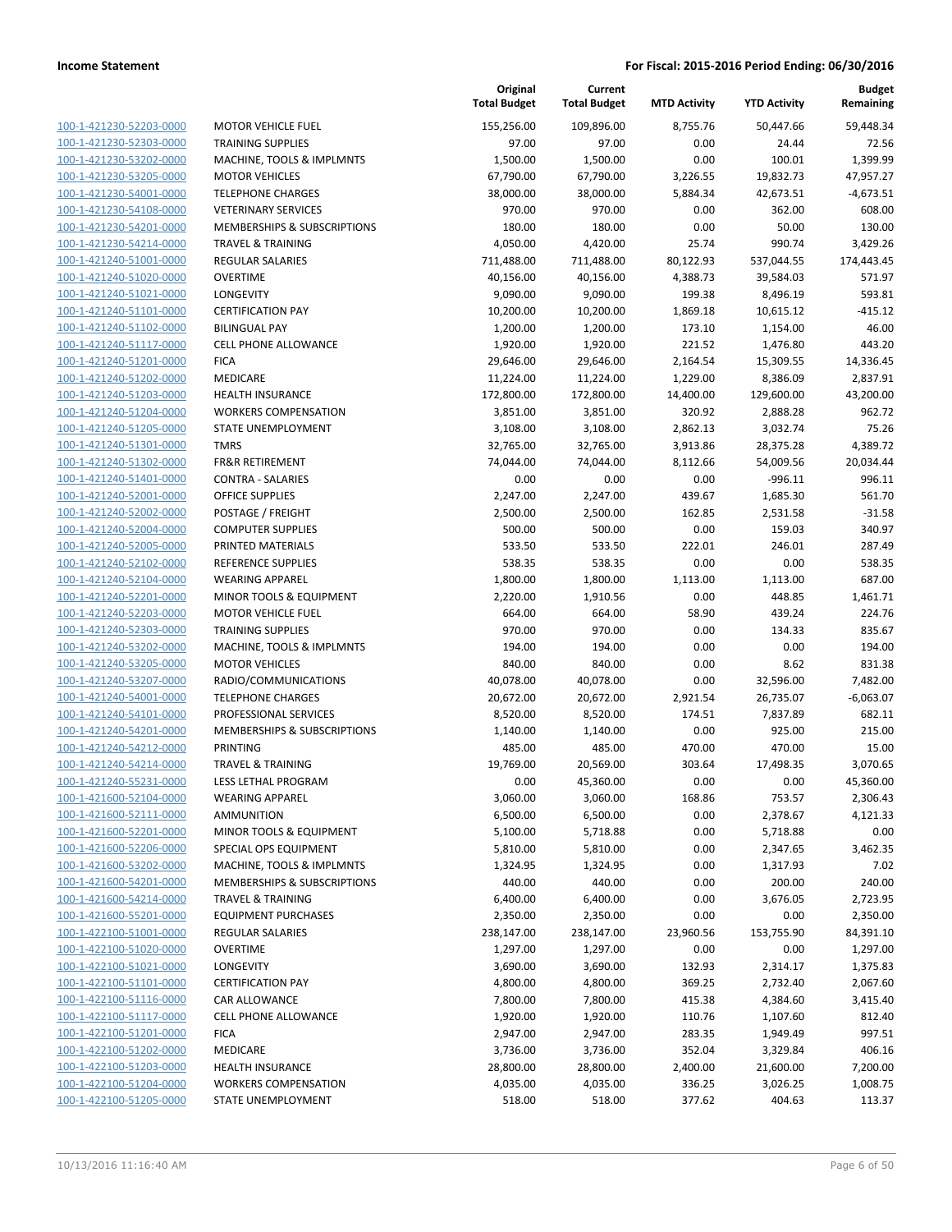|                         |                              | Original<br><b>Total Budget</b> | Current<br><b>Total Budget</b> | <b>MTD Activity</b> | <b>YTD Activity</b> | <b>Budget</b><br>Remaining |
|-------------------------|------------------------------|---------------------------------|--------------------------------|---------------------|---------------------|----------------------------|
| 100-1-421230-52203-0000 | <b>MOTOR VEHICLE FUEL</b>    | 155,256.00                      | 109,896.00                     | 8.755.76            | 50.447.66           | 59,448.34                  |
| 100-1-421230-52303-0000 | <b>TRAINING SUPPLIES</b>     | 97.00                           | 97.00                          | 0.00                | 24.44               | 72.56                      |
| 100-1-421230-53202-0000 | MACHINE, TOOLS & IMPLMNTS    | 1,500.00                        | 1,500.00                       | 0.00                | 100.01              | 1,399.99                   |
| 100-1-421230-53205-0000 | <b>MOTOR VEHICLES</b>        | 67,790.00                       | 67,790.00                      | 3,226.55            | 19,832.73           | 47,957.27                  |
| 100-1-421230-54001-0000 | <b>TELEPHONE CHARGES</b>     | 38,000.00                       | 38,000.00                      | 5,884.34            | 42,673.51           | $-4,673.51$                |
| 100-1-421230-54108-0000 | <b>VETERINARY SERVICES</b>   | 970.00                          | 970.00                         | 0.00                | 362.00              | 608.00                     |
| 100-1-421230-54201-0000 | MEMBERSHIPS & SUBSCRIPTIONS  | 180.00                          | 180.00                         | 0.00                | 50.00               | 130.00                     |
| 100-1-421230-54214-0000 | <b>TRAVEL &amp; TRAINING</b> | 4,050.00                        | 4,420.00                       | 25.74               | 990.74              | 3,429.26                   |
| 100-1-421240-51001-0000 | <b>REGULAR SALARIES</b>      | 711,488.00                      | 711,488.00                     | 80,122.93           | 537,044.55          | 174,443.45                 |
| 100-1-421240-51020-0000 | <b>OVERTIME</b>              | 40,156.00                       | 40,156.00                      | 4,388.73            | 39,584.03           | 571.97                     |
| 100-1-421240-51021-0000 | <b>LONGEVITY</b>             | 9,090.00                        | 9,090.00                       | 199.38              | 8,496.19            | 593.81                     |
| 100-1-421240-51101-0000 | <b>CERTIFICATION PAY</b>     | 10,200.00                       | 10,200.00                      | 1,869.18            | 10,615.12           | $-415.12$                  |
| 100-1-421240-51102-0000 | <b>BILINGUAL PAY</b>         | 1,200.00                        | 1,200.00                       | 173.10              | 1,154.00            | 46.00                      |
| 100-1-421240-51117-0000 | <b>CELL PHONE ALLOWANCE</b>  | 1,920.00                        | 1,920.00                       | 221.52              | 1,476.80            | 443.20                     |
| 100-1-421240-51201-0000 | <b>FICA</b>                  | 29,646.00                       | 29,646.00                      | 2,164.54            | 15,309.55           | 14,336.45                  |
| 100-1-421240-51202-0000 | MEDICARE                     | 11,224.00                       | 11,224.00                      | 1,229.00            | 8,386.09            | 2,837.91                   |
| 100-1-421240-51203-0000 | <b>HEALTH INSURANCE</b>      | 172,800.00                      | 172,800.00                     | 14,400.00           | 129,600.00          | 43,200.00                  |
| 100-1-421240-51204-0000 | <b>WORKERS COMPENSATION</b>  | 3,851.00                        | 3,851.00                       | 320.92              | 2,888.28            | 962.72                     |
| 100-1-421240-51205-0000 | STATE UNEMPLOYMENT           | 3,108.00                        | 3,108.00                       | 2,862.13            | 3,032.74            | 75.26                      |
| 100-1-421240-51301-0000 | <b>TMRS</b>                  | 32,765.00                       | 32,765.00                      | 3,913.86            | 28,375.28           | 4,389.72                   |
| 100-1-421240-51302-0000 | <b>FR&amp;R RETIREMENT</b>   | 74,044.00                       | 74,044.00                      | 8,112.66            | 54,009.56           | 20,034.44                  |
| 100-1-421240-51401-0000 | <b>CONTRA - SALARIES</b>     | 0.00                            | 0.00                           | 0.00                | $-996.11$           | 996.11                     |
| 100-1-421240-52001-0000 | <b>OFFICE SUPPLIES</b>       | 2,247.00                        | 2,247.00                       | 439.67              | 1,685.30            | 561.70                     |
| 100-1-421240-52002-0000 | POSTAGE / FREIGHT            | 2,500.00                        | 2,500.00                       | 162.85              | 2,531.58            | $-31.58$                   |
| 100-1-421240-52004-0000 | <b>COMPUTER SUPPLIES</b>     | 500.00                          | 500.00                         | 0.00                | 159.03              | 340.97                     |
| 100-1-421240-52005-0000 | PRINTED MATERIALS            | 533.50                          | 533.50                         | 222.01              | 246.01              | 287.49                     |
| 100-1-421240-52102-0000 | <b>REFERENCE SUPPLIES</b>    | 538.35                          | 538.35                         | 0.00                | 0.00                | 538.35                     |
| 100-1-421240-52104-0000 | <b>WEARING APPAREL</b>       | 1,800.00                        | 1,800.00                       | 1,113.00            | 1,113.00            | 687.00                     |
| 100-1-421240-52201-0000 | MINOR TOOLS & EQUIPMENT      | 2,220.00                        | 1,910.56                       | 0.00                | 448.85              | 1,461.71                   |
| 100-1-421240-52203-0000 | <b>MOTOR VEHICLE FUEL</b>    | 664.00                          | 664.00                         | 58.90               | 439.24              | 224.76                     |
| 100-1-421240-52303-0000 | <b>TRAINING SUPPLIES</b>     | 970.00                          | 970.00                         | 0.00                | 134.33              | 835.67                     |
| 100-1-421240-53202-0000 | MACHINE, TOOLS & IMPLMNTS    | 194.00                          | 194.00                         | 0.00                | 0.00                | 194.00                     |
| 100-1-421240-53205-0000 | <b>MOTOR VEHICLES</b>        | 840.00                          | 840.00                         | 0.00                | 8.62                | 831.38                     |
| 100-1-421240-53207-0000 | RADIO/COMMUNICATIONS         | 40,078.00                       | 40,078.00                      | 0.00                | 32,596.00           | 7,482.00                   |
| 100-1-421240-54001-0000 | <b>TELEPHONE CHARGES</b>     | 20,672.00                       | 20,672.00                      | 2,921.54            | 26,735.07           | $-6,063.07$                |
| 100-1-421240-54101-0000 | PROFESSIONAL SERVICES        | 8,520.00                        | 8,520.00                       | 174.51              | 7,837.89            | 682.11                     |
| 100-1-421240-54201-0000 | MEMBERSHIPS & SUBSCRIPTIONS  | 1,140.00                        | 1,140.00                       | 0.00                | 925.00              | 215.00                     |
| 100-1-421240-54212-0000 | PRINTING                     | 485.00                          | 485.00                         | 470.00              | 470.00              | 15.00                      |
| 100-1-421240-54214-0000 | <b>TRAVEL &amp; TRAINING</b> | 19,769.00                       | 20,569.00                      | 303.64              | 17,498.35           | 3,070.65                   |
| 100-1-421240-55231-0000 | LESS LETHAL PROGRAM          | 0.00                            | 45,360.00                      | 0.00                | 0.00                | 45,360.00                  |
| 100-1-421600-52104-0000 | <b>WEARING APPAREL</b>       | 3,060.00                        | 3,060.00                       | 168.86              | 753.57              | 2,306.43                   |
| 100-1-421600-52111-0000 | <b>AMMUNITION</b>            | 6,500.00                        | 6,500.00                       | 0.00                | 2,378.67            | 4,121.33                   |
| 100-1-421600-52201-0000 | MINOR TOOLS & EQUIPMENT      | 5,100.00                        | 5,718.88                       | 0.00                | 5,718.88            | 0.00                       |
| 100-1-421600-52206-0000 | SPECIAL OPS EQUIPMENT        | 5,810.00                        | 5,810.00                       | 0.00                | 2,347.65            | 3,462.35                   |
| 100-1-421600-53202-0000 | MACHINE, TOOLS & IMPLMNTS    | 1,324.95                        | 1,324.95                       | 0.00                | 1,317.93            | 7.02                       |
| 100-1-421600-54201-0000 | MEMBERSHIPS & SUBSCRIPTIONS  | 440.00                          | 440.00                         | 0.00                | 200.00              | 240.00                     |
| 100-1-421600-54214-0000 | <b>TRAVEL &amp; TRAINING</b> | 6,400.00                        | 6,400.00                       | 0.00                | 3,676.05            | 2,723.95                   |
| 100-1-421600-55201-0000 | <b>EQUIPMENT PURCHASES</b>   | 2,350.00                        | 2,350.00                       | 0.00                | 0.00                | 2,350.00                   |
| 100-1-422100-51001-0000 | <b>REGULAR SALARIES</b>      | 238,147.00                      | 238,147.00                     | 23,960.56           | 153,755.90          | 84,391.10                  |
| 100-1-422100-51020-0000 | <b>OVERTIME</b>              | 1,297.00                        | 1,297.00                       | 0.00                | 0.00                | 1,297.00                   |
| 100-1-422100-51021-0000 | LONGEVITY                    | 3,690.00                        | 3,690.00                       | 132.93              | 2,314.17            | 1,375.83                   |
| 100-1-422100-51101-0000 | <b>CERTIFICATION PAY</b>     | 4,800.00                        | 4,800.00                       | 369.25              | 2,732.40            | 2,067.60                   |
| 100-1-422100-51116-0000 | CAR ALLOWANCE                | 7,800.00                        | 7,800.00                       | 415.38              | 4,384.60            | 3,415.40                   |
| 100-1-422100-51117-0000 | <b>CELL PHONE ALLOWANCE</b>  | 1,920.00                        | 1,920.00                       | 110.76              | 1,107.60            | 812.40                     |
| 100-1-422100-51201-0000 | <b>FICA</b>                  | 2,947.00                        | 2,947.00                       | 283.35              | 1,949.49            | 997.51                     |
| 100-1-422100-51202-0000 | MEDICARE                     | 3,736.00                        | 3,736.00                       | 352.04              | 3,329.84            | 406.16                     |
| 100-1-422100-51203-0000 | <b>HEALTH INSURANCE</b>      | 28,800.00                       | 28,800.00                      | 2,400.00            | 21,600.00           | 7,200.00                   |
| 100-1-422100-51204-0000 | <b>WORKERS COMPENSATION</b>  | 4,035.00                        | 4,035.00                       | 336.25              | 3,026.25            | 1,008.75                   |
| 100-1-422100-51205-0000 | STATE UNEMPLOYMENT           | 518.00                          | 518.00                         | 377.62              | 404.63              | 113.37                     |
|                         |                              |                                 |                                |                     |                     |                            |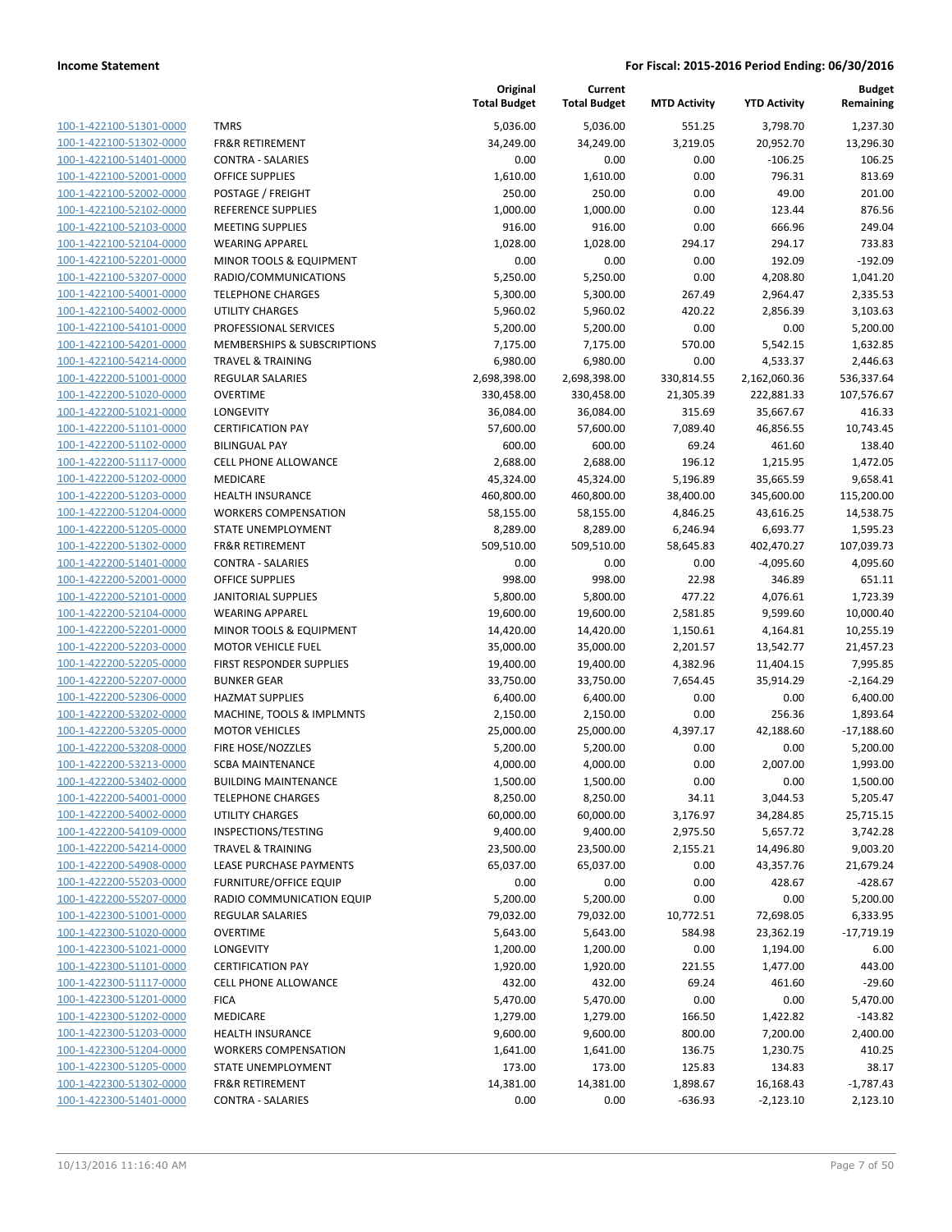| 100-1-422100-51301-0000        |
|--------------------------------|
| 100-1-422100-51302-0000        |
| 100-1-422100-51401-0000        |
| 100-1-422100-52001-0000        |
| 100-1-422100-52002-0000        |
| 100-1-422100-52102-0000        |
| 100-1-422100-52103-0000        |
| 100-1-422100-52104-0000        |
| 100-1-422100-52201-0000        |
| 100-1-422100-53207-0000        |
| 100-1-422100-54001-0000        |
| 100-1-422100-54002-0000        |
| 100-1-422100-54101-0000        |
| 100-1-422100-54201-0000        |
| 100-1-422100-54214-0000        |
| 100-1-422200-51001-0000        |
| 100-1-422200-51020-0000        |
|                                |
| 100-1-422200-51021-0000        |
| 100-1-422200-51101-0000        |
| 100-1-422200-51102-0000        |
| 100-1-422200-51117-0000        |
| 100-1-422200-51202-0000        |
| 100-1-422200-51203-0000        |
| 100-1-422200-51204-0000        |
| 100-1-422200-51205-0000        |
| 100-1-422200-51302-0000        |
| 100-1-422200-51401-0000        |
| 100-1-422200-52001-0000        |
| 100-1-422200-52101-0000        |
| 100-1-422200-52104-0000        |
| 100-1-422200-52201-0000        |
| 100-1-422200-52203-0000        |
| 100-1-422200-52205-0000        |
| 100-1-422200-52207-0000        |
| 100-1-422200-52306-0000        |
| 100-1-422200-53202-0000        |
| 100-1-422200-53205-0000        |
|                                |
| 100-1-422200-53208-0000        |
| 100-1-422200-53213-0000        |
| 100-1-422200-53402-0000        |
| 100-1-422200-54001-0000        |
| <u>100-1-422200-54002-0000</u> |
| <u>100-1-422200-54109-0000</u> |
| <u>100-1-422200-54214-0000</u> |
| <u>100-1-422200-54908-0000</u> |
| 100-1-422200-55203-0000        |
| <u>100-1-422200-55207-0000</u> |
| <u>100-1-422300-51001-0000</u> |
| <u>100-1-422300-51020-0000</u> |
| 100-1-422300-51021-0000        |
| 100-1-422300-51101-0000        |
| 100-1-422300-51117-0000        |
| <u>100-1-422300-51201-0000</u> |
|                                |
| <u>100-1-422300-51202-0000</u> |
| <u>100-1-422300-51203-0000</u> |
| 100-1-422300-51204-0000        |
| <u>100-1-422300-51205-0000</u> |
| <u>100-1-422300-51302-0000</u> |
| <u>100-1-422300-51401-0000</u> |
|                                |

| <b>TMRS</b>                                                 |
|-------------------------------------------------------------|
| <b>FR&amp;R RETIREMENT</b>                                  |
| <b>CONTRA - SALARIES</b>                                    |
| <b>OFFICE SUPPLIES</b>                                      |
| POSTAGE / FREIGHT                                           |
| REFERENCE SUPPLIES                                          |
| <b>MEETING SUPPLIES</b>                                     |
| <b>WEARING APPAREL</b>                                      |
| <b>MINOR TOOLS &amp; EQUIPMENT</b>                          |
| RADIO/COMMUNICATIONS                                        |
| <b>TELEPHONE CHARGES</b><br><b>UTILITY CHARGES</b>          |
| PROFESSIONAL SERVICES                                       |
|                                                             |
| MEMBERSHIPS & SUBSCRIPTIONS<br><b>TRAVEL &amp; TRAINING</b> |
| <b>REGULAR SALARIES</b>                                     |
| <b>OVERTIME</b>                                             |
| LONGEVITY                                                   |
| <b>CERTIFICATION PAY</b>                                    |
| <b>BILINGUAL PAY</b>                                        |
| CELL PHONE ALLOWANCE                                        |
| <b>MEDICARE</b>                                             |
| <b>HEALTH INSURANCE</b>                                     |
| <b>WORKERS COMPENSATION</b>                                 |
| STATE UNEMPLOYMENT                                          |
| <b>FR&amp;R RETIREMENT</b>                                  |
| <b>CONTRA - SALARIES</b>                                    |
| <b>OFFICE SUPPLIES</b>                                      |
| <b>JANITORIAL SUPPLIES</b>                                  |
| <b>WEARING APPAREL</b>                                      |
| MINOR TOOLS & EQUIPMENT                                     |
| <b>MOTOR VEHICLE FUEL</b>                                   |
| FIRST RESPONDER SUPPLIES                                    |
| <b>BUNKER GEAR</b>                                          |
| <b>HAZMAT SUPPLIES</b>                                      |
| MACHINE, TOOLS & IMPLMNTS                                   |
| <b>MOTOR VEHICLES</b>                                       |
| FIRE HOSE/NOZZLES                                           |
| <b>SCBA MAINTENANCE</b>                                     |
| <b>BUILDING MAINTENANCE</b>                                 |
| <b>TELEPHONE CHARGES</b>                                    |
| <b>UTILITY CHARGES</b>                                      |
| <b>INSPECTIONS/TESTING</b>                                  |
| <b>TRAVEL &amp; TRAINING</b>                                |
| LEASE PURCHASE PAYMENTS                                     |
| <b>FURNITURE/OFFICE EQUIP</b>                               |
| RADIO COMMUNICATION EQUIP                                   |
| <b>REGULAR SALARIES</b>                                     |
| <b>OVERTIME</b>                                             |
| <b>LONGEVITY</b>                                            |
| <b>CERTIFICATION PAY</b>                                    |
| CELL PHONE ALLOWANCE                                        |
| <b>FICA</b>                                                 |
| <b>MEDICARE</b>                                             |
| <b>HEALTH INSURANCE</b>                                     |
| <b>WORKERS COMPENSATION</b>                                 |
| <b>STATE UNEMPLOYMENT</b>                                   |
| <b>FR&amp;R RETIREMENT</b>                                  |
| <b>CONTRA - SALARIES</b>                                    |

|                         |                               | Original<br><b>Total Budget</b> | Current<br><b>Total Budget</b> | <b>MTD Activity</b> | <b>YTD Activity</b> | <b>Budget</b><br>Remaining |
|-------------------------|-------------------------------|---------------------------------|--------------------------------|---------------------|---------------------|----------------------------|
| 100-1-422100-51301-0000 | <b>TMRS</b>                   | 5,036.00                        | 5,036.00                       | 551.25              | 3,798.70            | 1,237.30                   |
| 100-1-422100-51302-0000 | <b>FR&amp;R RETIREMENT</b>    | 34,249.00                       | 34,249.00                      | 3,219.05            | 20,952.70           | 13,296.30                  |
| 100-1-422100-51401-0000 | <b>CONTRA - SALARIES</b>      | 0.00                            | 0.00                           | 0.00                | $-106.25$           | 106.25                     |
| 100-1-422100-52001-0000 | <b>OFFICE SUPPLIES</b>        | 1,610.00                        | 1,610.00                       | 0.00                | 796.31              | 813.69                     |
| 100-1-422100-52002-0000 | POSTAGE / FREIGHT             | 250.00                          | 250.00                         | 0.00                | 49.00               | 201.00                     |
| 100-1-422100-52102-0000 | REFERENCE SUPPLIES            | 1,000.00                        | 1,000.00                       | 0.00                | 123.44              | 876.56                     |
| 100-1-422100-52103-0000 | <b>MEETING SUPPLIES</b>       | 916.00                          | 916.00                         | 0.00                | 666.96              | 249.04                     |
| 100-1-422100-52104-0000 | <b>WEARING APPAREL</b>        | 1,028.00                        | 1,028.00                       | 294.17              | 294.17              | 733.83                     |
| 100-1-422100-52201-0000 | MINOR TOOLS & EQUIPMENT       | 0.00                            | 0.00                           | 0.00                | 192.09              | $-192.09$                  |
| 100-1-422100-53207-0000 | RADIO/COMMUNICATIONS          | 5,250.00                        | 5,250.00                       | 0.00                | 4,208.80            | 1,041.20                   |
| 100-1-422100-54001-0000 | <b>TELEPHONE CHARGES</b>      | 5,300.00                        | 5,300.00                       | 267.49              | 2,964.47            | 2,335.53                   |
| 100-1-422100-54002-0000 | <b>UTILITY CHARGES</b>        | 5,960.02                        | 5,960.02                       | 420.22              | 2,856.39            | 3,103.63                   |
| 100-1-422100-54101-0000 | PROFESSIONAL SERVICES         | 5,200.00                        | 5,200.00                       | 0.00                | 0.00                | 5,200.00                   |
| 100-1-422100-54201-0000 | MEMBERSHIPS & SUBSCRIPTIONS   | 7,175.00                        | 7,175.00                       | 570.00              | 5,542.15            | 1,632.85                   |
| 100-1-422100-54214-0000 | <b>TRAVEL &amp; TRAINING</b>  | 6,980.00                        | 6,980.00                       | 0.00                | 4,533.37            | 2,446.63                   |
| 100-1-422200-51001-0000 | <b>REGULAR SALARIES</b>       | 2,698,398.00                    | 2,698,398.00                   | 330,814.55          | 2,162,060.36        | 536,337.64                 |
| 100-1-422200-51020-0000 | <b>OVERTIME</b>               | 330,458.00                      | 330,458.00                     | 21,305.39           | 222,881.33          | 107,576.67                 |
| 100-1-422200-51021-0000 | LONGEVITY                     | 36,084.00                       | 36,084.00                      | 315.69              | 35,667.67           | 416.33                     |
| 100-1-422200-51101-0000 | <b>CERTIFICATION PAY</b>      | 57,600.00                       | 57,600.00                      | 7,089.40            | 46,856.55           | 10,743.45                  |
| 100-1-422200-51102-0000 | <b>BILINGUAL PAY</b>          | 600.00                          | 600.00                         | 69.24               | 461.60              | 138.40                     |
| 100-1-422200-51117-0000 | <b>CELL PHONE ALLOWANCE</b>   | 2,688.00                        | 2,688.00                       | 196.12              | 1,215.95            | 1,472.05                   |
| 100-1-422200-51202-0000 | MEDICARE                      | 45,324.00                       | 45,324.00                      | 5,196.89            | 35,665.59           | 9,658.41                   |
| 100-1-422200-51203-0000 | <b>HEALTH INSURANCE</b>       | 460,800.00                      | 460,800.00                     | 38,400.00           | 345,600.00          | 115,200.00                 |
| 100-1-422200-51204-0000 | <b>WORKERS COMPENSATION</b>   | 58,155.00                       | 58,155.00                      | 4,846.25            | 43,616.25           | 14,538.75                  |
| 100-1-422200-51205-0000 | STATE UNEMPLOYMENT            | 8,289.00                        | 8,289.00                       | 6,246.94            | 6,693.77            | 1,595.23                   |
| 100-1-422200-51302-0000 | <b>FR&amp;R RETIREMENT</b>    | 509,510.00                      | 509,510.00                     | 58,645.83           | 402,470.27          | 107,039.73                 |
| 100-1-422200-51401-0000 | <b>CONTRA - SALARIES</b>      | 0.00                            | 0.00                           | 0.00                | $-4,095.60$         | 4,095.60                   |
| 100-1-422200-52001-0000 | <b>OFFICE SUPPLIES</b>        | 998.00                          | 998.00                         | 22.98               | 346.89              | 651.11                     |
| 100-1-422200-52101-0000 | JANITORIAL SUPPLIES           | 5,800.00                        | 5,800.00                       | 477.22              | 4,076.61            | 1,723.39                   |
| 100-1-422200-52104-0000 | <b>WEARING APPAREL</b>        | 19,600.00                       | 19,600.00                      | 2,581.85            | 9,599.60            | 10,000.40                  |
| 100-1-422200-52201-0000 | MINOR TOOLS & EQUIPMENT       | 14,420.00                       | 14,420.00                      | 1,150.61            | 4,164.81            | 10,255.19                  |
| 100-1-422200-52203-0000 | <b>MOTOR VEHICLE FUEL</b>     | 35,000.00                       | 35,000.00                      | 2,201.57            | 13,542.77           | 21,457.23                  |
| 100-1-422200-52205-0000 | FIRST RESPONDER SUPPLIES      | 19,400.00                       | 19,400.00                      | 4,382.96            | 11,404.15           | 7,995.85                   |
| 100-1-422200-52207-0000 | <b>BUNKER GEAR</b>            | 33,750.00                       | 33,750.00                      | 7,654.45            | 35,914.29           | $-2,164.29$                |
| 100-1-422200-52306-0000 | <b>HAZMAT SUPPLIES</b>        | 6,400.00                        | 6,400.00                       | 0.00                | 0.00                | 6,400.00                   |
| 100-1-422200-53202-0000 | MACHINE, TOOLS & IMPLMNTS     | 2,150.00                        | 2,150.00                       | 0.00                | 256.36              | 1,893.64                   |
| 100-1-422200-53205-0000 | <b>MOTOR VEHICLES</b>         | 25,000.00                       | 25,000.00                      | 4,397.17            | 42,188.60           | $-17,188.60$               |
| 100-1-422200-53208-0000 | FIRE HOSE/NOZZLES             | 5,200.00                        | 5,200.00                       | 0.00                | 0.00                | 5,200.00                   |
| 100-1-422200-53213-0000 | SCBA MAINTENANCE              | 4,000.00                        | 4,000.00                       | 0.00                | 2,007.00            | 1,993.00                   |
| 100-1-422200-53402-0000 | <b>BUILDING MAINTENANCE</b>   | 1,500.00                        | 1,500.00                       | 0.00                | 0.00                | 1,500.00                   |
| 100-1-422200-54001-0000 | <b>TELEPHONE CHARGES</b>      | 8,250.00                        | 8,250.00                       | 34.11               | 3,044.53            | 5,205.47                   |
| 100-1-422200-54002-0000 | UTILITY CHARGES               | 60,000.00                       | 60,000.00                      | 3,176.97            | 34,284.85           | 25,715.15                  |
| 100-1-422200-54109-0000 | INSPECTIONS/TESTING           | 9,400.00                        | 9,400.00                       | 2,975.50            | 5,657.72            | 3,742.28                   |
| 100-1-422200-54214-0000 | <b>TRAVEL &amp; TRAINING</b>  | 23,500.00                       | 23,500.00                      | 2,155.21            | 14,496.80           | 9,003.20                   |
| 100-1-422200-54908-0000 | LEASE PURCHASE PAYMENTS       | 65,037.00                       | 65,037.00                      | 0.00                | 43,357.76           | 21,679.24                  |
| 100-1-422200-55203-0000 | <b>FURNITURE/OFFICE EQUIP</b> | 0.00                            | 0.00                           | 0.00                | 428.67              | $-428.67$                  |
| 100-1-422200-55207-0000 | RADIO COMMUNICATION EQUIP     | 5,200.00                        | 5,200.00                       | 0.00                | 0.00                | 5,200.00                   |
| 100-1-422300-51001-0000 | <b>REGULAR SALARIES</b>       | 79,032.00                       | 79,032.00                      | 10,772.51           | 72,698.05           | 6,333.95                   |
| 100-1-422300-51020-0000 | <b>OVERTIME</b>               | 5,643.00                        | 5,643.00                       | 584.98              | 23,362.19           | $-17,719.19$               |
| 100-1-422300-51021-0000 | LONGEVITY                     | 1,200.00                        | 1,200.00                       | 0.00                | 1,194.00            | 6.00                       |
| 100-1-422300-51101-0000 | <b>CERTIFICATION PAY</b>      | 1,920.00                        | 1,920.00                       | 221.55              | 1,477.00            | 443.00                     |
| 100-1-422300-51117-0000 | <b>CELL PHONE ALLOWANCE</b>   | 432.00                          | 432.00                         | 69.24               | 461.60              | $-29.60$                   |
| 100-1-422300-51201-0000 | <b>FICA</b>                   | 5,470.00                        | 5,470.00                       | 0.00                | 0.00                | 5,470.00                   |
| 100-1-422300-51202-0000 | MEDICARE                      | 1,279.00                        | 1,279.00                       | 166.50              | 1,422.82            | $-143.82$                  |
| 100-1-422300-51203-0000 | <b>HEALTH INSURANCE</b>       | 9,600.00                        | 9,600.00                       | 800.00              | 7,200.00            | 2,400.00                   |
| 100-1-422300-51204-0000 | <b>WORKERS COMPENSATION</b>   | 1,641.00                        | 1,641.00                       | 136.75              | 1,230.75            | 410.25                     |
| 100-1-422300-51205-0000 | STATE UNEMPLOYMENT            | 173.00                          | 173.00                         | 125.83              | 134.83              | 38.17                      |
| 100-1-422300-51302-0000 | <b>FR&amp;R RETIREMENT</b>    | 14,381.00                       | 14,381.00                      | 1,898.67            | 16,168.43           | $-1,787.43$                |
| 100-1-422300-51401-0000 | <b>CONTRA - SALARIES</b>      | 0.00                            | 0.00                           | $-636.93$           | $-2,123.10$         | 2,123.10                   |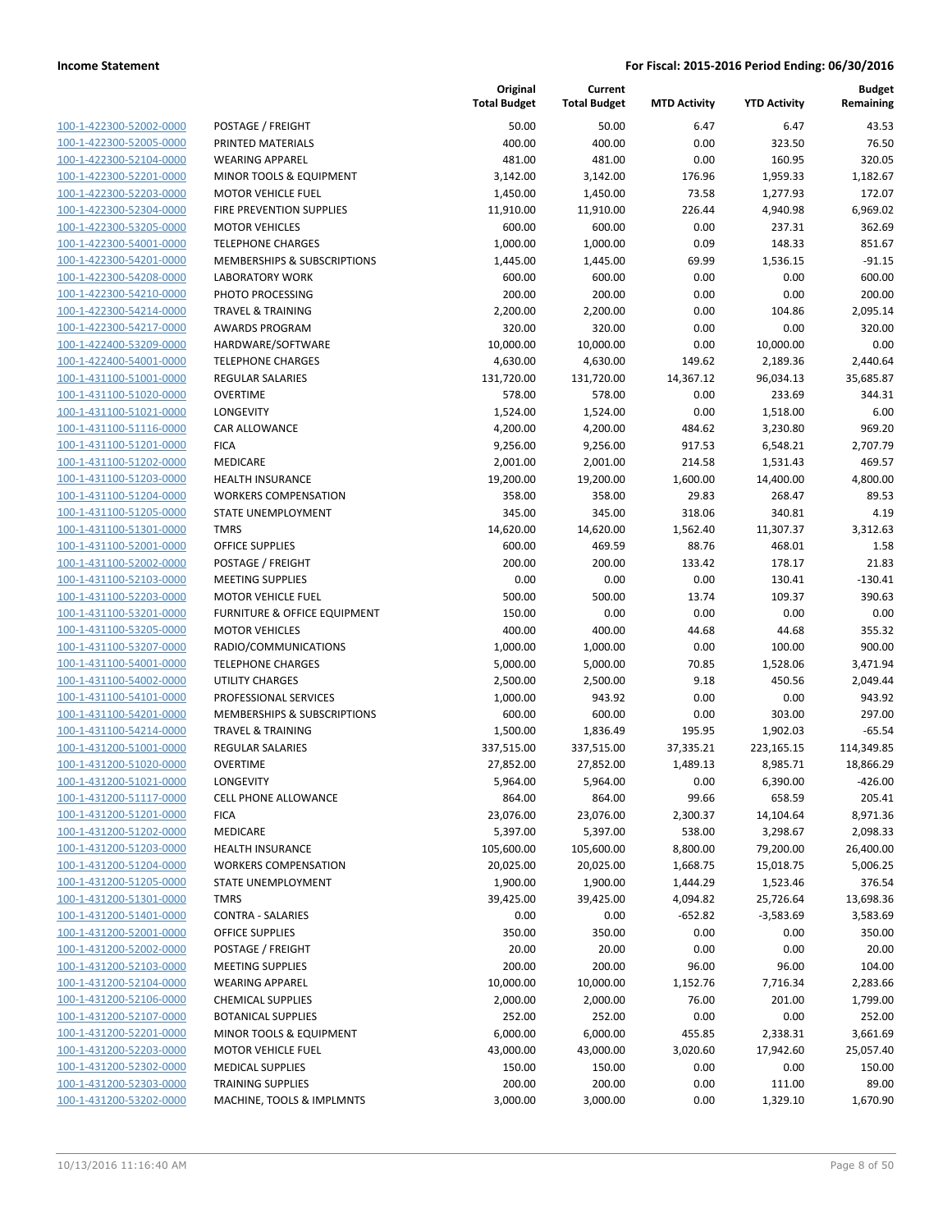| 100-1-422300-52002-0000         |
|---------------------------------|
| 100-1-422300-52005-0000         |
| 100-1-422300-52104-0000         |
| 100-1-422300-52201-0000         |
| 100-1-422300-52203-0000         |
| 100-1-422300-52304-0000         |
| 100-1-422300-53205-0000         |
| 100-1-422300-54001-0000         |
| 100-1-422300-54201-0000         |
| 100-1-422300-54208-0000         |
| 100-1-422300-54210-0000         |
| 100-1-422300-54214-0000         |
| 100-1-422300-54217-0000         |
| 100-1-422400-53209-0000         |
| 100-1-422400-54001-0000         |
| 100-1-431100-51001-0000         |
|                                 |
| 100-1-431100-51020-0000         |
| 100-1-431100-51021-0000         |
| 100-1-431100-51116-0000         |
| -431100-51201-0000<br>$100 - 1$ |
| 100-1-431100-51202-0000         |
| 100-1-431100-51203-0000         |
| 100-1-431100-51204-0000         |
| 100-1-431100-51205-0000         |
| 100-1-431100-51301-0000         |
| 100-1-431100-52001-0000         |
| 100-1-431100-52002-0000         |
| 100-1-431100-52103-0000         |
| 100-1-431100-52203-0000         |
| -431100-53201-0000<br>$100 - 1$ |
| 100-1-431100-53205-0000         |
| 100-1-431100-53207-0000         |
| 100-1-431100-54001-0000         |
| 100-1-431100-54002-0000         |
| 100-1-431100-54101-0000         |
| 100-1-431100-54201-0000         |
| 100-1-431100-54214-0000         |
| 100-1-431200-51001-0000         |
| 100-1-431200-51020-0000         |
| 100-1-431200-51021-0000         |
| 100-1-431200-51117-0000         |
|                                 |
| 100-1-431200-51201-0000         |
| <u>100-1-431200-51202-0000</u>  |
| <u>100-1-431200-51203-0000</u>  |
| 100-1-431200-51204-0000         |
| 100-1-431200-51205-0000         |
| 100-1-431200-51301-0000         |
| <u>100-1-431200-51401-0000</u>  |
| 100-1-431200-52001-0000         |
| 100-1-431200-52002-0000         |
| 100-1-431200-52103-0000         |
| 100-1-431200-52104-0000         |
| <u>100-1-431200-52106-0000</u>  |
| <u>100-1-431200-52107-0000</u>  |
| 100-1-431200-52201-0000         |
| 100-1-431200-52203-0000         |
| 100-1-431200-52302-0000         |
| <u>100-1-431200-52303-0000</u>  |
| <u>100-1-431200-53202-0000</u>  |
|                                 |

|                                                    |                                                             | Original<br><b>Total Budget</b> | Current<br><b>Total Budget</b> | <b>MTD Activity</b> | <b>YTD Activity</b> | <b>Budget</b><br>Remaining |
|----------------------------------------------------|-------------------------------------------------------------|---------------------------------|--------------------------------|---------------------|---------------------|----------------------------|
| 100-1-422300-52002-0000                            | POSTAGE / FREIGHT                                           | 50.00                           | 50.00                          | 6.47                | 6.47                | 43.53                      |
| 100-1-422300-52005-0000                            | PRINTED MATERIALS                                           | 400.00                          | 400.00                         | 0.00                | 323.50              | 76.50                      |
| 100-1-422300-52104-0000                            | <b>WEARING APPAREL</b>                                      | 481.00                          | 481.00                         | 0.00                | 160.95              | 320.05                     |
| 100-1-422300-52201-0000                            | MINOR TOOLS & EQUIPMENT                                     | 3,142.00                        | 3,142.00                       | 176.96              | 1,959.33            | 1,182.67                   |
| 100-1-422300-52203-0000                            | <b>MOTOR VEHICLE FUEL</b>                                   | 1,450.00                        | 1,450.00                       | 73.58               | 1,277.93            | 172.07                     |
| 100-1-422300-52304-0000                            | FIRE PREVENTION SUPPLIES                                    | 11,910.00                       | 11,910.00                      | 226.44              | 4,940.98            | 6,969.02                   |
| 100-1-422300-53205-0000                            | <b>MOTOR VEHICLES</b>                                       | 600.00                          | 600.00                         | 0.00                | 237.31              | 362.69                     |
| 100-1-422300-54001-0000                            | <b>TELEPHONE CHARGES</b>                                    | 1,000.00                        | 1,000.00                       | 0.09                | 148.33              | 851.67                     |
| 100-1-422300-54201-0000                            | <b>MEMBERSHIPS &amp; SUBSCRIPTIONS</b>                      | 1,445.00                        | 1,445.00                       | 69.99               | 1,536.15            | $-91.15$                   |
| 100-1-422300-54208-0000                            | <b>LABORATORY WORK</b>                                      | 600.00                          | 600.00                         | 0.00                | 0.00                | 600.00                     |
| 100-1-422300-54210-0000                            | PHOTO PROCESSING                                            | 200.00                          | 200.00                         | 0.00                | 0.00                | 200.00                     |
| 100-1-422300-54214-0000                            | <b>TRAVEL &amp; TRAINING</b>                                | 2,200.00                        | 2,200.00                       | 0.00                | 104.86              | 2,095.14                   |
| 100-1-422300-54217-0000                            | <b>AWARDS PROGRAM</b>                                       | 320.00                          | 320.00                         | 0.00                | 0.00                | 320.00                     |
| 100-1-422400-53209-0000                            | HARDWARE/SOFTWARE                                           | 10,000.00                       | 10,000.00                      | 0.00                | 10,000.00           | 0.00                       |
| 100-1-422400-54001-0000                            | <b>TELEPHONE CHARGES</b>                                    | 4,630.00                        | 4,630.00                       | 149.62              | 2,189.36            | 2,440.64                   |
| 100-1-431100-51001-0000                            | REGULAR SALARIES                                            | 131,720.00                      | 131,720.00                     | 14,367.12           | 96,034.13           | 35,685.87                  |
| 100-1-431100-51020-0000                            | <b>OVERTIME</b>                                             | 578.00                          | 578.00                         | 0.00                | 233.69              | 344.31                     |
| 100-1-431100-51021-0000                            | LONGEVITY                                                   | 1,524.00                        | 1,524.00                       | 0.00                | 1,518.00            | 6.00                       |
| 100-1-431100-51116-0000                            | <b>CAR ALLOWANCE</b>                                        | 4,200.00                        | 4,200.00                       | 484.62              | 3,230.80            | 969.20                     |
| 100-1-431100-51201-0000                            | <b>FICA</b>                                                 | 9,256.00                        | 9,256.00                       | 917.53              | 6,548.21            | 2,707.79                   |
| 100-1-431100-51202-0000                            | MEDICARE                                                    | 2,001.00                        | 2,001.00                       | 214.58              | 1,531.43            | 469.57                     |
| 100-1-431100-51203-0000                            | <b>HEALTH INSURANCE</b>                                     | 19,200.00                       | 19,200.00                      | 1,600.00            | 14,400.00           | 4,800.00                   |
| 100-1-431100-51204-0000                            | <b>WORKERS COMPENSATION</b>                                 | 358.00                          | 358.00                         | 29.83               | 268.47              | 89.53                      |
| 100-1-431100-51205-0000                            | <b>STATE UNEMPLOYMENT</b>                                   | 345.00                          | 345.00                         | 318.06              | 340.81              | 4.19                       |
| 100-1-431100-51301-0000                            | <b>TMRS</b>                                                 | 14,620.00                       | 14,620.00                      | 1,562.40            | 11,307.37           | 3,312.63                   |
| 100-1-431100-52001-0000                            | <b>OFFICE SUPPLIES</b>                                      | 600.00                          | 469.59                         | 88.76               | 468.01              | 1.58                       |
| 100-1-431100-52002-0000                            | POSTAGE / FREIGHT                                           | 200.00                          | 200.00                         | 133.42              | 178.17              | 21.83                      |
| 100-1-431100-52103-0000                            | <b>MEETING SUPPLIES</b>                                     | 0.00                            | 0.00                           | 0.00                | 130.41              | $-130.41$                  |
| 100-1-431100-52203-0000                            | <b>MOTOR VEHICLE FUEL</b>                                   | 500.00                          | 500.00                         | 13.74               | 109.37              | 390.63                     |
| 100-1-431100-53201-0000                            | FURNITURE & OFFICE EQUIPMENT                                | 150.00                          | 0.00                           | 0.00                | 0.00                | 0.00                       |
| 100-1-431100-53205-0000                            | <b>MOTOR VEHICLES</b>                                       | 400.00                          | 400.00                         | 44.68               | 44.68               | 355.32                     |
| 100-1-431100-53207-0000                            | RADIO/COMMUNICATIONS                                        | 1,000.00                        | 1,000.00                       | 0.00                | 100.00              | 900.00                     |
| 100-1-431100-54001-0000<br>100-1-431100-54002-0000 | <b>TELEPHONE CHARGES</b>                                    | 5,000.00                        | 5,000.00                       | 70.85               | 1,528.06            | 3,471.94                   |
|                                                    | <b>UTILITY CHARGES</b><br>PROFESSIONAL SERVICES             | 2,500.00                        | 2,500.00<br>943.92             | 9.18                | 450.56              | 2,049.44<br>943.92         |
| 100-1-431100-54101-0000<br>100-1-431100-54201-0000 |                                                             | 1,000.00<br>600.00              | 600.00                         | 0.00<br>0.00        | 0.00<br>303.00      | 297.00                     |
| 100-1-431100-54214-0000                            | MEMBERSHIPS & SUBSCRIPTIONS<br><b>TRAVEL &amp; TRAINING</b> | 1,500.00                        | 1,836.49                       | 195.95              | 1,902.03            | $-65.54$                   |
| 100-1-431200-51001-0000                            | REGULAR SALARIES                                            | 337,515.00                      | 337,515.00                     | 37,335.21           | 223,165.15          | 114,349.85                 |
| 100-1-431200-51020-0000                            | <b>OVERTIME</b>                                             | 27,852.00                       | 27,852.00                      | 1,489.13            | 8,985.71            | 18,866.29                  |
| 100-1-431200-51021-0000                            | LONGEVITY                                                   | 5,964.00                        | 5,964.00                       | 0.00                | 6,390.00            | $-426.00$                  |
| 100-1-431200-51117-0000                            | <b>CELL PHONE ALLOWANCE</b>                                 | 864.00                          | 864.00                         | 99.66               | 658.59              | 205.41                     |
| 100-1-431200-51201-0000                            | <b>FICA</b>                                                 | 23,076.00                       | 23,076.00                      | 2,300.37            | 14,104.64           | 8,971.36                   |
| 100-1-431200-51202-0000                            | MEDICARE                                                    | 5,397.00                        | 5,397.00                       | 538.00              | 3,298.67            | 2,098.33                   |
| 100-1-431200-51203-0000                            | <b>HEALTH INSURANCE</b>                                     | 105,600.00                      | 105,600.00                     | 8,800.00            | 79,200.00           | 26,400.00                  |
| 100-1-431200-51204-0000                            | <b>WORKERS COMPENSATION</b>                                 | 20,025.00                       | 20,025.00                      | 1,668.75            | 15,018.75           | 5,006.25                   |
| 100-1-431200-51205-0000                            | STATE UNEMPLOYMENT                                          | 1,900.00                        | 1,900.00                       | 1,444.29            | 1,523.46            | 376.54                     |
| 100-1-431200-51301-0000                            | <b>TMRS</b>                                                 | 39,425.00                       | 39,425.00                      | 4,094.82            | 25,726.64           | 13,698.36                  |
| 100-1-431200-51401-0000                            | <b>CONTRA - SALARIES</b>                                    | 0.00                            | 0.00                           | $-652.82$           | $-3,583.69$         | 3,583.69                   |
| 100-1-431200-52001-0000                            | <b>OFFICE SUPPLIES</b>                                      | 350.00                          | 350.00                         | 0.00                | 0.00                | 350.00                     |
| 100-1-431200-52002-0000                            | POSTAGE / FREIGHT                                           | 20.00                           | 20.00                          | 0.00                | 0.00                | 20.00                      |
| 100-1-431200-52103-0000                            | <b>MEETING SUPPLIES</b>                                     | 200.00                          | 200.00                         | 96.00               | 96.00               | 104.00                     |
| 100-1-431200-52104-0000                            | <b>WEARING APPAREL</b>                                      | 10,000.00                       | 10,000.00                      | 1,152.76            | 7,716.34            | 2,283.66                   |
| 100-1-431200-52106-0000                            | <b>CHEMICAL SUPPLIES</b>                                    | 2,000.00                        | 2,000.00                       | 76.00               | 201.00              | 1,799.00                   |
| 100-1-431200-52107-0000                            | <b>BOTANICAL SUPPLIES</b>                                   | 252.00                          | 252.00                         | 0.00                | 0.00                | 252.00                     |
| 100-1-431200-52201-0000                            | MINOR TOOLS & EQUIPMENT                                     | 6,000.00                        | 6,000.00                       | 455.85              | 2,338.31            | 3,661.69                   |
| 100-1-431200-52203-0000                            | <b>MOTOR VEHICLE FUEL</b>                                   | 43,000.00                       | 43,000.00                      | 3,020.60            | 17,942.60           | 25,057.40                  |
| 100-1-431200-52302-0000                            | <b>MEDICAL SUPPLIES</b>                                     | 150.00                          | 150.00                         | 0.00                | 0.00                | 150.00                     |
| 100-1-431200-52303-0000                            | <b>TRAINING SUPPLIES</b>                                    | 200.00                          | 200.00                         | 0.00                | 111.00              | 89.00                      |
| 100-1-431200-53202-0000                            | MACHINE, TOOLS & IMPLMNTS                                   | 3,000.00                        | 3,000.00                       | 0.00                | 1,329.10            | 1,670.90                   |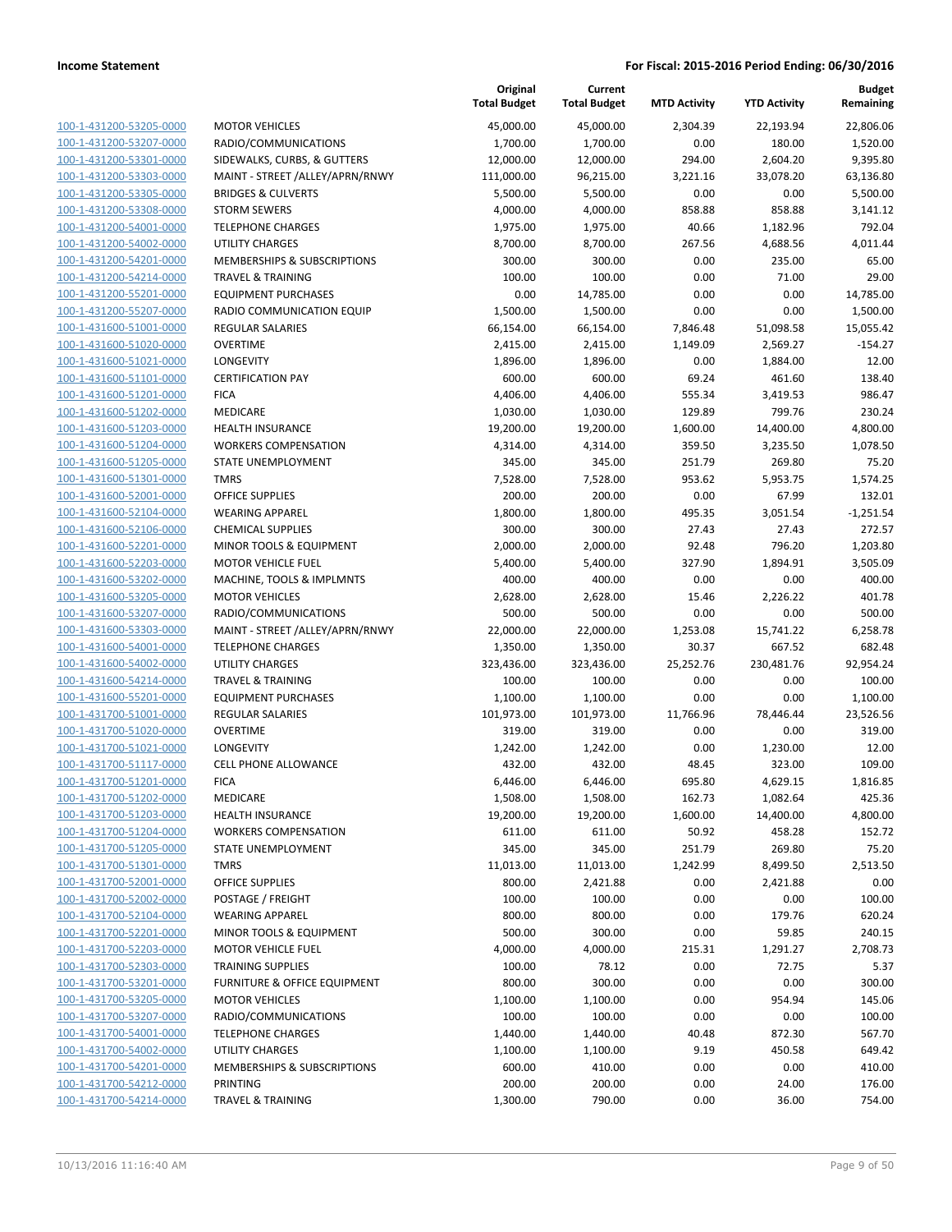**Current**

**Original**

**Budget Remaining**

|                                                    |                                         | <b>Total Budget</b>  | <b>Total Budget</b>  | <b>MTD Activity</b> | <b>YTD Activity</b> | Remaining         |
|----------------------------------------------------|-----------------------------------------|----------------------|----------------------|---------------------|---------------------|-------------------|
| 100-1-431200-53205-0000                            | <b>MOTOR VEHICLES</b>                   | 45,000.00            | 45,000.00            | 2,304.39            | 22,193.94           | 22,806.06         |
| 100-1-431200-53207-0000                            | RADIO/COMMUNICATIONS                    | 1,700.00             | 1,700.00             | 0.00                | 180.00              | 1,520.00          |
| 100-1-431200-53301-0000                            | SIDEWALKS, CURBS, & GUTTERS             | 12,000.00            | 12,000.00            | 294.00              | 2,604.20            | 9,395.80          |
| 100-1-431200-53303-0000                            | MAINT - STREET /ALLEY/APRN/RNWY         | 111,000.00           | 96,215.00            | 3,221.16            | 33,078.20           | 63,136.80         |
| 100-1-431200-53305-0000                            | <b>BRIDGES &amp; CULVERTS</b>           | 5,500.00             | 5,500.00             | 0.00                | 0.00                | 5,500.00          |
| 100-1-431200-53308-0000                            | <b>STORM SEWERS</b>                     | 4,000.00             | 4,000.00             | 858.88              | 858.88              | 3,141.12          |
| 100-1-431200-54001-0000                            | <b>TELEPHONE CHARGES</b>                | 1,975.00             | 1,975.00             | 40.66               | 1,182.96            | 792.04            |
| 100-1-431200-54002-0000                            | <b>UTILITY CHARGES</b>                  | 8,700.00             | 8,700.00             | 267.56              | 4,688.56            | 4,011.44          |
| 100-1-431200-54201-0000                            | MEMBERSHIPS & SUBSCRIPTIONS             | 300.00               | 300.00               | 0.00                | 235.00              | 65.00             |
| 100-1-431200-54214-0000                            | <b>TRAVEL &amp; TRAINING</b>            | 100.00               | 100.00               | 0.00                | 71.00               | 29.00             |
| 100-1-431200-55201-0000                            | <b>EQUIPMENT PURCHASES</b>              | 0.00                 | 14,785.00            | 0.00                | 0.00                | 14,785.00         |
| 100-1-431200-55207-0000                            | RADIO COMMUNICATION EQUIP               | 1,500.00             | 1,500.00             | 0.00                | 0.00                | 1,500.00          |
| 100-1-431600-51001-0000                            | <b>REGULAR SALARIES</b>                 | 66,154.00            | 66,154.00            | 7,846.48            | 51,098.58           | 15,055.42         |
| 100-1-431600-51020-0000                            | <b>OVERTIME</b>                         | 2,415.00             | 2,415.00             | 1,149.09            | 2,569.27            | $-154.27$         |
| 100-1-431600-51021-0000                            | LONGEVITY                               | 1,896.00             | 1,896.00             | 0.00                | 1,884.00            | 12.00             |
| 100-1-431600-51101-0000                            | <b>CERTIFICATION PAY</b><br><b>FICA</b> | 600.00               | 600.00               | 69.24               | 461.60              | 138.40<br>986.47  |
| 100-1-431600-51201-0000<br>100-1-431600-51202-0000 | MEDICARE                                | 4,406.00<br>1,030.00 | 4,406.00<br>1,030.00 | 555.34<br>129.89    | 3,419.53<br>799.76  | 230.24            |
| 100-1-431600-51203-0000                            | HEALTH INSURANCE                        | 19,200.00            | 19,200.00            | 1,600.00            | 14,400.00           | 4,800.00          |
| 100-1-431600-51204-0000                            | <b>WORKERS COMPENSATION</b>             | 4,314.00             | 4,314.00             | 359.50              | 3,235.50            | 1,078.50          |
| 100-1-431600-51205-0000                            | STATE UNEMPLOYMENT                      | 345.00               | 345.00               | 251.79              | 269.80              | 75.20             |
| 100-1-431600-51301-0000                            | <b>TMRS</b>                             | 7,528.00             | 7,528.00             | 953.62              | 5,953.75            | 1,574.25          |
| 100-1-431600-52001-0000                            | <b>OFFICE SUPPLIES</b>                  | 200.00               | 200.00               | 0.00                | 67.99               | 132.01            |
| 100-1-431600-52104-0000                            | <b>WEARING APPAREL</b>                  | 1,800.00             | 1,800.00             | 495.35              | 3,051.54            | $-1,251.54$       |
| 100-1-431600-52106-0000                            | <b>CHEMICAL SUPPLIES</b>                | 300.00               | 300.00               | 27.43               | 27.43               | 272.57            |
| 100-1-431600-52201-0000                            | MINOR TOOLS & EQUIPMENT                 | 2,000.00             | 2,000.00             | 92.48               | 796.20              | 1,203.80          |
| 100-1-431600-52203-0000                            | <b>MOTOR VEHICLE FUEL</b>               | 5,400.00             | 5,400.00             | 327.90              | 1,894.91            | 3,505.09          |
| 100-1-431600-53202-0000                            | MACHINE, TOOLS & IMPLMNTS               | 400.00               | 400.00               | 0.00                | 0.00                | 400.00            |
| 100-1-431600-53205-0000                            | <b>MOTOR VEHICLES</b>                   | 2,628.00             | 2,628.00             | 15.46               | 2,226.22            | 401.78            |
| 100-1-431600-53207-0000                            | RADIO/COMMUNICATIONS                    | 500.00               | 500.00               | 0.00                | 0.00                | 500.00            |
| 100-1-431600-53303-0000                            | MAINT - STREET /ALLEY/APRN/RNWY         | 22,000.00            | 22,000.00            | 1,253.08            | 15,741.22           | 6,258.78          |
| 100-1-431600-54001-0000                            | <b>TELEPHONE CHARGES</b>                | 1,350.00             | 1,350.00             | 30.37               | 667.52              | 682.48            |
| 100-1-431600-54002-0000                            | <b>UTILITY CHARGES</b>                  | 323,436.00           | 323,436.00           | 25,252.76           | 230,481.76          | 92,954.24         |
| 100-1-431600-54214-0000                            | <b>TRAVEL &amp; TRAINING</b>            | 100.00               | 100.00               | 0.00                | 0.00                | 100.00            |
| 100-1-431600-55201-0000                            | <b>EQUIPMENT PURCHASES</b>              | 1,100.00             | 1,100.00             | 0.00                | 0.00                | 1,100.00          |
| 100-1-431700-51001-0000                            | <b>REGULAR SALARIES</b>                 | 101,973.00           | 101,973.00           | 11,766.96           | 78,446.44           | 23,526.56         |
| 100-1-431700-51020-0000                            | <b>OVERTIME</b>                         | 319.00               | 319.00               | 0.00                | 0.00                | 319.00            |
| 100-1-431700-51021-0000                            | LONGEVITY                               | 1,242.00             | 1,242.00             | 0.00                | 1,230.00            | 12.00             |
| 100-1-431700-51117-0000                            | <b>CELL PHONE ALLOWANCE</b>             | 432.00               | 432.00               | 48.45               | 323.00              | 109.00            |
| 100-1-431700-51201-0000                            | <b>FICA</b>                             | 6,446.00             | 6,446.00             | 695.80              | 4,629.15            | 1,816.85          |
| 100-1-431700-51202-0000                            | MEDICARE                                | 1,508.00             | 1,508.00             | 162.73              | 1,082.64            | 425.36            |
| 100-1-431700-51203-0000                            | HEALTH INSURANCE                        | 19,200.00            | 19,200.00            | 1,600.00            | 14,400.00<br>458.28 | 4,800.00          |
| 100-1-431700-51204-0000<br>100-1-431700-51205-0000 | <b>WORKERS COMPENSATION</b>             | 611.00               | 611.00               | 50.92               |                     | 152.72            |
| 100-1-431700-51301-0000                            | STATE UNEMPLOYMENT<br><b>TMRS</b>       | 345.00<br>11,013.00  | 345.00<br>11,013.00  | 251.79<br>1,242.99  | 269.80<br>8,499.50  | 75.20<br>2,513.50 |
| 100-1-431700-52001-0000                            | <b>OFFICE SUPPLIES</b>                  | 800.00               | 2,421.88             | 0.00                | 2,421.88            | 0.00              |
| 100-1-431700-52002-0000                            | POSTAGE / FREIGHT                       | 100.00               | 100.00               | 0.00                | 0.00                | 100.00            |
| 100-1-431700-52104-0000                            | <b>WEARING APPAREL</b>                  | 800.00               | 800.00               | 0.00                | 179.76              | 620.24            |
| 100-1-431700-52201-0000                            | MINOR TOOLS & EQUIPMENT                 | 500.00               | 300.00               | 0.00                | 59.85               | 240.15            |
| 100-1-431700-52203-0000                            | MOTOR VEHICLE FUEL                      | 4,000.00             | 4,000.00             | 215.31              | 1,291.27            | 2,708.73          |
| 100-1-431700-52303-0000                            | <b>TRAINING SUPPLIES</b>                | 100.00               | 78.12                | 0.00                | 72.75               | 5.37              |
| 100-1-431700-53201-0000                            | FURNITURE & OFFICE EQUIPMENT            | 800.00               | 300.00               | 0.00                | 0.00                | 300.00            |
| 100-1-431700-53205-0000                            | <b>MOTOR VEHICLES</b>                   | 1,100.00             | 1,100.00             | 0.00                | 954.94              | 145.06            |
| 100-1-431700-53207-0000                            | RADIO/COMMUNICATIONS                    | 100.00               | 100.00               | 0.00                | 0.00                | 100.00            |
| 100-1-431700-54001-0000                            | <b>TELEPHONE CHARGES</b>                | 1,440.00             | 1,440.00             | 40.48               | 872.30              | 567.70            |
| 100-1-431700-54002-0000                            | UTILITY CHARGES                         | 1,100.00             | 1,100.00             | 9.19                | 450.58              | 649.42            |
| 100-1-431700-54201-0000                            | MEMBERSHIPS & SUBSCRIPTIONS             | 600.00               | 410.00               | 0.00                | 0.00                | 410.00            |
| 100-1-431700-54212-0000                            | PRINTING                                | 200.00               | 200.00               | 0.00                | 24.00               | 176.00            |
| 100-1-431700-54214-0000                            | <b>TRAVEL &amp; TRAINING</b>            | 1,300.00             | 790.00               | 0.00                | 36.00               | 754.00            |
|                                                    |                                         |                      |                      |                     |                     |                   |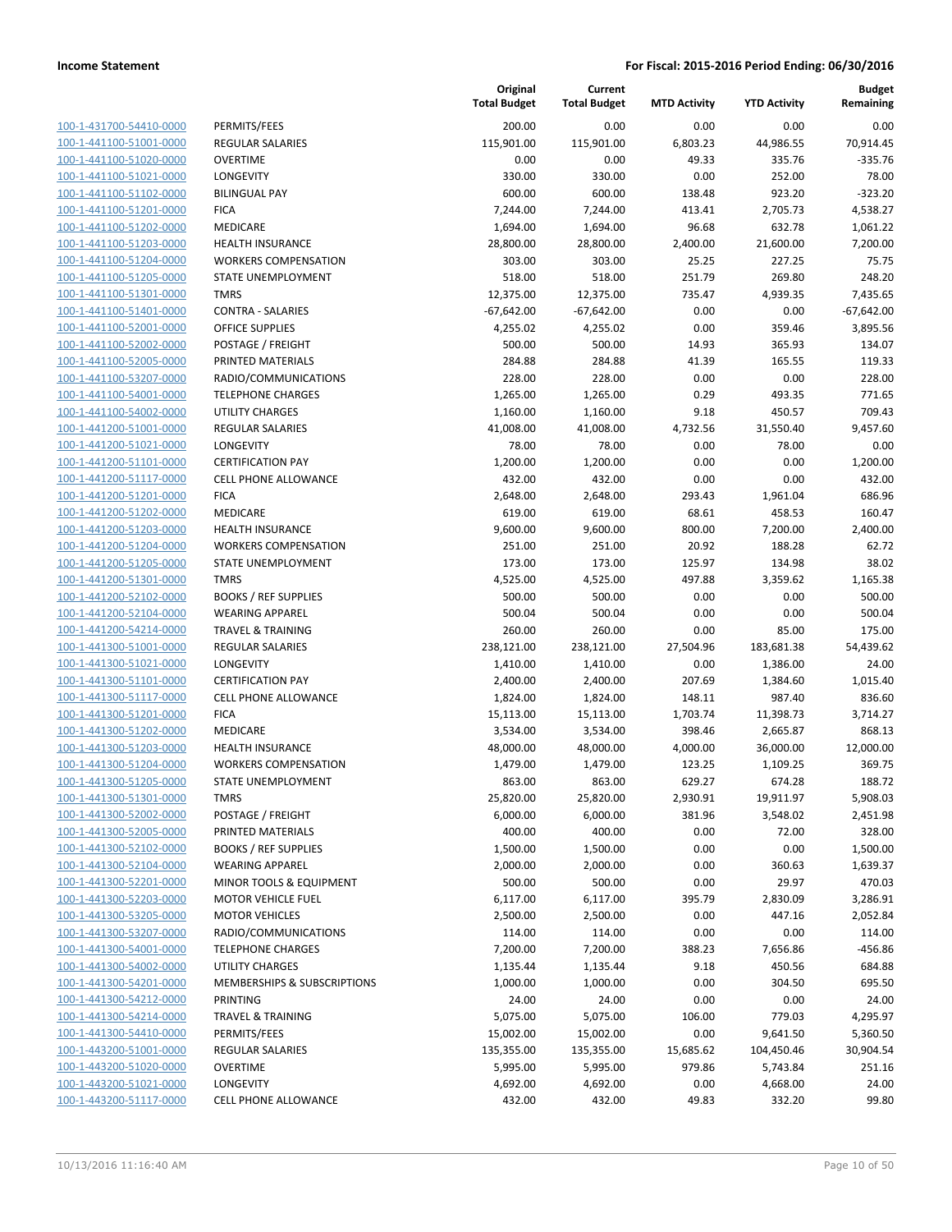| 100-1-431700-54410-0000        |
|--------------------------------|
| 100-1-441100-51001-0000        |
| 100-1-441100-51020-0000        |
| 100-1-441100-51021-0000        |
| 100-1-441100-51102-0000        |
| 100-1-441100-51201-0000        |
| 100-1-441100-51202-0000        |
| 100-1-441100-51203-0000        |
| 100-1-441100-51204-0000        |
| 100-1-441100-51205-0000        |
| 100-1-441100-51301-0000        |
| 100-1-441100-51401-<br>-0000   |
| 100-1-441100-52001-0000        |
| 100-1-441100-52002-0000        |
| <u>100-1-441100-52005-0000</u> |
| 100-1-441100-53207-0000        |
| 100-1-441100-54001-0000        |
| 100-1-441100-54002-0000        |
| 100-1-441200-51001-0000        |
| 100-1-441200-51021-0000        |
| 100-1-441200-51101-0000        |
| 100-1-441200-51117-0000        |
|                                |
| 100-1-441200-51201-0000        |
| 100-1-441200-51202-0000        |
| 100-1-441200-51203-0000        |
| 100-1-441200-51204-0000        |
| 100-1-441200-51205-0000        |
| 100-1-441200-51301-0000        |
| 100-1-441200-52102-0000        |
| 100-1-441200-52104-0000        |
| 100-1-441200-54214-0000        |
| 100-1-441300-51001-0000        |
| 100-1-441300-51021-0000        |
| 100-1-441300-51101-0000        |
| 100-1-441300-51117-0000        |
| 100-1-441300-51201-0000        |
| 100-1-441300-51202-0000        |
| 100-1-441300-51203-0000        |
| 100-1-441300-51204-0000        |
| 100-1-441300-51205-0000        |
| 100-1-441300-51301-0000        |
| <u>100-1-441300-52002-0000</u> |
| 100-1-441300-52005-0000        |
| <u>100-1-441300-52102-0000</u> |
| <u>100-1-441300-52104-0000</u> |
| 100-1-441300-52201-0000        |
| 100-1-441300-52203-0000        |
| 100-1-441300-53205-0000        |
| <u>100-1-441300-53207-0000</u> |
|                                |
| <u>100-1-441300-54001-0000</u> |
| <u>100-1-441300-54002-0000</u> |
| 100-1-441300-54201-0000        |
| 100-1-441300-54212-0000        |
| <u>100-1-441300-54214-0000</u> |
| <u>100-1-441300-54410-0000</u> |
| <u>100-1-443200-51001-0000</u> |
| 100-1-443200-51020-0000        |
| 100-1-443200-51021-0000        |
| 100-1-443200-51117-0000        |

|                         |                              | Original<br><b>Total Budget</b> | Current<br><b>Total Budget</b> | <b>MTD Activity</b> | <b>YTD Activity</b> | <b>Budget</b><br>Remaining |
|-------------------------|------------------------------|---------------------------------|--------------------------------|---------------------|---------------------|----------------------------|
| 100-1-431700-54410-0000 | PERMITS/FEES                 | 200.00                          | 0.00                           | 0.00                | 0.00                | 0.00                       |
| 100-1-441100-51001-0000 | <b>REGULAR SALARIES</b>      | 115,901.00                      | 115,901.00                     | 6,803.23            | 44,986.55           | 70,914.45                  |
| 100-1-441100-51020-0000 | <b>OVERTIME</b>              | 0.00                            | 0.00                           | 49.33               | 335.76              | $-335.76$                  |
| 100-1-441100-51021-0000 | LONGEVITY                    | 330.00                          | 330.00                         | 0.00                | 252.00              | 78.00                      |
| 100-1-441100-51102-0000 | <b>BILINGUAL PAY</b>         | 600.00                          | 600.00                         | 138.48              | 923.20              | $-323.20$                  |
| 100-1-441100-51201-0000 | <b>FICA</b>                  | 7,244.00                        | 7,244.00                       | 413.41              | 2,705.73            | 4,538.27                   |
| 100-1-441100-51202-0000 | MEDICARE                     | 1,694.00                        | 1,694.00                       | 96.68               | 632.78              | 1,061.22                   |
| 100-1-441100-51203-0000 | <b>HEALTH INSURANCE</b>      | 28,800.00                       | 28,800.00                      | 2,400.00            | 21,600.00           | 7,200.00                   |
| 100-1-441100-51204-0000 | <b>WORKERS COMPENSATION</b>  | 303.00                          | 303.00                         | 25.25               | 227.25              | 75.75                      |
| 100-1-441100-51205-0000 | STATE UNEMPLOYMENT           | 518.00                          | 518.00                         | 251.79              | 269.80              | 248.20                     |
| 100-1-441100-51301-0000 | <b>TMRS</b>                  | 12,375.00                       | 12,375.00                      | 735.47              | 4,939.35            | 7,435.65                   |
| 100-1-441100-51401-0000 | <b>CONTRA - SALARIES</b>     | $-67,642.00$                    | $-67,642.00$                   | 0.00                | 0.00                | $-67,642.00$               |
| 100-1-441100-52001-0000 | <b>OFFICE SUPPLIES</b>       | 4,255.02                        | 4,255.02                       | 0.00                | 359.46              | 3,895.56                   |
| 100-1-441100-52002-0000 | POSTAGE / FREIGHT            | 500.00                          | 500.00                         | 14.93               | 365.93              | 134.07                     |
| 100-1-441100-52005-0000 | PRINTED MATERIALS            | 284.88                          | 284.88                         | 41.39               | 165.55              | 119.33                     |
| 100-1-441100-53207-0000 | RADIO/COMMUNICATIONS         | 228.00                          | 228.00                         | 0.00                | 0.00                | 228.00                     |
| 100-1-441100-54001-0000 | <b>TELEPHONE CHARGES</b>     | 1,265.00                        | 1,265.00                       | 0.29                | 493.35              | 771.65                     |
| 100-1-441100-54002-0000 | <b>UTILITY CHARGES</b>       | 1,160.00                        | 1,160.00                       | 9.18                | 450.57              | 709.43                     |
| 100-1-441200-51001-0000 | <b>REGULAR SALARIES</b>      | 41,008.00                       | 41,008.00                      | 4,732.56            | 31,550.40           | 9,457.60                   |
| 100-1-441200-51021-0000 | LONGEVITY                    | 78.00                           | 78.00                          | 0.00                | 78.00               | 0.00                       |
| 100-1-441200-51101-0000 | <b>CERTIFICATION PAY</b>     | 1,200.00                        | 1,200.00                       | 0.00                | 0.00                | 1,200.00                   |
| 100-1-441200-51117-0000 | CELL PHONE ALLOWANCE         | 432.00                          | 432.00                         | 0.00                | 0.00                | 432.00                     |
| 100-1-441200-51201-0000 | <b>FICA</b>                  | 2,648.00                        | 2,648.00                       | 293.43              | 1,961.04            | 686.96                     |
| 100-1-441200-51202-0000 | MEDICARE                     | 619.00                          | 619.00                         | 68.61               | 458.53              | 160.47                     |
| 100-1-441200-51203-0000 | <b>HEALTH INSURANCE</b>      | 9,600.00                        | 9,600.00                       | 800.00              | 7,200.00            | 2,400.00                   |
| 100-1-441200-51204-0000 | <b>WORKERS COMPENSATION</b>  | 251.00                          | 251.00                         | 20.92               | 188.28              | 62.72                      |
| 100-1-441200-51205-0000 | STATE UNEMPLOYMENT           | 173.00                          | 173.00                         | 125.97              | 134.98              | 38.02                      |
| 100-1-441200-51301-0000 | <b>TMRS</b>                  | 4,525.00                        | 4,525.00                       | 497.88              | 3,359.62            | 1,165.38                   |
| 100-1-441200-52102-0000 | <b>BOOKS / REF SUPPLIES</b>  | 500.00                          | 500.00                         | 0.00                | 0.00                | 500.00                     |
| 100-1-441200-52104-0000 | <b>WEARING APPAREL</b>       | 500.04                          | 500.04                         | 0.00                | 0.00                | 500.04                     |
| 100-1-441200-54214-0000 | <b>TRAVEL &amp; TRAINING</b> | 260.00                          | 260.00                         | 0.00                | 85.00               | 175.00                     |
| 100-1-441300-51001-0000 | REGULAR SALARIES             | 238,121.00                      | 238,121.00                     | 27,504.96           | 183,681.38          | 54,439.62                  |
| 100-1-441300-51021-0000 | LONGEVITY                    | 1,410.00                        | 1,410.00                       | 0.00                | 1,386.00            | 24.00                      |
| 100-1-441300-51101-0000 | <b>CERTIFICATION PAY</b>     | 2,400.00                        | 2,400.00                       | 207.69              | 1,384.60            | 1,015.40                   |
| 100-1-441300-51117-0000 | <b>CELL PHONE ALLOWANCE</b>  | 1,824.00                        | 1,824.00                       | 148.11              | 987.40              | 836.60                     |
| 100-1-441300-51201-0000 | <b>FICA</b>                  | 15,113.00                       | 15,113.00                      | 1,703.74            | 11,398.73           | 3,714.27                   |
| 100-1-441300-51202-0000 | MEDICARE                     | 3,534.00                        | 3,534.00                       | 398.46              | 2,665.87            | 868.13                     |
| 100-1-441300-51203-0000 | <b>HEALTH INSURANCE</b>      | 48,000.00                       | 48,000.00                      | 4,000.00            | 36,000.00           | 12,000.00                  |
| 100-1-441300-51204-0000 | <b>WORKERS COMPENSATION</b>  | 1,479.00                        | 1,479.00                       | 123.25              | 1,109.25            | 369.75                     |
| 100-1-441300-51205-0000 | STATE UNEMPLOYMENT           | 863.00                          | 863.00                         | 629.27              | 674.28              | 188.72                     |
| 100-1-441300-51301-0000 | <b>TMRS</b>                  | 25,820.00                       | 25,820.00                      | 2,930.91            | 19,911.97           | 5,908.03                   |
| 100-1-441300-52002-0000 | POSTAGE / FREIGHT            | 6,000.00                        | 6,000.00                       | 381.96              | 3,548.02            | 2,451.98                   |
| 100-1-441300-52005-0000 | PRINTED MATERIALS            | 400.00                          | 400.00                         | 0.00                | 72.00               | 328.00                     |
| 100-1-441300-52102-0000 | <b>BOOKS / REF SUPPLIES</b>  | 1,500.00                        | 1,500.00                       | 0.00                | 0.00                | 1,500.00                   |
| 100-1-441300-52104-0000 | <b>WEARING APPAREL</b>       | 2,000.00                        | 2,000.00                       | 0.00                | 360.63              | 1,639.37                   |
| 100-1-441300-52201-0000 | MINOR TOOLS & EQUIPMENT      | 500.00                          | 500.00                         | 0.00                | 29.97               | 470.03                     |
| 100-1-441300-52203-0000 | <b>MOTOR VEHICLE FUEL</b>    | 6,117.00                        | 6,117.00                       | 395.79              | 2,830.09            | 3,286.91                   |
| 100-1-441300-53205-0000 | <b>MOTOR VEHICLES</b>        | 2,500.00                        | 2,500.00                       | 0.00                | 447.16              | 2,052.84                   |
| 100-1-441300-53207-0000 | RADIO/COMMUNICATIONS         | 114.00                          | 114.00                         | 0.00                | 0.00                | 114.00                     |
| 100-1-441300-54001-0000 | <b>TELEPHONE CHARGES</b>     | 7,200.00                        | 7,200.00                       | 388.23              | 7,656.86            | -456.86                    |
| 100-1-441300-54002-0000 | UTILITY CHARGES              | 1,135.44                        | 1,135.44                       | 9.18                | 450.56              | 684.88                     |
| 100-1-441300-54201-0000 | MEMBERSHIPS & SUBSCRIPTIONS  | 1,000.00                        | 1,000.00                       | 0.00                | 304.50              | 695.50                     |
| 100-1-441300-54212-0000 | PRINTING                     | 24.00                           | 24.00                          | 0.00                | 0.00                | 24.00                      |
| 100-1-441300-54214-0000 | <b>TRAVEL &amp; TRAINING</b> | 5,075.00                        | 5,075.00                       | 106.00              | 779.03              | 4,295.97                   |
| 100-1-441300-54410-0000 | PERMITS/FEES                 | 15,002.00                       | 15,002.00                      | 0.00                | 9,641.50            | 5,360.50                   |
| 100-1-443200-51001-0000 | REGULAR SALARIES             | 135,355.00                      | 135,355.00                     | 15,685.62           | 104,450.46          | 30,904.54                  |
| 100-1-443200-51020-0000 | <b>OVERTIME</b>              | 5,995.00                        | 5,995.00                       | 979.86              | 5,743.84            | 251.16                     |
| 100-1-443200-51021-0000 | LONGEVITY                    | 4,692.00                        | 4,692.00                       | 0.00                | 4,668.00            | 24.00                      |
| 100-1-443200-51117-0000 | <b>CELL PHONE ALLOWANCE</b>  | 432.00                          | 432.00                         | 49.83               | 332.20              | 99.80                      |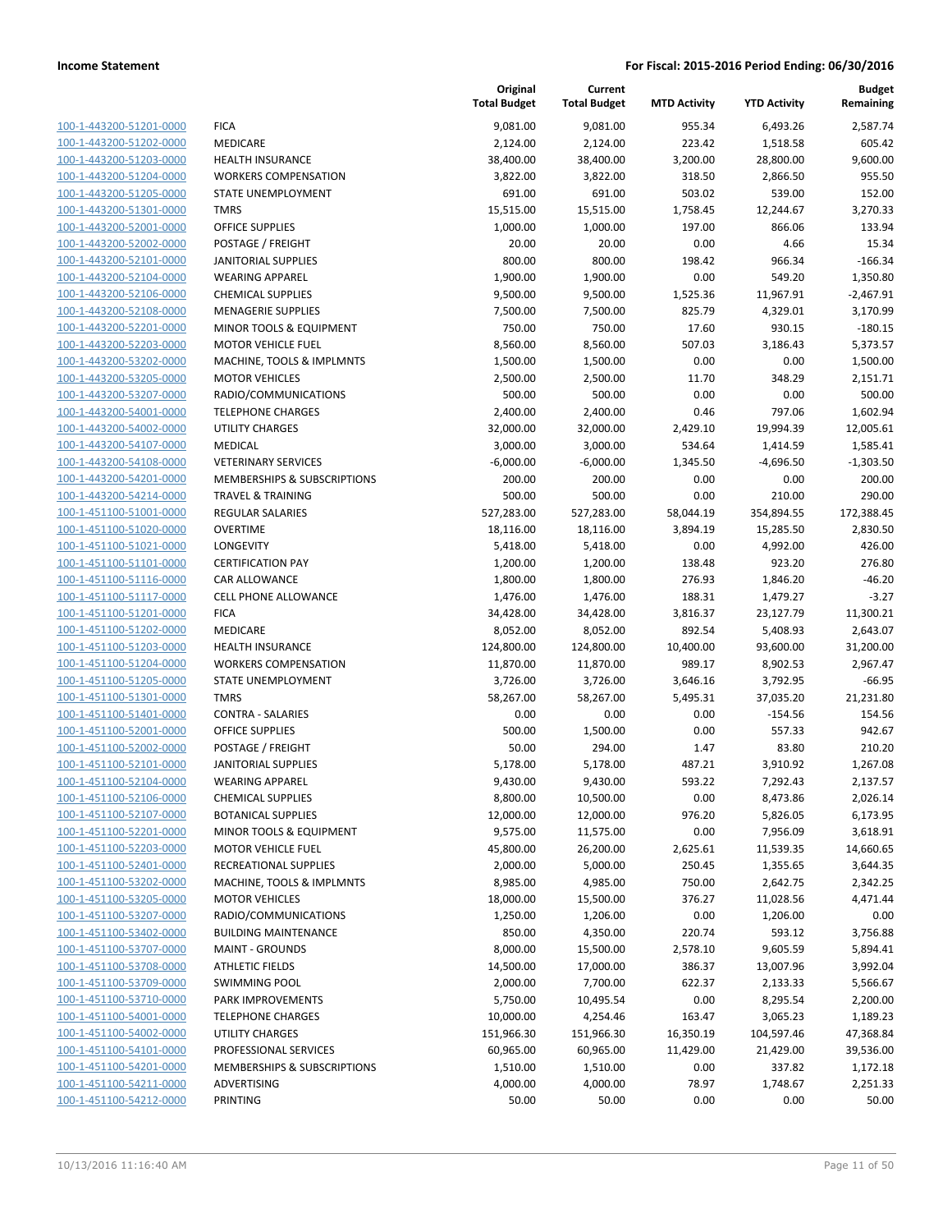| 100-1-443200-51201-0000                            | f                        |
|----------------------------------------------------|--------------------------|
| 100-1-443200-51202-0000                            | I                        |
| 100-1-443200-51203-0000                            | ł                        |
| 100-1-443200-51204-0000                            | ١                        |
| 100-1-443200-51205-0000                            | í                        |
| 100-1-443200-51301-0000                            | ī                        |
| 100-1-443200-52001-0000                            | $\overline{\phantom{a}}$ |
| 100-1-443200-52002-0000                            | f                        |
| 100-1-443200-52101-0000                            | J                        |
| 100-1-443200-52104-0000                            | ١                        |
| 100-1-443200-52106-0000                            | $\overline{\phantom{a}}$ |
|                                                    | I                        |
| 100-1-443200-52108-0000<br>100-1-443200-52201-0000 | ľ                        |
|                                                    |                          |
| 100-1-443200-52203-0000                            | ı                        |
| 100-1-443200-53202-0000                            | I                        |
| 100-1-443200-53205-0000                            | ľ                        |
| 100-1-443200-53207-0000                            | ŀ                        |
| 100-1-443200-54001-0000                            | Ī                        |
| 100-1-443200-54002-0000                            | ι                        |
| 100-1-443200-54107-0000                            | ľ                        |
| 100-1-443200-54108-0000                            | ١                        |
| 100-1-443200-54201-0000                            | ľ                        |
| 100-1-443200-54214-0000                            | Ī                        |
| 100-1-451100-51001-0000                            | f                        |
| 100-1-451100-51020-0000                            | $\overline{\phantom{a}}$ |
| 100-1-451100-51021-0000                            | l                        |
| 100-1-451100-51101-0000                            | (                        |
| 100-1-451100-51116-0000                            | (                        |
| 100-1-451100-51117-0000                            | (                        |
| 100-1-451100-51201-0000                            | f                        |
| 100-1-451100-51202-0000                            | ľ                        |
| 100-1-451100-51203-0000                            | ł                        |
| 100-1-451100-51204-0000                            | ١                        |
| 100-1-451100-51205-0000                            | $\ddot{\phantom{0}}$     |
| 100-1-451100-51301-0000                            | Ī                        |
| 100-1-451100-51401-0000                            | $\overline{\phantom{a}}$ |
| 100-1-451100-52001-0000                            | $\overline{\phantom{a}}$ |
| 100-1-451100-52002-0000                            | ŀ                        |
| 100-1-451100-52101-0000                            | J                        |
| 100-1-451100-52104-0000                            | ١                        |
| 100-1-451100-52106-0000                            | $\overline{a}$           |
| 100-1-451100-52107-0000                            | ł                        |
| 100-1-451100-52201-0000                            | ı                        |
| 100-1-451100-52203-0000                            | I                        |
| 100-1-451100-52401-0000                            | ł                        |
| 100-1-451100-53202-0000                            | I                        |
| 100-1-451100-53205-0000                            | I                        |
| 100-1-451100-53207-0000                            | I                        |
| 100-1-451100-53402-0000                            |                          |
|                                                    | ł<br>ı                   |
| 100-1-451100-53707-0000                            |                          |
| <u>100-1-451100-53708-0000</u>                     | Í                        |
| 100-1-451100-53709-0000                            | :                        |
| 100-1-451100-53710-0000                            | I                        |
| 100-1-451100-54001-0000                            |                          |
| 100-1-451100-54002-0000                            |                          |
| 100-1-451100-54101-0000                            | I                        |
| 100-1-451100-54201-0000                            | I                        |
| 100-1-451100-54211-0000                            |                          |
| 100-1-451100-54212-0000                            | I                        |
|                                                    |                          |

|                         |                              | Original<br><b>Total Budget</b> | Current<br><b>Total Budget</b> | <b>MTD Activity</b> | <b>YTD Activity</b> | <b>Budget</b><br>Remaining |
|-------------------------|------------------------------|---------------------------------|--------------------------------|---------------------|---------------------|----------------------------|
| 100-1-443200-51201-0000 | <b>FICA</b>                  | 9,081.00                        | 9,081.00                       | 955.34              | 6,493.26            | 2,587.74                   |
| 100-1-443200-51202-0000 | MEDICARE                     | 2,124.00                        | 2,124.00                       | 223.42              | 1,518.58            | 605.42                     |
| 100-1-443200-51203-0000 | <b>HEALTH INSURANCE</b>      | 38,400.00                       | 38,400.00                      | 3,200.00            | 28,800.00           | 9,600.00                   |
| 100-1-443200-51204-0000 | <b>WORKERS COMPENSATION</b>  | 3,822.00                        | 3,822.00                       | 318.50              | 2,866.50            | 955.50                     |
| 100-1-443200-51205-0000 | <b>STATE UNEMPLOYMENT</b>    | 691.00                          | 691.00                         | 503.02              | 539.00              | 152.00                     |
| 100-1-443200-51301-0000 | <b>TMRS</b>                  | 15,515.00                       | 15,515.00                      | 1,758.45            | 12,244.67           | 3,270.33                   |
| 100-1-443200-52001-0000 | <b>OFFICE SUPPLIES</b>       | 1,000.00                        | 1,000.00                       | 197.00              | 866.06              | 133.94                     |
| 100-1-443200-52002-0000 | POSTAGE / FREIGHT            | 20.00                           | 20.00                          | 0.00                | 4.66                | 15.34                      |
| 100-1-443200-52101-0000 | <b>JANITORIAL SUPPLIES</b>   | 800.00                          | 800.00                         | 198.42              | 966.34              | $-166.34$                  |
| 100-1-443200-52104-0000 | <b>WEARING APPAREL</b>       | 1,900.00                        | 1,900.00                       | 0.00                | 549.20              | 1,350.80                   |
| 100-1-443200-52106-0000 | <b>CHEMICAL SUPPLIES</b>     | 9,500.00                        | 9,500.00                       | 1,525.36            | 11,967.91           | $-2,467.91$                |
| 100-1-443200-52108-0000 | <b>MENAGERIE SUPPLIES</b>    | 7,500.00                        | 7,500.00                       | 825.79              | 4,329.01            | 3,170.99                   |
| 100-1-443200-52201-0000 | MINOR TOOLS & EQUIPMENT      | 750.00                          | 750.00                         | 17.60               | 930.15              | $-180.15$                  |
| 100-1-443200-52203-0000 | <b>MOTOR VEHICLE FUEL</b>    | 8,560.00                        | 8,560.00                       | 507.03              | 3,186.43            | 5,373.57                   |
| 100-1-443200-53202-0000 | MACHINE, TOOLS & IMPLMNTS    | 1,500.00                        | 1,500.00                       | 0.00                | 0.00                | 1,500.00                   |
| 100-1-443200-53205-0000 | <b>MOTOR VEHICLES</b>        | 2,500.00                        | 2,500.00                       | 11.70               | 348.29              | 2,151.71                   |
| 100-1-443200-53207-0000 | RADIO/COMMUNICATIONS         | 500.00                          | 500.00                         | 0.00                | 0.00                | 500.00                     |
| 100-1-443200-54001-0000 | <b>TELEPHONE CHARGES</b>     | 2,400.00                        | 2,400.00                       | 0.46                | 797.06              | 1,602.94                   |
| 100-1-443200-54002-0000 | UTILITY CHARGES              | 32,000.00                       | 32,000.00                      | 2,429.10            | 19,994.39           | 12,005.61                  |
| 100-1-443200-54107-0000 | <b>MEDICAL</b>               | 3,000.00                        | 3,000.00                       | 534.64              | 1,414.59            | 1,585.41                   |
| 100-1-443200-54108-0000 | <b>VETERINARY SERVICES</b>   | $-6,000.00$                     | $-6,000.00$                    | 1,345.50            | $-4,696.50$         | $-1,303.50$                |
| 100-1-443200-54201-0000 | MEMBERSHIPS & SUBSCRIPTIONS  | 200.00                          | 200.00                         | 0.00                | 0.00                | 200.00                     |
| 100-1-443200-54214-0000 | <b>TRAVEL &amp; TRAINING</b> | 500.00                          | 500.00                         | 0.00                | 210.00              | 290.00                     |
| 100-1-451100-51001-0000 | <b>REGULAR SALARIES</b>      | 527,283.00                      | 527,283.00                     | 58,044.19           | 354,894.55          | 172,388.45                 |
| 100-1-451100-51020-0000 | <b>OVERTIME</b>              | 18,116.00                       | 18,116.00                      | 3,894.19            | 15,285.50           | 2,830.50                   |
| 100-1-451100-51021-0000 | LONGEVITY                    | 5,418.00                        | 5,418.00                       | 0.00                | 4,992.00            | 426.00                     |
| 100-1-451100-51101-0000 | <b>CERTIFICATION PAY</b>     | 1,200.00                        | 1,200.00                       | 138.48              | 923.20              | 276.80                     |
| 100-1-451100-51116-0000 | CAR ALLOWANCE                | 1,800.00                        | 1,800.00                       | 276.93              | 1,846.20            | $-46.20$                   |
| 100-1-451100-51117-0000 | <b>CELL PHONE ALLOWANCE</b>  | 1,476.00                        | 1,476.00                       | 188.31              | 1,479.27            | $-3.27$                    |
| 100-1-451100-51201-0000 | <b>FICA</b>                  | 34,428.00                       | 34,428.00                      | 3,816.37            | 23,127.79           | 11,300.21                  |
| 100-1-451100-51202-0000 | MEDICARE                     | 8,052.00                        | 8,052.00                       | 892.54              | 5,408.93            | 2,643.07                   |
| 100-1-451100-51203-0000 | <b>HEALTH INSURANCE</b>      | 124,800.00                      | 124,800.00                     | 10,400.00           | 93,600.00           | 31,200.00                  |
| 100-1-451100-51204-0000 | <b>WORKERS COMPENSATION</b>  | 11,870.00                       | 11,870.00                      | 989.17              | 8,902.53            | 2,967.47                   |
| 100-1-451100-51205-0000 | STATE UNEMPLOYMENT           | 3,726.00                        | 3,726.00                       | 3,646.16            | 3,792.95            | $-66.95$                   |
| 100-1-451100-51301-0000 | <b>TMRS</b>                  | 58,267.00                       | 58,267.00                      | 5,495.31            | 37,035.20           | 21,231.80                  |
| 100-1-451100-51401-0000 | <b>CONTRA - SALARIES</b>     | 0.00                            | 0.00                           | 0.00                | $-154.56$           | 154.56                     |
| 100-1-451100-52001-0000 | <b>OFFICE SUPPLIES</b>       | 500.00                          | 1,500.00                       | 0.00                | 557.33              | 942.67                     |
| 100-1-451100-52002-0000 | POSTAGE / FREIGHT            | 50.00                           | 294.00                         | 1.47                | 83.80               | 210.20                     |
| 100-1-451100-52101-0000 | <b>JANITORIAL SUPPLIES</b>   | 5,178.00                        | 5,178.00                       | 487.21              | 3,910.92            | 1,267.08                   |
| 100-1-451100-52104-0000 | <b>WEARING APPAREL</b>       | 9,430.00                        | 9,430.00                       | 593.22              | 7,292.43            | 2,137.57                   |
| 100-1-451100-52106-0000 | <b>CHEMICAL SUPPLIES</b>     | 8,800.00                        | 10,500.00                      | 0.00                | 8,473.86            | 2,026.14                   |
| 100-1-451100-52107-0000 | <b>BOTANICAL SUPPLIES</b>    | 12,000.00                       | 12,000.00                      | 976.20              | 5,826.05            | 6,173.95                   |
| 100-1-451100-52201-0000 | MINOR TOOLS & EQUIPMENT      | 9,575.00                        | 11,575.00                      | 0.00                | 7,956.09            | 3,618.91                   |
| 100-1-451100-52203-0000 | <b>MOTOR VEHICLE FUEL</b>    | 45,800.00                       | 26,200.00                      | 2,625.61            | 11,539.35           | 14,660.65                  |
| 100-1-451100-52401-0000 | RECREATIONAL SUPPLIES        | 2,000.00                        | 5,000.00                       | 250.45              | 1,355.65            | 3,644.35                   |
| 100-1-451100-53202-0000 | MACHINE, TOOLS & IMPLMNTS    | 8,985.00                        | 4,985.00                       | 750.00              | 2,642.75            | 2,342.25                   |
| 100-1-451100-53205-0000 | <b>MOTOR VEHICLES</b>        | 18,000.00                       | 15,500.00                      | 376.27              | 11,028.56           | 4,471.44                   |
| 100-1-451100-53207-0000 | RADIO/COMMUNICATIONS         | 1,250.00                        | 1,206.00                       | 0.00                | 1,206.00            | 0.00                       |
| 100-1-451100-53402-0000 | <b>BUILDING MAINTENANCE</b>  | 850.00                          | 4,350.00                       | 220.74              | 593.12              | 3,756.88                   |
| 100-1-451100-53707-0000 | <b>MAINT - GROUNDS</b>       | 8,000.00                        | 15,500.00                      | 2,578.10            | 9,605.59            | 5,894.41                   |
| 100-1-451100-53708-0000 | <b>ATHLETIC FIELDS</b>       | 14,500.00                       | 17,000.00                      | 386.37              | 13,007.96           | 3,992.04                   |
| 100-1-451100-53709-0000 | <b>SWIMMING POOL</b>         | 2,000.00                        | 7,700.00                       | 622.37              | 2,133.33            | 5,566.67                   |
| 100-1-451100-53710-0000 | PARK IMPROVEMENTS            | 5,750.00                        | 10,495.54                      | 0.00                | 8,295.54            | 2,200.00                   |
| 100-1-451100-54001-0000 | <b>TELEPHONE CHARGES</b>     | 10,000.00                       | 4,254.46                       | 163.47              | 3,065.23            | 1,189.23                   |
| 100-1-451100-54002-0000 | UTILITY CHARGES              | 151,966.30                      | 151,966.30                     | 16,350.19           | 104,597.46          | 47,368.84                  |
| 100-1-451100-54101-0000 | PROFESSIONAL SERVICES        | 60,965.00                       | 60,965.00                      | 11,429.00           | 21,429.00           | 39,536.00                  |
| 100-1-451100-54201-0000 | MEMBERSHIPS & SUBSCRIPTIONS  | 1,510.00                        | 1,510.00                       | 0.00                | 337.82              | 1,172.18                   |
| 100-1-451100-54211-0000 | ADVERTISING                  | 4,000.00                        | 4,000.00                       | 78.97               | 1,748.67            | 2,251.33                   |
| 100-1-451100-54212-0000 | PRINTING                     | 50.00                           | 50.00                          | 0.00                | 0.00                | 50.00                      |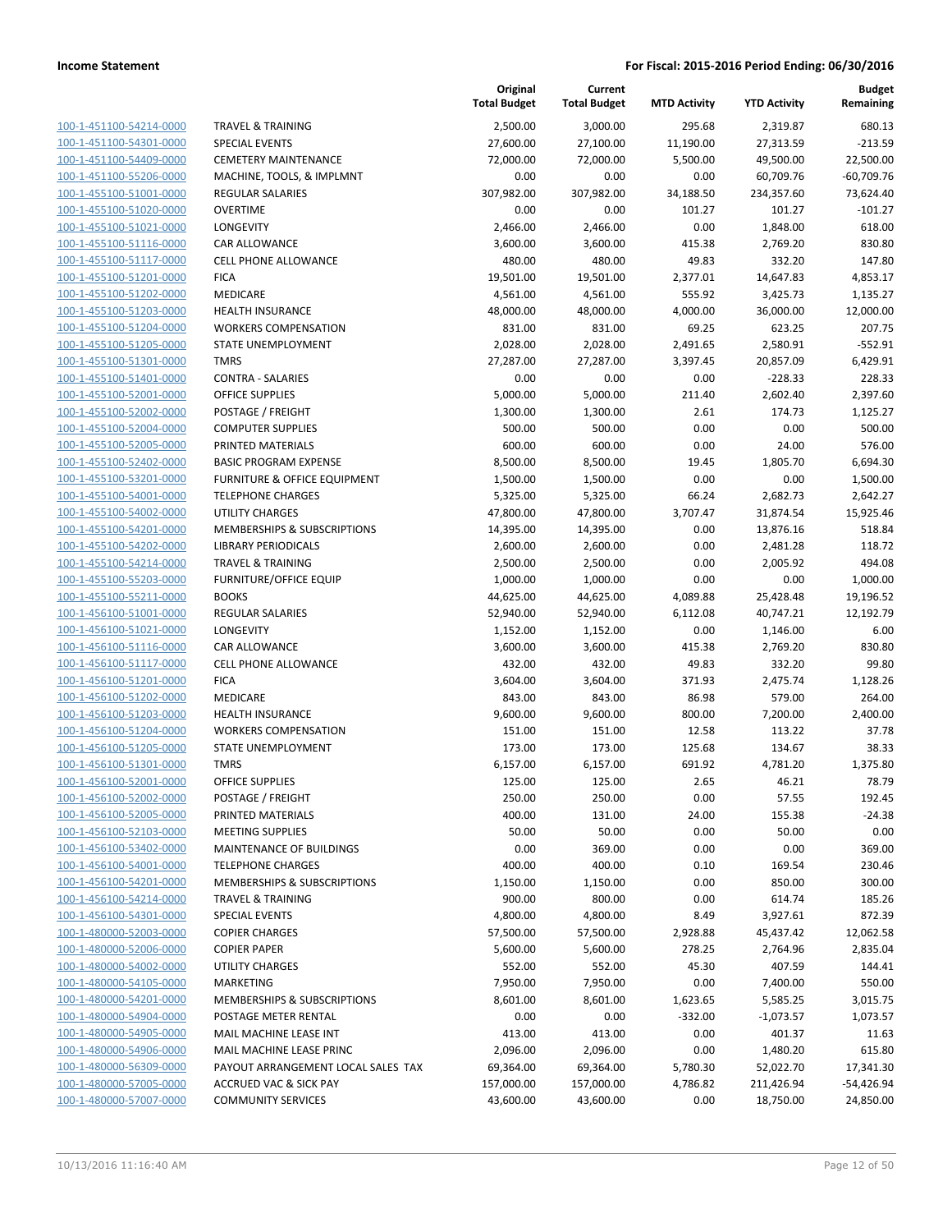|                                                    |                                               | Original<br><b>Total Budget</b> | Current<br><b>Total Budget</b> | <b>MTD Activity</b> | <b>YTD Activity</b> | Budget<br>Remaining   |
|----------------------------------------------------|-----------------------------------------------|---------------------------------|--------------------------------|---------------------|---------------------|-----------------------|
| 100-1-451100-54214-0000                            | <b>TRAVEL &amp; TRAINING</b>                  | 2,500.00                        | 3,000.00                       | 295.68              | 2,319.87            | 680.13                |
| 100-1-451100-54301-0000                            | <b>SPECIAL EVENTS</b>                         | 27,600.00                       | 27,100.00                      | 11,190.00           | 27,313.59           | $-213.59$             |
| 100-1-451100-54409-0000                            | <b>CEMETERY MAINTENANCE</b>                   | 72,000.00                       | 72,000.00                      | 5,500.00            | 49,500.00           | 22,500.00             |
| 100-1-451100-55206-0000                            | MACHINE, TOOLS, & IMPLMNT                     | 0.00                            | 0.00                           | 0.00                | 60,709.76           | $-60,709.76$          |
| 100-1-455100-51001-0000                            | REGULAR SALARIES                              | 307,982.00                      | 307,982.00                     | 34,188.50           | 234,357.60          | 73,624.40             |
| 100-1-455100-51020-0000                            | <b>OVERTIME</b>                               | 0.00                            | 0.00                           | 101.27              | 101.27              | $-101.27$             |
| 100-1-455100-51021-0000                            | LONGEVITY                                     | 2,466.00                        | 2,466.00                       | 0.00                | 1,848.00            | 618.00                |
| 100-1-455100-51116-0000                            | CAR ALLOWANCE                                 | 3,600.00                        | 3,600.00                       | 415.38              | 2,769.20            | 830.80                |
| 100-1-455100-51117-0000                            | <b>CELL PHONE ALLOWANCE</b>                   | 480.00                          | 480.00                         | 49.83               | 332.20              | 147.80                |
| 100-1-455100-51201-0000                            | <b>FICA</b>                                   | 19,501.00                       | 19,501.00                      | 2,377.01            | 14,647.83           | 4,853.17              |
| 100-1-455100-51202-0000                            | MEDICARE                                      | 4,561.00                        | 4,561.00                       | 555.92              | 3,425.73            | 1,135.27              |
| 100-1-455100-51203-0000                            | <b>HEALTH INSURANCE</b>                       | 48,000.00                       | 48,000.00                      | 4,000.00            | 36,000.00           | 12,000.00             |
| 100-1-455100-51204-0000                            | <b>WORKERS COMPENSATION</b>                   | 831.00                          | 831.00                         | 69.25               | 623.25              | 207.75                |
| 100-1-455100-51205-0000                            | STATE UNEMPLOYMENT                            | 2,028.00                        | 2,028.00                       | 2,491.65            | 2,580.91            | $-552.91$             |
| 100-1-455100-51301-0000                            | <b>TMRS</b>                                   | 27,287.00                       | 27,287.00                      | 3,397.45            | 20,857.09           | 6,429.91              |
| 100-1-455100-51401-0000                            | <b>CONTRA - SALARIES</b>                      | 0.00                            | 0.00                           | 0.00                | $-228.33$           | 228.33                |
| 100-1-455100-52001-0000                            | <b>OFFICE SUPPLIES</b>                        | 5,000.00                        | 5,000.00                       | 211.40              | 2,602.40            | 2,397.60              |
| 100-1-455100-52002-0000                            | POSTAGE / FREIGHT                             | 1,300.00                        | 1,300.00                       | 2.61                | 174.73              | 1,125.27              |
| 100-1-455100-52004-0000                            | <b>COMPUTER SUPPLIES</b>                      | 500.00                          | 500.00                         | 0.00                | 0.00                | 500.00                |
| 100-1-455100-52005-0000                            | PRINTED MATERIALS                             | 600.00                          | 600.00                         | 0.00                | 24.00               | 576.00                |
| 100-1-455100-52402-0000                            | <b>BASIC PROGRAM EXPENSE</b>                  | 8,500.00                        | 8,500.00                       | 19.45               | 1,805.70            | 6,694.30              |
| 100-1-455100-53201-0000                            | <b>FURNITURE &amp; OFFICE EQUIPMENT</b>       | 1,500.00                        | 1,500.00                       | 0.00                | 0.00                | 1,500.00              |
| 100-1-455100-54001-0000                            | <b>TELEPHONE CHARGES</b>                      | 5,325.00                        | 5,325.00                       | 66.24               | 2,682.73            | 2,642.27              |
| 100-1-455100-54002-0000                            | <b>UTILITY CHARGES</b>                        | 47,800.00                       | 47,800.00                      | 3,707.47            | 31,874.54           | 15,925.46             |
| 100-1-455100-54201-0000                            | MEMBERSHIPS & SUBSCRIPTIONS                   | 14,395.00                       | 14,395.00                      | 0.00                | 13,876.16           | 518.84                |
| 100-1-455100-54202-0000                            | <b>LIBRARY PERIODICALS</b>                    | 2,600.00                        | 2,600.00                       | 0.00                | 2,481.28            | 118.72                |
| 100-1-455100-54214-0000                            | <b>TRAVEL &amp; TRAINING</b>                  | 2,500.00                        | 2,500.00                       | 0.00                | 2,005.92            | 494.08                |
| 100-1-455100-55203-0000<br>100-1-455100-55211-0000 | <b>FURNITURE/OFFICE EQUIP</b><br><b>BOOKS</b> | 1,000.00<br>44,625.00           | 1,000.00<br>44,625.00          | 0.00<br>4,089.88    | 0.00<br>25,428.48   | 1,000.00<br>19,196.52 |
| 100-1-456100-51001-0000                            | <b>REGULAR SALARIES</b>                       | 52,940.00                       | 52,940.00                      | 6,112.08            | 40,747.21           | 12,192.79             |
| 100-1-456100-51021-0000                            | LONGEVITY                                     | 1,152.00                        | 1,152.00                       | 0.00                | 1,146.00            | 6.00                  |
| 100-1-456100-51116-0000                            | CAR ALLOWANCE                                 | 3,600.00                        | 3,600.00                       | 415.38              | 2,769.20            | 830.80                |
| 100-1-456100-51117-0000                            | <b>CELL PHONE ALLOWANCE</b>                   | 432.00                          | 432.00                         | 49.83               | 332.20              | 99.80                 |
| 100-1-456100-51201-0000                            | <b>FICA</b>                                   | 3,604.00                        | 3,604.00                       | 371.93              | 2,475.74            | 1,128.26              |
| 100-1-456100-51202-0000                            | MEDICARE                                      | 843.00                          | 843.00                         | 86.98               | 579.00              | 264.00                |
| 100-1-456100-51203-0000                            | <b>HEALTH INSURANCE</b>                       | 9,600.00                        | 9,600.00                       | 800.00              | 7,200.00            | 2,400.00              |
| 100-1-456100-51204-0000                            | <b>WORKERS COMPENSATION</b>                   | 151.00                          | 151.00                         | 12.58               | 113.22              | 37.78                 |
| 100-1-456100-51205-0000                            | <b>STATE UNEMPLOYMENT</b>                     | 173.00                          | 173.00                         | 125.68              | 134.67              | 38.33                 |
| 100-1-456100-51301-0000                            | <b>TMRS</b>                                   | 6,157.00                        | 6,157.00                       | 691.92              | 4,781.20            | 1,375.80              |
| 100-1-456100-52001-0000                            | <b>OFFICE SUPPLIES</b>                        | 125.00                          | 125.00                         | 2.65                | 46.21               | 78.79                 |
| 100-1-456100-52002-0000                            | POSTAGE / FREIGHT                             | 250.00                          | 250.00                         | 0.00                | 57.55               | 192.45                |
| 100-1-456100-52005-0000                            | PRINTED MATERIALS                             | 400.00                          | 131.00                         | 24.00               | 155.38              | $-24.38$              |
| 100-1-456100-52103-0000                            | <b>MEETING SUPPLIES</b>                       | 50.00                           | 50.00                          | 0.00                | 50.00               | 0.00                  |
| 100-1-456100-53402-0000                            | MAINTENANCE OF BUILDINGS                      | 0.00                            | 369.00                         | 0.00                | 0.00                | 369.00                |
| 100-1-456100-54001-0000                            | <b>TELEPHONE CHARGES</b>                      | 400.00                          | 400.00                         | 0.10                | 169.54              | 230.46                |
| 100-1-456100-54201-0000                            | <b>MEMBERSHIPS &amp; SUBSCRIPTIONS</b>        | 1,150.00                        | 1,150.00                       | 0.00                | 850.00              | 300.00                |
| 100-1-456100-54214-0000                            | <b>TRAVEL &amp; TRAINING</b>                  | 900.00                          | 800.00                         | 0.00                | 614.74              | 185.26                |
| 100-1-456100-54301-0000                            | <b>SPECIAL EVENTS</b>                         | 4,800.00                        | 4,800.00                       | 8.49                | 3,927.61            | 872.39                |
| 100-1-480000-52003-0000                            | <b>COPIER CHARGES</b>                         | 57,500.00                       | 57,500.00                      | 2,928.88            | 45,437.42           | 12,062.58             |
| 100-1-480000-52006-0000                            | <b>COPIER PAPER</b>                           | 5,600.00                        | 5,600.00                       | 278.25              | 2,764.96            | 2,835.04              |
| 100-1-480000-54002-0000                            | <b>UTILITY CHARGES</b>                        | 552.00                          | 552.00                         | 45.30               | 407.59              | 144.41                |
| 100-1-480000-54105-0000                            | <b>MARKETING</b>                              | 7,950.00                        | 7,950.00                       | 0.00                | 7,400.00            | 550.00                |
| 100-1-480000-54201-0000                            | MEMBERSHIPS & SUBSCRIPTIONS                   | 8,601.00                        | 8,601.00                       | 1,623.65            | 5,585.25            | 3,015.75              |
| 100-1-480000-54904-0000                            | POSTAGE METER RENTAL                          | 0.00                            | 0.00                           | $-332.00$           | $-1,073.57$         | 1,073.57              |
| 100-1-480000-54905-0000                            | MAIL MACHINE LEASE INT                        | 413.00                          | 413.00                         | 0.00                | 401.37              | 11.63                 |
| 100-1-480000-54906-0000                            | MAIL MACHINE LEASE PRINC                      | 2,096.00                        | 2,096.00                       | 0.00                | 1,480.20            | 615.80                |
| 100-1-480000-56309-0000                            | PAYOUT ARRANGEMENT LOCAL SALES TAX            | 69,364.00                       | 69,364.00                      | 5,780.30            | 52,022.70           | 17,341.30             |
| 100-1-480000-57005-0000                            | <b>ACCRUED VAC &amp; SICK PAY</b>             | 157,000.00                      | 157,000.00                     | 4,786.82            | 211,426.94          | -54,426.94            |
| 100-1-480000-57007-0000                            | <b>COMMUNITY SERVICES</b>                     | 43,600.00                       | 43,600.00                      | 0.00                | 18,750.00           | 24,850.00             |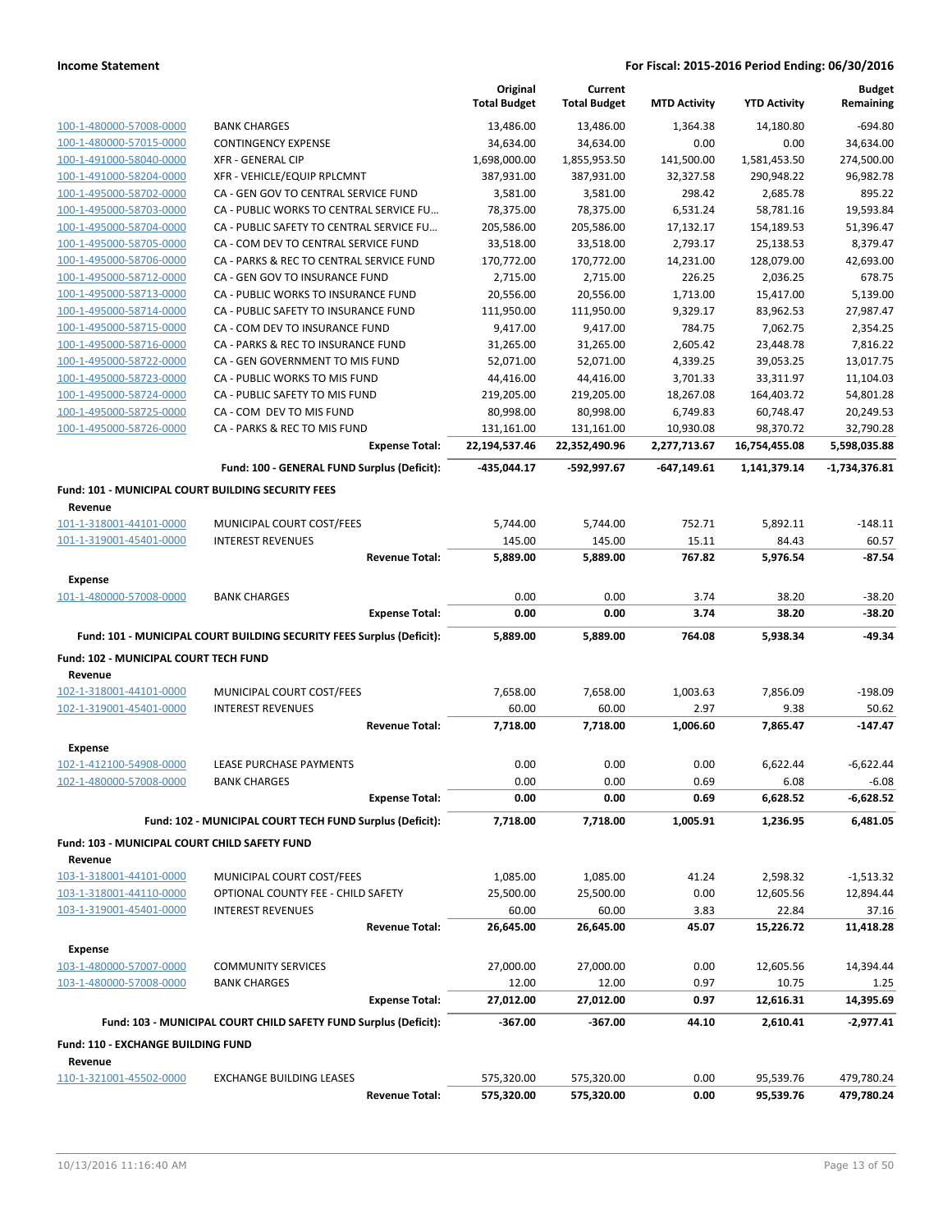|                                                               |                                                                       | Original<br><b>Total Budget</b> | Current<br><b>Total Budget</b> | <b>MTD Activity</b>       | <b>YTD Activity</b>        | <b>Budget</b><br>Remaining |
|---------------------------------------------------------------|-----------------------------------------------------------------------|---------------------------------|--------------------------------|---------------------------|----------------------------|----------------------------|
| 100-1-480000-57008-0000                                       | <b>BANK CHARGES</b>                                                   | 13,486.00                       | 13,486.00                      | 1,364.38                  | 14,180.80                  | $-694.80$                  |
| 100-1-480000-57015-0000                                       | <b>CONTINGENCY EXPENSE</b>                                            | 34,634.00                       | 34,634.00                      | 0.00                      | 0.00                       | 34,634.00                  |
| 100-1-491000-58040-0000                                       | <b>XFR - GENERAL CIP</b>                                              | 1,698,000.00                    | 1,855,953.50                   | 141,500.00                | 1,581,453.50               | 274,500.00                 |
| 100-1-491000-58204-0000                                       | XFR - VEHICLE/EQUIP RPLCMNT                                           | 387,931.00                      | 387,931.00                     | 32,327.58                 | 290,948.22                 | 96,982.78                  |
| 100-1-495000-58702-0000                                       | CA - GEN GOV TO CENTRAL SERVICE FUND                                  | 3,581.00                        | 3,581.00                       | 298.42                    | 2,685.78                   | 895.22                     |
| 100-1-495000-58703-0000                                       | CA - PUBLIC WORKS TO CENTRAL SERVICE FU                               | 78,375.00                       | 78,375.00                      | 6,531.24                  | 58,781.16                  | 19,593.84                  |
| 100-1-495000-58704-0000                                       | CA - PUBLIC SAFETY TO CENTRAL SERVICE FU                              | 205,586.00                      | 205,586.00                     | 17,132.17                 | 154,189.53                 | 51,396.47                  |
| 100-1-495000-58705-0000                                       | CA - COM DEV TO CENTRAL SERVICE FUND                                  | 33,518.00                       | 33,518.00                      | 2,793.17                  | 25,138.53                  | 8,379.47                   |
| 100-1-495000-58706-0000                                       | CA - PARKS & REC TO CENTRAL SERVICE FUND                              | 170,772.00                      | 170,772.00                     | 14,231.00                 | 128,079.00                 | 42,693.00                  |
| 100-1-495000-58712-0000                                       | CA - GEN GOV TO INSURANCE FUND                                        | 2,715.00                        | 2,715.00                       | 226.25                    | 2,036.25                   | 678.75                     |
| 100-1-495000-58713-0000                                       | CA - PUBLIC WORKS TO INSURANCE FUND                                   | 20,556.00                       | 20,556.00                      | 1,713.00                  | 15,417.00                  | 5,139.00                   |
| 100-1-495000-58714-0000                                       | CA - PUBLIC SAFETY TO INSURANCE FUND                                  | 111,950.00                      | 111,950.00                     | 9,329.17                  | 83,962.53                  | 27,987.47                  |
| 100-1-495000-58715-0000                                       | CA - COM DEV TO INSURANCE FUND                                        | 9,417.00                        | 9,417.00                       | 784.75                    | 7,062.75                   | 2,354.25                   |
| 100-1-495000-58716-0000                                       | CA - PARKS & REC TO INSURANCE FUND                                    | 31,265.00                       | 31,265.00                      | 2,605.42                  | 23,448.78                  | 7,816.22                   |
| 100-1-495000-58722-0000                                       | CA - GEN GOVERNMENT TO MIS FUND                                       | 52,071.00                       | 52,071.00                      | 4,339.25                  | 39,053.25                  | 13,017.75                  |
| 100-1-495000-58723-0000                                       | CA - PUBLIC WORKS TO MIS FUND                                         | 44,416.00                       | 44,416.00                      | 3,701.33                  | 33,311.97                  | 11,104.03                  |
| 100-1-495000-58724-0000                                       | CA - PUBLIC SAFETY TO MIS FUND<br>CA - COM DEV TO MIS FUND            | 219,205.00                      | 219,205.00                     | 18,267.08                 | 164,403.72                 | 54,801.28                  |
| 100-1-495000-58725-0000<br>100-1-495000-58726-0000            | CA - PARKS & REC TO MIS FUND                                          | 80,998.00                       | 80,998.00<br>131,161.00        | 6,749.83                  | 60,748.47                  | 20,249.53<br>32,790.28     |
|                                                               | <b>Expense Total:</b>                                                 | 131,161.00<br>22,194,537.46     | 22,352,490.96                  | 10,930.08<br>2,277,713.67 | 98,370.72<br>16,754,455.08 | 5,598,035.88               |
|                                                               |                                                                       |                                 |                                |                           |                            |                            |
|                                                               | Fund: 100 - GENERAL FUND Surplus (Deficit):                           | -435,044.17                     | -592,997.67                    | $-647,149.61$             | 1,141,379.14               | $-1,734,376.81$            |
| Fund: 101 - MUNICIPAL COURT BUILDING SECURITY FEES<br>Revenue |                                                                       |                                 |                                |                           |                            |                            |
| 101-1-318001-44101-0000                                       | MUNICIPAL COURT COST/FEES                                             | 5,744.00                        | 5,744.00                       | 752.71                    | 5,892.11                   | $-148.11$                  |
| 101-1-319001-45401-0000                                       | <b>INTEREST REVENUES</b>                                              | 145.00                          | 145.00                         | 15.11                     | 84.43                      | 60.57                      |
|                                                               | <b>Revenue Total:</b>                                                 | 5,889.00                        | 5,889.00                       | 767.82                    | 5,976.54                   | $-87.54$                   |
| <b>Expense</b>                                                |                                                                       |                                 |                                |                           |                            |                            |
| 101-1-480000-57008-0000                                       | <b>BANK CHARGES</b>                                                   | 0.00                            | 0.00                           | 3.74                      | 38.20                      | $-38.20$                   |
|                                                               | <b>Expense Total:</b>                                                 | 0.00                            | 0.00                           | 3.74                      | 38.20                      | $-38.20$                   |
|                                                               | Fund: 101 - MUNICIPAL COURT BUILDING SECURITY FEES Surplus (Deficit): | 5,889.00                        | 5,889.00                       | 764.08                    | 5,938.34                   | $-49.34$                   |
| Fund: 102 - MUNICIPAL COURT TECH FUND                         |                                                                       |                                 |                                |                           |                            |                            |
| Revenue                                                       |                                                                       |                                 |                                |                           |                            |                            |
| 102-1-318001-44101-0000                                       | MUNICIPAL COURT COST/FEES                                             | 7,658.00                        | 7,658.00                       | 1,003.63                  | 7,856.09                   | $-198.09$                  |
| 102-1-319001-45401-0000                                       | <b>INTEREST REVENUES</b>                                              | 60.00                           | 60.00                          | 2.97                      | 9.38                       | 50.62                      |
|                                                               | <b>Revenue Total:</b>                                                 | 7,718.00                        | 7,718.00                       | 1,006.60                  | 7,865.47                   | $-147.47$                  |
|                                                               |                                                                       |                                 |                                |                           |                            |                            |
| Expense                                                       |                                                                       |                                 |                                |                           |                            |                            |
| 102-1-412100-54908-0000<br>102-1-480000-57008-0000            | <b>LEASE PURCHASE PAYMENTS</b>                                        | 0.00                            | 0.00                           | 0.00<br>0.69              | 6,622.44                   | $-6,622.44$<br>$-6.08$     |
|                                                               | <b>BANK CHARGES</b><br><b>Expense Total:</b>                          | 0.00<br>0.00                    | 0.00<br>0.00                   | 0.69                      | 6.08<br>6,628.52           | -6,628.52                  |
|                                                               |                                                                       |                                 |                                |                           |                            |                            |
|                                                               | Fund: 102 - MUNICIPAL COURT TECH FUND Surplus (Deficit):              | 7,718.00                        | 7,718.00                       | 1,005.91                  | 1,236.95                   | 6,481.05                   |
| Fund: 103 - MUNICIPAL COURT CHILD SAFETY FUND<br>Revenue      |                                                                       |                                 |                                |                           |                            |                            |
| 103-1-318001-44101-0000                                       | MUNICIPAL COURT COST/FEES                                             | 1,085.00                        | 1,085.00                       | 41.24                     | 2,598.32                   | $-1,513.32$                |
| 103-1-318001-44110-0000                                       | OPTIONAL COUNTY FEE - CHILD SAFETY                                    | 25,500.00                       | 25,500.00                      | 0.00                      | 12,605.56                  | 12,894.44                  |
| 103-1-319001-45401-0000                                       | <b>INTEREST REVENUES</b>                                              | 60.00                           | 60.00                          | 3.83                      | 22.84                      | 37.16                      |
|                                                               | <b>Revenue Total:</b>                                                 | 26,645.00                       | 26,645.00                      | 45.07                     | 15,226.72                  | 11,418.28                  |
|                                                               |                                                                       |                                 |                                |                           |                            |                            |
| <b>Expense</b><br>103-1-480000-57007-0000                     | <b>COMMUNITY SERVICES</b>                                             | 27,000.00                       | 27,000.00                      | 0.00                      | 12,605.56                  | 14,394.44                  |
| 103-1-480000-57008-0000                                       | BANK CHARGES                                                          | 12.00                           | 12.00                          | 0.97                      | 10.75                      | 1.25                       |
|                                                               | <b>Expense Total:</b>                                                 | 27,012.00                       | 27,012.00                      | 0.97                      | 12,616.31                  | 14,395.69                  |
|                                                               |                                                                       |                                 |                                |                           |                            |                            |
|                                                               | Fund: 103 - MUNICIPAL COURT CHILD SAFETY FUND Surplus (Deficit):      | $-367.00$                       | -367.00                        | 44.10                     | 2,610.41                   | $-2,977.41$                |
| Fund: 110 - EXCHANGE BUILDING FUND                            |                                                                       |                                 |                                |                           |                            |                            |
| Revenue                                                       |                                                                       |                                 |                                |                           |                            |                            |
| 110-1-321001-45502-0000                                       | <b>EXCHANGE BUILDING LEASES</b>                                       | 575,320.00                      | 575,320.00                     | 0.00                      | 95,539.76                  | 479,780.24                 |
|                                                               | <b>Revenue Total:</b>                                                 | 575,320.00                      | 575,320.00                     | 0.00                      | 95,539.76                  | 479,780.24                 |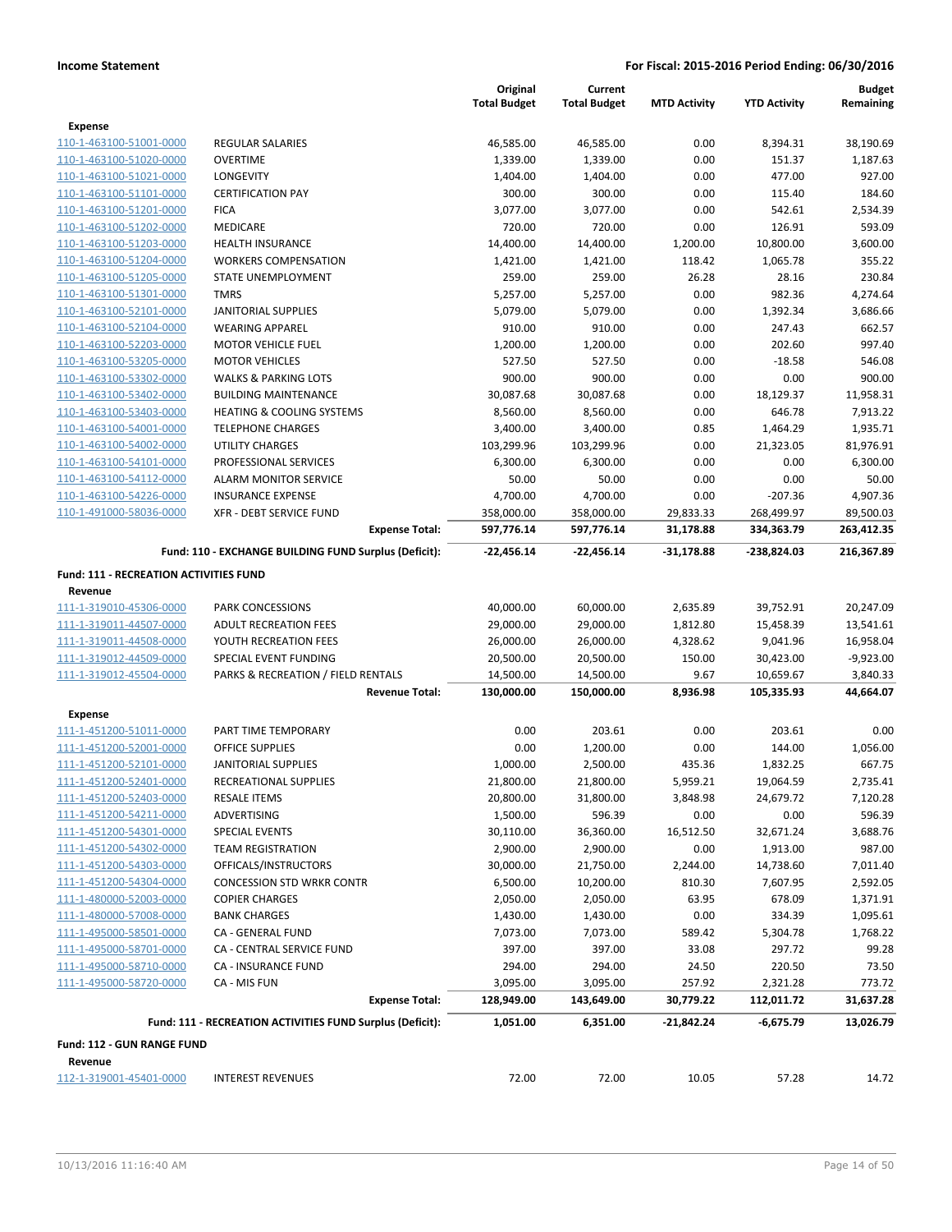|                                               |                                                           | Original            | Current             |                     |                     | <b>Budget</b> |
|-----------------------------------------------|-----------------------------------------------------------|---------------------|---------------------|---------------------|---------------------|---------------|
|                                               |                                                           | <b>Total Budget</b> | <b>Total Budget</b> | <b>MTD Activity</b> | <b>YTD Activity</b> | Remaining     |
| <b>Expense</b>                                |                                                           |                     |                     |                     |                     |               |
| 110-1-463100-51001-0000                       | <b>REGULAR SALARIES</b>                                   | 46,585.00           | 46,585.00           | 0.00                | 8,394.31            | 38,190.69     |
| 110-1-463100-51020-0000                       | <b>OVERTIME</b>                                           | 1,339.00            | 1,339.00            | 0.00                | 151.37              | 1,187.63      |
| 110-1-463100-51021-0000                       | LONGEVITY                                                 | 1,404.00            | 1,404.00            | 0.00                | 477.00              | 927.00        |
| 110-1-463100-51101-0000                       | <b>CERTIFICATION PAY</b>                                  | 300.00              | 300.00              | 0.00                | 115.40              | 184.60        |
| 110-1-463100-51201-0000                       | <b>FICA</b>                                               | 3,077.00            | 3,077.00            | 0.00                | 542.61              | 2,534.39      |
| 110-1-463100-51202-0000                       | <b>MEDICARE</b>                                           | 720.00              | 720.00              | 0.00                | 126.91              | 593.09        |
| 110-1-463100-51203-0000                       | <b>HEALTH INSURANCE</b>                                   | 14,400.00           | 14,400.00           | 1,200.00            | 10,800.00           | 3,600.00      |
| 110-1-463100-51204-0000                       | <b>WORKERS COMPENSATION</b>                               | 1,421.00            | 1,421.00            | 118.42              | 1,065.78            | 355.22        |
| 110-1-463100-51205-0000                       | STATE UNEMPLOYMENT                                        | 259.00              | 259.00              | 26.28               | 28.16               | 230.84        |
| 110-1-463100-51301-0000                       | <b>TMRS</b>                                               | 5,257.00            | 5,257.00            | 0.00                | 982.36              | 4,274.64      |
| 110-1-463100-52101-0000                       | <b>JANITORIAL SUPPLIES</b>                                | 5,079.00            | 5,079.00            | 0.00                | 1,392.34            | 3,686.66      |
| 110-1-463100-52104-0000                       | <b>WEARING APPAREL</b>                                    | 910.00              | 910.00              | 0.00                | 247.43              | 662.57        |
| 110-1-463100-52203-0000                       | <b>MOTOR VEHICLE FUEL</b>                                 | 1,200.00            | 1,200.00            | 0.00                | 202.60              | 997.40        |
| 110-1-463100-53205-0000                       | <b>MOTOR VEHICLES</b>                                     | 527.50              | 527.50              | 0.00                | $-18.58$            | 546.08        |
| 110-1-463100-53302-0000                       | <b>WALKS &amp; PARKING LOTS</b>                           | 900.00              | 900.00              | 0.00                | 0.00                | 900.00        |
| 110-1-463100-53402-0000                       | <b>BUILDING MAINTENANCE</b>                               | 30,087.68           | 30,087.68           | 0.00                | 18,129.37           | 11,958.31     |
| 110-1-463100-53403-0000                       | <b>HEATING &amp; COOLING SYSTEMS</b>                      | 8,560.00            | 8,560.00            | 0.00                | 646.78              | 7,913.22      |
| 110-1-463100-54001-0000                       | <b>TELEPHONE CHARGES</b>                                  | 3,400.00            | 3,400.00            | 0.85                | 1,464.29            | 1,935.71      |
| 110-1-463100-54002-0000                       | <b>UTILITY CHARGES</b>                                    | 103,299.96          | 103,299.96          | 0.00                | 21,323.05           | 81,976.91     |
| 110-1-463100-54101-0000                       | PROFESSIONAL SERVICES                                     | 6,300.00            | 6,300.00            | 0.00                | 0.00                | 6,300.00      |
| 110-1-463100-54112-0000                       | <b>ALARM MONITOR SERVICE</b>                              | 50.00               | 50.00               | 0.00                | 0.00                | 50.00         |
| 110-1-463100-54226-0000                       | <b>INSURANCE EXPENSE</b>                                  | 4,700.00            | 4,700.00            | 0.00                | $-207.36$           | 4,907.36      |
| 110-1-491000-58036-0000                       | <b>XFR - DEBT SERVICE FUND</b>                            | 358,000.00          | 358,000.00          | 29,833.33           | 268,499.97          | 89,500.03     |
|                                               | <b>Expense Total:</b>                                     | 597,776.14          | 597,776.14          | 31,178.88           | 334,363.79          | 263,412.35    |
|                                               | Fund: 110 - EXCHANGE BUILDING FUND Surplus (Deficit):     | -22,456.14          | $-22,456.14$        | $-31,178.88$        | -238,824.03         | 216,367.89    |
| <b>Fund: 111 - RECREATION ACTIVITIES FUND</b> |                                                           |                     |                     |                     |                     |               |
| Revenue                                       |                                                           |                     |                     |                     |                     |               |
| 111-1-319010-45306-0000                       | <b>PARK CONCESSIONS</b>                                   | 40,000.00           | 60,000.00           | 2,635.89            | 39,752.91           | 20,247.09     |
| 111-1-319011-44507-0000                       | <b>ADULT RECREATION FEES</b>                              | 29,000.00           | 29,000.00           | 1,812.80            | 15,458.39           | 13,541.61     |
| 111-1-319011-44508-0000                       | YOUTH RECREATION FEES                                     | 26,000.00           | 26,000.00           | 4,328.62            | 9,041.96            | 16,958.04     |
| 111-1-319012-44509-0000                       | SPECIAL EVENT FUNDING                                     | 20,500.00           | 20,500.00           | 150.00              | 30,423.00           | $-9,923.00$   |
| 111-1-319012-45504-0000                       | PARKS & RECREATION / FIELD RENTALS                        | 14,500.00           | 14,500.00           | 9.67                | 10,659.67           | 3,840.33      |
|                                               | <b>Revenue Total:</b>                                     | 130,000.00          | 150,000.00          | 8,936.98            | 105,335.93          | 44,664.07     |
|                                               |                                                           |                     |                     |                     |                     |               |
| Expense                                       |                                                           |                     |                     |                     |                     |               |
| 111-1-451200-51011-0000                       | PART TIME TEMPORARY                                       | 0.00                | 203.61              | 0.00                | 203.61              | 0.00          |
| 111-1-451200-52001-0000                       | <b>OFFICE SUPPLIES</b>                                    | 0.00                | 1,200.00            | 0.00                | 144.00              | 1,056.00      |
| 111-1-451200-52101-0000                       | <b>JANITORIAL SUPPLIES</b>                                | 1,000.00            | 2,500.00            | 435.36              | 1,832.25            | 667.75        |
| 111-1-451200-52401-0000                       | RECREATIONAL SUPPLIES                                     | 21,800.00           | 21,800.00           | 5,959.21            | 19,064.59           | 2,735.41      |
| 111-1-451200-52403-0000                       | <b>RESALE ITEMS</b>                                       | 20,800.00           | 31,800.00           | 3,848.98            | 24,679.72           | 7,120.28      |
| 111-1-451200-54211-0000                       | ADVERTISING                                               | 1,500.00            | 596.39              | 0.00                | 0.00                | 596.39        |
| 111-1-451200-54301-0000                       | SPECIAL EVENTS                                            | 30,110.00           | 36,360.00           | 16,512.50           | 32,671.24           | 3,688.76      |
| 111-1-451200-54302-0000                       | <b>TEAM REGISTRATION</b>                                  | 2,900.00            | 2,900.00            | 0.00                | 1,913.00            | 987.00        |
| 111-1-451200-54303-0000                       | OFFICALS/INSTRUCTORS                                      | 30,000.00           | 21,750.00           | 2,244.00            | 14,738.60           | 7,011.40      |
| 111-1-451200-54304-0000                       | <b>CONCESSION STD WRKR CONTR</b>                          | 6,500.00            | 10,200.00           | 810.30              | 7,607.95            | 2,592.05      |
| 111-1-480000-52003-0000                       | <b>COPIER CHARGES</b>                                     | 2,050.00            | 2,050.00            | 63.95               | 678.09              | 1,371.91      |
| 111-1-480000-57008-0000                       | <b>BANK CHARGES</b>                                       | 1,430.00            | 1,430.00            | 0.00                | 334.39              | 1,095.61      |
| 111-1-495000-58501-0000                       | CA - GENERAL FUND                                         | 7,073.00            | 7,073.00            | 589.42              | 5,304.78            | 1,768.22      |
| 111-1-495000-58701-0000                       | CA - CENTRAL SERVICE FUND                                 | 397.00              | 397.00              | 33.08               | 297.72              | 99.28         |
| 111-1-495000-58710-0000                       | CA - INSURANCE FUND                                       | 294.00              | 294.00              | 24.50               | 220.50              | 73.50         |
| 111-1-495000-58720-0000                       | CA - MIS FUN                                              | 3,095.00            | 3,095.00            | 257.92              | 2,321.28            | 773.72        |
|                                               | <b>Expense Total:</b>                                     | 128,949.00          | 143,649.00          | 30,779.22           | 112,011.72          | 31,637.28     |
|                                               | Fund: 111 - RECREATION ACTIVITIES FUND Surplus (Deficit): | 1,051.00            | 6,351.00            | -21,842.24          | -6,675.79           | 13,026.79     |
| Fund: 112 - GUN RANGE FUND                    |                                                           |                     |                     |                     |                     |               |
| Revenue                                       |                                                           |                     |                     |                     |                     |               |
| 112-1-319001-45401-0000                       | <b>INTEREST REVENUES</b>                                  | 72.00               | 72.00               | 10.05               | 57.28               | 14.72         |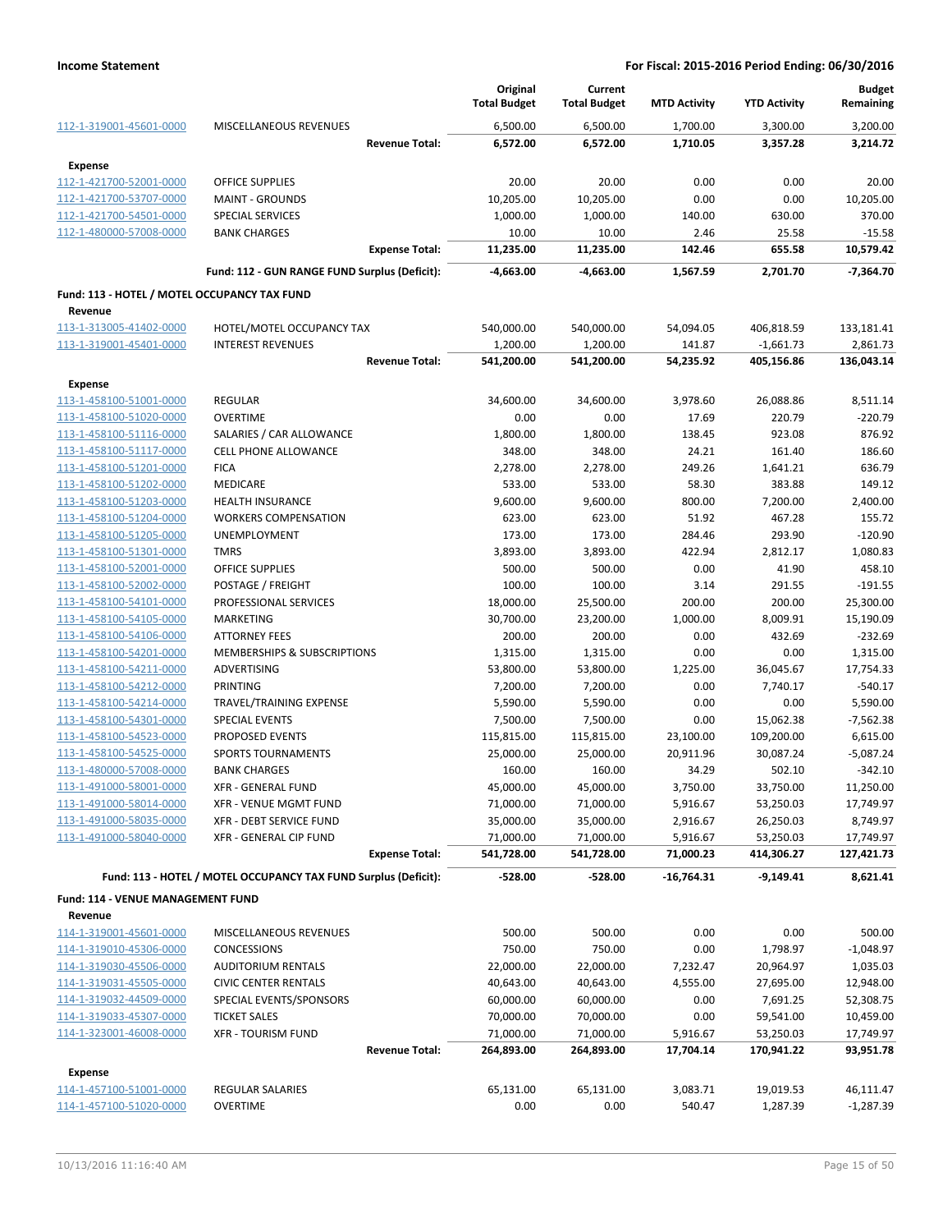|                                                    |                                                                 | Original<br><b>Total Budget</b> | Current<br><b>Total Budget</b> | <b>MTD Activity</b>   | <b>YTD Activity</b>     | <b>Budget</b><br>Remaining |
|----------------------------------------------------|-----------------------------------------------------------------|---------------------------------|--------------------------------|-----------------------|-------------------------|----------------------------|
| 112-1-319001-45601-0000                            | MISCELLANEOUS REVENUES                                          | 6,500.00                        | 6,500.00                       | 1,700.00              | 3,300.00                | 3,200.00                   |
|                                                    | <b>Revenue Total:</b>                                           | 6,572.00                        | 6,572.00                       | 1,710.05              | 3,357.28                | 3,214.72                   |
| <b>Expense</b>                                     |                                                                 |                                 |                                |                       |                         |                            |
| 112-1-421700-52001-0000                            | <b>OFFICE SUPPLIES</b>                                          | 20.00                           | 20.00                          | 0.00                  | 0.00                    | 20.00                      |
| 112-1-421700-53707-0000                            | <b>MAINT - GROUNDS</b>                                          | 10,205.00                       | 10,205.00                      | 0.00                  | 0.00                    | 10,205.00                  |
| 112-1-421700-54501-0000                            | <b>SPECIAL SERVICES</b>                                         | 1,000.00                        | 1,000.00                       | 140.00                | 630.00                  | 370.00                     |
| 112-1-480000-57008-0000                            | <b>BANK CHARGES</b>                                             | 10.00                           | 10.00                          | 2.46                  | 25.58                   | $-15.58$                   |
|                                                    | <b>Expense Total:</b>                                           | 11,235.00                       | 11,235.00                      | 142.46                | 655.58                  | 10,579.42                  |
|                                                    | Fund: 112 - GUN RANGE FUND Surplus (Deficit):                   | -4,663.00                       | -4,663.00                      | 1,567.59              | 2,701.70                | $-7,364.70$                |
| Fund: 113 - HOTEL / MOTEL OCCUPANCY TAX FUND       |                                                                 |                                 |                                |                       |                         |                            |
| Revenue                                            |                                                                 |                                 |                                |                       |                         |                            |
| 113-1-313005-41402-0000                            | HOTEL/MOTEL OCCUPANCY TAX                                       | 540,000.00                      | 540,000.00                     | 54,094.05             | 406,818.59              | 133,181.41                 |
| 113-1-319001-45401-0000                            | <b>INTEREST REVENUES</b>                                        | 1,200.00                        | 1,200.00                       | 141.87                | $-1,661.73$             | 2,861.73                   |
|                                                    | <b>Revenue Total:</b>                                           | 541,200.00                      | 541,200.00                     | 54,235.92             | 405,156.86              | 136,043.14                 |
| Expense                                            |                                                                 |                                 |                                |                       |                         |                            |
| 113-1-458100-51001-0000                            | <b>REGULAR</b>                                                  | 34,600.00                       | 34,600.00                      | 3,978.60              | 26,088.86               | 8,511.14                   |
| 113-1-458100-51020-0000                            | <b>OVERTIME</b>                                                 | 0.00                            | 0.00                           | 17.69                 | 220.79                  | $-220.79$                  |
| 113-1-458100-51116-0000                            | SALARIES / CAR ALLOWANCE                                        | 1,800.00                        | 1,800.00                       | 138.45                | 923.08                  | 876.92                     |
| 113-1-458100-51117-0000                            | <b>CELL PHONE ALLOWANCE</b>                                     | 348.00                          | 348.00                         | 24.21                 | 161.40                  | 186.60                     |
| 113-1-458100-51201-0000                            | <b>FICA</b>                                                     | 2,278.00                        | 2,278.00                       | 249.26                | 1,641.21                | 636.79                     |
| 113-1-458100-51202-0000                            | <b>MEDICARE</b>                                                 | 533.00                          | 533.00                         | 58.30                 | 383.88                  | 149.12                     |
| 113-1-458100-51203-0000                            | <b>HEALTH INSURANCE</b>                                         | 9,600.00                        | 9,600.00                       | 800.00                | 7,200.00                | 2,400.00                   |
| 113-1-458100-51204-0000                            | <b>WORKERS COMPENSATION</b>                                     | 623.00                          | 623.00                         | 51.92                 | 467.28                  | 155.72                     |
| 113-1-458100-51205-0000                            | UNEMPLOYMENT                                                    | 173.00                          | 173.00                         | 284.46                | 293.90                  | $-120.90$                  |
| 113-1-458100-51301-0000                            | <b>TMRS</b>                                                     | 3,893.00                        | 3,893.00                       | 422.94                | 2,812.17                | 1,080.83                   |
| 113-1-458100-52001-0000                            | <b>OFFICE SUPPLIES</b>                                          | 500.00                          | 500.00                         | 0.00                  | 41.90                   | 458.10                     |
| 113-1-458100-52002-0000                            | POSTAGE / FREIGHT                                               | 100.00                          | 100.00                         | 3.14                  | 291.55                  | $-191.55$                  |
| 113-1-458100-54101-0000                            | PROFESSIONAL SERVICES                                           | 18,000.00                       | 25,500.00                      | 200.00                | 200.00                  | 25,300.00                  |
| 113-1-458100-54105-0000                            | <b>MARKETING</b>                                                | 30,700.00                       | 23,200.00                      | 1,000.00              | 8,009.91                | 15,190.09                  |
| 113-1-458100-54106-0000                            | <b>ATTORNEY FEES</b>                                            | 200.00                          | 200.00                         | 0.00                  | 432.69                  | $-232.69$                  |
| 113-1-458100-54201-0000                            | MEMBERSHIPS & SUBSCRIPTIONS                                     | 1,315.00                        | 1,315.00                       | 0.00                  | 0.00                    | 1,315.00                   |
| 113-1-458100-54211-0000                            | ADVERTISING                                                     | 53,800.00                       | 53,800.00                      | 1,225.00              | 36,045.67               | 17,754.33                  |
| 113-1-458100-54212-0000                            | PRINTING                                                        | 7,200.00                        | 7,200.00                       | 0.00                  | 7,740.17                | $-540.17$                  |
| 113-1-458100-54214-0000                            | TRAVEL/TRAINING EXPENSE                                         | 5,590.00                        | 5,590.00                       | 0.00                  | 0.00                    | 5,590.00                   |
| 113-1-458100-54301-0000                            | SPECIAL EVENTS                                                  | 7,500.00                        | 7,500.00                       | 0.00                  | 15,062.38               | $-7,562.38$                |
| 113-1-458100-54523-0000                            | PROPOSED EVENTS                                                 | 115,815.00                      | 115,815.00                     | 23,100.00             | 109,200.00              | 6,615.00                   |
| 113-1-458100-54525-0000                            | <b>SPORTS TOURNAMENTS</b>                                       | 25,000.00                       | 25,000.00                      | 20,911.96<br>34.29    | 30,087.24               | $-5,087.24$<br>$-342.10$   |
| 113-1-480000-57008-0000                            | <b>BANK CHARGES</b>                                             | 160.00                          | 160.00                         |                       | 502.10                  |                            |
| 113-1-491000-58001-0000<br>113-1-491000-58014-0000 | XFR - GENERAL FUND<br>XFR - VENUE MGMT FUND                     | 45,000.00<br>71,000.00          | 45,000.00                      | 3,750.00              | 33,750.00               | 11,250.00<br>17,749.97     |
| 113-1-491000-58035-0000                            | <b>XFR - DEBT SERVICE FUND</b>                                  | 35,000.00                       | 71,000.00<br>35,000.00         | 5,916.67<br>2,916.67  | 53,250.03<br>26,250.03  | 8,749.97                   |
| 113-1-491000-58040-0000                            | XFR - GENERAL CIP FUND                                          | 71,000.00                       | 71,000.00                      | 5,916.67              | 53,250.03               | 17,749.97                  |
|                                                    | <b>Expense Total:</b>                                           | 541,728.00                      | 541,728.00                     | 71,000.23             | 414,306.27              | 127,421.73                 |
|                                                    |                                                                 |                                 | $-528.00$                      |                       |                         |                            |
|                                                    | Fund: 113 - HOTEL / MOTEL OCCUPANCY TAX FUND Surplus (Deficit): | $-528.00$                       |                                | $-16,764.31$          | $-9,149.41$             | 8,621.41                   |
| Fund: 114 - VENUE MANAGEMENT FUND                  |                                                                 |                                 |                                |                       |                         |                            |
| Revenue                                            |                                                                 |                                 |                                |                       |                         |                            |
| 114-1-319001-45601-0000                            | MISCELLANEOUS REVENUES                                          | 500.00                          | 500.00                         | 0.00                  | 0.00                    | 500.00                     |
| 114-1-319010-45306-0000                            | <b>CONCESSIONS</b>                                              | 750.00                          | 750.00                         | 0.00                  | 1,798.97                | $-1,048.97$                |
| 114-1-319030-45506-0000                            | <b>AUDITORIUM RENTALS</b>                                       | 22,000.00                       | 22,000.00                      | 7,232.47              | 20,964.97               | 1,035.03                   |
| 114-1-319031-45505-0000                            | <b>CIVIC CENTER RENTALS</b>                                     | 40,643.00                       | 40,643.00                      | 4,555.00              | 27,695.00               | 12,948.00                  |
| 114-1-319032-44509-0000                            | SPECIAL EVENTS/SPONSORS                                         | 60,000.00                       | 60,000.00                      | 0.00                  | 7,691.25                | 52,308.75                  |
| 114-1-319033-45307-0000                            | <b>TICKET SALES</b>                                             | 70,000.00                       | 70,000.00                      | 0.00                  | 59,541.00               | 10,459.00                  |
| 114-1-323001-46008-0000                            | <b>XFR - TOURISM FUND</b><br><b>Revenue Total:</b>              | 71,000.00<br>264,893.00         | 71,000.00<br>264,893.00        | 5,916.67<br>17,704.14 | 53,250.03<br>170,941.22 | 17,749.97<br>93,951.78     |
|                                                    |                                                                 |                                 |                                |                       |                         |                            |
| Expense                                            |                                                                 |                                 |                                |                       |                         |                            |
| 114-1-457100-51001-0000                            | REGULAR SALARIES                                                | 65,131.00                       | 65,131.00                      | 3,083.71              | 19,019.53               | 46,111.47                  |
| 114-1-457100-51020-0000                            | <b>OVERTIME</b>                                                 | 0.00                            | 0.00                           | 540.47                | 1,287.39                | $-1,287.39$                |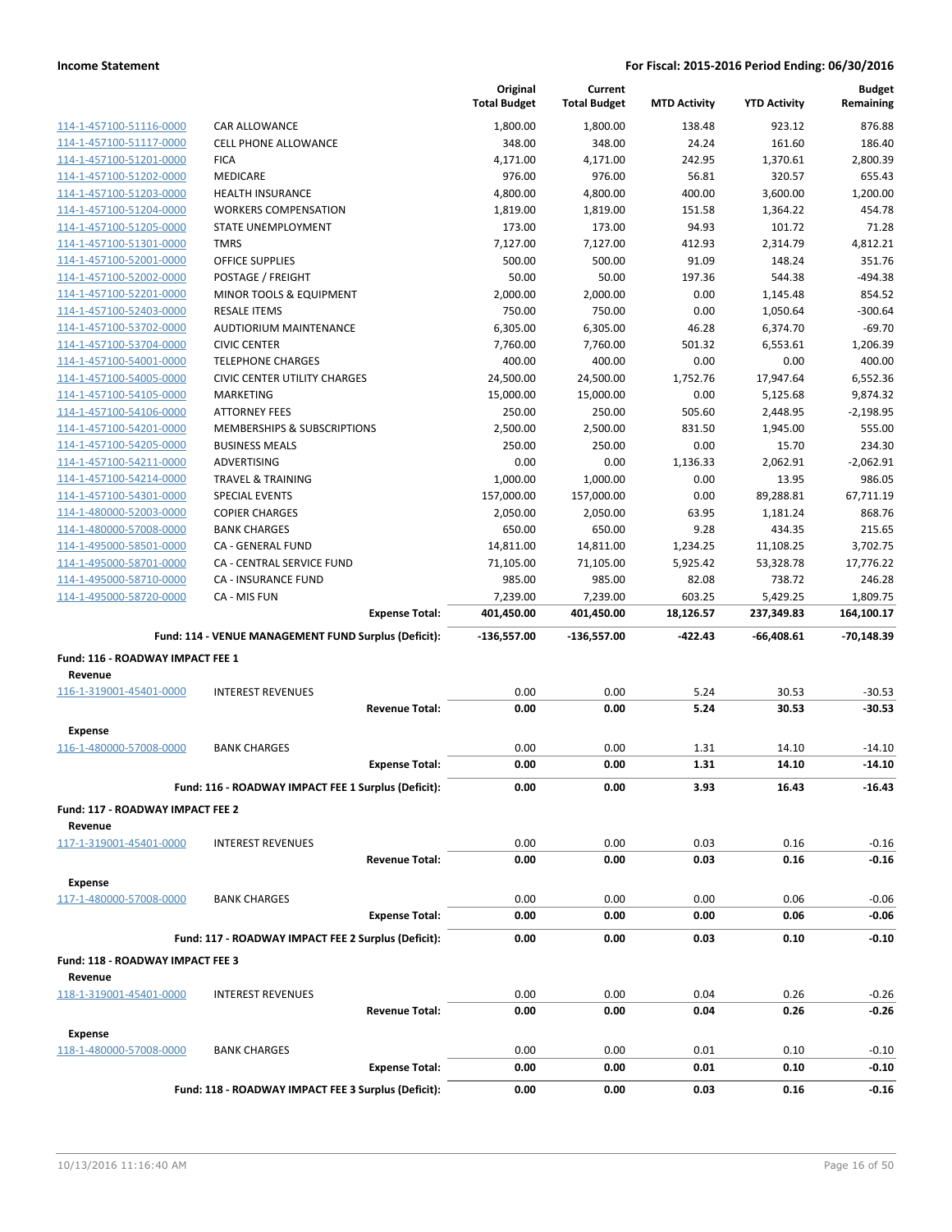|                                             |                                                      | Original<br><b>Total Budget</b> | Current<br><b>Total Budget</b> | <b>MTD Activity</b> | <b>YTD Activity</b> | <b>Budget</b><br>Remaining |
|---------------------------------------------|------------------------------------------------------|---------------------------------|--------------------------------|---------------------|---------------------|----------------------------|
| 114-1-457100-51116-0000                     | <b>CAR ALLOWANCE</b>                                 | 1,800.00                        | 1,800.00                       | 138.48              | 923.12              | 876.88                     |
| 114-1-457100-51117-0000                     | CELL PHONE ALLOWANCE                                 | 348.00                          | 348.00                         | 24.24               | 161.60              | 186.40                     |
| 114-1-457100-51201-0000                     | <b>FICA</b>                                          | 4,171.00                        | 4,171.00                       | 242.95              | 1,370.61            | 2,800.39                   |
| 114-1-457100-51202-0000                     | <b>MEDICARE</b>                                      | 976.00                          | 976.00                         | 56.81               | 320.57              | 655.43                     |
| 114-1-457100-51203-0000                     | <b>HEALTH INSURANCE</b>                              | 4,800.00                        | 4,800.00                       | 400.00              | 3,600.00            | 1,200.00                   |
| 114-1-457100-51204-0000                     | <b>WORKERS COMPENSATION</b>                          | 1,819.00                        | 1,819.00                       | 151.58              | 1,364.22            | 454.78                     |
| 114-1-457100-51205-0000                     | STATE UNEMPLOYMENT                                   | 173.00                          | 173.00                         | 94.93               | 101.72              | 71.28                      |
| 114-1-457100-51301-0000                     | <b>TMRS</b>                                          | 7,127.00                        | 7,127.00                       | 412.93              | 2,314.79            | 4,812.21                   |
| 114-1-457100-52001-0000                     | <b>OFFICE SUPPLIES</b>                               | 500.00                          | 500.00                         | 91.09               | 148.24              | 351.76                     |
| 114-1-457100-52002-0000                     | POSTAGE / FREIGHT                                    | 50.00                           | 50.00                          | 197.36              | 544.38              | $-494.38$                  |
| 114-1-457100-52201-0000                     | MINOR TOOLS & EQUIPMENT                              | 2,000.00                        | 2,000.00                       | 0.00                | 1,145.48            | 854.52                     |
| 114-1-457100-52403-0000                     | <b>RESALE ITEMS</b>                                  | 750.00                          | 750.00                         | 0.00                | 1,050.64            | $-300.64$                  |
| 114-1-457100-53702-0000                     | <b>AUDTIORIUM MAINTENANCE</b>                        | 6,305.00                        | 6,305.00                       | 46.28               | 6,374.70            | $-69.70$                   |
| 114-1-457100-53704-0000                     | <b>CIVIC CENTER</b>                                  | 7,760.00                        | 7,760.00                       | 501.32              | 6,553.61            | 1,206.39                   |
| 114-1-457100-54001-0000                     | <b>TELEPHONE CHARGES</b>                             | 400.00                          | 400.00                         | 0.00                | 0.00                | 400.00                     |
| 114-1-457100-54005-0000                     | <b>CIVIC CENTER UTILITY CHARGES</b>                  | 24,500.00                       | 24,500.00                      | 1,752.76            | 17,947.64           | 6,552.36                   |
| 114-1-457100-54105-0000                     | <b>MARKETING</b>                                     | 15,000.00                       | 15,000.00                      | 0.00                | 5,125.68            | 9,874.32                   |
| 114-1-457100-54106-0000                     | <b>ATTORNEY FEES</b>                                 | 250.00                          | 250.00                         | 505.60              | 2,448.95            | $-2,198.95$                |
| 114-1-457100-54201-0000                     | MEMBERSHIPS & SUBSCRIPTIONS                          | 2,500.00                        | 2,500.00                       | 831.50              | 1,945.00            | 555.00                     |
| 114-1-457100-54205-0000                     | <b>BUSINESS MEALS</b>                                | 250.00                          | 250.00                         | 0.00                | 15.70               | 234.30                     |
| 114-1-457100-54211-0000                     | <b>ADVERTISING</b>                                   | 0.00                            | 0.00                           | 1,136.33            | 2,062.91            | $-2,062.91$                |
| 114-1-457100-54214-0000                     | <b>TRAVEL &amp; TRAINING</b>                         | 1,000.00                        | 1,000.00                       | 0.00                | 13.95               | 986.05                     |
| 114-1-457100-54301-0000                     | <b>SPECIAL EVENTS</b>                                | 157,000.00                      | 157,000.00                     | 0.00                | 89,288.81           | 67,711.19                  |
| 114-1-480000-52003-0000                     | <b>COPIER CHARGES</b>                                | 2,050.00                        | 2,050.00                       | 63.95               | 1,181.24            | 868.76                     |
| 114-1-480000-57008-0000                     | <b>BANK CHARGES</b>                                  | 650.00                          | 650.00                         | 9.28                | 434.35              | 215.65                     |
| 114-1-495000-58501-0000                     | CA - GENERAL FUND                                    | 14,811.00                       | 14,811.00                      | 1,234.25            | 11,108.25           | 3,702.75                   |
| 114-1-495000-58701-0000                     | <b>CA - CENTRAL SERVICE FUND</b>                     | 71,105.00                       | 71,105.00                      | 5,925.42            | 53,328.78           | 17,776.22                  |
| 114-1-495000-58710-0000                     | <b>CA - INSURANCE FUND</b>                           | 985.00                          | 985.00                         | 82.08               | 738.72              | 246.28                     |
| 114-1-495000-58720-0000                     | CA - MIS FUN                                         | 7,239.00                        | 7,239.00                       | 603.25              | 5,429.25            | 1,809.75                   |
|                                             | <b>Expense Total:</b>                                | 401,450.00                      | 401,450.00                     | 18,126.57           | 237,349.83          | 164,100.17                 |
|                                             | Fund: 114 - VENUE MANAGEMENT FUND Surplus (Deficit): | $-136,557.00$                   | $-136,557.00$                  | $-422.43$           | -66,408.61          | $-70,148.39$               |
|                                             |                                                      |                                 |                                |                     |                     |                            |
| Fund: 116 - ROADWAY IMPACT FEE 1<br>Revenue |                                                      |                                 |                                |                     |                     |                            |
| 116-1-319001-45401-0000                     | <b>INTEREST REVENUES</b>                             | 0.00                            | 0.00                           | 5.24                | 30.53               | $-30.53$                   |
|                                             | <b>Revenue Total:</b>                                | 0.00                            | 0.00                           | 5.24                | 30.53               | $-30.53$                   |
|                                             |                                                      |                                 |                                |                     |                     |                            |
| Expense<br>116-1-480000-57008-0000          | <b>BANK CHARGES</b>                                  | 0.00                            | 0.00                           | 1.31                | 14.10               | $-14.10$                   |
|                                             | <b>Expense Total:</b>                                | 0.00                            | 0.00                           | 1.31                | 14.10               | $-14.10$                   |
|                                             |                                                      |                                 |                                |                     |                     |                            |
|                                             | Fund: 116 - ROADWAY IMPACT FEE 1 Surplus (Deficit):  | 0.00                            | 0.00                           | 3.93                | 16.43               | $-16.43$                   |
| Fund: 117 - ROADWAY IMPACT FEE 2            |                                                      |                                 |                                |                     |                     |                            |
| Revenue                                     |                                                      |                                 |                                |                     |                     |                            |
| 117-1-319001-45401-0000                     | <b>INTEREST REVENUES</b>                             | 0.00                            | 0.00                           | 0.03                | 0.16                | $-0.16$                    |
|                                             | <b>Revenue Total:</b>                                | 0.00                            | 0.00                           | 0.03                | 0.16                | $-0.16$                    |
| Expense                                     |                                                      |                                 |                                |                     |                     |                            |
| 117-1-480000-57008-0000                     | BANK CHARGES                                         | 0.00                            | 0.00                           | 0.00                | 0.06                | $-0.06$                    |
|                                             | <b>Expense Total:</b>                                | 0.00                            | 0.00                           | 0.00                | 0.06                | $-0.06$                    |
|                                             | Fund: 117 - ROADWAY IMPACT FEE 2 Surplus (Deficit):  | 0.00                            | 0.00                           | 0.03                | 0.10                | $-0.10$                    |
|                                             |                                                      |                                 |                                |                     |                     |                            |
| Fund: 118 - ROADWAY IMPACT FEE 3<br>Revenue |                                                      |                                 |                                |                     |                     |                            |
| 118-1-319001-45401-0000                     | <b>INTEREST REVENUES</b>                             | 0.00                            | 0.00                           | 0.04                | 0.26                | $-0.26$                    |
|                                             | <b>Revenue Total:</b>                                | 0.00                            | 0.00                           | 0.04                | 0.26                | $-0.26$                    |
|                                             |                                                      |                                 |                                |                     |                     |                            |
| Expense                                     |                                                      |                                 |                                |                     |                     |                            |
| 118-1-480000-57008-0000                     | <b>BANK CHARGES</b>                                  | 0.00                            | 0.00                           | 0.01                | 0.10                | $-0.10$                    |
|                                             | <b>Expense Total:</b>                                | 0.00                            | 0.00                           | 0.01                | 0.10                | $-0.10$                    |
|                                             | Fund: 118 - ROADWAY IMPACT FEE 3 Surplus (Deficit):  | 0.00                            | 0.00                           | 0.03                | 0.16                | $-0.16$                    |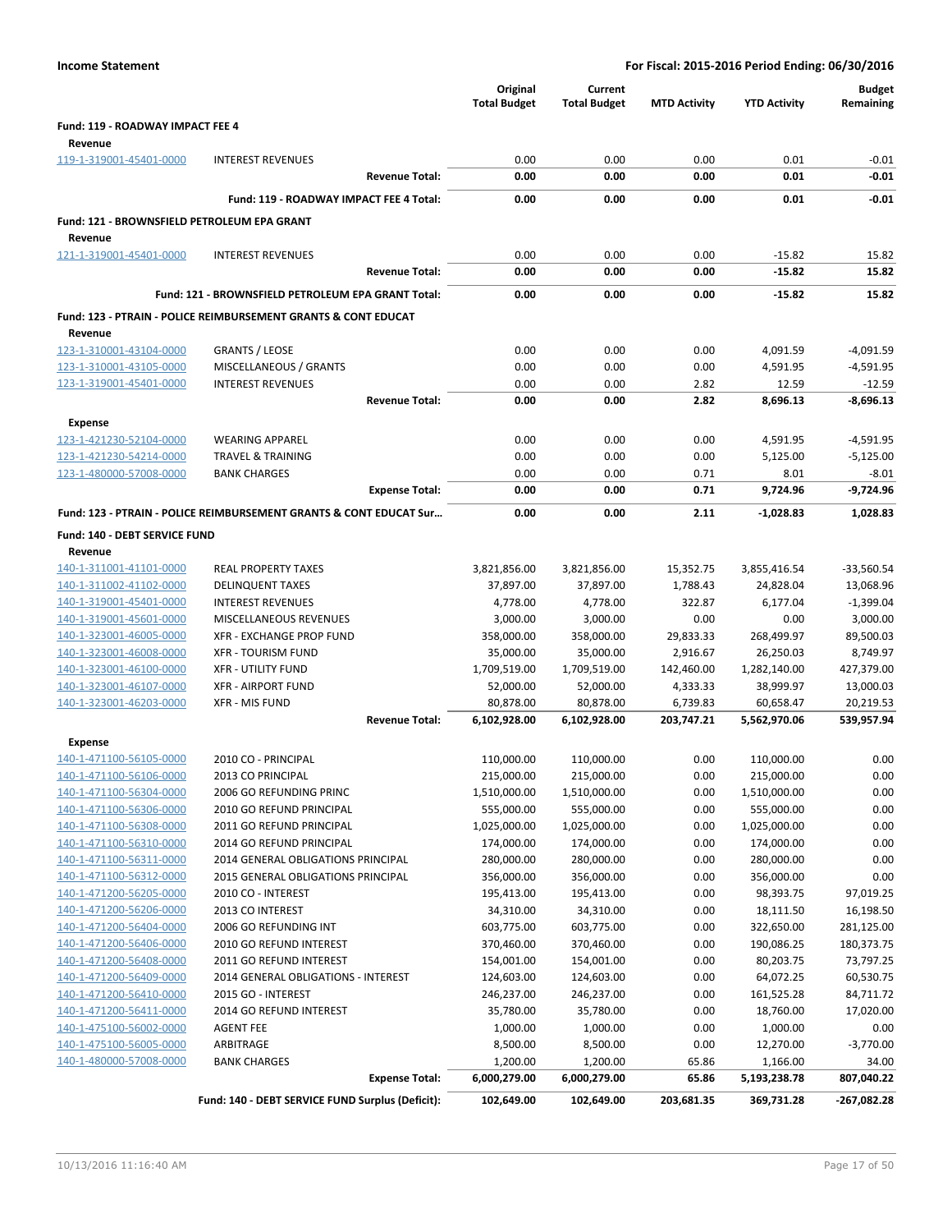| <b>Income Statement</b>                            |                                                                           |                       | For Fiscal: 2015-2016 Period Ending: 06/30/2016 |                                |                       |                         |                            |
|----------------------------------------------------|---------------------------------------------------------------------------|-----------------------|-------------------------------------------------|--------------------------------|-----------------------|-------------------------|----------------------------|
|                                                    |                                                                           |                       | Original<br><b>Total Budget</b>                 | Current<br><b>Total Budget</b> | <b>MTD Activity</b>   | <b>YTD Activity</b>     | <b>Budget</b><br>Remaining |
| Fund: 119 - ROADWAY IMPACT FEE 4                   |                                                                           |                       |                                                 |                                |                       |                         |                            |
| Revenue                                            |                                                                           |                       |                                                 |                                |                       |                         |                            |
| 119-1-319001-45401-0000                            | <b>INTEREST REVENUES</b>                                                  |                       | 0.00                                            | 0.00                           | 0.00                  | 0.01                    | $-0.01$                    |
|                                                    |                                                                           | <b>Revenue Total:</b> | 0.00                                            | 0.00                           | 0.00                  | 0.01                    | $-0.01$                    |
|                                                    | Fund: 119 - ROADWAY IMPACT FEE 4 Total:                                   |                       | 0.00                                            | 0.00                           | 0.00                  | 0.01                    | $-0.01$                    |
| Fund: 121 - BROWNSFIELD PETROLEUM EPA GRANT        |                                                                           |                       |                                                 |                                |                       |                         |                            |
| Revenue                                            |                                                                           |                       |                                                 |                                |                       |                         |                            |
| 121-1-319001-45401-0000                            | <b>INTEREST REVENUES</b>                                                  |                       | 0.00                                            | 0.00                           | 0.00                  | $-15.82$                | 15.82                      |
|                                                    |                                                                           | <b>Revenue Total:</b> | 0.00                                            | 0.00                           | 0.00                  | $-15.82$                | 15.82                      |
|                                                    | Fund: 121 - BROWNSFIELD PETROLEUM EPA GRANT Total:                        |                       | 0.00                                            | 0.00                           | 0.00                  | $-15.82$                | 15.82                      |
|                                                    | <b>Fund: 123 - PTRAIN - POLICE REIMBURSEMENT GRANTS &amp; CONT EDUCAT</b> |                       |                                                 |                                |                       |                         |                            |
| Revenue                                            |                                                                           |                       |                                                 |                                |                       |                         |                            |
| 123-1-310001-43104-0000                            | <b>GRANTS / LEOSE</b>                                                     |                       | 0.00                                            | 0.00                           | 0.00                  | 4,091.59                | $-4,091.59$                |
| 123-1-310001-43105-0000                            | MISCELLANEOUS / GRANTS                                                    |                       | 0.00                                            | 0.00                           | 0.00                  | 4,591.95                | $-4,591.95$                |
| 123-1-319001-45401-0000                            | <b>INTEREST REVENUES</b>                                                  |                       | 0.00                                            | 0.00                           | 2.82                  | 12.59                   | $-12.59$                   |
|                                                    |                                                                           | <b>Revenue Total:</b> | 0.00                                            | 0.00                           | 2.82                  | 8,696.13                | $-8,696.13$                |
| <b>Expense</b>                                     |                                                                           |                       |                                                 |                                |                       |                         |                            |
| 123-1-421230-52104-0000                            | <b>WEARING APPAREL</b>                                                    |                       | 0.00                                            | 0.00                           | 0.00                  | 4,591.95                | $-4,591.95$                |
| 123-1-421230-54214-0000                            | <b>TRAVEL &amp; TRAINING</b>                                              |                       | 0.00                                            | 0.00                           | 0.00                  | 5,125.00                | $-5,125.00$                |
| 123-1-480000-57008-0000                            | <b>BANK CHARGES</b>                                                       |                       | 0.00                                            | 0.00                           | 0.71                  | 8.01                    | $-8.01$                    |
|                                                    |                                                                           | <b>Expense Total:</b> | 0.00                                            | 0.00                           | 0.71                  | 9,724.96                | -9,724.96                  |
|                                                    | Fund: 123 - PTRAIN - POLICE REIMBURSEMENT GRANTS & CONT EDUCAT Sur        |                       | 0.00                                            | 0.00                           | 2.11                  | $-1,028.83$             | 1,028.83                   |
| Fund: 140 - DEBT SERVICE FUND                      |                                                                           |                       |                                                 |                                |                       |                         |                            |
| Revenue                                            |                                                                           |                       |                                                 |                                |                       |                         |                            |
| 140-1-311001-41101-0000                            | <b>REAL PROPERTY TAXES</b>                                                |                       | 3,821,856.00                                    | 3,821,856.00                   | 15,352.75             | 3,855,416.54            | $-33,560.54$               |
| 140-1-311002-41102-0000                            | <b>DELINQUENT TAXES</b>                                                   |                       | 37,897.00                                       | 37,897.00                      | 1,788.43              | 24,828.04               | 13,068.96                  |
| 140-1-319001-45401-0000                            | <b>INTEREST REVENUES</b>                                                  |                       | 4,778.00                                        | 4,778.00                       | 322.87                | 6,177.04                | $-1,399.04$                |
| 140-1-319001-45601-0000                            | MISCELLANEOUS REVENUES                                                    |                       | 3,000.00                                        | 3,000.00                       | 0.00                  | 0.00                    | 3,000.00                   |
| 140-1-323001-46005-0000<br>140-1-323001-46008-0000 | XFR - EXCHANGE PROP FUND<br><b>XFR - TOURISM FUND</b>                     |                       | 358,000.00<br>35,000.00                         | 358,000.00<br>35,000.00        | 29,833.33<br>2,916.67 | 268,499.97<br>26,250.03 | 89,500.03<br>8,749.97      |
| 140-1-323001-46100-0000                            | <b>XFR - UTILITY FUND</b>                                                 |                       | 1,709,519.00                                    | 1,709,519.00                   | 142,460.00            | 1,282,140.00            | 427,379.00                 |
| 140-1-323001-46107-0000                            | <b>XFR - AIRPORT FUND</b>                                                 |                       | 52,000.00                                       | 52,000.00                      | 4,333.33              | 38,999.97               | 13,000.03                  |
| 140-1-323001-46203-0000                            | <b>XFR - MIS FUND</b>                                                     |                       | 80,878.00                                       | 80,878.00                      | 6,739.83              | 60,658.47               | 20,219.53                  |
|                                                    |                                                                           | <b>Revenue Total:</b> | 6,102,928.00                                    | 6,102,928.00                   | 203,747.21            | 5,562,970.06            | 539,957.94                 |
| Expense                                            |                                                                           |                       |                                                 |                                |                       |                         |                            |
| 140-1-471100-56105-0000                            | 2010 CO - PRINCIPAL                                                       |                       | 110,000.00                                      | 110,000.00                     | 0.00                  | 110,000.00              | 0.00                       |
| 140-1-471100-56106-0000                            | 2013 CO PRINCIPAL                                                         |                       | 215,000.00                                      | 215,000.00                     | 0.00                  | 215,000.00              | 0.00                       |
| 140-1-471100-56304-0000                            | 2006 GO REFUNDING PRINC                                                   |                       | 1,510,000.00                                    | 1,510,000.00                   | 0.00                  | 1,510,000.00            | 0.00                       |
| 140-1-471100-56306-0000                            | 2010 GO REFUND PRINCIPAL                                                  |                       | 555,000.00                                      | 555,000.00                     | 0.00                  | 555,000.00              | 0.00                       |
| 140-1-471100-56308-0000                            | 2011 GO REFUND PRINCIPAL                                                  |                       | 1,025,000.00                                    | 1,025,000.00                   | 0.00                  | 1,025,000.00            | 0.00                       |
| 140-1-471100-56310-0000                            | 2014 GO REFUND PRINCIPAL                                                  |                       | 174,000.00                                      | 174,000.00                     | 0.00                  | 174,000.00              | 0.00                       |
| 140-1-471100-56311-0000                            | 2014 GENERAL OBLIGATIONS PRINCIPAL                                        |                       | 280,000.00                                      | 280,000.00                     | 0.00                  | 280,000.00              | 0.00                       |
| 140-1-471100-56312-0000<br>140-1-471200-56205-0000 | 2015 GENERAL OBLIGATIONS PRINCIPAL<br>2010 CO - INTEREST                  |                       | 356,000.00<br>195,413.00                        | 356,000.00<br>195,413.00       | 0.00<br>0.00          | 356,000.00<br>98,393.75 | 0.00<br>97,019.25          |
| 140-1-471200-56206-0000                            | 2013 CO INTEREST                                                          |                       | 34,310.00                                       | 34,310.00                      | 0.00                  | 18,111.50               | 16,198.50                  |
| 140-1-471200-56404-0000                            | 2006 GO REFUNDING INT                                                     |                       | 603,775.00                                      | 603,775.00                     | 0.00                  | 322,650.00              | 281,125.00                 |
| 140-1-471200-56406-0000                            | 2010 GO REFUND INTEREST                                                   |                       | 370,460.00                                      | 370,460.00                     | 0.00                  | 190,086.25              | 180,373.75                 |
| 140-1-471200-56408-0000                            | 2011 GO REFUND INTEREST                                                   |                       | 154,001.00                                      | 154,001.00                     | 0.00                  | 80,203.75               | 73,797.25                  |
| 140-1-471200-56409-0000                            | 2014 GENERAL OBLIGATIONS - INTEREST                                       |                       | 124,603.00                                      | 124,603.00                     | 0.00                  | 64,072.25               | 60,530.75                  |
| 140-1-471200-56410-0000                            | 2015 GO - INTEREST                                                        |                       | 246,237.00                                      | 246,237.00                     | 0.00                  | 161,525.28              | 84,711.72                  |
| 140-1-471200-56411-0000                            | 2014 GO REFUND INTEREST                                                   |                       | 35,780.00                                       | 35,780.00                      | 0.00                  | 18,760.00               | 17,020.00                  |
| 140-1-475100-56002-0000                            | <b>AGENT FEE</b>                                                          |                       | 1,000.00                                        | 1,000.00                       | 0.00                  | 1,000.00                | 0.00                       |
| 140-1-475100-56005-0000                            | ARBITRAGE                                                                 |                       | 8,500.00                                        | 8,500.00                       | 0.00                  | 12,270.00               | $-3,770.00$                |
| 140-1-480000-57008-0000                            | <b>BANK CHARGES</b>                                                       |                       | 1,200.00                                        | 1,200.00                       | 65.86                 | 1,166.00                | 34.00                      |
|                                                    |                                                                           | <b>Expense Total:</b> | 6,000,279.00                                    | 6,000,279.00                   | 65.86                 | 5,193,238.78            | 807,040.22                 |
|                                                    | Fund: 140 - DEBT SERVICE FUND Surplus (Deficit):                          |                       | 102,649.00                                      | 102,649.00                     | 203,681.35            | 369,731.28              | -267,082.28                |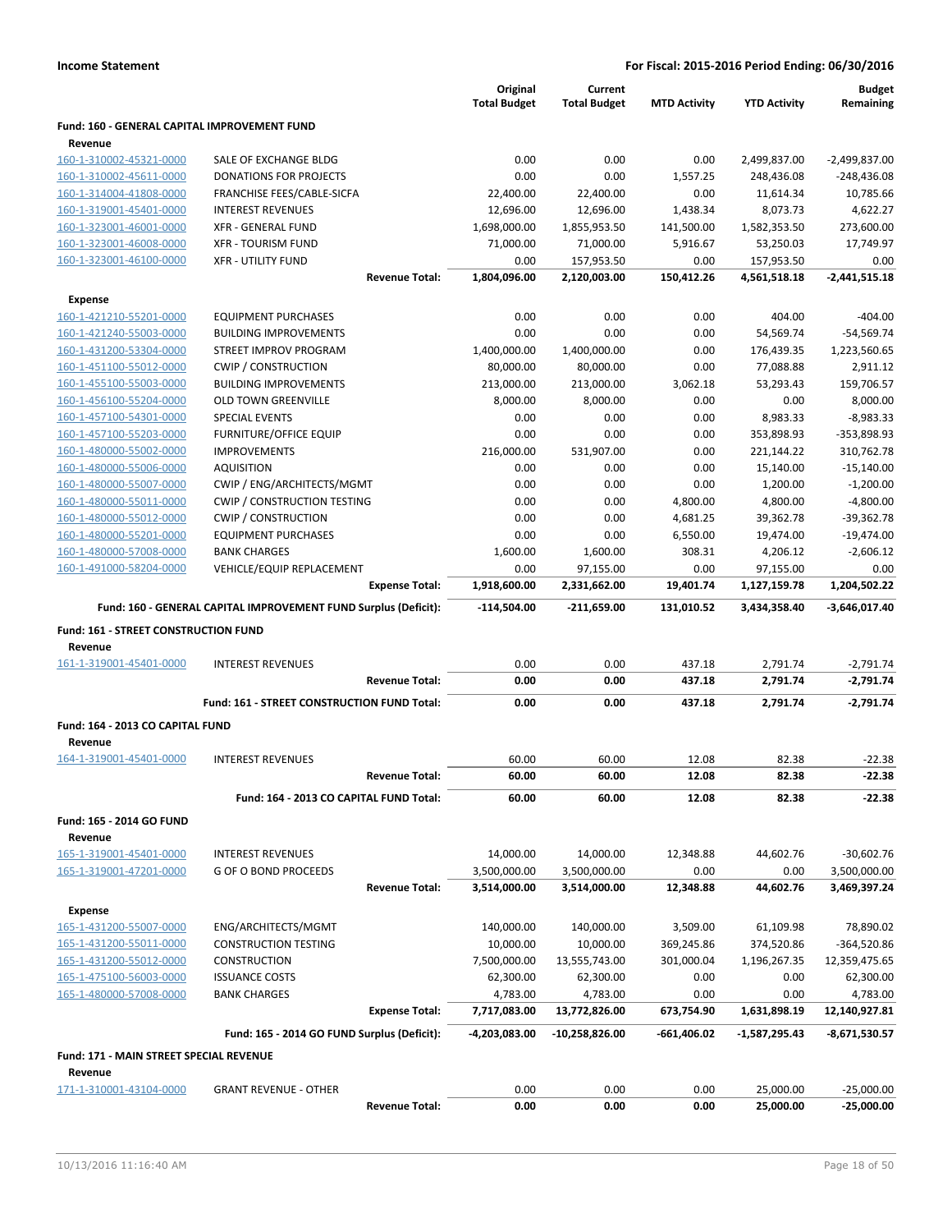|                                              |                                                                 | Original<br><b>Total Budget</b> | Current<br><b>Total Budget</b> | <b>MTD Activity</b> | <b>YTD Activity</b>    | <b>Budget</b><br>Remaining |
|----------------------------------------------|-----------------------------------------------------------------|---------------------------------|--------------------------------|---------------------|------------------------|----------------------------|
| Fund: 160 - GENERAL CAPITAL IMPROVEMENT FUND |                                                                 |                                 |                                |                     |                        |                            |
| Revenue<br>160-1-310002-45321-0000           | SALE OF EXCHANGE BLDG                                           | 0.00                            | 0.00                           | 0.00                | 2,499,837.00           | $-2,499,837.00$            |
| 160-1-310002-45611-0000                      | <b>DONATIONS FOR PROJECTS</b>                                   | 0.00                            | 0.00                           | 1,557.25            | 248,436.08             | $-248,436.08$              |
| 160-1-314004-41808-0000                      | FRANCHISE FEES/CABLE-SICFA                                      | 22,400.00                       | 22,400.00                      | 0.00                | 11,614.34              | 10,785.66                  |
| 160-1-319001-45401-0000                      | <b>INTEREST REVENUES</b>                                        | 12,696.00                       | 12,696.00                      | 1,438.34            | 8,073.73               | 4,622.27                   |
| 160-1-323001-46001-0000                      | <b>XFR - GENERAL FUND</b>                                       | 1,698,000.00                    | 1,855,953.50                   | 141,500.00          | 1,582,353.50           | 273,600.00                 |
| 160-1-323001-46008-0000                      | <b>XFR - TOURISM FUND</b>                                       | 71,000.00                       | 71,000.00                      | 5,916.67            | 53,250.03              | 17,749.97                  |
| 160-1-323001-46100-0000                      | <b>XFR - UTILITY FUND</b>                                       | 0.00                            | 157,953.50                     | 0.00                | 157,953.50             | 0.00                       |
|                                              | <b>Revenue Total:</b>                                           | 1,804,096.00                    | 2,120,003.00                   | 150,412.26          | 4,561,518.18           | $-2,441,515.18$            |
| <b>Expense</b>                               |                                                                 |                                 |                                |                     |                        |                            |
| 160-1-421210-55201-0000                      | <b>EQUIPMENT PURCHASES</b>                                      | 0.00                            | 0.00                           | 0.00                | 404.00                 | $-404.00$                  |
| 160-1-421240-55003-0000                      | <b>BUILDING IMPROVEMENTS</b>                                    | 0.00                            | 0.00                           | 0.00                | 54,569.74              | $-54,569.74$               |
| 160-1-431200-53304-0000                      | STREET IMPROV PROGRAM                                           | 1,400,000.00                    | 1,400,000.00                   | 0.00                | 176,439.35             | 1,223,560.65               |
| 160-1-451100-55012-0000                      | <b>CWIP / CONSTRUCTION</b>                                      | 80,000.00                       | 80,000.00                      | 0.00                | 77,088.88              | 2,911.12                   |
| 160-1-455100-55003-0000                      | <b>BUILDING IMPROVEMENTS</b>                                    | 213,000.00                      | 213,000.00                     | 3,062.18            | 53,293.43              | 159,706.57                 |
| 160-1-456100-55204-0000                      | <b>OLD TOWN GREENVILLE</b>                                      | 8,000.00                        | 8,000.00                       | 0.00                | 0.00                   | 8,000.00                   |
| 160-1-457100-54301-0000                      | <b>SPECIAL EVENTS</b>                                           | 0.00                            | 0.00                           | 0.00                | 8,983.33               | $-8,983.33$                |
| 160-1-457100-55203-0000                      | FURNITURE/OFFICE EQUIP                                          | 0.00                            | 0.00                           | 0.00                | 353,898.93             | $-353,898.93$              |
| 160-1-480000-55002-0000                      | <b>IMPROVEMENTS</b>                                             | 216,000.00                      | 531,907.00                     | 0.00                | 221,144.22             | 310,762.78                 |
| 160-1-480000-55006-0000                      | <b>AQUISITION</b>                                               | 0.00                            | 0.00                           | 0.00                | 15,140.00              | $-15,140.00$               |
| 160-1-480000-55007-0000                      | CWIP / ENG/ARCHITECTS/MGMT                                      | 0.00                            | 0.00                           | 0.00                | 1,200.00               | $-1,200.00$                |
| 160-1-480000-55011-0000                      | <b>CWIP / CONSTRUCTION TESTING</b>                              | 0.00                            | 0.00                           | 4,800.00            | 4,800.00               | $-4,800.00$                |
| 160-1-480000-55012-0000                      | <b>CWIP / CONSTRUCTION</b>                                      | 0.00                            | 0.00                           | 4,681.25            | 39,362.78              | -39,362.78                 |
| 160-1-480000-55201-0000                      | <b>EQUIPMENT PURCHASES</b>                                      | 0.00                            | 0.00                           | 6,550.00            | 19,474.00              | $-19,474.00$               |
| 160-1-480000-57008-0000                      | <b>BANK CHARGES</b>                                             | 1,600.00                        | 1,600.00                       | 308.31              | 4,206.12               | $-2,606.12$                |
| 160-1-491000-58204-0000                      | VEHICLE/EQUIP REPLACEMENT                                       | 0.00                            | 97,155.00                      | 0.00                | 97,155.00              | 0.00                       |
|                                              | <b>Expense Total:</b>                                           | 1,918,600.00                    | 2,331,662.00                   | 19,401.74           | 1,127,159.78           | 1,204,502.22               |
|                                              |                                                                 |                                 |                                |                     |                        |                            |
|                                              | Fund: 160 - GENERAL CAPITAL IMPROVEMENT FUND Surplus (Deficit): | -114,504.00                     | -211,659.00                    | 131,010.52          | 3,434,358.40           | -3,646,017.40              |
| Fund: 161 - STREET CONSTRUCTION FUND         |                                                                 |                                 |                                |                     |                        |                            |
| Revenue                                      |                                                                 |                                 |                                |                     |                        |                            |
| 161-1-319001-45401-0000                      | <b>INTEREST REVENUES</b>                                        | 0.00                            | 0.00                           | 437.18              | 2,791.74               | $-2,791.74$                |
|                                              | <b>Revenue Total:</b>                                           | 0.00                            | 0.00                           | 437.18              | 2,791.74               | $-2,791.74$                |
|                                              | Fund: 161 - STREET CONSTRUCTION FUND Total:                     | 0.00                            | 0.00                           | 437.18              | 2,791.74               | $-2,791.74$                |
|                                              |                                                                 |                                 |                                |                     |                        |                            |
| Fund: 164 - 2013 CO CAPITAL FUND             |                                                                 |                                 |                                |                     |                        |                            |
| Revenue<br>164-1-319001-45401-0000           | <b>INTEREST REVENUES</b>                                        | 60.00                           | 60.00                          | 12.08               | 82.38                  | $-22.38$                   |
|                                              | <b>Revenue Total:</b>                                           | 60.00                           | 60.00                          | 12.08               | 82.38                  | $-22.38$                   |
|                                              | Fund: 164 - 2013 CO CAPITAL FUND Total:                         | 60.00                           | 60.00                          | 12.08               | 82.38                  | $-22.38$                   |
| Fund: 165 - 2014 GO FUND                     |                                                                 |                                 |                                |                     |                        |                            |
| Revenue                                      |                                                                 |                                 |                                |                     |                        |                            |
| 165-1-319001-45401-0000                      | <b>INTEREST REVENUES</b>                                        | 14,000.00                       | 14,000.00                      | 12,348.88           | 44,602.76              | $-30,602.76$               |
| 165-1-319001-47201-0000                      | G OF O BOND PROCEEDS                                            | 3,500,000.00                    | 3,500,000.00                   | 0.00                | 0.00                   | 3,500,000.00               |
|                                              | <b>Revenue Total:</b>                                           | 3,514,000.00                    | 3,514,000.00                   | 12,348.88           | 44,602.76              | 3,469,397.24               |
|                                              |                                                                 |                                 |                                |                     |                        |                            |
| <b>Expense</b>                               |                                                                 |                                 |                                |                     |                        |                            |
| 165-1-431200-55007-0000                      | ENG/ARCHITECTS/MGMT                                             | 140,000.00                      | 140,000.00                     | 3,509.00            | 61,109.98              | 78,890.02                  |
| 165-1-431200-55011-0000                      | <b>CONSTRUCTION TESTING</b>                                     | 10,000.00                       | 10,000.00                      | 369,245.86          | 374,520.86             | -364,520.86                |
| 165-1-431200-55012-0000                      | <b>CONSTRUCTION</b>                                             | 7,500,000.00                    | 13,555,743.00                  | 301,000.04          | 1,196,267.35           | 12,359,475.65              |
| 165-1-475100-56003-0000                      | <b>ISSUANCE COSTS</b>                                           | 62,300.00                       | 62,300.00                      | 0.00                | 0.00                   | 62,300.00                  |
| 165-1-480000-57008-0000                      | <b>BANK CHARGES</b>                                             | 4,783.00                        | 4,783.00                       | 0.00                | 0.00                   | 4,783.00                   |
|                                              | <b>Expense Total:</b>                                           | 7,717,083.00                    | 13,772,826.00                  | 673,754.90          | 1,631,898.19           | 12,140,927.81              |
|                                              | Fund: 165 - 2014 GO FUND Surplus (Deficit):                     | -4,203,083.00                   | $-10,258,826.00$               | -661,406.02         | -1,587,295.43          | -8,671,530.57              |
| Fund: 171 - MAIN STREET SPECIAL REVENUE      |                                                                 |                                 |                                |                     |                        |                            |
| Revenue<br>171-1-310001-43104-0000           | <b>GRANT REVENUE - OTHER</b>                                    | 0.00                            | 0.00                           | 0.00                |                        | $-25,000.00$               |
|                                              | <b>Revenue Total:</b>                                           | 0.00                            | 0.00                           | 0.00                | 25,000.00<br>25,000.00 | $-25,000.00$               |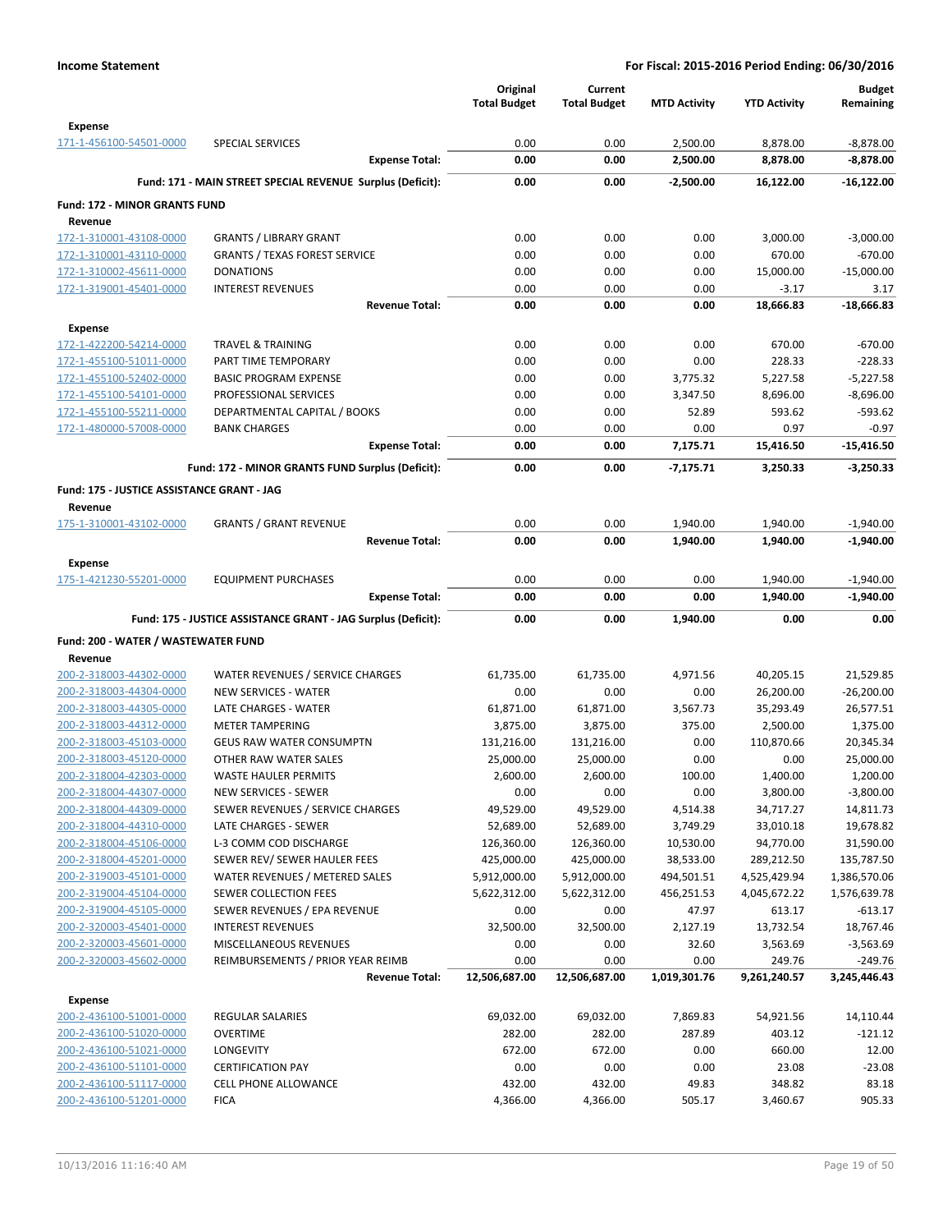|                                                    |                                                               | Original<br><b>Total Budget</b> | Current<br><b>Total Budget</b> | <b>MTD Activity</b>  | <b>YTD Activity</b>  | <b>Budget</b><br>Remaining |
|----------------------------------------------------|---------------------------------------------------------------|---------------------------------|--------------------------------|----------------------|----------------------|----------------------------|
| <b>Expense</b><br>171-1-456100-54501-0000          | <b>SPECIAL SERVICES</b>                                       | 0.00                            | 0.00                           | 2,500.00             | 8,878.00             | $-8,878.00$                |
|                                                    | <b>Expense Total:</b>                                         | 0.00                            | 0.00                           | 2,500.00             | 8,878.00             | $-8,878.00$                |
|                                                    | Fund: 171 - MAIN STREET SPECIAL REVENUE Surplus (Deficit):    | 0.00                            | 0.00                           | $-2,500.00$          | 16,122.00            | $-16,122.00$               |
| <b>Fund: 172 - MINOR GRANTS FUND</b>               |                                                               |                                 |                                |                      |                      |                            |
| Revenue                                            |                                                               |                                 |                                |                      |                      |                            |
| 172-1-310001-43108-0000                            | <b>GRANTS / LIBRARY GRANT</b>                                 | 0.00                            | 0.00                           | 0.00                 | 3,000.00             | $-3,000.00$                |
| 172-1-310001-43110-0000                            | <b>GRANTS / TEXAS FOREST SERVICE</b>                          | 0.00                            | 0.00                           | 0.00                 | 670.00               | $-670.00$                  |
| 172-1-310002-45611-0000                            | <b>DONATIONS</b>                                              | 0.00                            | 0.00                           | 0.00                 | 15,000.00            | $-15,000.00$               |
| 172-1-319001-45401-0000                            | <b>INTEREST REVENUES</b>                                      | 0.00                            | 0.00                           | 0.00                 | $-3.17$              | 3.17                       |
|                                                    | <b>Revenue Total:</b>                                         | 0.00                            | 0.00                           | 0.00                 | 18,666.83            | $-18,666.83$               |
| <b>Expense</b>                                     |                                                               |                                 |                                |                      |                      |                            |
| 172-1-422200-54214-0000                            | <b>TRAVEL &amp; TRAINING</b>                                  | 0.00                            | 0.00                           | 0.00                 | 670.00               | $-670.00$                  |
| 172-1-455100-51011-0000                            | PART TIME TEMPORARY                                           | 0.00                            | 0.00                           | 0.00                 | 228.33               | $-228.33$                  |
| 172-1-455100-52402-0000                            | <b>BASIC PROGRAM EXPENSE</b>                                  | 0.00                            | 0.00                           | 3,775.32             | 5,227.58             | $-5,227.58$                |
| 172-1-455100-54101-0000                            | PROFESSIONAL SERVICES                                         | 0.00                            | 0.00                           | 3,347.50             | 8,696.00             | $-8,696.00$                |
| 172-1-455100-55211-0000                            | DEPARTMENTAL CAPITAL / BOOKS                                  | 0.00                            | 0.00                           | 52.89                | 593.62               | $-593.62$                  |
| 172-1-480000-57008-0000                            | <b>BANK CHARGES</b>                                           | 0.00                            | 0.00                           | 0.00                 | 0.97                 | $-0.97$                    |
|                                                    | <b>Expense Total:</b>                                         | 0.00                            | 0.00                           | 7,175.71             | 15,416.50            | $-15,416.50$               |
|                                                    | Fund: 172 - MINOR GRANTS FUND Surplus (Deficit):              | 0.00                            | 0.00                           | $-7,175.71$          | 3,250.33             | $-3,250.33$                |
| Fund: 175 - JUSTICE ASSISTANCE GRANT - JAG         |                                                               |                                 |                                |                      |                      |                            |
| Revenue                                            |                                                               |                                 |                                |                      |                      |                            |
| 175-1-310001-43102-0000                            | <b>GRANTS / GRANT REVENUE</b><br><b>Revenue Total:</b>        | 0.00<br>0.00                    | 0.00<br>0.00                   | 1,940.00<br>1,940.00 | 1,940.00<br>1,940.00 | $-1,940.00$<br>$-1,940.00$ |
|                                                    |                                                               |                                 |                                |                      |                      |                            |
| <b>Expense</b>                                     |                                                               | 0.00                            | 0.00                           | 0.00                 |                      |                            |
| 175-1-421230-55201-0000                            | <b>EQUIPMENT PURCHASES</b><br><b>Expense Total:</b>           | 0.00                            | 0.00                           | 0.00                 | 1,940.00<br>1,940.00 | $-1,940.00$<br>$-1,940.00$ |
|                                                    | Fund: 175 - JUSTICE ASSISTANCE GRANT - JAG Surplus (Deficit): | 0.00                            | 0.00                           | 1,940.00             | 0.00                 | 0.00                       |
|                                                    |                                                               |                                 |                                |                      |                      |                            |
| Fund: 200 - WATER / WASTEWATER FUND<br>Revenue     |                                                               |                                 |                                |                      |                      |                            |
| 200-2-318003-44302-0000                            | WATER REVENUES / SERVICE CHARGES                              | 61,735.00                       | 61,735.00                      | 4,971.56             | 40,205.15            | 21,529.85                  |
| 200-2-318003-44304-0000                            | <b>NEW SERVICES - WATER</b>                                   | 0.00                            | 0.00                           | 0.00                 | 26,200.00            | $-26,200.00$               |
| 200-2-318003-44305-0000                            | LATE CHARGES - WATER                                          | 61,871.00                       | 61,871.00                      | 3,567.73             | 35,293.49            | 26,577.51                  |
| 200-2-318003-44312-0000                            | <b>METER TAMPERING</b>                                        | 3,875.00                        | 3,875.00                       | 375.00               | 2,500.00             | 1,375.00                   |
| 200-2-318003-45103-0000                            | <b>GEUS RAW WATER CONSUMPTN</b>                               | 131,216.00                      | 131,216.00                     | 0.00                 | 110,870.66           | 20,345.34                  |
| 200-2-318003-45120-0000                            | OTHER RAW WATER SALES                                         | 25,000.00                       | 25,000.00                      | 0.00                 | 0.00                 | 25,000.00                  |
| 200-2-318004-42303-0000                            | WASTE HAULER PERMITS                                          | 2,600.00                        | 2,600.00                       | 100.00               | 1,400.00             | 1,200.00                   |
| 200-2-318004-44307-0000                            | <b>NEW SERVICES - SEWER</b>                                   | 0.00                            | 0.00                           | 0.00                 | 3,800.00             | $-3,800.00$                |
| 200-2-318004-44309-0000                            | SEWER REVENUES / SERVICE CHARGES                              | 49,529.00                       | 49,529.00                      | 4,514.38             | 34,717.27            | 14,811.73                  |
| 200-2-318004-44310-0000                            | LATE CHARGES - SEWER                                          | 52,689.00                       | 52,689.00                      | 3,749.29             | 33,010.18            | 19,678.82                  |
| 200-2-318004-45106-0000                            | L-3 COMM COD DISCHARGE                                        | 126,360.00                      | 126,360.00                     | 10,530.00            | 94,770.00            | 31,590.00                  |
| 200-2-318004-45201-0000                            | SEWER REV/ SEWER HAULER FEES                                  | 425,000.00                      | 425,000.00                     | 38,533.00            | 289,212.50           | 135,787.50                 |
| 200-2-319003-45101-0000                            | WATER REVENUES / METERED SALES                                | 5,912,000.00                    | 5,912,000.00                   | 494,501.51           | 4,525,429.94         | 1,386,570.06               |
| 200-2-319004-45104-0000                            | SEWER COLLECTION FEES                                         | 5,622,312.00                    | 5,622,312.00                   | 456,251.53           | 4,045,672.22         | 1,576,639.78               |
| 200-2-319004-45105-0000                            | SEWER REVENUES / EPA REVENUE                                  | 0.00                            | 0.00                           | 47.97                | 613.17               | $-613.17$                  |
| 200-2-320003-45401-0000                            | <b>INTEREST REVENUES</b>                                      | 32,500.00                       | 32,500.00                      | 2,127.19             | 13,732.54            | 18,767.46                  |
| 200-2-320003-45601-0000                            | MISCELLANEOUS REVENUES                                        | 0.00                            | 0.00                           | 32.60                | 3,563.69             | $-3,563.69$                |
| 200-2-320003-45602-0000                            | REIMBURSEMENTS / PRIOR YEAR REIMB                             | 0.00                            | 0.00                           | 0.00                 | 249.76               | $-249.76$                  |
|                                                    | <b>Revenue Total:</b>                                         | 12,506,687.00                   | 12,506,687.00                  | 1,019,301.76         | 9,261,240.57         | 3,245,446.43               |
| <b>Expense</b>                                     |                                                               |                                 |                                |                      |                      |                            |
| 200-2-436100-51001-0000                            | <b>REGULAR SALARIES</b>                                       | 69,032.00                       | 69,032.00                      | 7,869.83             | 54,921.56            | 14,110.44                  |
| 200-2-436100-51020-0000<br>200-2-436100-51021-0000 | <b>OVERTIME</b><br>LONGEVITY                                  | 282.00<br>672.00                | 282.00<br>672.00               | 287.89<br>0.00       | 403.12<br>660.00     | $-121.12$<br>12.00         |
| 200-2-436100-51101-0000                            | <b>CERTIFICATION PAY</b>                                      | 0.00                            | 0.00                           | 0.00                 | 23.08                | $-23.08$                   |
| 200-2-436100-51117-0000                            | CELL PHONE ALLOWANCE                                          | 432.00                          | 432.00                         | 49.83                | 348.82               | 83.18                      |
| 200-2-436100-51201-0000                            | <b>FICA</b>                                                   | 4,366.00                        | 4,366.00                       | 505.17               | 3,460.67             | 905.33                     |
|                                                    |                                                               |                                 |                                |                      |                      |                            |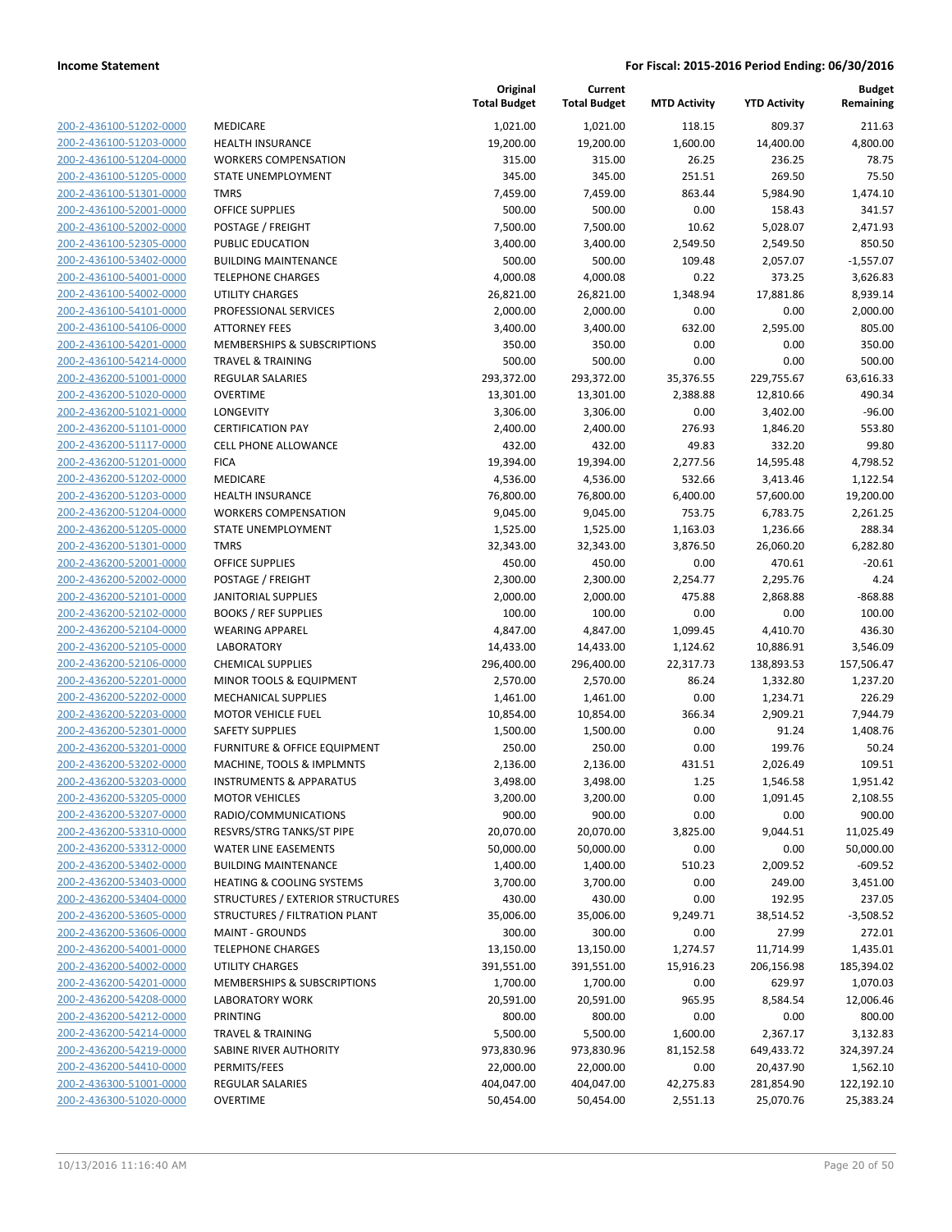| 200-2-436100-51202-0000                                          |
|------------------------------------------------------------------|
| 200-2-436100-51203-0000                                          |
| 200-2-436100-51204-0000                                          |
| <u>200-2-436100-51205-0000</u>                                   |
| 200-2-436100-51301-0000                                          |
|                                                                  |
| 200-2-436100-52001 <sup>.</sup><br>-0000                         |
| 200-2-436100-52002-0000                                          |
| 200-2-436100-52305-0000                                          |
| <u>200-2-436100-53402-0000</u>                                   |
| 200-2-436100-54001-0000                                          |
| 2-436100-54002-0000<br>200-                                      |
|                                                                  |
| 200-2-436100-54101-0000                                          |
| 200-2-436100-54106-0000                                          |
| <u>200-2-436100-54201-0000</u>                                   |
| 200-2-436100-54214-0000                                          |
| 2-436200-51001-0000<br>200-                                      |
| 200-2-436200-51020-0000                                          |
|                                                                  |
| 200-2-436200-51021-0000                                          |
| <u>200-2-436200-51101-0000</u>                                   |
| 200-2-436200-51117-0000                                          |
| 2-436200-51201<br>200-<br>-0000                                  |
| 200-2-436200-51202-0000                                          |
| 200-2-436200-51203-0000                                          |
|                                                                  |
| <u>200-2-436200-51204-0000</u>                                   |
| 200-2-436200-51205-0000                                          |
| 2-436200-51301<br>200-<br>-0000                                  |
| 200-2-436200-52001-0000                                          |
| 200-2-436200-52002-0000                                          |
| <u>200-2-436200-52101-0000</u>                                   |
| 200-2-436200-52102-0000                                          |
| 2-436200-52104-0000<br>200-                                      |
|                                                                  |
| 200-2-436200-52105-0000                                          |
| 200-2-436200-52106-0000                                          |
| <u>200-2-436200-52201-0000</u>                                   |
| 200-2-436200-52202-0000                                          |
| 200-2-436200-52203-0000                                          |
| 200-2-436200-52301-0000                                          |
| 200-2-436200-53201-0000                                          |
| <u>200-2-436200-53202-0000</u>                                   |
| 200-2-436200-53203-0000                                          |
|                                                                  |
|                                                                  |
| 200-2-436200-53205-0000                                          |
| 200-2-436200-53207-0000                                          |
| 200-2-436200-53310-0000                                          |
| <u>200-2-436200-53312-0000</u>                                   |
| 200-2-436200-53402-0000                                          |
| 200-2-436200-53403-0000                                          |
| 200-2-436200-53404-0000                                          |
| 200-2-436200-53605-0000                                          |
|                                                                  |
| 200-2-436200-53606-0000                                          |
| 200-2-436200-54001-0000                                          |
| 200-2-436200-54002-0000                                          |
| 200-2-436200-54201-0000                                          |
| 200-2-436200-54208-0000                                          |
| <u>200-2-436200-54212-0000</u>                                   |
| 200-2-436200-54214-0000                                          |
| 200-2-436200-54219-0000                                          |
| 200-2-436200-54410-0000                                          |
|                                                                  |
| <u>200-2-436300-51001-0000</u><br><u>200-2-436300-51020-0000</u> |

|                                                    |                                                                     | Original<br><b>Total Budget</b> | Current<br><b>Total Budget</b> | <b>MTD Activity</b> | <b>YTD Activity</b> | <b>Budget</b><br>Remaining |
|----------------------------------------------------|---------------------------------------------------------------------|---------------------------------|--------------------------------|---------------------|---------------------|----------------------------|
| 200-2-436100-51202-0000                            | MEDICARE                                                            | 1,021.00                        | 1,021.00                       | 118.15              | 809.37              | 211.63                     |
| 200-2-436100-51203-0000                            | <b>HEALTH INSURANCE</b>                                             | 19,200.00                       | 19,200.00                      | 1,600.00            | 14,400.00           | 4,800.00                   |
| 200-2-436100-51204-0000                            | <b>WORKERS COMPENSATION</b>                                         | 315.00                          | 315.00                         | 26.25               | 236.25              | 78.75                      |
| 200-2-436100-51205-0000                            | STATE UNEMPLOYMENT                                                  | 345.00                          | 345.00                         | 251.51              | 269.50              | 75.50                      |
| 200-2-436100-51301-0000                            | <b>TMRS</b>                                                         | 7,459.00                        | 7,459.00                       | 863.44              | 5,984.90            | 1,474.10                   |
| 200-2-436100-52001-0000                            | <b>OFFICE SUPPLIES</b>                                              | 500.00                          | 500.00                         | 0.00                | 158.43              | 341.57                     |
| 200-2-436100-52002-0000                            | POSTAGE / FREIGHT                                                   | 7,500.00                        | 7,500.00                       | 10.62               | 5,028.07            | 2,471.93                   |
| 200-2-436100-52305-0000                            | PUBLIC EDUCATION                                                    | 3,400.00                        | 3,400.00                       | 2,549.50            | 2,549.50            | 850.50                     |
| 200-2-436100-53402-0000                            | <b>BUILDING MAINTENANCE</b>                                         | 500.00                          | 500.00                         | 109.48              | 2,057.07            | $-1,557.07$                |
| 200-2-436100-54001-0000                            | <b>TELEPHONE CHARGES</b>                                            | 4,000.08                        | 4,000.08                       | 0.22                | 373.25              | 3,626.83                   |
| 200-2-436100-54002-0000                            | <b>UTILITY CHARGES</b>                                              | 26,821.00                       | 26,821.00                      | 1,348.94            | 17,881.86           | 8,939.14                   |
| 200-2-436100-54101-0000                            | PROFESSIONAL SERVICES                                               | 2,000.00                        | 2,000.00                       | 0.00                | 0.00                | 2,000.00                   |
| 200-2-436100-54106-0000                            | <b>ATTORNEY FEES</b>                                                | 3,400.00                        | 3,400.00                       | 632.00              | 2,595.00            | 805.00                     |
| 200-2-436100-54201-0000                            | MEMBERSHIPS & SUBSCRIPTIONS                                         | 350.00                          | 350.00                         | 0.00                | 0.00                | 350.00                     |
| 200-2-436100-54214-0000                            | <b>TRAVEL &amp; TRAINING</b>                                        | 500.00                          | 500.00                         | 0.00                | 0.00                | 500.00                     |
| 200-2-436200-51001-0000                            | REGULAR SALARIES                                                    | 293,372.00                      | 293,372.00                     | 35,376.55           | 229,755.67          | 63,616.33                  |
| 200-2-436200-51020-0000                            | <b>OVERTIME</b>                                                     | 13,301.00                       | 13,301.00                      | 2,388.88            | 12,810.66           | 490.34                     |
| 200-2-436200-51021-0000                            | LONGEVITY                                                           | 3,306.00                        | 3,306.00                       | 0.00                | 3,402.00            | $-96.00$                   |
| 200-2-436200-51101-0000                            | <b>CERTIFICATION PAY</b>                                            | 2,400.00                        | 2,400.00                       | 276.93              | 1,846.20            | 553.80                     |
| 200-2-436200-51117-0000                            | CELL PHONE ALLOWANCE                                                | 432.00                          | 432.00                         | 49.83               | 332.20              | 99.80                      |
| 200-2-436200-51201-0000                            | <b>FICA</b>                                                         | 19,394.00                       | 19,394.00                      | 2,277.56            | 14,595.48           | 4,798.52                   |
| 200-2-436200-51202-0000                            | <b>MEDICARE</b>                                                     | 4,536.00                        | 4,536.00                       | 532.66              | 3,413.46            | 1,122.54                   |
| 200-2-436200-51203-0000                            | <b>HEALTH INSURANCE</b>                                             | 76,800.00                       | 76,800.00                      | 6,400.00            | 57,600.00           | 19,200.00                  |
| 200-2-436200-51204-0000                            | <b>WORKERS COMPENSATION</b>                                         | 9,045.00                        | 9,045.00                       | 753.75              | 6,783.75            | 2,261.25                   |
| 200-2-436200-51205-0000                            | <b>STATE UNEMPLOYMENT</b>                                           | 1,525.00                        | 1,525.00                       | 1,163.03            | 1,236.66            | 288.34                     |
| 200-2-436200-51301-0000                            | <b>TMRS</b>                                                         | 32,343.00                       | 32,343.00                      | 3,876.50            | 26,060.20           | 6,282.80                   |
| 200-2-436200-52001-0000                            | <b>OFFICE SUPPLIES</b>                                              | 450.00                          | 450.00                         | 0.00                | 470.61              | $-20.61$                   |
| 200-2-436200-52002-0000                            | POSTAGE / FREIGHT                                                   | 2,300.00                        | 2,300.00                       | 2,254.77            | 2,295.76            | 4.24                       |
| 200-2-436200-52101-0000                            | <b>JANITORIAL SUPPLIES</b>                                          | 2,000.00                        | 2,000.00                       | 475.88              | 2,868.88            | $-868.88$                  |
| 200-2-436200-52102-0000                            | <b>BOOKS / REF SUPPLIES</b>                                         | 100.00                          | 100.00                         | 0.00                | 0.00                | 100.00                     |
| 200-2-436200-52104-0000                            | <b>WEARING APPAREL</b>                                              | 4,847.00                        | 4,847.00                       | 1,099.45            | 4,410.70            | 436.30                     |
| 200-2-436200-52105-0000                            | <b>LABORATORY</b>                                                   | 14,433.00                       | 14,433.00                      | 1,124.62            | 10,886.91           | 3,546.09                   |
| 200-2-436200-52106-0000                            | <b>CHEMICAL SUPPLIES</b>                                            | 296,400.00                      | 296,400.00                     | 22,317.73           | 138,893.53          | 157,506.47                 |
| 200-2-436200-52201-0000                            | MINOR TOOLS & EQUIPMENT                                             | 2,570.00                        | 2,570.00                       | 86.24               | 1,332.80            | 1,237.20                   |
| 200-2-436200-52202-0000                            | MECHANICAL SUPPLIES                                                 | 1,461.00                        | 1,461.00                       | 0.00                | 1,234.71            | 226.29                     |
| 200-2-436200-52203-0000                            | <b>MOTOR VEHICLE FUEL</b>                                           | 10,854.00                       | 10,854.00                      | 366.34              | 2,909.21            | 7,944.79                   |
| 200-2-436200-52301-0000                            | SAFETY SUPPLIES                                                     | 1,500.00                        | 1,500.00                       | 0.00                | 91.24               | 1,408.76                   |
| 200-2-436200-53201-0000                            | FURNITURE & OFFICE EQUIPMENT                                        | 250.00                          | 250.00                         | 0.00                | 199.76              | 50.24                      |
| 200-2-436200-53202-0000                            | MACHINE, TOOLS & IMPLMNTS                                           | 2,136.00                        | 2,136.00                       | 431.51              | 2,026.49            | 109.51                     |
| 200-2-436200-53203-0000                            | <b>INSTRUMENTS &amp; APPARATUS</b>                                  | 3,498.00                        | 3,498.00                       | 1.25                | 1,546.58            | 1,951.42                   |
| 200-2-436200-53205-0000                            | <b>MOTOR VEHICLES</b>                                               | 3,200.00                        | 3,200.00                       | 0.00                | 1,091.45            | 2,108.55                   |
| 200-2-436200-53207-0000                            | RADIO/COMMUNICATIONS                                                | 900.00                          | 900.00                         | 0.00                | 0.00                | 900.00                     |
| 200-2-436200-53310-0000                            | RESVRS/STRG TANKS/ST PIPE                                           | 20,070.00                       | 20,070.00                      | 3,825.00            | 9,044.51            | 11,025.49                  |
| 200-2-436200-53312-0000                            | <b>WATER LINE EASEMENTS</b>                                         | 50,000.00                       | 50,000.00                      | 0.00                | 0.00                | 50,000.00                  |
| 200-2-436200-53402-0000                            | <b>BUILDING MAINTENANCE</b><br><b>HEATING &amp; COOLING SYSTEMS</b> | 1,400.00                        | 1,400.00                       | 510.23              | 2,009.52            | $-609.52$                  |
| 200-2-436200-53403-0000                            |                                                                     | 3,700.00                        | 3,700.00                       | 0.00                | 249.00              | 3,451.00                   |
| 200-2-436200-53404-0000                            | STRUCTURES / EXTERIOR STRUCTURES                                    | 430.00                          | 430.00                         | 0.00                | 192.95              | 237.05                     |
| 200-2-436200-53605-0000                            | STRUCTURES / FILTRATION PLANT                                       | 35,006.00                       | 35,006.00                      | 9,249.71            | 38,514.52           | $-3,508.52$                |
| 200-2-436200-53606-0000<br>200-2-436200-54001-0000 | <b>MAINT - GROUNDS</b>                                              | 300.00                          | 300.00                         | 0.00                | 27.99               | 272.01<br>1,435.01         |
|                                                    | <b>TELEPHONE CHARGES</b>                                            | 13,150.00                       | 13,150.00                      | 1,274.57            | 11,714.99           |                            |
| 200-2-436200-54002-0000<br>200-2-436200-54201-0000 | <b>UTILITY CHARGES</b>                                              | 391,551.00                      | 391,551.00                     | 15,916.23           | 206,156.98          | 185,394.02                 |
|                                                    | MEMBERSHIPS & SUBSCRIPTIONS                                         | 1,700.00                        | 1,700.00                       | 0.00                | 629.97              | 1,070.03                   |
| 200-2-436200-54208-0000<br>200-2-436200-54212-0000 | <b>LABORATORY WORK</b>                                              | 20,591.00                       | 20,591.00                      | 965.95              | 8,584.54            | 12,006.46                  |
|                                                    | <b>PRINTING</b>                                                     | 800.00                          | 800.00                         | 0.00                | 0.00                | 800.00                     |
| 200-2-436200-54214-0000                            | <b>TRAVEL &amp; TRAINING</b>                                        | 5,500.00                        | 5,500.00                       | 1,600.00            | 2,367.17            | 3,132.83                   |
| 200-2-436200-54219-0000                            | SABINE RIVER AUTHORITY                                              | 973,830.96                      | 973,830.96                     | 81,152.58           | 649,433.72          | 324,397.24                 |
| 200-2-436200-54410-0000                            | PERMITS/FEES                                                        | 22,000.00                       | 22,000.00                      | 0.00                | 20,437.90           | 1,562.10                   |
| 200-2-436300-51001-0000                            | REGULAR SALARIES                                                    | 404,047.00                      | 404,047.00                     | 42,275.83           | 281,854.90          | 122,192.10                 |
| 200-2-436300-51020-0000                            | OVERTIME                                                            | 50,454.00                       | 50,454.00                      | 2,551.13            | 25,070.76           | 25,383.24                  |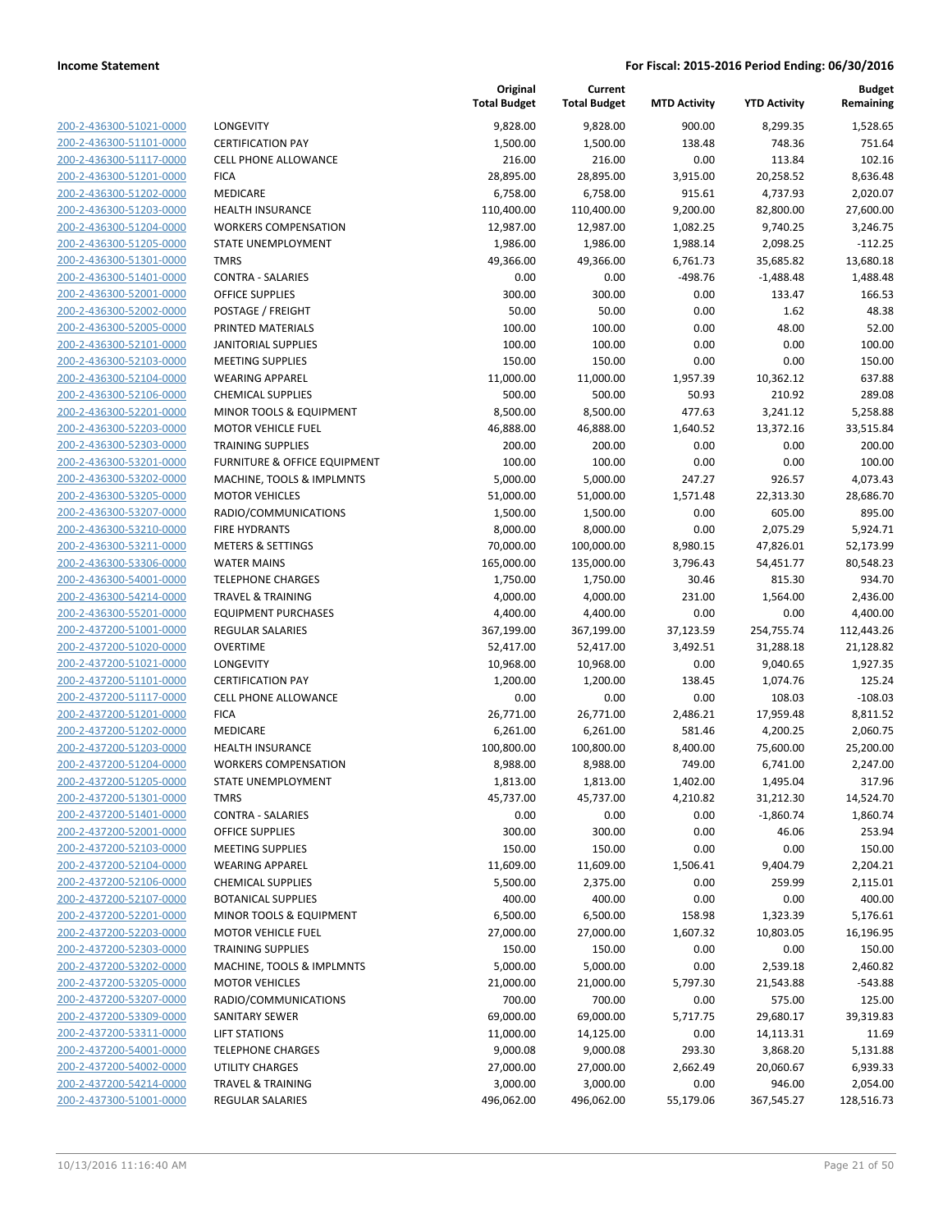| 200-2-436300-51021-0000                            |
|----------------------------------------------------|
| 200-2-436300-51101-0000                            |
| 200-2-436300-51117-0000                            |
| 200-2-436300-51201-0000                            |
| 200-2-436300-51202-0000                            |
| 200-2-436300-51203-0000                            |
| 200-2-436300-51204-0000                            |
| 200-2-436300-51205-0000                            |
| 200-2-436300-51301-0000                            |
| 200-2-436300-51401-0000                            |
| <u>200-2-436300-52001-0000</u>                     |
| 200-2-436300-52002-0000                            |
| 200-2-436300-52005-0000                            |
| 200-2-436300-52101-0000                            |
| 200-2-436300-52103-0000                            |
| 200-2-436300-52104-0000                            |
| <u>200-2-436300-52106-0000</u>                     |
| 200-2-436300-52201-0000                            |
| 200-2-436300-52203-0000                            |
| 200-2-436300-52303-0000                            |
| 200-2-436300-53201-0000                            |
| 200-2-436300-53202-0000                            |
| 200-2-436300-53205-0000                            |
| 200-2-436300-53207-0000                            |
| 200-2-436300-53210-0000                            |
| 200-2-436300-53211-0000                            |
| 200-2-436300-53306-0000                            |
| 200-2-436300-54001-0000                            |
| 200-2-436300-54214-0000                            |
| 200-2-436300-55201-0000                            |
| 200-2-437200-51001-0000                            |
| <u>200-2-437200-51020-0000</u>                     |
| 200-2-437200-51021-0000                            |
| 200-2-437200-51101-0000                            |
| 200-2-437200-51117-0000                            |
| 200-2-437200-51201-0000                            |
| 200-2-437200-51202-0000                            |
| 200-2-437200-51203-0000                            |
| 200-2-437200-51204-0000                            |
| 200-2-437200-51205-0000                            |
| 200-2-437200-51301-0000                            |
| <u>200-2-437200-51401-0000</u>                     |
| 200-2-437200-52001-0000                            |
| 200-2-437200-52103-0000                            |
| 200-2-437200-52104-0000                            |
| <u>200-2-437200-52106-0000</u>                     |
| <u>200-2-437200-52107-0000</u>                     |
| <u>200-2-437200-52201-0000</u>                     |
| 200-2-437200-52203-0000                            |
| 200-2-437200-52303-0000                            |
| <u>200-2-437200-53202-0000</u>                     |
| 200-2-437200-53205-0000                            |
|                                                    |
| 200-2-437200-53207-0000<br>200-2-437200-53309-0000 |
|                                                    |
| 200-2-437200-53311-0000                            |
| <u>200-2-437200-54001-0000</u>                     |
| 200-2-437200-54002-0000<br>200-2-437200-54214-0000 |
| 200-2-437300-51001-0000                            |
|                                                    |

|                         |                                    | Original<br><b>Total Budget</b> | Current<br><b>Total Budget</b> | <b>MTD Activity</b> | <b>YTD Activity</b> | <b>Budget</b><br>Remaining |
|-------------------------|------------------------------------|---------------------------------|--------------------------------|---------------------|---------------------|----------------------------|
| 200-2-436300-51021-0000 | LONGEVITY                          | 9,828.00                        | 9,828.00                       | 900.00              | 8,299.35            | 1,528.65                   |
| 200-2-436300-51101-0000 | <b>CERTIFICATION PAY</b>           | 1,500.00                        | 1,500.00                       | 138.48              | 748.36              | 751.64                     |
| 200-2-436300-51117-0000 | <b>CELL PHONE ALLOWANCE</b>        | 216.00                          | 216.00                         | 0.00                | 113.84              | 102.16                     |
| 200-2-436300-51201-0000 | <b>FICA</b>                        | 28,895.00                       | 28,895.00                      | 3,915.00            | 20,258.52           | 8,636.48                   |
| 200-2-436300-51202-0000 | MEDICARE                           | 6,758.00                        | 6,758.00                       | 915.61              | 4,737.93            | 2,020.07                   |
| 200-2-436300-51203-0000 | HEALTH INSURANCE                   | 110,400.00                      | 110,400.00                     | 9,200.00            | 82,800.00           | 27,600.00                  |
| 200-2-436300-51204-0000 | <b>WORKERS COMPENSATION</b>        | 12,987.00                       | 12,987.00                      | 1,082.25            | 9,740.25            | 3,246.75                   |
| 200-2-436300-51205-0000 | STATE UNEMPLOYMENT                 | 1,986.00                        | 1,986.00                       | 1,988.14            | 2,098.25            | $-112.25$                  |
| 200-2-436300-51301-0000 | <b>TMRS</b>                        | 49,366.00                       | 49,366.00                      | 6,761.73            | 35,685.82           | 13,680.18                  |
| 200-2-436300-51401-0000 | <b>CONTRA - SALARIES</b>           | 0.00                            | 0.00                           | $-498.76$           | $-1,488.48$         | 1,488.48                   |
| 200-2-436300-52001-0000 | <b>OFFICE SUPPLIES</b>             | 300.00                          | 300.00                         | 0.00                | 133.47              | 166.53                     |
| 200-2-436300-52002-0000 | POSTAGE / FREIGHT                  | 50.00                           | 50.00                          | 0.00                | 1.62                | 48.38                      |
| 200-2-436300-52005-0000 | PRINTED MATERIALS                  | 100.00                          | 100.00                         | 0.00                | 48.00               | 52.00                      |
| 200-2-436300-52101-0000 | <b>JANITORIAL SUPPLIES</b>         | 100.00                          | 100.00                         | 0.00                | 0.00                | 100.00                     |
| 200-2-436300-52103-0000 | <b>MEETING SUPPLIES</b>            | 150.00                          | 150.00                         | 0.00                | 0.00                | 150.00                     |
| 200-2-436300-52104-0000 | <b>WEARING APPAREL</b>             | 11,000.00                       | 11,000.00                      | 1,957.39            | 10,362.12           | 637.88                     |
| 200-2-436300-52106-0000 | <b>CHEMICAL SUPPLIES</b>           | 500.00                          | 500.00                         | 50.93               | 210.92              | 289.08                     |
| 200-2-436300-52201-0000 | MINOR TOOLS & EQUIPMENT            | 8,500.00                        | 8,500.00                       | 477.63              | 3,241.12            | 5,258.88                   |
| 200-2-436300-52203-0000 | <b>MOTOR VEHICLE FUEL</b>          | 46,888.00                       | 46,888.00                      | 1,640.52            | 13,372.16           | 33,515.84                  |
| 200-2-436300-52303-0000 | <b>TRAINING SUPPLIES</b>           | 200.00                          | 200.00                         | 0.00                | 0.00                | 200.00                     |
| 200-2-436300-53201-0000 | FURNITURE & OFFICE EQUIPMENT       | 100.00                          | 100.00                         | 0.00                | 0.00                | 100.00                     |
| 200-2-436300-53202-0000 | MACHINE, TOOLS & IMPLMNTS          | 5,000.00                        | 5,000.00                       | 247.27              | 926.57              | 4,073.43                   |
| 200-2-436300-53205-0000 | <b>MOTOR VEHICLES</b>              | 51,000.00                       | 51,000.00                      | 1,571.48            | 22,313.30           | 28,686.70                  |
| 200-2-436300-53207-0000 | RADIO/COMMUNICATIONS               | 1,500.00                        | 1,500.00                       | 0.00                | 605.00              | 895.00                     |
| 200-2-436300-53210-0000 | <b>FIRE HYDRANTS</b>               | 8,000.00                        | 8,000.00                       | 0.00                | 2,075.29            | 5,924.71                   |
| 200-2-436300-53211-0000 | <b>METERS &amp; SETTINGS</b>       | 70,000.00                       | 100,000.00                     | 8,980.15            | 47,826.01           | 52,173.99                  |
| 200-2-436300-53306-0000 | <b>WATER MAINS</b>                 | 165,000.00                      | 135,000.00                     | 3,796.43            | 54,451.77           | 80,548.23                  |
| 200-2-436300-54001-0000 | <b>TELEPHONE CHARGES</b>           | 1,750.00                        | 1,750.00                       | 30.46               | 815.30              | 934.70                     |
| 200-2-436300-54214-0000 | <b>TRAVEL &amp; TRAINING</b>       | 4,000.00                        | 4,000.00                       | 231.00              | 1,564.00            | 2,436.00                   |
| 200-2-436300-55201-0000 | <b>EQUIPMENT PURCHASES</b>         | 4,400.00                        | 4,400.00                       | 0.00                | 0.00                | 4,400.00                   |
| 200-2-437200-51001-0000 | REGULAR SALARIES                   | 367,199.00                      | 367,199.00                     | 37,123.59           | 254,755.74          | 112,443.26                 |
| 200-2-437200-51020-0000 | <b>OVERTIME</b>                    | 52,417.00                       | 52,417.00                      | 3,492.51            | 31,288.18           | 21,128.82                  |
| 200-2-437200-51021-0000 | LONGEVITY                          | 10,968.00                       | 10,968.00                      | 0.00                | 9,040.65            | 1,927.35                   |
| 200-2-437200-51101-0000 | <b>CERTIFICATION PAY</b>           | 1,200.00                        | 1,200.00                       | 138.45              | 1,074.76            | 125.24                     |
| 200-2-437200-51117-0000 | <b>CELL PHONE ALLOWANCE</b>        | 0.00                            | 0.00                           | 0.00                | 108.03              | $-108.03$                  |
| 200-2-437200-51201-0000 | <b>FICA</b>                        | 26,771.00                       | 26,771.00                      | 2,486.21            | 17,959.48           | 8,811.52                   |
| 200-2-437200-51202-0000 | MEDICARE                           | 6,261.00                        | 6,261.00                       | 581.46              | 4,200.25            | 2,060.75                   |
| 200-2-437200-51203-0000 | <b>HEALTH INSURANCE</b>            | 100,800.00                      | 100,800.00                     | 8,400.00            | 75,600.00           | 25,200.00                  |
| 200-2-437200-51204-0000 | <b>WORKERS COMPENSATION</b>        | 8,988.00                        | 8,988.00                       | 749.00              | 6,741.00            | 2,247.00                   |
| 200-2-437200-51205-0000 | STATE UNEMPLOYMENT                 | 1,813.00                        | 1,813.00                       | 1,402.00            | 1,495.04            | 317.96                     |
| 200-2-437200-51301-0000 | TMRS                               | 45,737.00                       | 45,737.00                      | 4,210.82            | 31,212.30           | 14,524.70                  |
| 200-2-437200-51401-0000 | <b>CONTRA - SALARIES</b>           | 0.00                            | 0.00                           | 0.00                | $-1,860.74$         | 1,860.74                   |
| 200-2-437200-52001-0000 | <b>OFFICE SUPPLIES</b>             | 300.00                          | 300.00                         | 0.00                | 46.06               | 253.94                     |
| 200-2-437200-52103-0000 | <b>MEETING SUPPLIES</b>            | 150.00                          | 150.00                         | 0.00                | 0.00                | 150.00                     |
| 200-2-437200-52104-0000 | <b>WEARING APPAREL</b>             | 11,609.00                       | 11,609.00                      | 1,506.41            | 9,404.79            | 2,204.21                   |
| 200-2-437200-52106-0000 | <b>CHEMICAL SUPPLIES</b>           | 5,500.00                        | 2,375.00                       | 0.00                | 259.99              | 2,115.01                   |
| 200-2-437200-52107-0000 | <b>BOTANICAL SUPPLIES</b>          | 400.00                          | 400.00                         | 0.00                | 0.00                | 400.00                     |
| 200-2-437200-52201-0000 | <b>MINOR TOOLS &amp; EQUIPMENT</b> | 6,500.00                        | 6,500.00                       | 158.98              | 1,323.39            | 5,176.61                   |
| 200-2-437200-52203-0000 | <b>MOTOR VEHICLE FUEL</b>          | 27,000.00                       | 27,000.00                      | 1,607.32            | 10,803.05           | 16,196.95                  |
| 200-2-437200-52303-0000 | <b>TRAINING SUPPLIES</b>           | 150.00                          | 150.00                         | 0.00                | 0.00                | 150.00                     |
| 200-2-437200-53202-0000 | MACHINE, TOOLS & IMPLMNTS          | 5,000.00                        | 5,000.00                       | 0.00                | 2,539.18            | 2,460.82                   |
| 200-2-437200-53205-0000 | <b>MOTOR VEHICLES</b>              | 21,000.00                       | 21,000.00                      | 5,797.30            | 21,543.88           | $-543.88$                  |
| 200-2-437200-53207-0000 | RADIO/COMMUNICATIONS               | 700.00                          | 700.00                         | 0.00                | 575.00              | 125.00                     |
| 200-2-437200-53309-0000 | SANITARY SEWER                     | 69,000.00                       | 69,000.00                      | 5,717.75            | 29,680.17           | 39,319.83                  |
| 200-2-437200-53311-0000 | <b>LIFT STATIONS</b>               | 11,000.00                       | 14,125.00                      | 0.00                | 14,113.31           | 11.69                      |
| 200-2-437200-54001-0000 | <b>TELEPHONE CHARGES</b>           | 9,000.08                        | 9,000.08                       | 293.30              | 3,868.20            | 5,131.88                   |
| 200-2-437200-54002-0000 | UTILITY CHARGES                    | 27,000.00                       | 27,000.00                      | 2,662.49            | 20,060.67           | 6,939.33                   |
| 200-2-437200-54214-0000 | <b>TRAVEL &amp; TRAINING</b>       | 3,000.00                        | 3,000.00                       | 0.00                | 946.00              | 2,054.00                   |
| 200-2-437300-51001-0000 | <b>REGULAR SALARIES</b>            | 496,062.00                      | 496,062.00                     | 55,179.06           | 367,545.27          | 128,516.73                 |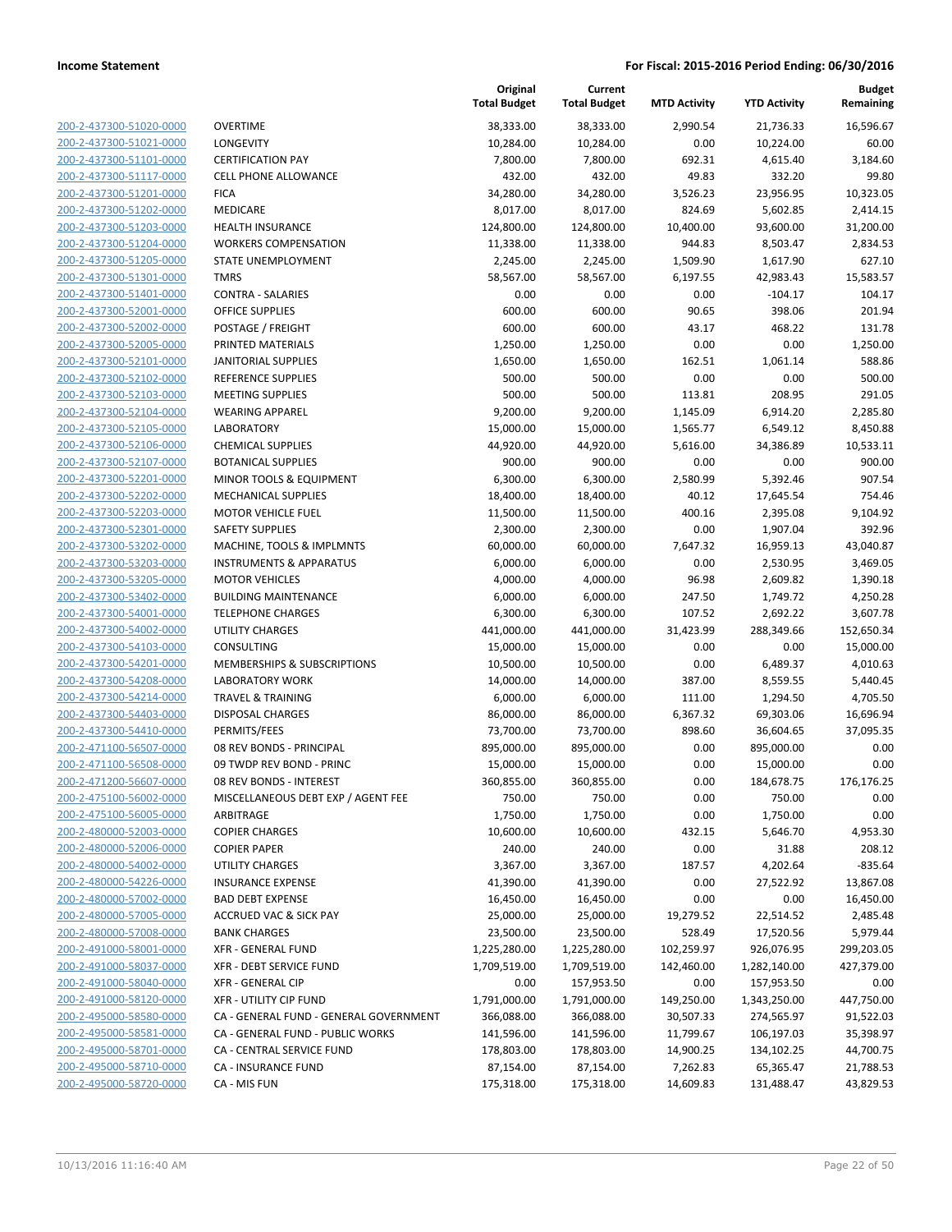**Budget Remaining**

**MTD Activity YTD Activity**

**Current Total Budget**

**Original**

|                                                    |                                              | <b>Total Budget</b>    | <b>Total Budget</b> | <b>MTD Activity</b>  | <b>YTD Activity</b>  | Remaining             |
|----------------------------------------------------|----------------------------------------------|------------------------|---------------------|----------------------|----------------------|-----------------------|
| 200-2-437300-51020-0000                            | <b>OVERTIME</b>                              | 38,333.00              | 38,333.00           | 2,990.54             | 21,736.33            | 16,596.67             |
| 200-2-437300-51021-0000                            | LONGEVITY                                    | 10,284.00              | 10,284.00           | 0.00                 | 10,224.00            | 60.00                 |
| 200-2-437300-51101-0000                            | <b>CERTIFICATION PAY</b>                     | 7,800.00               | 7,800.00            | 692.31               | 4,615.40             | 3,184.60              |
| 200-2-437300-51117-0000                            | <b>CELL PHONE ALLOWANCE</b>                  | 432.00                 | 432.00              | 49.83                | 332.20               | 99.80                 |
| 200-2-437300-51201-0000                            | <b>FICA</b>                                  | 34,280.00              | 34,280.00           | 3,526.23             | 23,956.95            | 10,323.05             |
| 200-2-437300-51202-0000                            | <b>MEDICARE</b>                              | 8,017.00               | 8,017.00            | 824.69               | 5,602.85             | 2,414.15              |
| 200-2-437300-51203-0000                            | <b>HEALTH INSURANCE</b>                      | 124,800.00             | 124,800.00          | 10,400.00            | 93,600.00            | 31,200.00             |
| 200-2-437300-51204-0000                            | <b>WORKERS COMPENSATION</b>                  | 11,338.00              | 11,338.00           | 944.83               | 8,503.47             | 2,834.53              |
| 200-2-437300-51205-0000                            | STATE UNEMPLOYMENT                           | 2,245.00               | 2,245.00            | 1,509.90             | 1,617.90             | 627.10                |
| 200-2-437300-51301-0000                            | <b>TMRS</b>                                  | 58,567.00              | 58,567.00           | 6,197.55             | 42,983.43            | 15,583.57             |
| 200-2-437300-51401-0000                            | <b>CONTRA - SALARIES</b>                     | 0.00                   | 0.00                | 0.00                 | $-104.17$            | 104.17                |
| 200-2-437300-52001-0000                            | <b>OFFICE SUPPLIES</b>                       | 600.00                 | 600.00              | 90.65                | 398.06               | 201.94                |
| 200-2-437300-52002-0000                            | POSTAGE / FREIGHT                            | 600.00                 | 600.00              | 43.17                | 468.22               | 131.78                |
| 200-2-437300-52005-0000                            | PRINTED MATERIALS                            | 1,250.00               | 1,250.00            | 0.00                 | 0.00                 | 1,250.00              |
| 200-2-437300-52101-0000                            | <b>JANITORIAL SUPPLIES</b>                   | 1,650.00               | 1,650.00            | 162.51               | 1,061.14             | 588.86                |
| 200-2-437300-52102-0000                            | <b>REFERENCE SUPPLIES</b>                    | 500.00                 | 500.00              | 0.00                 | 0.00                 | 500.00                |
| 200-2-437300-52103-0000                            | <b>MEETING SUPPLIES</b>                      | 500.00<br>9,200.00     | 500.00<br>9,200.00  | 113.81               | 208.95               | 291.05                |
| 200-2-437300-52104-0000<br>200-2-437300-52105-0000 | <b>WEARING APPAREL</b><br><b>LABORATORY</b>  |                        | 15,000.00           | 1,145.09             | 6,914.20<br>6,549.12 | 2,285.80              |
| 200-2-437300-52106-0000                            | <b>CHEMICAL SUPPLIES</b>                     | 15,000.00<br>44,920.00 | 44,920.00           | 1,565.77<br>5,616.00 | 34,386.89            | 8,450.88<br>10,533.11 |
| 200-2-437300-52107-0000                            | <b>BOTANICAL SUPPLIES</b>                    | 900.00                 | 900.00              | 0.00                 | 0.00                 | 900.00                |
| 200-2-437300-52201-0000                            | MINOR TOOLS & EQUIPMENT                      | 6,300.00               | 6,300.00            | 2,580.99             | 5,392.46             | 907.54                |
| 200-2-437300-52202-0000                            | <b>MECHANICAL SUPPLIES</b>                   | 18,400.00              | 18,400.00           | 40.12                | 17,645.54            | 754.46                |
| 200-2-437300-52203-0000                            | <b>MOTOR VEHICLE FUEL</b>                    | 11,500.00              | 11,500.00           | 400.16               | 2,395.08             | 9,104.92              |
| 200-2-437300-52301-0000                            | <b>SAFETY SUPPLIES</b>                       | 2,300.00               | 2,300.00            | 0.00                 | 1,907.04             | 392.96                |
| 200-2-437300-53202-0000                            | MACHINE, TOOLS & IMPLMNTS                    | 60,000.00              | 60,000.00           | 7,647.32             | 16,959.13            | 43,040.87             |
| 200-2-437300-53203-0000                            | <b>INSTRUMENTS &amp; APPARATUS</b>           | 6,000.00               | 6,000.00            | 0.00                 | 2,530.95             | 3,469.05              |
| 200-2-437300-53205-0000                            | <b>MOTOR VEHICLES</b>                        | 4,000.00               | 4,000.00            | 96.98                | 2,609.82             | 1,390.18              |
| 200-2-437300-53402-0000                            | <b>BUILDING MAINTENANCE</b>                  | 6,000.00               | 6,000.00            | 247.50               | 1,749.72             | 4,250.28              |
| 200-2-437300-54001-0000                            | <b>TELEPHONE CHARGES</b>                     | 6,300.00               | 6,300.00            | 107.52               | 2,692.22             | 3,607.78              |
| 200-2-437300-54002-0000                            | UTILITY CHARGES                              | 441,000.00             | 441,000.00          | 31,423.99            | 288,349.66           | 152,650.34            |
| 200-2-437300-54103-0000                            | CONSULTING                                   | 15,000.00              | 15,000.00           | 0.00                 | 0.00                 | 15,000.00             |
| 200-2-437300-54201-0000                            | MEMBERSHIPS & SUBSCRIPTIONS                  | 10,500.00              | 10,500.00           | 0.00                 | 6,489.37             | 4,010.63              |
| 200-2-437300-54208-0000                            | <b>LABORATORY WORK</b>                       | 14,000.00              | 14,000.00           | 387.00               | 8,559.55             | 5,440.45              |
| 200-2-437300-54214-0000                            | <b>TRAVEL &amp; TRAINING</b>                 | 6,000.00               | 6,000.00            | 111.00               | 1,294.50             | 4,705.50              |
| 200-2-437300-54403-0000                            | <b>DISPOSAL CHARGES</b>                      | 86,000.00              | 86,000.00           | 6,367.32             | 69,303.06            | 16,696.94             |
| 200-2-437300-54410-0000                            | PERMITS/FEES                                 | 73,700.00              | 73,700.00           | 898.60               | 36,604.65            | 37,095.35             |
| 200-2-471100-56507-0000                            | 08 REV BONDS - PRINCIPAL                     | 895,000.00             | 895,000.00          | 0.00                 | 895,000.00           | 0.00                  |
| 200-2-471100-56508-0000                            | 09 TWDP REV BOND - PRINC                     | 15,000.00              | 15,000.00           | 0.00                 | 15,000.00            | 0.00                  |
| 200-2-471200-56607-0000                            | 08 REV BONDS - INTEREST                      | 360,855.00             | 360,855.00          | 0.00                 | 184,678.75           | 176,176.25            |
| 200-2-475100-56002-0000                            | MISCELLANEOUS DEBT EXP / AGENT FEE           | 750.00                 | 750.00              | 0.00                 | 750.00               | 0.00                  |
| 200-2-475100-56005-0000                            | ARBITRAGE                                    | 1,750.00               | 1,750.00            | 0.00                 | 1,750.00             | 0.00                  |
| 200-2-480000-52003-0000<br>200-2-480000-52006-0000 | <b>COPIER CHARGES</b><br><b>COPIER PAPER</b> | 10,600.00<br>240.00    | 10,600.00<br>240.00 | 432.15<br>0.00       | 5,646.70<br>31.88    | 4,953.30<br>208.12    |
| 200-2-480000-54002-0000                            | <b>UTILITY CHARGES</b>                       | 3,367.00               | 3,367.00            | 187.57               | 4,202.64             | $-835.64$             |
| 200-2-480000-54226-0000                            | <b>INSURANCE EXPENSE</b>                     | 41,390.00              | 41,390.00           | 0.00                 | 27,522.92            | 13,867.08             |
| 200-2-480000-57002-0000                            | <b>BAD DEBT EXPENSE</b>                      | 16,450.00              | 16,450.00           | 0.00                 | 0.00                 | 16,450.00             |
| 200-2-480000-57005-0000                            | <b>ACCRUED VAC &amp; SICK PAY</b>            | 25,000.00              | 25,000.00           | 19,279.52            | 22,514.52            | 2,485.48              |
| 200-2-480000-57008-0000                            | <b>BANK CHARGES</b>                          | 23,500.00              | 23,500.00           | 528.49               | 17,520.56            | 5,979.44              |
| 200-2-491000-58001-0000                            | <b>XFR - GENERAL FUND</b>                    | 1,225,280.00           | 1,225,280.00        | 102,259.97           | 926,076.95           | 299,203.05            |
| 200-2-491000-58037-0000                            | XFR - DEBT SERVICE FUND                      | 1,709,519.00           | 1,709,519.00        | 142,460.00           | 1,282,140.00         | 427,379.00            |
| 200-2-491000-58040-0000                            | <b>XFR - GENERAL CIP</b>                     | 0.00                   | 157,953.50          | 0.00                 | 157,953.50           | 0.00                  |
| 200-2-491000-58120-0000                            | <b>XFR - UTILITY CIP FUND</b>                | 1,791,000.00           | 1,791,000.00        | 149,250.00           | 1,343,250.00         | 447,750.00            |
| 200-2-495000-58580-0000                            | CA - GENERAL FUND - GENERAL GOVERNMENT       | 366,088.00             | 366,088.00          | 30,507.33            | 274,565.97           | 91,522.03             |
| 200-2-495000-58581-0000                            | CA - GENERAL FUND - PUBLIC WORKS             | 141,596.00             | 141,596.00          | 11,799.67            | 106,197.03           | 35,398.97             |
| 200-2-495000-58701-0000                            | CA - CENTRAL SERVICE FUND                    | 178,803.00             | 178,803.00          | 14,900.25            | 134,102.25           | 44,700.75             |
| 200-2-495000-58710-0000                            | CA - INSURANCE FUND                          | 87,154.00              | 87,154.00           | 7,262.83             | 65,365.47            | 21,788.53             |
| 200-2-495000-58720-0000                            | CA - MIS FUN                                 | 175,318.00             | 175,318.00          | 14,609.83            | 131,488.47           | 43,829.53             |
|                                                    |                                              |                        |                     |                      |                      |                       |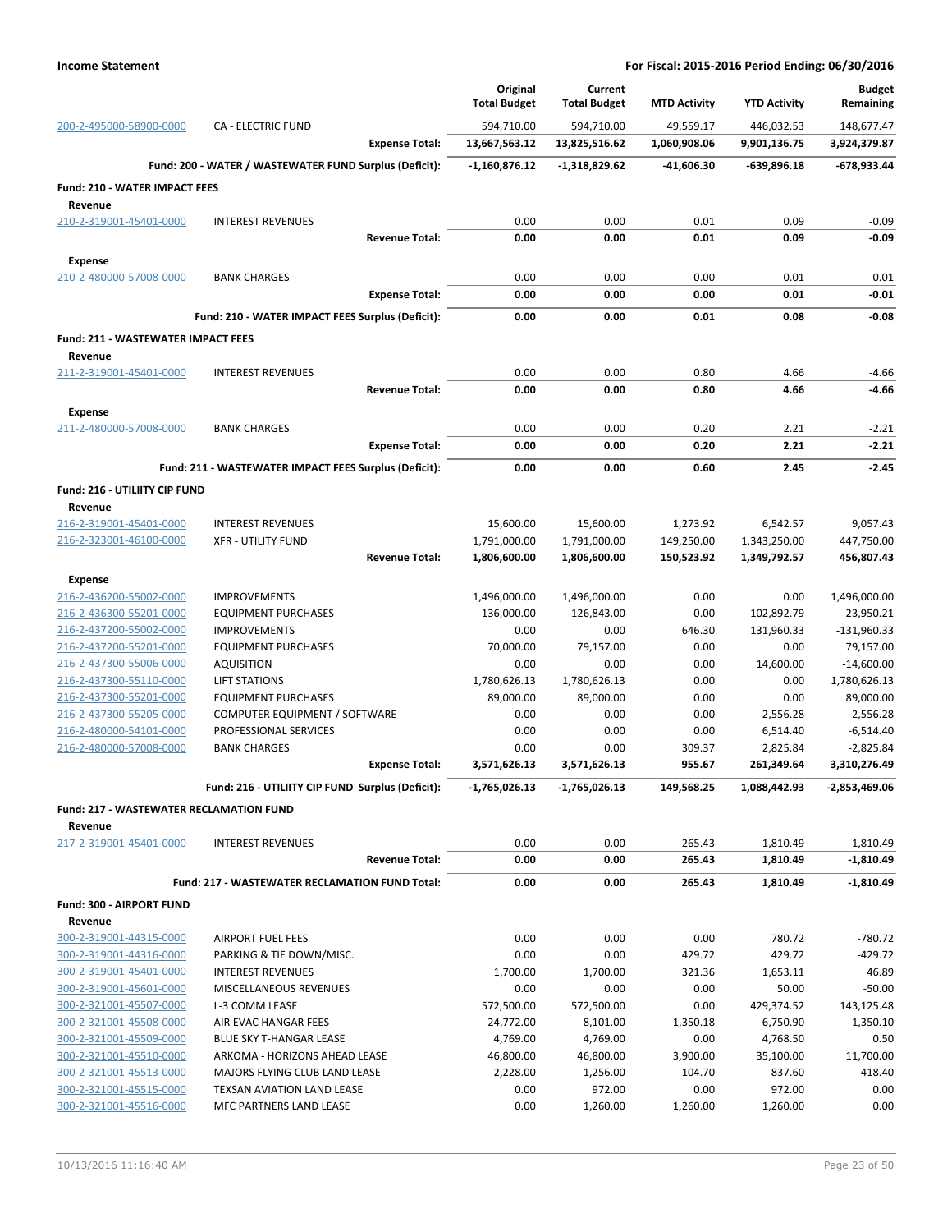|                                                 |                                                        | Original                     | Current                      |                           |                              | <b>Budget</b>              |
|-------------------------------------------------|--------------------------------------------------------|------------------------------|------------------------------|---------------------------|------------------------------|----------------------------|
|                                                 |                                                        | <b>Total Budget</b>          | <b>Total Budget</b>          | <b>MTD Activity</b>       | <b>YTD Activity</b>          | Remaining                  |
| 200-2-495000-58900-0000                         | <b>CA - ELECTRIC FUND</b><br><b>Expense Total:</b>     | 594,710.00<br>13,667,563.12  | 594,710.00<br>13,825,516.62  | 49.559.17<br>1,060,908.06 | 446,032.53<br>9,901,136.75   | 148,677.47<br>3,924,379.87 |
|                                                 |                                                        |                              |                              |                           |                              |                            |
|                                                 | Fund: 200 - WATER / WASTEWATER FUND Surplus (Deficit): | $-1,160,876.12$              | $-1,318,829.62$              | -41,606.30                | $-639,896.18$                | -678,933.44                |
| <b>Fund: 210 - WATER IMPACT FEES</b><br>Revenue |                                                        |                              |                              |                           |                              |                            |
| 210-2-319001-45401-0000                         | <b>INTEREST REVENUES</b>                               | 0.00                         | 0.00                         | 0.01                      | 0.09                         | $-0.09$                    |
|                                                 | <b>Revenue Total:</b>                                  | 0.00                         | 0.00                         | 0.01                      | 0.09                         | -0.09                      |
| <b>Expense</b>                                  |                                                        |                              |                              |                           |                              |                            |
| 210-2-480000-57008-0000                         | <b>BANK CHARGES</b>                                    | 0.00                         | 0.00                         | 0.00                      | 0.01                         | $-0.01$                    |
|                                                 | <b>Expense Total:</b>                                  | 0.00                         | 0.00                         | 0.00                      | 0.01                         | $-0.01$                    |
|                                                 | Fund: 210 - WATER IMPACT FEES Surplus (Deficit):       | 0.00                         | 0.00                         | 0.01                      | 0.08                         | $-0.08$                    |
| <b>Fund: 211 - WASTEWATER IMPACT FEES</b>       |                                                        |                              |                              |                           |                              |                            |
| Revenue                                         |                                                        |                              |                              |                           |                              |                            |
| 211-2-319001-45401-0000                         | <b>INTEREST REVENUES</b>                               | 0.00                         | 0.00                         | 0.80                      | 4.66                         | $-4.66$                    |
|                                                 | <b>Revenue Total:</b>                                  | 0.00                         | 0.00                         | 0.80                      | 4.66                         | $-4.66$                    |
| <b>Expense</b>                                  |                                                        |                              |                              |                           |                              |                            |
| 211-2-480000-57008-0000                         | <b>BANK CHARGES</b>                                    | 0.00                         | 0.00                         | 0.20                      | 2.21                         | $-2.21$                    |
|                                                 | <b>Expense Total:</b>                                  | 0.00                         | 0.00                         | 0.20                      | 2.21                         | $-2.21$                    |
|                                                 | Fund: 211 - WASTEWATER IMPACT FEES Surplus (Deficit):  | 0.00                         | 0.00                         | 0.60                      | 2.45                         | $-2.45$                    |
| Fund: 216 - UTILIITY CIP FUND                   |                                                        |                              |                              |                           |                              |                            |
| Revenue                                         |                                                        |                              |                              |                           |                              |                            |
| 216-2-319001-45401-0000                         | <b>INTEREST REVENUES</b>                               | 15,600.00                    | 15,600.00                    | 1,273.92                  | 6,542.57                     | 9,057.43                   |
| 216-2-323001-46100-0000                         | <b>XFR - UTILITY FUND</b><br><b>Revenue Total:</b>     | 1,791,000.00<br>1,806,600.00 | 1,791,000.00<br>1,806,600.00 | 149,250.00<br>150,523.92  | 1,343,250.00<br>1,349,792.57 | 447,750.00<br>456,807.43   |
|                                                 |                                                        |                              |                              |                           |                              |                            |
| <b>Expense</b><br>216-2-436200-55002-0000       | <b>IMPROVEMENTS</b>                                    | 1,496,000.00                 | 1,496,000.00                 | 0.00                      | 0.00                         | 1,496,000.00               |
| 216-2-436300-55201-0000                         | <b>EQUIPMENT PURCHASES</b>                             | 136,000.00                   | 126,843.00                   | 0.00                      | 102,892.79                   | 23,950.21                  |
| 216-2-437200-55002-0000                         | <b>IMPROVEMENTS</b>                                    | 0.00                         | 0.00                         | 646.30                    | 131,960.33                   | $-131,960.33$              |
| 216-2-437200-55201-0000                         | <b>EQUIPMENT PURCHASES</b>                             | 70,000.00                    | 79,157.00                    | 0.00                      | 0.00                         | 79,157.00                  |
| 216-2-437300-55006-0000                         | <b>AQUISITION</b>                                      | 0.00                         | 0.00                         | 0.00                      | 14,600.00                    | $-14,600.00$               |
| 216-2-437300-55110-0000                         | <b>LIFT STATIONS</b>                                   | 1,780,626.13                 | 1,780,626.13                 | 0.00                      | 0.00                         | 1,780,626.13               |
| 216-2-437300-55201-0000                         | <b>EQUIPMENT PURCHASES</b>                             | 89,000.00                    | 89,000.00                    | 0.00                      | 0.00                         | 89,000.00                  |
| 216-2-437300-55205-0000                         | COMPUTER EQUIPMENT / SOFTWARE                          | 0.00                         | 0.00                         | 0.00                      | 2,556.28                     | $-2,556.28$                |
| 216-2-480000-54101-0000                         | PROFESSIONAL SERVICES                                  | 0.00                         | 0.00                         | 0.00                      | 6,514.40                     | $-6,514.40$                |
| 216-2-480000-57008-0000                         | <b>BANK CHARGES</b>                                    | 0.00                         | 0.00                         | 309.37                    | 2,825.84                     | $-2,825.84$                |
|                                                 | <b>Expense Total:</b>                                  | 3,571,626.13                 | 3,571,626.13                 | 955.67                    | 261,349.64                   | 3,310,276.49               |
|                                                 | Fund: 216 - UTILIITY CIP FUND Surplus (Deficit):       | $-1,765,026.13$              | $-1,765,026.13$              | 149,568.25                | 1,088,442.93                 | -2,853,469.06              |
| <b>Fund: 217 - WASTEWATER RECLAMATION FUND</b>  |                                                        |                              |                              |                           |                              |                            |
| Revenue<br>217-2-319001-45401-0000              | <b>INTEREST REVENUES</b>                               | 0.00                         | 0.00                         | 265.43                    | 1,810.49                     | $-1,810.49$                |
|                                                 | <b>Revenue Total:</b>                                  | 0.00                         | 0.00                         | 265.43                    | 1,810.49                     | -1,810.49                  |
|                                                 | <b>Fund: 217 - WASTEWATER RECLAMATION FUND Total:</b>  | 0.00                         | 0.00                         | 265.43                    | 1,810.49                     | $-1,810.49$                |
|                                                 |                                                        |                              |                              |                           |                              |                            |
| Fund: 300 - AIRPORT FUND<br>Revenue             |                                                        |                              |                              |                           |                              |                            |
| 300-2-319001-44315-0000                         | <b>AIRPORT FUEL FEES</b>                               | 0.00                         | 0.00                         | 0.00                      | 780.72                       | -780.72                    |
| 300-2-319001-44316-0000                         | PARKING & TIE DOWN/MISC.                               | 0.00                         | 0.00                         | 429.72                    | 429.72                       | $-429.72$                  |
| 300-2-319001-45401-0000                         | <b>INTEREST REVENUES</b>                               | 1,700.00                     | 1,700.00                     | 321.36                    | 1,653.11                     | 46.89                      |
| 300-2-319001-45601-0000                         | MISCELLANEOUS REVENUES                                 | 0.00                         | 0.00                         | 0.00                      | 50.00                        | $-50.00$                   |
| 300-2-321001-45507-0000                         | L-3 COMM LEASE                                         | 572,500.00                   | 572,500.00                   | 0.00                      | 429,374.52                   | 143,125.48                 |
| 300-2-321001-45508-0000                         | AIR EVAC HANGAR FEES                                   | 24,772.00                    | 8,101.00                     | 1,350.18                  | 6,750.90                     | 1,350.10                   |
| 300-2-321001-45509-0000                         | <b>BLUE SKY T-HANGAR LEASE</b>                         | 4,769.00                     | 4,769.00                     | 0.00                      | 4,768.50                     | 0.50                       |
| 300-2-321001-45510-0000                         | ARKOMA - HORIZONS AHEAD LEASE                          | 46,800.00                    | 46,800.00                    | 3,900.00                  | 35,100.00                    | 11,700.00                  |
| 300-2-321001-45513-0000                         | MAJORS FLYING CLUB LAND LEASE                          | 2,228.00                     | 1,256.00                     | 104.70                    | 837.60                       | 418.40                     |
| 300-2-321001-45515-0000                         | TEXSAN AVIATION LAND LEASE                             | 0.00                         | 972.00                       | 0.00                      | 972.00                       | 0.00                       |
| 300-2-321001-45516-0000                         | MFC PARTNERS LAND LEASE                                | 0.00                         | 1,260.00                     | 1,260.00                  | 1,260.00                     | 0.00                       |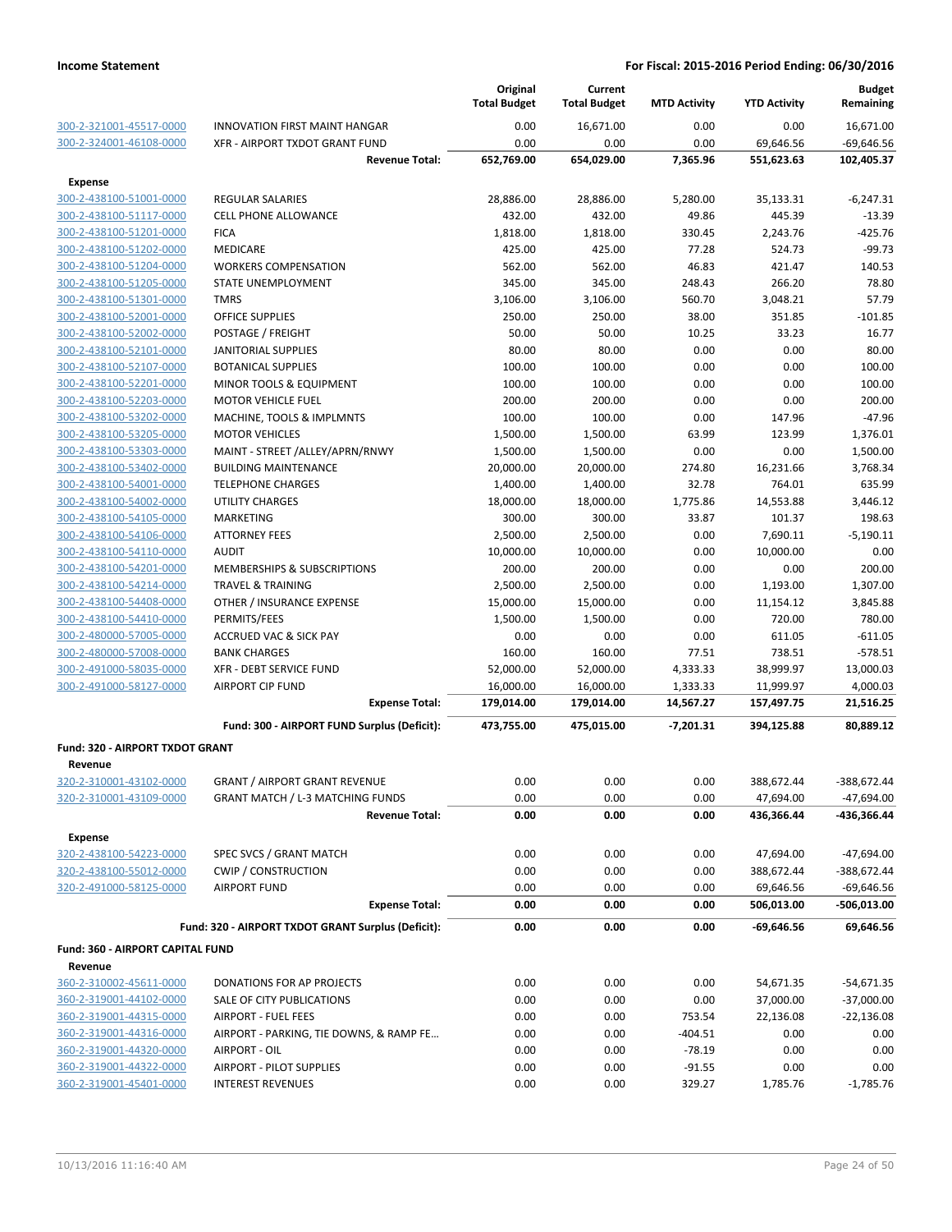|                                    |                                                    | Original<br><b>Total Budget</b> | Current<br><b>Total Budget</b> | <b>MTD Activity</b> | <b>YTD Activity</b> | <b>Budget</b><br>Remaining |
|------------------------------------|----------------------------------------------------|---------------------------------|--------------------------------|---------------------|---------------------|----------------------------|
| 300-2-321001-45517-0000            | <b>INNOVATION FIRST MAINT HANGAR</b>               | 0.00                            | 16,671.00                      | 0.00                | 0.00                | 16,671.00                  |
| 300-2-324001-46108-0000            | XFR - AIRPORT TXDOT GRANT FUND                     | 0.00                            | 0.00                           | 0.00                | 69,646.56           | $-69,646.56$               |
|                                    | <b>Revenue Total:</b>                              | 652,769.00                      | 654,029.00                     | 7,365.96            | 551,623.63          | 102,405.37                 |
| <b>Expense</b>                     |                                                    |                                 |                                |                     |                     |                            |
| 300-2-438100-51001-0000            | <b>REGULAR SALARIES</b>                            | 28,886.00                       | 28,886.00                      | 5,280.00            | 35,133.31           | $-6,247.31$                |
| 300-2-438100-51117-0000            | <b>CELL PHONE ALLOWANCE</b>                        | 432.00                          | 432.00                         | 49.86               | 445.39              | $-13.39$                   |
| 300-2-438100-51201-0000            | <b>FICA</b>                                        | 1,818.00                        | 1,818.00                       | 330.45              | 2,243.76            | $-425.76$                  |
| 300-2-438100-51202-0000            | MEDICARE                                           | 425.00                          | 425.00                         | 77.28               | 524.73              | $-99.73$                   |
| 300-2-438100-51204-0000            | <b>WORKERS COMPENSATION</b>                        | 562.00                          | 562.00                         | 46.83               | 421.47              | 140.53                     |
| 300-2-438100-51205-0000            | STATE UNEMPLOYMENT                                 | 345.00                          | 345.00                         | 248.43              | 266.20              | 78.80                      |
| 300-2-438100-51301-0000            | <b>TMRS</b>                                        | 3,106.00                        | 3,106.00                       | 560.70              | 3,048.21            | 57.79                      |
| 300-2-438100-52001-0000            | <b>OFFICE SUPPLIES</b>                             | 250.00                          | 250.00                         | 38.00               | 351.85              | $-101.85$                  |
| 300-2-438100-52002-0000            | POSTAGE / FREIGHT                                  | 50.00                           | 50.00                          | 10.25               | 33.23               | 16.77                      |
| 300-2-438100-52101-0000            | <b>JANITORIAL SUPPLIES</b>                         | 80.00                           | 80.00                          | 0.00                | 0.00                | 80.00                      |
| 300-2-438100-52107-0000            | <b>BOTANICAL SUPPLIES</b>                          | 100.00                          | 100.00                         | 0.00                | 0.00                | 100.00                     |
| 300-2-438100-52201-0000            | MINOR TOOLS & EQUIPMENT                            | 100.00                          | 100.00                         | 0.00                | 0.00                | 100.00                     |
| 300-2-438100-52203-0000            | <b>MOTOR VEHICLE FUEL</b>                          | 200.00                          | 200.00                         | 0.00                | 0.00                | 200.00                     |
| 300-2-438100-53202-0000            | MACHINE, TOOLS & IMPLMNTS                          | 100.00                          | 100.00                         | 0.00                | 147.96              | $-47.96$                   |
| 300-2-438100-53205-0000            | <b>MOTOR VEHICLES</b>                              | 1,500.00                        | 1,500.00                       | 63.99               | 123.99              | 1,376.01                   |
| 300-2-438100-53303-0000            | MAINT - STREET /ALLEY/APRN/RNWY                    | 1,500.00                        | 1,500.00                       | 0.00                | 0.00                | 1,500.00                   |
| 300-2-438100-53402-0000            | <b>BUILDING MAINTENANCE</b>                        | 20,000.00                       | 20,000.00                      | 274.80              | 16,231.66           | 3,768.34                   |
| 300-2-438100-54001-0000            | <b>TELEPHONE CHARGES</b>                           | 1,400.00                        | 1,400.00                       | 32.78               | 764.01              | 635.99                     |
| 300-2-438100-54002-0000            | UTILITY CHARGES                                    | 18,000.00                       | 18,000.00                      | 1,775.86            | 14,553.88           | 3,446.12                   |
| 300-2-438100-54105-0000            | <b>MARKETING</b>                                   | 300.00                          | 300.00                         | 33.87               | 101.37              | 198.63                     |
| 300-2-438100-54106-0000            | <b>ATTORNEY FEES</b>                               | 2,500.00                        | 2,500.00                       | 0.00                | 7,690.11            | $-5,190.11$                |
| 300-2-438100-54110-0000            | <b>AUDIT</b>                                       | 10,000.00                       | 10,000.00                      | 0.00                | 10,000.00           | 0.00                       |
| 300-2-438100-54201-0000            | MEMBERSHIPS & SUBSCRIPTIONS                        | 200.00                          | 200.00                         | 0.00                | 0.00                | 200.00                     |
| 300-2-438100-54214-0000            | <b>TRAVEL &amp; TRAINING</b>                       | 2,500.00                        | 2,500.00                       | 0.00                | 1,193.00            | 1,307.00                   |
| 300-2-438100-54408-0000            | OTHER / INSURANCE EXPENSE                          | 15,000.00                       | 15,000.00                      | 0.00                | 11,154.12           | 3,845.88                   |
| 300-2-438100-54410-0000            | PERMITS/FEES                                       | 1,500.00                        | 1,500.00                       | 0.00                | 720.00              | 780.00                     |
| 300-2-480000-57005-0000            | <b>ACCRUED VAC &amp; SICK PAY</b>                  | 0.00                            | 0.00                           | 0.00                | 611.05              | $-611.05$                  |
| 300-2-480000-57008-0000            | <b>BANK CHARGES</b>                                | 160.00                          | 160.00                         | 77.51               | 738.51              | $-578.51$                  |
| 300-2-491000-58035-0000            | XFR - DEBT SERVICE FUND                            | 52,000.00                       | 52,000.00                      | 4,333.33            | 38,999.97           | 13,000.03                  |
| 300-2-491000-58127-0000            | <b>AIRPORT CIP FUND</b>                            | 16,000.00                       | 16,000.00                      | 1,333.33            | 11,999.97           | 4,000.03                   |
|                                    | <b>Expense Total:</b>                              | 179,014.00                      | 179,014.00                     | 14,567.27           | 157,497.75          | 21,516.25                  |
|                                    | Fund: 300 - AIRPORT FUND Surplus (Deficit):        | 473,755.00                      | 475,015.00                     | $-7,201.31$         | 394,125.88          | 80,889.12                  |
| Fund: 320 - AIRPORT TXDOT GRANT    |                                                    |                                 |                                |                     |                     |                            |
|                                    |                                                    |                                 |                                |                     |                     |                            |
| Revenue<br>320-2-310001-43102-0000 | <b>GRANT / AIRPORT GRANT REVENUE</b>               | 0.00                            | 0.00                           | 0.00                | 388,672.44          | -388,672.44                |
| 320-2-310001-43109-0000            | <b>GRANT MATCH / L-3 MATCHING FUNDS</b>            | 0.00                            | 0.00                           | 0.00                | 47,694.00           | $-47,694.00$               |
|                                    | <b>Revenue Total:</b>                              | 0.00                            | 0.00                           | 0.00                | 436,366.44          | -436,366.44                |
|                                    |                                                    |                                 |                                |                     |                     |                            |
| <b>Expense</b>                     |                                                    |                                 |                                |                     |                     |                            |
| 320-2-438100-54223-0000            | SPEC SVCS / GRANT MATCH                            | 0.00                            | 0.00                           | 0.00                | 47,694.00           | $-47,694.00$               |
| 320-2-438100-55012-0000            | <b>CWIP / CONSTRUCTION</b>                         | 0.00                            | 0.00                           | 0.00                | 388,672.44          | -388,672.44                |
| 320-2-491000-58125-0000            | <b>AIRPORT FUND</b>                                | 0.00                            | 0.00                           | 0.00                | 69,646.56           | $-69,646.56$               |
|                                    | <b>Expense Total:</b>                              | 0.00                            | 0.00                           | 0.00                | 506,013.00          | -506,013.00                |
|                                    | Fund: 320 - AIRPORT TXDOT GRANT Surplus (Deficit): | 0.00                            | 0.00                           | 0.00                | $-69,646.56$        | 69,646.56                  |
| Fund: 360 - AIRPORT CAPITAL FUND   |                                                    |                                 |                                |                     |                     |                            |
| Revenue                            |                                                    |                                 |                                |                     |                     |                            |
| 360-2-310002-45611-0000            | DONATIONS FOR AP PROJECTS                          | 0.00                            | 0.00                           | 0.00                | 54,671.35           | $-54,671.35$               |
| 360-2-319001-44102-0000            | SALE OF CITY PUBLICATIONS                          | 0.00                            | 0.00                           | 0.00                | 37,000.00           | $-37,000.00$               |
| 360-2-319001-44315-0000            | <b>AIRPORT - FUEL FEES</b>                         | 0.00                            | 0.00                           | 753.54              | 22,136.08           | $-22,136.08$               |
| 360-2-319001-44316-0000            | AIRPORT - PARKING, TIE DOWNS, & RAMP FE            | 0.00                            | 0.00                           | $-404.51$           | 0.00                | 0.00                       |
| 360-2-319001-44320-0000            | AIRPORT - OIL                                      | 0.00                            | 0.00                           | $-78.19$            | 0.00                | 0.00                       |
| 360-2-319001-44322-0000            | <b>AIRPORT - PILOT SUPPLIES</b>                    | 0.00                            | 0.00                           | $-91.55$            | 0.00                | 0.00                       |
| 360-2-319001-45401-0000            | <b>INTEREST REVENUES</b>                           | 0.00                            | 0.00                           | 329.27              | 1,785.76            | $-1,785.76$                |
|                                    |                                                    |                                 |                                |                     |                     |                            |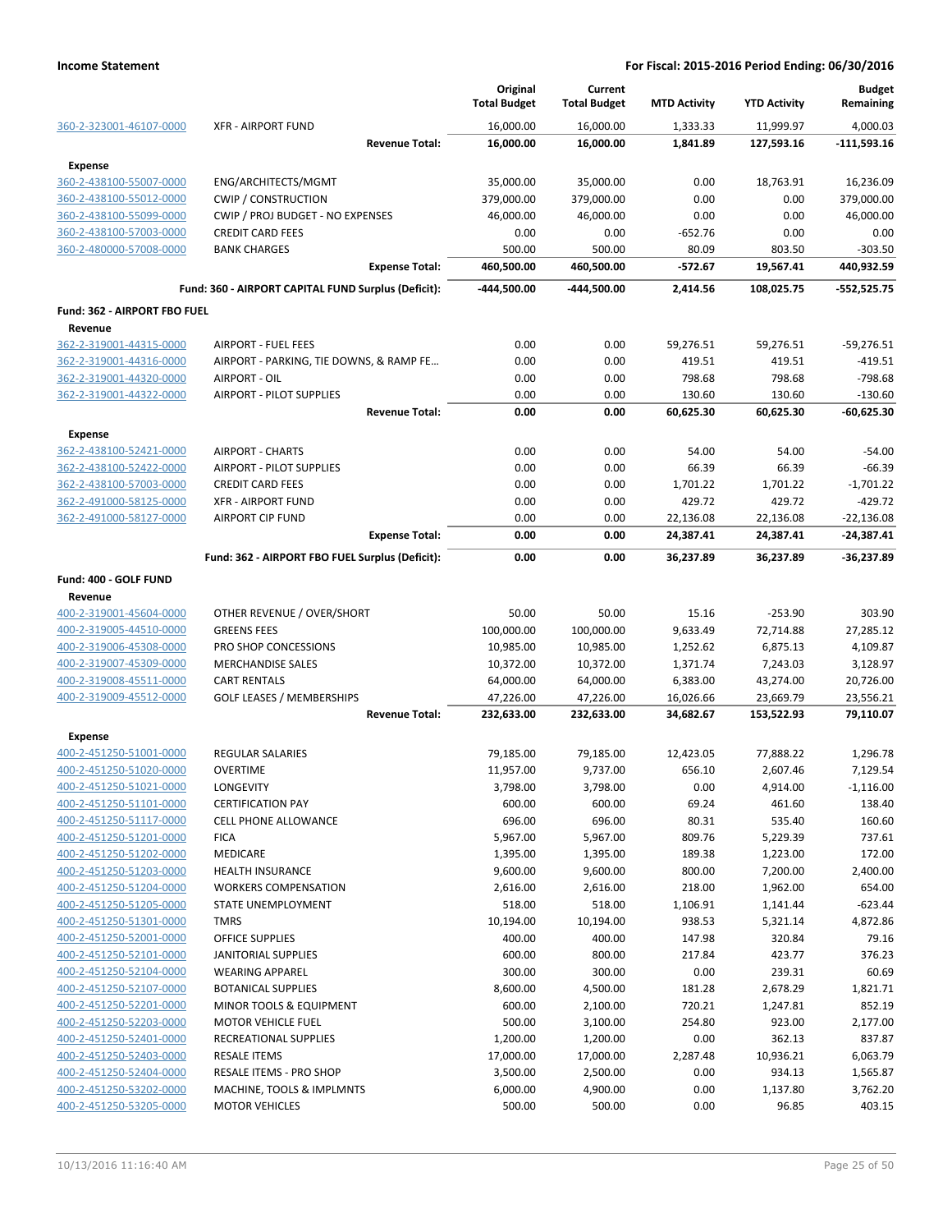|                                    |                                                     | Original<br><b>Total Budget</b> | Current<br><b>Total Budget</b> | <b>MTD Activity</b>   | <b>YTD Activity</b>     | <b>Budget</b><br>Remaining  |
|------------------------------------|-----------------------------------------------------|---------------------------------|--------------------------------|-----------------------|-------------------------|-----------------------------|
| 360-2-323001-46107-0000            | <b>XFR - AIRPORT FUND</b>                           | 16,000.00                       | 16,000.00                      | 1,333.33              | 11,999.97               | 4.000.03                    |
|                                    | <b>Revenue Total:</b>                               | 16,000.00                       | 16,000.00                      | 1,841.89              | 127,593.16              | -111,593.16                 |
| <b>Expense</b>                     |                                                     |                                 |                                |                       |                         |                             |
| 360-2-438100-55007-0000            | ENG/ARCHITECTS/MGMT                                 | 35,000.00                       | 35,000.00                      | 0.00                  | 18,763.91               | 16,236.09                   |
| 360-2-438100-55012-0000            | <b>CWIP / CONSTRUCTION</b>                          | 379,000.00                      | 379,000.00                     | 0.00                  | 0.00                    | 379,000.00                  |
| 360-2-438100-55099-0000            | CWIP / PROJ BUDGET - NO EXPENSES                    | 46,000.00                       | 46,000.00                      | 0.00                  | 0.00                    | 46,000.00                   |
| 360-2-438100-57003-0000            | <b>CREDIT CARD FEES</b>                             | 0.00                            | 0.00                           | $-652.76$             | 0.00                    | 0.00                        |
| 360-2-480000-57008-0000            | <b>BANK CHARGES</b><br><b>Expense Total:</b>        | 500.00                          | 500.00                         | 80.09                 | 803.50                  | $-303.50$                   |
|                                    | Fund: 360 - AIRPORT CAPITAL FUND Surplus (Deficit): | 460,500.00<br>-444,500.00       | 460,500.00<br>-444.500.00      | $-572.67$<br>2.414.56 | 19,567.41<br>108,025.75 | 440,932.59<br>$-552,525.75$ |
|                                    |                                                     |                                 |                                |                       |                         |                             |
| Fund: 362 - AIRPORT FBO FUEL       |                                                     |                                 |                                |                       |                         |                             |
| Revenue<br>362-2-319001-44315-0000 | <b>AIRPORT - FUEL FEES</b>                          | 0.00                            | 0.00                           |                       |                         |                             |
| 362-2-319001-44316-0000            | AIRPORT - PARKING, TIE DOWNS, & RAMP FE             | 0.00                            | 0.00                           | 59,276.51<br>419.51   | 59,276.51<br>419.51     | $-59,276.51$<br>$-419.51$   |
| 362-2-319001-44320-0000            | AIRPORT - OIL                                       | 0.00                            | 0.00                           | 798.68                | 798.68                  | $-798.68$                   |
| 362-2-319001-44322-0000            | <b>AIRPORT - PILOT SUPPLIES</b>                     | 0.00                            | 0.00                           | 130.60                | 130.60                  | $-130.60$                   |
|                                    | <b>Revenue Total:</b>                               | 0.00                            | 0.00                           | 60,625.30             | 60,625.30               | $-60,625.30$                |
| <b>Expense</b>                     |                                                     |                                 |                                |                       |                         |                             |
| 362-2-438100-52421-0000            | <b>AIRPORT - CHARTS</b>                             | 0.00                            | 0.00                           | 54.00                 | 54.00                   | $-54.00$                    |
| 362-2-438100-52422-0000            | <b>AIRPORT - PILOT SUPPLIES</b>                     | 0.00                            | 0.00                           | 66.39                 | 66.39                   | $-66.39$                    |
| 362-2-438100-57003-0000            | <b>CREDIT CARD FEES</b>                             | 0.00                            | 0.00                           | 1,701.22              | 1,701.22                | $-1,701.22$                 |
| 362-2-491000-58125-0000            | <b>XFR - AIRPORT FUND</b>                           | 0.00                            | 0.00                           | 429.72                | 429.72                  | $-429.72$                   |
| 362-2-491000-58127-0000            | <b>AIRPORT CIP FUND</b>                             | 0.00                            | 0.00                           | 22,136.08             | 22,136.08               | $-22,136.08$                |
|                                    | <b>Expense Total:</b>                               | 0.00                            | 0.00                           | 24,387.41             | 24,387.41               | $-24,387.41$                |
|                                    | Fund: 362 - AIRPORT FBO FUEL Surplus (Deficit):     | 0.00                            | 0.00                           | 36,237.89             | 36,237.89               | -36,237.89                  |
| Fund: 400 - GOLF FUND              |                                                     |                                 |                                |                       |                         |                             |
| Revenue                            |                                                     |                                 |                                |                       |                         |                             |
| 400-2-319001-45604-0000            | OTHER REVENUE / OVER/SHORT                          | 50.00                           | 50.00                          | 15.16                 | $-253.90$               | 303.90                      |
| 400-2-319005-44510-0000            | <b>GREENS FEES</b>                                  | 100,000.00                      | 100,000.00                     | 9,633.49              | 72,714.88               | 27,285.12                   |
| 400-2-319006-45308-0000            | PRO SHOP CONCESSIONS                                | 10,985.00                       | 10,985.00                      | 1,252.62              | 6,875.13                | 4,109.87                    |
| 400-2-319007-45309-0000            | <b>MERCHANDISE SALES</b>                            | 10,372.00                       | 10,372.00                      | 1,371.74              | 7,243.03                | 3,128.97                    |
| 400-2-319008-45511-0000            | <b>CART RENTALS</b>                                 | 64,000.00                       | 64,000.00                      | 6,383.00              | 43,274.00               | 20,726.00                   |
| 400-2-319009-45512-0000            | <b>GOLF LEASES / MEMBERSHIPS</b>                    | 47,226.00                       | 47,226.00                      | 16,026.66             | 23,669.79               | 23,556.21                   |
|                                    | <b>Revenue Total:</b>                               | 232,633.00                      | 232,633.00                     | 34,682.67             | 153,522.93              | 79,110.07                   |
| <b>Expense</b>                     |                                                     |                                 |                                |                       |                         |                             |
| 400-2-451250-51001-0000            | <b>REGULAR SALARIES</b>                             | 79,185.00                       | 79,185.00                      | 12,423.05             | 77,888.22               | 1,296.78                    |
| 400-2-451250-51020-0000            | <b>OVERTIME</b>                                     | 11,957.00                       | 9,737.00                       | 656.10                | 2,607.46                | 7,129.54                    |
| 400-2-451250-51021-0000            | <b>LONGEVITY</b>                                    | 3,798.00                        | 3,798.00                       | 0.00                  | 4,914.00                | $-1,116.00$                 |
| 400-2-451250-51101-0000            | <b>CERTIFICATION PAY</b>                            | 600.00                          | 600.00                         | 69.24                 | 461.60                  | 138.40                      |
| 400-2-451250-51117-0000            | <b>CELL PHONE ALLOWANCE</b>                         | 696.00                          | 696.00                         | 80.31                 | 535.40                  | 160.60                      |
| 400-2-451250-51201-0000            | <b>FICA</b>                                         | 5,967.00                        | 5,967.00                       | 809.76                | 5,229.39                | 737.61                      |
| 400-2-451250-51202-0000            | MEDICARE                                            | 1,395.00                        | 1,395.00                       | 189.38                | 1,223.00                | 172.00                      |
| 400-2-451250-51203-0000            | <b>HEALTH INSURANCE</b>                             | 9,600.00                        | 9,600.00                       | 800.00                | 7,200.00                | 2,400.00                    |
| 400-2-451250-51204-0000            | <b>WORKERS COMPENSATION</b>                         | 2,616.00                        | 2,616.00                       | 218.00                | 1,962.00                | 654.00                      |
| 400-2-451250-51205-0000            | STATE UNEMPLOYMENT                                  | 518.00                          | 518.00                         | 1,106.91              | 1,141.44                | $-623.44$                   |
| 400-2-451250-51301-0000            | <b>TMRS</b>                                         | 10,194.00                       | 10,194.00                      | 938.53                | 5,321.14                | 4,872.86                    |
| 400-2-451250-52001-0000            | <b>OFFICE SUPPLIES</b>                              | 400.00                          | 400.00                         | 147.98                | 320.84                  | 79.16                       |
| 400-2-451250-52101-0000            | JANITORIAL SUPPLIES                                 | 600.00                          | 800.00                         | 217.84                | 423.77                  | 376.23                      |
| 400-2-451250-52104-0000            | <b>WEARING APPAREL</b>                              | 300.00                          | 300.00                         | 0.00                  | 239.31                  | 60.69                       |
| 400-2-451250-52107-0000            | <b>BOTANICAL SUPPLIES</b>                           | 8,600.00                        | 4,500.00                       | 181.28                | 2,678.29                | 1,821.71                    |
| 400-2-451250-52201-0000            | MINOR TOOLS & EQUIPMENT                             | 600.00                          | 2,100.00                       | 720.21                | 1,247.81                | 852.19                      |
| 400-2-451250-52203-0000            | <b>MOTOR VEHICLE FUEL</b>                           | 500.00                          | 3,100.00                       | 254.80                | 923.00                  | 2,177.00                    |
| 400-2-451250-52401-0000            | RECREATIONAL SUPPLIES                               | 1,200.00                        | 1,200.00                       | 0.00                  | 362.13                  | 837.87                      |
| 400-2-451250-52403-0000            | <b>RESALE ITEMS</b>                                 | 17,000.00                       | 17,000.00                      | 2,287.48              | 10,936.21               | 6,063.79                    |
| 400-2-451250-52404-0000            | RESALE ITEMS - PRO SHOP                             | 3,500.00                        | 2,500.00                       | 0.00                  | 934.13                  | 1,565.87                    |
| 400-2-451250-53202-0000            | MACHINE, TOOLS & IMPLMNTS                           | 6,000.00                        | 4,900.00                       | 0.00                  | 1,137.80                | 3,762.20                    |
| 400-2-451250-53205-0000            | <b>MOTOR VEHICLES</b>                               | 500.00                          | 500.00                         | 0.00                  | 96.85                   | 403.15                      |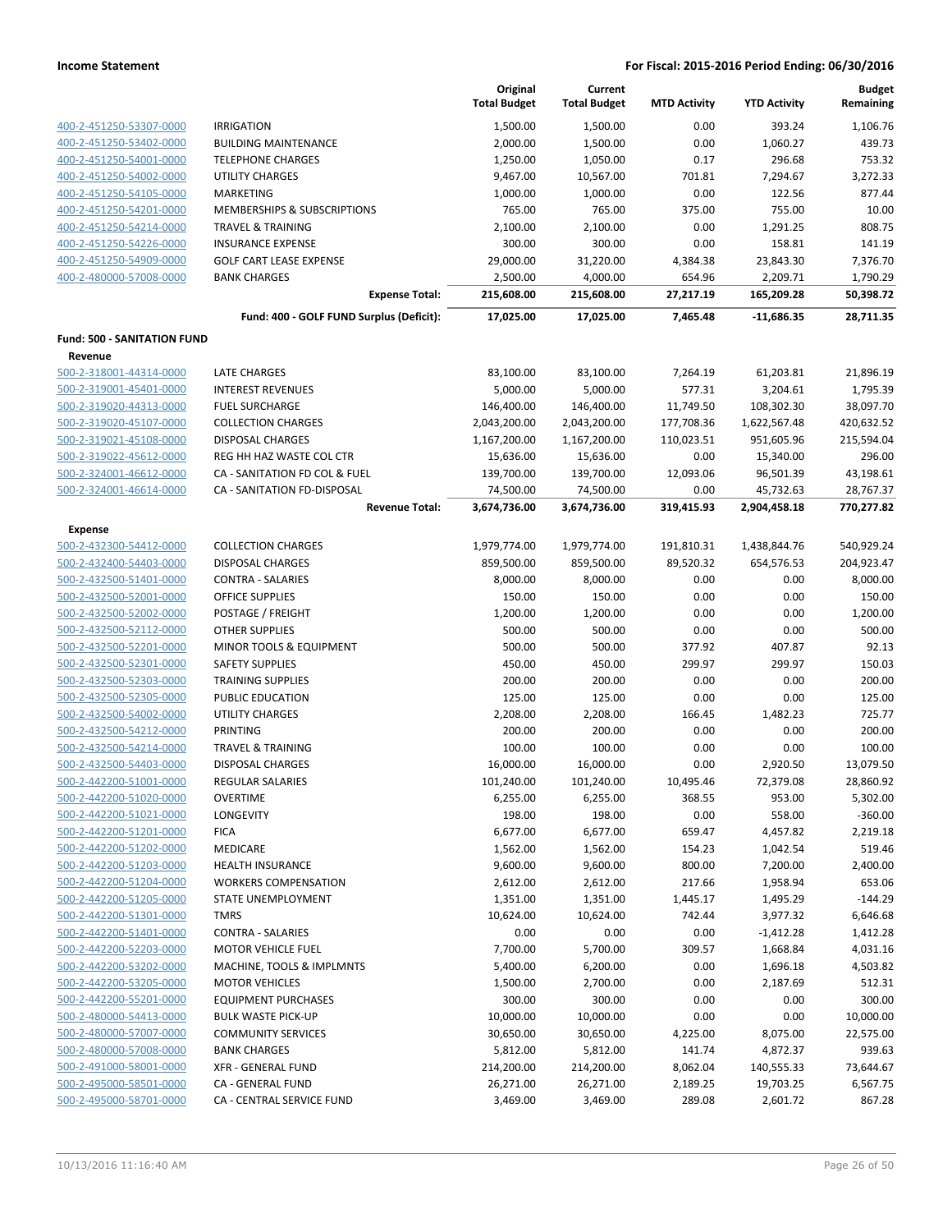|                                    |                                          | Original<br><b>Total Budget</b> | Current<br><b>Total Budget</b> | <b>MTD Activity</b> | <b>YTD Activity</b> | <b>Budget</b><br>Remaining |
|------------------------------------|------------------------------------------|---------------------------------|--------------------------------|---------------------|---------------------|----------------------------|
| 400-2-451250-53307-0000            | <b>IRRIGATION</b>                        | 1,500.00                        | 1,500.00                       | 0.00                | 393.24              | 1,106.76                   |
| 400-2-451250-53402-0000            | <b>BUILDING MAINTENANCE</b>              | 2,000.00                        | 1,500.00                       | 0.00                | 1,060.27            | 439.73                     |
| 400-2-451250-54001-0000            | <b>TELEPHONE CHARGES</b>                 | 1,250.00                        | 1,050.00                       | 0.17                | 296.68              | 753.32                     |
| 400-2-451250-54002-0000            | <b>UTILITY CHARGES</b>                   | 9,467.00                        | 10,567.00                      | 701.81              | 7,294.67            | 3,272.33                   |
| 400-2-451250-54105-0000            | <b>MARKETING</b>                         | 1,000.00                        | 1,000.00                       | 0.00                | 122.56              | 877.44                     |
| 400-2-451250-54201-0000            | MEMBERSHIPS & SUBSCRIPTIONS              | 765.00                          | 765.00                         | 375.00              | 755.00              | 10.00                      |
| 400-2-451250-54214-0000            | <b>TRAVEL &amp; TRAINING</b>             | 2,100.00                        | 2,100.00                       | 0.00                | 1,291.25            | 808.75                     |
| 400-2-451250-54226-0000            | <b>INSURANCE EXPENSE</b>                 | 300.00                          | 300.00                         | 0.00                | 158.81              | 141.19                     |
| 400-2-451250-54909-0000            | <b>GOLF CART LEASE EXPENSE</b>           | 29,000.00                       | 31,220.00                      | 4,384.38            | 23,843.30           | 7,376.70                   |
| 400-2-480000-57008-0000            | <b>BANK CHARGES</b>                      | 2,500.00                        | 4,000.00                       | 654.96              | 2,209.71            | 1,790.29                   |
|                                    | <b>Expense Total:</b>                    | 215,608.00                      | 215,608.00                     | 27,217.19           | 165,209.28          | 50,398.72                  |
|                                    | Fund: 400 - GOLF FUND Surplus (Deficit): | 17,025.00                       | 17,025.00                      | 7,465.48            | $-11,686.35$        | 28,711.35                  |
| <b>Fund: 500 - SANITATION FUND</b> |                                          |                                 |                                |                     |                     |                            |
| Revenue                            |                                          |                                 |                                |                     |                     |                            |
| 500-2-318001-44314-0000            | LATE CHARGES                             | 83,100.00                       | 83,100.00                      | 7,264.19            | 61,203.81           | 21,896.19                  |
| 500-2-319001-45401-0000            | <b>INTEREST REVENUES</b>                 | 5,000.00                        | 5,000.00                       | 577.31              | 3,204.61            | 1,795.39                   |
| 500-2-319020-44313-0000            | <b>FUEL SURCHARGE</b>                    | 146,400.00                      | 146,400.00                     | 11,749.50           | 108,302.30          | 38,097.70                  |
| 500-2-319020-45107-0000            | <b>COLLECTION CHARGES</b>                | 2,043,200.00                    | 2,043,200.00                   | 177,708.36          | 1,622,567.48        | 420,632.52                 |
| 500-2-319021-45108-0000            | <b>DISPOSAL CHARGES</b>                  | 1,167,200.00                    | 1,167,200.00                   | 110,023.51          | 951,605.96          | 215,594.04                 |
| 500-2-319022-45612-0000            | REG HH HAZ WASTE COL CTR                 | 15,636.00                       | 15,636.00                      | 0.00                | 15,340.00           | 296.00                     |
| 500-2-324001-46612-0000            | CA - SANITATION FD COL & FUEL            | 139,700.00                      | 139,700.00                     | 12,093.06           | 96,501.39           | 43,198.61                  |
| 500-2-324001-46614-0000            | CA - SANITATION FD-DISPOSAL              | 74,500.00                       | 74,500.00                      | 0.00                | 45,732.63           | 28,767.37                  |
|                                    | <b>Revenue Total:</b>                    | 3,674,736.00                    | 3,674,736.00                   | 319,415.93          | 2,904,458.18        | 770,277.82                 |
| <b>Expense</b>                     |                                          |                                 |                                |                     |                     |                            |
| 500-2-432300-54412-0000            | <b>COLLECTION CHARGES</b>                | 1,979,774.00                    | 1,979,774.00                   | 191,810.31          | 1,438,844.76        | 540,929.24                 |
| 500-2-432400-54403-0000            | <b>DISPOSAL CHARGES</b>                  | 859,500.00                      | 859,500.00                     | 89,520.32           | 654,576.53          | 204,923.47                 |
| 500-2-432500-51401-0000            | <b>CONTRA - SALARIES</b>                 | 8,000.00                        | 8,000.00                       | 0.00                | 0.00                | 8,000.00                   |
| 500-2-432500-52001-0000            | <b>OFFICE SUPPLIES</b>                   | 150.00                          | 150.00                         | 0.00                | 0.00                | 150.00                     |
| 500-2-432500-52002-0000            | POSTAGE / FREIGHT                        | 1,200.00                        | 1,200.00                       | 0.00                | 0.00                | 1,200.00                   |
| 500-2-432500-52112-0000            | <b>OTHER SUPPLIES</b>                    | 500.00                          | 500.00                         | 0.00                | 0.00                | 500.00                     |
| 500-2-432500-52201-0000            | MINOR TOOLS & EQUIPMENT                  | 500.00                          | 500.00                         | 377.92              | 407.87              | 92.13                      |
| 500-2-432500-52301-0000            | <b>SAFETY SUPPLIES</b>                   | 450.00                          | 450.00                         | 299.97              | 299.97              | 150.03                     |
| 500-2-432500-52303-0000            | <b>TRAINING SUPPLIES</b>                 | 200.00                          | 200.00                         | 0.00                | 0.00                | 200.00                     |
| 500-2-432500-52305-0000            | PUBLIC EDUCATION                         | 125.00                          | 125.00                         | 0.00                | 0.00                | 125.00                     |
| 500-2-432500-54002-0000            | <b>UTILITY CHARGES</b>                   | 2,208.00                        | 2,208.00                       | 166.45              | 1,482.23            | 725.77                     |
| 500-2-432500-54212-0000            | PRINTING                                 | 200.00                          | 200.00                         | 0.00                | 0.00                | 200.00                     |
| 500-2-432500-54214-0000            | <b>TRAVEL &amp; TRAINING</b>             | 100.00                          | 100.00                         | 0.00                | 0.00                | 100.00                     |
| 500-2-432500-54403-0000            | <b>DISPOSAL CHARGES</b>                  | 16,000.00                       | 16,000.00                      | 0.00                | 2,920.50            | 13,079.50                  |
| 500-2-442200-51001-0000            | <b>REGULAR SALARIES</b>                  | 101,240.00                      | 101,240.00                     | 10,495.46           | 72,379.08           | 28,860.92                  |
| 500-2-442200-51020-0000            | <b>OVERTIME</b>                          | 6,255.00                        | 6,255.00                       | 368.55              | 953.00              | 5,302.00                   |
| 500-2-442200-51021-0000            | <b>LONGEVITY</b>                         | 198.00                          | 198.00                         | 0.00                | 558.00              | $-360.00$                  |
| 500-2-442200-51201-0000            | <b>FICA</b>                              | 6,677.00                        | 6,677.00                       | 659.47              | 4,457.82            | 2,219.18                   |
| 500-2-442200-51202-0000            | <b>MEDICARE</b>                          | 1,562.00                        | 1,562.00                       | 154.23              | 1,042.54            | 519.46                     |
| 500-2-442200-51203-0000            | HEALTH INSURANCE                         | 9,600.00                        | 9,600.00                       | 800.00              | 7,200.00            | 2,400.00                   |
| 500-2-442200-51204-0000            | <b>WORKERS COMPENSATION</b>              | 2,612.00                        | 2,612.00                       | 217.66              | 1,958.94            | 653.06                     |
| 500-2-442200-51205-0000            | STATE UNEMPLOYMENT                       | 1,351.00                        | 1,351.00                       | 1,445.17            | 1,495.29            | $-144.29$                  |
| 500-2-442200-51301-0000            | <b>TMRS</b>                              | 10,624.00                       | 10,624.00                      | 742.44              | 3,977.32            | 6,646.68                   |
| 500-2-442200-51401-0000            | <b>CONTRA - SALARIES</b>                 | 0.00                            | 0.00                           | 0.00                | $-1,412.28$         | 1,412.28                   |
| 500-2-442200-52203-0000            | MOTOR VEHICLE FUEL                       | 7,700.00                        | 5,700.00                       | 309.57              | 1,668.84            | 4,031.16                   |
| 500-2-442200-53202-0000            | MACHINE, TOOLS & IMPLMNTS                | 5,400.00                        | 6,200.00                       | 0.00                | 1,696.18            | 4,503.82                   |
| 500-2-442200-53205-0000            | <b>MOTOR VEHICLES</b>                    | 1,500.00                        | 2,700.00                       | 0.00                | 2,187.69            | 512.31                     |
| 500-2-442200-55201-0000            | <b>EQUIPMENT PURCHASES</b>               | 300.00                          | 300.00                         | 0.00                | 0.00                | 300.00                     |
| 500-2-480000-54413-0000            | <b>BULK WASTE PICK-UP</b>                | 10,000.00                       | 10,000.00                      | 0.00                | 0.00                | 10,000.00                  |
| 500-2-480000-57007-0000            | <b>COMMUNITY SERVICES</b>                | 30,650.00                       | 30,650.00                      | 4,225.00            | 8,075.00            | 22,575.00                  |
| 500-2-480000-57008-0000            | <b>BANK CHARGES</b>                      | 5,812.00                        | 5,812.00                       | 141.74              | 4,872.37            | 939.63                     |
| 500-2-491000-58001-0000            | <b>XFR - GENERAL FUND</b>                | 214,200.00                      | 214,200.00                     | 8,062.04            | 140,555.33          | 73,644.67                  |
| 500-2-495000-58501-0000            | CA - GENERAL FUND                        | 26,271.00                       | 26,271.00                      | 2,189.25            | 19,703.25           | 6,567.75                   |
| 500-2-495000-58701-0000            | CA - CENTRAL SERVICE FUND                | 3,469.00                        | 3,469.00                       | 289.08              | 2,601.72            | 867.28                     |
|                                    |                                          |                                 |                                |                     |                     |                            |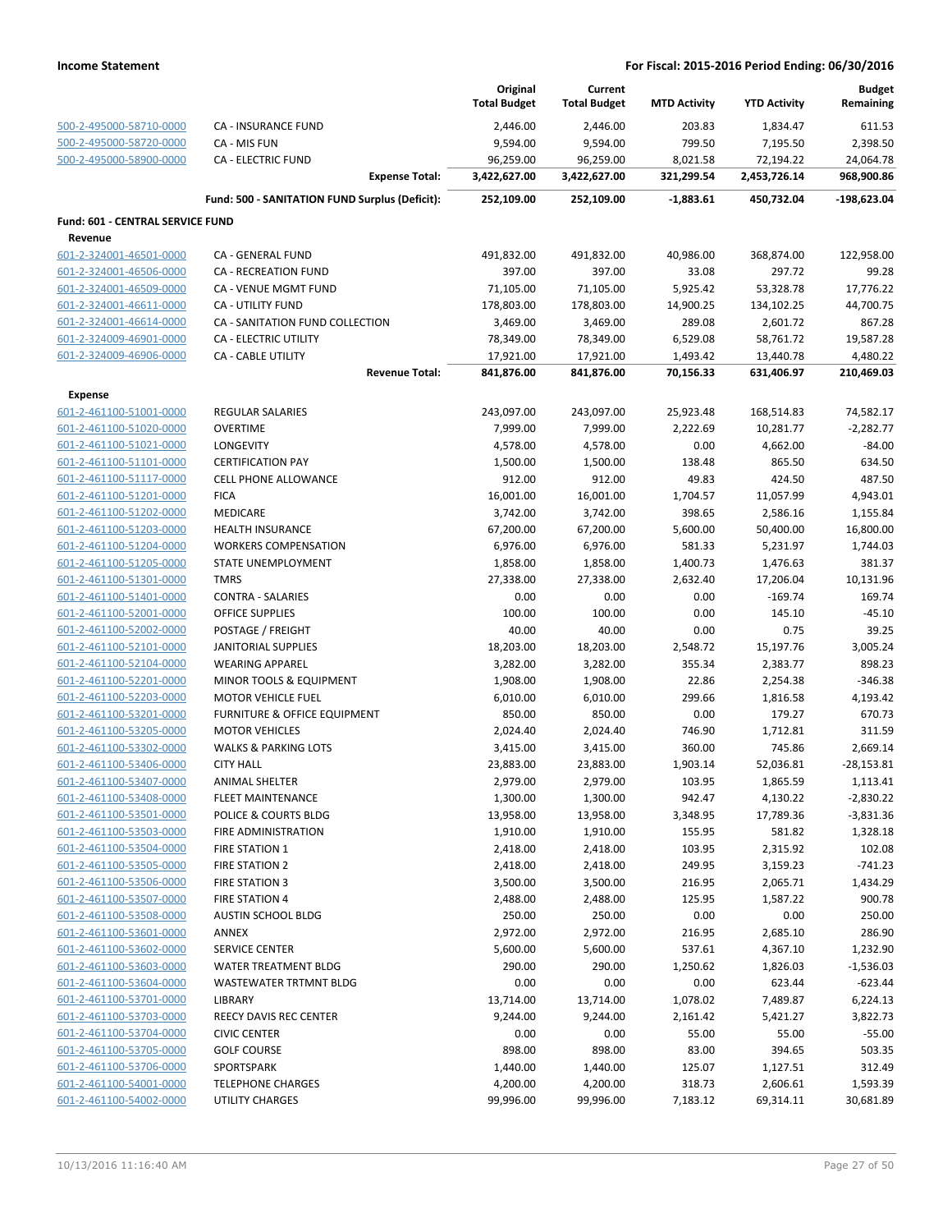|                                  |                                                | Original<br><b>Total Budget</b> | Current<br><b>Total Budget</b> | <b>MTD Activity</b> | <b>YTD Activity</b> | <b>Budget</b><br>Remaining |
|----------------------------------|------------------------------------------------|---------------------------------|--------------------------------|---------------------|---------------------|----------------------------|
| 500-2-495000-58710-0000          | <b>CA - INSURANCE FUND</b>                     | 2,446.00                        | 2,446.00                       | 203.83              | 1,834.47            | 611.53                     |
| 500-2-495000-58720-0000          | CA - MIS FUN                                   | 9,594.00                        | 9,594.00                       | 799.50              | 7,195.50            | 2,398.50                   |
| 500-2-495000-58900-0000          | <b>CA - ELECTRIC FUND</b>                      | 96,259.00                       | 96,259.00                      | 8,021.58            | 72,194.22           | 24,064.78                  |
|                                  | <b>Expense Total:</b>                          | 3,422,627.00                    | 3,422,627.00                   | 321,299.54          | 2,453,726.14        | 968,900.86                 |
|                                  | Fund: 500 - SANITATION FUND Surplus (Deficit): | 252,109.00                      | 252,109.00                     | $-1,883.61$         | 450,732.04          | -198,623.04                |
| Fund: 601 - CENTRAL SERVICE FUND |                                                |                                 |                                |                     |                     |                            |
| Revenue                          |                                                |                                 |                                |                     |                     |                            |
| 601-2-324001-46501-0000          | CA - GENERAL FUND                              | 491,832.00                      | 491,832.00                     | 40,986.00           | 368,874.00          | 122,958.00                 |
| 601-2-324001-46506-0000          | <b>CA - RECREATION FUND</b>                    | 397.00                          | 397.00                         | 33.08               | 297.72              | 99.28                      |
| 601-2-324001-46509-0000          | CA - VENUE MGMT FUND                           | 71,105.00                       | 71,105.00                      | 5,925.42            | 53,328.78           | 17,776.22                  |
| 601-2-324001-46611-0000          | CA - UTILITY FUND                              | 178,803.00                      | 178,803.00                     | 14,900.25           | 134,102.25          | 44,700.75                  |
| 601-2-324001-46614-0000          | CA - SANITATION FUND COLLECTION                | 3,469.00                        | 3,469.00                       | 289.08              | 2,601.72            | 867.28                     |
| 601-2-324009-46901-0000          | <b>CA - ELECTRIC UTILITY</b>                   | 78,349.00                       | 78,349.00                      | 6,529.08            | 58,761.72           | 19,587.28                  |
| 601-2-324009-46906-0000          | CA - CABLE UTILITY                             | 17,921.00                       | 17,921.00                      | 1,493.42            | 13,440.78           | 4,480.22                   |
|                                  | <b>Revenue Total:</b>                          | 841,876.00                      | 841,876.00                     | 70,156.33           | 631,406.97          | 210,469.03                 |
| <b>Expense</b>                   |                                                |                                 |                                |                     |                     |                            |
| 601-2-461100-51001-0000          | <b>REGULAR SALARIES</b>                        | 243,097.00                      | 243,097.00                     | 25,923.48           | 168,514.83          | 74,582.17                  |
| 601-2-461100-51020-0000          | <b>OVERTIME</b>                                | 7,999.00                        | 7,999.00                       | 2,222.69            | 10,281.77           | $-2,282.77$                |
| 601-2-461100-51021-0000          | <b>LONGEVITY</b>                               | 4,578.00                        | 4,578.00                       | 0.00                | 4,662.00            | $-84.00$                   |
| 601-2-461100-51101-0000          | <b>CERTIFICATION PAY</b>                       | 1,500.00                        | 1,500.00                       | 138.48              | 865.50              | 634.50                     |
| 601-2-461100-51117-0000          | <b>CELL PHONE ALLOWANCE</b>                    | 912.00                          | 912.00                         | 49.83               | 424.50              | 487.50                     |
| 601-2-461100-51201-0000          | <b>FICA</b>                                    | 16,001.00                       | 16,001.00                      | 1,704.57            | 11,057.99           | 4,943.01                   |
| 601-2-461100-51202-0000          | MEDICARE                                       | 3,742.00                        | 3,742.00                       | 398.65              | 2,586.16            | 1,155.84                   |
| 601-2-461100-51203-0000          | HEALTH INSURANCE                               | 67,200.00                       | 67,200.00                      | 5,600.00            | 50,400.00           | 16,800.00                  |
| 601-2-461100-51204-0000          | <b>WORKERS COMPENSATION</b>                    | 6,976.00                        | 6,976.00                       | 581.33              | 5,231.97            | 1,744.03                   |
| 601-2-461100-51205-0000          | STATE UNEMPLOYMENT                             | 1,858.00                        | 1,858.00                       | 1,400.73            | 1,476.63            | 381.37                     |
| 601-2-461100-51301-0000          | <b>TMRS</b>                                    | 27,338.00                       | 27,338.00                      | 2,632.40            | 17,206.04           | 10,131.96                  |
| 601-2-461100-51401-0000          | <b>CONTRA - SALARIES</b>                       | 0.00                            | 0.00                           | 0.00                | $-169.74$           | 169.74                     |
| 601-2-461100-52001-0000          | <b>OFFICE SUPPLIES</b>                         | 100.00                          | 100.00                         | 0.00                | 145.10              | $-45.10$                   |
| 601-2-461100-52002-0000          | POSTAGE / FREIGHT                              | 40.00                           | 40.00                          | 0.00                | 0.75                | 39.25                      |
| 601-2-461100-52101-0000          | <b>JANITORIAL SUPPLIES</b>                     | 18,203.00                       | 18,203.00                      | 2,548.72            | 15,197.76           | 3,005.24                   |
| 601-2-461100-52104-0000          | <b>WEARING APPAREL</b>                         | 3,282.00                        | 3,282.00                       | 355.34              | 2,383.77            | 898.23                     |
| 601-2-461100-52201-0000          | MINOR TOOLS & EQUIPMENT                        | 1,908.00                        | 1,908.00                       | 22.86               | 2,254.38            | $-346.38$                  |
| 601-2-461100-52203-0000          | MOTOR VEHICLE FUEL                             | 6,010.00                        | 6,010.00                       | 299.66              | 1,816.58            | 4,193.42                   |
| 601-2-461100-53201-0000          | FURNITURE & OFFICE EQUIPMENT                   | 850.00                          | 850.00                         | 0.00                | 179.27              | 670.73                     |
| 601-2-461100-53205-0000          | <b>MOTOR VEHICLES</b>                          | 2,024.40                        | 2,024.40                       | 746.90              | 1,712.81            | 311.59                     |
| 601-2-461100-53302-0000          | <b>WALKS &amp; PARKING LOTS</b>                | 3,415.00                        | 3,415.00                       | 360.00              | 745.86              | 2,669.14                   |
| 601-2-461100-53406-0000          | <b>CITY HALL</b>                               | 23,883.00                       | 23,883.00                      | 1,903.14            | 52,036.81           | $-28,153.81$               |
| 601-2-461100-53407-0000          | ANIMAL SHELTER                                 | 2,979.00                        | 2,979.00                       | 103.95              | 1,865.59            | 1,113.41                   |
| 601-2-461100-53408-0000          | <b>FLEET MAINTENANCE</b>                       | 1,300.00                        | 1,300.00                       | 942.47              | 4,130.22            | $-2,830.22$                |
| 601-2-461100-53501-0000          | POLICE & COURTS BLDG                           | 13,958.00                       | 13,958.00                      | 3,348.95            | 17,789.36           | $-3,831.36$                |
| 601-2-461100-53503-0000          | FIRE ADMINISTRATION                            | 1,910.00                        | 1,910.00                       | 155.95              | 581.82              | 1,328.18                   |
| 601-2-461100-53504-0000          | <b>FIRE STATION 1</b>                          | 2,418.00                        | 2,418.00                       | 103.95              | 2,315.92            | 102.08                     |
| 601-2-461100-53505-0000          | <b>FIRE STATION 2</b>                          | 2,418.00                        | 2,418.00                       | 249.95              | 3,159.23            | $-741.23$                  |
| 601-2-461100-53506-0000          | FIRE STATION 3                                 | 3,500.00                        | 3,500.00                       | 216.95              | 2,065.71            | 1,434.29                   |
| 601-2-461100-53507-0000          | <b>FIRE STATION 4</b>                          | 2,488.00                        | 2,488.00                       | 125.95              | 1,587.22            | 900.78                     |
| 601-2-461100-53508-0000          | <b>AUSTIN SCHOOL BLDG</b>                      | 250.00                          | 250.00                         | 0.00                | 0.00                | 250.00                     |
| 601-2-461100-53601-0000          | ANNEX                                          | 2,972.00                        | 2,972.00                       | 216.95              | 2,685.10            | 286.90                     |
| 601-2-461100-53602-0000          | <b>SERVICE CENTER</b>                          | 5,600.00                        | 5,600.00                       | 537.61              | 4,367.10            | 1,232.90                   |
| 601-2-461100-53603-0000          | WATER TREATMENT BLDG                           | 290.00                          | 290.00                         | 1,250.62            | 1,826.03            | $-1,536.03$                |
| 601-2-461100-53604-0000          | WASTEWATER TRTMNT BLDG                         | 0.00                            | 0.00                           | 0.00                | 623.44              | $-623.44$                  |
| 601-2-461100-53701-0000          | LIBRARY                                        | 13,714.00                       | 13,714.00                      | 1,078.02            | 7,489.87            | 6,224.13                   |
| 601-2-461100-53703-0000          | REECY DAVIS REC CENTER                         | 9,244.00                        | 9,244.00                       | 2,161.42            | 5,421.27            | 3,822.73                   |
| 601-2-461100-53704-0000          | <b>CIVIC CENTER</b>                            | 0.00                            | 0.00                           | 55.00               | 55.00               | $-55.00$                   |
| 601-2-461100-53705-0000          | <b>GOLF COURSE</b>                             | 898.00                          | 898.00                         | 83.00               | 394.65              | 503.35                     |
| 601-2-461100-53706-0000          | SPORTSPARK                                     | 1,440.00                        | 1,440.00                       | 125.07              | 1,127.51            | 312.49                     |
| 601-2-461100-54001-0000          | <b>TELEPHONE CHARGES</b>                       | 4,200.00                        | 4,200.00                       | 318.73              | 2,606.61            | 1,593.39                   |
| 601-2-461100-54002-0000          | <b>UTILITY CHARGES</b>                         | 99,996.00                       | 99,996.00                      | 7,183.12            | 69,314.11           | 30,681.89                  |
|                                  |                                                |                                 |                                |                     |                     |                            |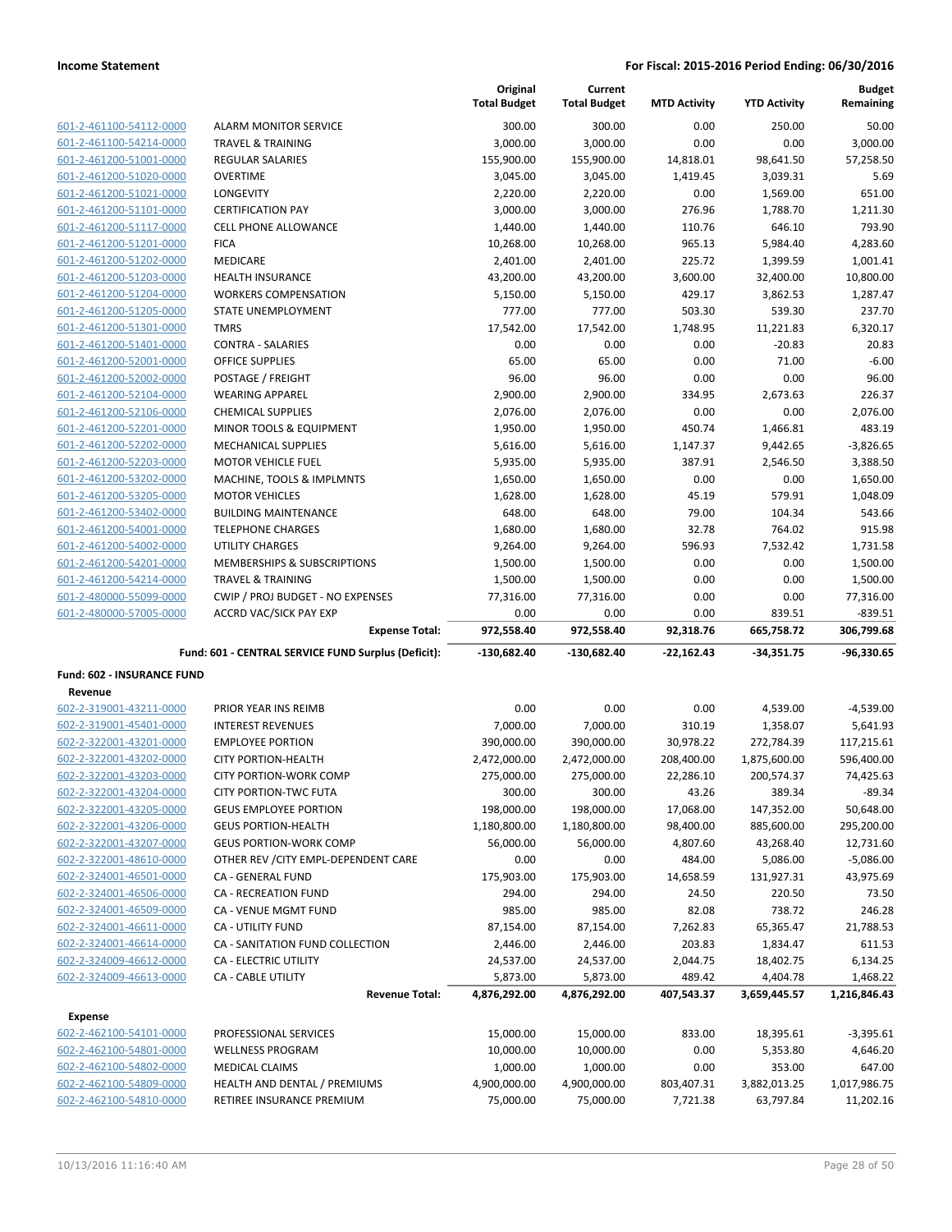|                            |                                                     | Original<br><b>Total Budget</b> | Current<br><b>Total Budget</b> | <b>MTD Activity</b> | <b>YTD Activity</b> | <b>Budget</b><br>Remaining |
|----------------------------|-----------------------------------------------------|---------------------------------|--------------------------------|---------------------|---------------------|----------------------------|
| 601-2-461100-54112-0000    | <b>ALARM MONITOR SERVICE</b>                        | 300.00                          | 300.00                         | 0.00                | 250.00              | 50.00                      |
| 601-2-461100-54214-0000    | TRAVEL & TRAINING                                   | 3,000.00                        | 3,000.00                       | 0.00                | 0.00                | 3,000.00                   |
| 601-2-461200-51001-0000    | REGULAR SALARIES                                    | 155,900.00                      | 155,900.00                     | 14,818.01           | 98,641.50           | 57,258.50                  |
| 601-2-461200-51020-0000    | <b>OVERTIME</b>                                     | 3,045.00                        | 3,045.00                       | 1,419.45            | 3,039.31            | 5.69                       |
| 601-2-461200-51021-0000    | <b>LONGEVITY</b>                                    | 2,220.00                        | 2,220.00                       | 0.00                | 1,569.00            | 651.00                     |
| 601-2-461200-51101-0000    | <b>CERTIFICATION PAY</b>                            | 3,000.00                        | 3,000.00                       | 276.96              | 1,788.70            | 1,211.30                   |
| 601-2-461200-51117-0000    | <b>CELL PHONE ALLOWANCE</b>                         | 1,440.00                        | 1,440.00                       | 110.76              | 646.10              | 793.90                     |
| 601-2-461200-51201-0000    | <b>FICA</b>                                         | 10,268.00                       | 10,268.00                      | 965.13              | 5,984.40            | 4,283.60                   |
| 601-2-461200-51202-0000    | <b>MEDICARE</b>                                     | 2,401.00                        | 2,401.00                       | 225.72              | 1,399.59            | 1,001.41                   |
| 601-2-461200-51203-0000    | <b>HEALTH INSURANCE</b>                             | 43,200.00                       | 43,200.00                      | 3,600.00            | 32,400.00           | 10,800.00                  |
| 601-2-461200-51204-0000    | <b>WORKERS COMPENSATION</b>                         | 5,150.00                        | 5,150.00                       | 429.17              | 3,862.53            | 1,287.47                   |
| 601-2-461200-51205-0000    | STATE UNEMPLOYMENT                                  | 777.00                          | 777.00                         | 503.30              | 539.30              | 237.70                     |
| 601-2-461200-51301-0000    | <b>TMRS</b>                                         | 17,542.00                       | 17,542.00                      | 1,748.95            | 11,221.83           | 6,320.17                   |
| 601-2-461200-51401-0000    | <b>CONTRA - SALARIES</b>                            | 0.00                            | 0.00                           | 0.00                | $-20.83$            | 20.83                      |
| 601-2-461200-52001-0000    | <b>OFFICE SUPPLIES</b>                              | 65.00                           | 65.00                          | 0.00                | 71.00               | $-6.00$                    |
| 601-2-461200-52002-0000    | POSTAGE / FREIGHT                                   | 96.00                           | 96.00                          | 0.00                | 0.00                | 96.00                      |
| 601-2-461200-52104-0000    | <b>WEARING APPAREL</b>                              | 2,900.00                        | 2,900.00                       | 334.95              | 2,673.63            | 226.37                     |
| 601-2-461200-52106-0000    | <b>CHEMICAL SUPPLIES</b>                            | 2,076.00                        | 2,076.00                       | 0.00                | 0.00                | 2,076.00                   |
| 601-2-461200-52201-0000    | <b>MINOR TOOLS &amp; EQUIPMENT</b>                  | 1,950.00                        | 1,950.00                       | 450.74              | 1,466.81            | 483.19                     |
| 601-2-461200-52202-0000    | <b>MECHANICAL SUPPLIES</b>                          | 5,616.00                        | 5,616.00                       | 1,147.37            | 9,442.65            | $-3,826.65$                |
| 601-2-461200-52203-0000    | <b>MOTOR VEHICLE FUEL</b>                           | 5,935.00                        | 5,935.00                       | 387.91              | 2,546.50            | 3,388.50                   |
| 601-2-461200-53202-0000    | MACHINE, TOOLS & IMPLMNTS                           | 1,650.00                        | 1,650.00                       | 0.00                | 0.00                | 1,650.00                   |
| 601-2-461200-53205-0000    | <b>MOTOR VEHICLES</b>                               | 1,628.00                        | 1,628.00                       | 45.19               | 579.91              | 1,048.09                   |
| 601-2-461200-53402-0000    | <b>BUILDING MAINTENANCE</b>                         | 648.00                          | 648.00                         | 79.00               | 104.34              | 543.66                     |
| 601-2-461200-54001-0000    | <b>TELEPHONE CHARGES</b>                            | 1,680.00                        | 1,680.00                       | 32.78               | 764.02              | 915.98                     |
| 601-2-461200-54002-0000    | <b>UTILITY CHARGES</b>                              | 9,264.00                        | 9,264.00                       | 596.93              | 7,532.42            | 1,731.58                   |
| 601-2-461200-54201-0000    | MEMBERSHIPS & SUBSCRIPTIONS                         | 1,500.00                        | 1,500.00                       | 0.00                | 0.00                | 1,500.00                   |
| 601-2-461200-54214-0000    | <b>TRAVEL &amp; TRAINING</b>                        | 1,500.00                        | 1,500.00                       | 0.00                | 0.00                | 1,500.00                   |
| 601-2-480000-55099-0000    | CWIP / PROJ BUDGET - NO EXPENSES                    | 77,316.00                       | 77,316.00                      | 0.00                | 0.00                | 77,316.00                  |
| 601-2-480000-57005-0000    | <b>ACCRD VAC/SICK PAY EXP</b>                       | 0.00                            | 0.00                           | 0.00                | 839.51              | $-839.51$                  |
|                            | <b>Expense Total:</b>                               | 972,558.40                      | 972,558.40                     | 92,318.76           | 665,758.72          | 306,799.68                 |
|                            | Fund: 601 - CENTRAL SERVICE FUND Surplus (Deficit): | -130,682.40                     | $-130,682.40$                  | $-22,162.43$        | $-34,351.75$        | -96,330.65                 |
| Fund: 602 - INSURANCE FUND |                                                     |                                 |                                |                     |                     |                            |
| Revenue                    |                                                     |                                 |                                |                     |                     |                            |
| 602-2-319001-43211-0000    | PRIOR YEAR INS REIMB                                | 0.00                            | 0.00                           | 0.00                | 4,539.00            | $-4,539.00$                |
| 602-2-319001-45401-0000    | <b>INTEREST REVENUES</b>                            | 7,000.00                        | 7,000.00                       | 310.19              | 1,358.07            | 5,641.93                   |
| 602-2-322001-43201-0000    | <b>EMPLOYEE PORTION</b>                             | 390,000.00                      | 390,000.00                     | 30,978.22           | 272,784.39          | 117,215.61                 |
| 602-2-322001-43202-0000    | <b>CITY PORTION-HEALTH</b>                          | 2,472,000.00                    | 2,472,000.00                   | 208,400.00          | 1,875,600.00        | 596,400.00                 |
| 602-2-322001-43203-0000    | <b>CITY PORTION-WORK COMP</b>                       | 275,000.00                      | 275,000.00                     | 22,286.10           | 200,574.37          | 74,425.63                  |
| 602-2-322001-43204-0000    | <b>CITY PORTION-TWC FUTA</b>                        | 300.00                          | 300.00                         | 43.26               | 389.34              | $-89.34$                   |
| 602-2-322001-43205-0000    | <b>GEUS EMPLOYEE PORTION</b>                        | 198,000.00                      | 198,000.00                     | 17,068.00           | 147,352.00          | 50,648.00                  |
| 602-2-322001-43206-0000    | <b>GEUS PORTION-HEALTH</b>                          | 1,180,800.00                    | 1,180,800.00                   | 98,400.00           | 885,600.00          | 295,200.00                 |
| 602-2-322001-43207-0000    | <b>GEUS PORTION-WORK COMP</b>                       | 56,000.00                       | 56,000.00                      | 4,807.60            | 43,268.40           | 12,731.60                  |
| 602-2-322001-48610-0000    | OTHER REV / CITY EMPL-DEPENDENT CARE                | 0.00                            | 0.00                           | 484.00              | 5,086.00            | $-5,086.00$                |
| 602-2-324001-46501-0000    | CA - GENERAL FUND                                   | 175,903.00                      | 175,903.00                     | 14,658.59           | 131,927.31          | 43,975.69                  |
| 602-2-324001-46506-0000    | CA - RECREATION FUND                                | 294.00                          | 294.00                         | 24.50               | 220.50              | 73.50                      |
| 602-2-324001-46509-0000    | CA - VENUE MGMT FUND                                | 985.00                          | 985.00                         | 82.08               | 738.72              | 246.28                     |
| 602-2-324001-46611-0000    | <b>CA - UTILITY FUND</b>                            | 87,154.00                       | 87,154.00                      | 7,262.83            | 65,365.47           | 21,788.53                  |
| 602-2-324001-46614-0000    | CA - SANITATION FUND COLLECTION                     | 2,446.00                        | 2,446.00                       | 203.83              | 1,834.47            | 611.53                     |
| 602-2-324009-46612-0000    | CA - ELECTRIC UTILITY                               | 24,537.00                       | 24,537.00                      | 2,044.75            | 18,402.75           | 6,134.25                   |
| 602-2-324009-46613-0000    | CA - CABLE UTILITY                                  | 5,873.00                        | 5,873.00                       | 489.42              | 4,404.78            | 1,468.22                   |
|                            | <b>Revenue Total:</b>                               | 4,876,292.00                    | 4,876,292.00                   | 407,543.37          | 3,659,445.57        | 1,216,846.43               |
| <b>Expense</b>             |                                                     |                                 |                                |                     |                     |                            |
| 602-2-462100-54101-0000    | PROFESSIONAL SERVICES                               | 15,000.00                       | 15,000.00                      | 833.00              | 18,395.61           | $-3,395.61$                |
| 602-2-462100-54801-0000    | <b>WELLNESS PROGRAM</b>                             | 10,000.00                       | 10,000.00                      | 0.00                | 5,353.80            | 4,646.20                   |
| 602-2-462100-54802-0000    | MEDICAL CLAIMS                                      | 1,000.00                        | 1,000.00                       | 0.00                | 353.00              | 647.00                     |
| 602-2-462100-54809-0000    | HEALTH AND DENTAL / PREMIUMS                        | 4,900,000.00                    | 4,900,000.00                   | 803,407.31          | 3,882,013.25        | 1,017,986.75               |
| 602-2-462100-54810-0000    | RETIREE INSURANCE PREMIUM                           | 75,000.00                       | 75,000.00                      | 7,721.38            | 63,797.84           | 11,202.16                  |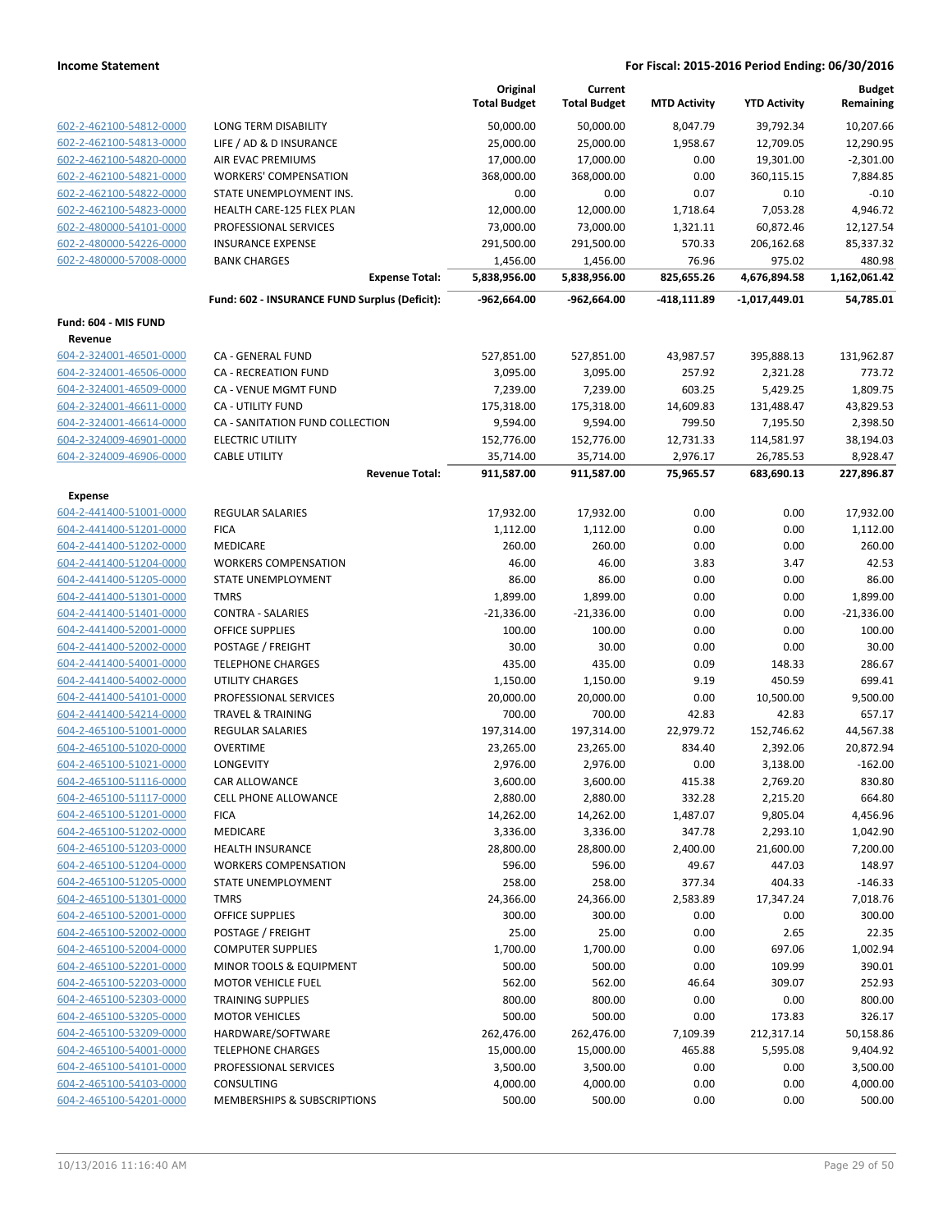|                                                    |                                               | Original<br><b>Total Budget</b> | Current<br><b>Total Budget</b> | <b>MTD Activity</b>   | <b>YTD Activity</b>     | <b>Budget</b><br>Remaining |
|----------------------------------------------------|-----------------------------------------------|---------------------------------|--------------------------------|-----------------------|-------------------------|----------------------------|
| 602-2-462100-54812-0000                            | LONG TERM DISABILITY                          | 50,000.00                       | 50,000.00                      | 8,047.79              | 39,792.34               | 10,207.66                  |
| 602-2-462100-54813-0000                            | LIFE / AD & D INSURANCE                       | 25,000.00                       | 25,000.00                      | 1,958.67              | 12,709.05               | 12,290.95                  |
| 602-2-462100-54820-0000                            | AIR EVAC PREMIUMS                             | 17,000.00                       | 17,000.00                      | 0.00                  | 19,301.00               | $-2,301.00$                |
| 602-2-462100-54821-0000                            | <b>WORKERS' COMPENSATION</b>                  | 368,000.00                      | 368,000.00                     | 0.00                  | 360,115.15              | 7,884.85                   |
| 602-2-462100-54822-0000                            | STATE UNEMPLOYMENT INS.                       | 0.00                            | 0.00                           | 0.07                  | 0.10                    | $-0.10$                    |
| 602-2-462100-54823-0000                            | HEALTH CARE-125 FLEX PLAN                     | 12,000.00                       | 12,000.00                      | 1,718.64              | 7,053.28                | 4,946.72                   |
| 602-2-480000-54101-0000                            | PROFESSIONAL SERVICES                         | 73,000.00                       | 73,000.00                      | 1,321.11              | 60,872.46               | 12,127.54                  |
| 602-2-480000-54226-0000                            | <b>INSURANCE EXPENSE</b>                      | 291,500.00                      | 291,500.00                     | 570.33                | 206,162.68              | 85,337.32                  |
| 602-2-480000-57008-0000                            | <b>BANK CHARGES</b>                           | 1,456.00                        | 1,456.00                       | 76.96                 | 975.02                  | 480.98                     |
|                                                    | <b>Expense Total:</b>                         | 5,838,956.00                    | 5,838,956.00                   | 825,655.26            | 4,676,894.58            | 1,162,061.42               |
|                                                    | Fund: 602 - INSURANCE FUND Surplus (Deficit): | -962,664.00                     | $-962,664.00$                  | -418,111.89           | $-1,017,449.01$         | 54,785.01                  |
| Fund: 604 - MIS FUND                               |                                               |                                 |                                |                       |                         |                            |
| Revenue                                            |                                               |                                 |                                |                       |                         |                            |
| 604-2-324001-46501-0000                            | CA - GENERAL FUND                             | 527,851.00                      | 527,851.00                     | 43,987.57             | 395,888.13              | 131,962.87                 |
| 604-2-324001-46506-0000                            | CA - RECREATION FUND                          | 3,095.00                        | 3,095.00                       | 257.92                | 2,321.28                | 773.72                     |
| 604-2-324001-46509-0000                            | CA - VENUE MGMT FUND                          | 7,239.00                        | 7,239.00                       | 603.25                | 5,429.25                | 1,809.75                   |
| 604-2-324001-46611-0000                            | CA - UTILITY FUND                             | 175,318.00                      | 175,318.00                     | 14,609.83             | 131,488.47              | 43,829.53                  |
| 604-2-324001-46614-0000                            | CA - SANITATION FUND COLLECTION               | 9,594.00                        | 9,594.00                       | 799.50                | 7,195.50                | 2,398.50                   |
| 604-2-324009-46901-0000<br>604-2-324009-46906-0000 | <b>ELECTRIC UTILITY</b>                       | 152,776.00<br>35,714.00         | 152,776.00<br>35,714.00        | 12,731.33             | 114,581.97              | 38,194.03<br>8,928.47      |
|                                                    | <b>CABLE UTILITY</b><br><b>Revenue Total:</b> | 911,587.00                      | 911,587.00                     | 2,976.17<br>75,965.57 | 26,785.53<br>683,690.13 | 227,896.87                 |
| <b>Expense</b>                                     |                                               |                                 |                                |                       |                         |                            |
| 604-2-441400-51001-0000                            | <b>REGULAR SALARIES</b>                       | 17,932.00                       | 17,932.00                      | 0.00                  | 0.00                    | 17,932.00                  |
| 604-2-441400-51201-0000                            | <b>FICA</b>                                   | 1,112.00                        | 1,112.00                       | 0.00                  | 0.00                    | 1,112.00                   |
| 604-2-441400-51202-0000                            | MEDICARE                                      | 260.00                          | 260.00                         | 0.00                  | 0.00                    | 260.00                     |
| 604-2-441400-51204-0000                            | <b>WORKERS COMPENSATION</b>                   | 46.00                           | 46.00                          | 3.83                  | 3.47                    | 42.53                      |
| 604-2-441400-51205-0000                            | STATE UNEMPLOYMENT                            | 86.00                           | 86.00                          | 0.00                  | 0.00                    | 86.00                      |
| 604-2-441400-51301-0000                            | <b>TMRS</b>                                   | 1,899.00                        | 1,899.00                       | 0.00                  | 0.00                    | 1,899.00                   |
| 604-2-441400-51401-0000                            | <b>CONTRA - SALARIES</b>                      | $-21,336.00$                    | $-21,336.00$                   | 0.00                  | 0.00                    | $-21,336.00$               |
| 604-2-441400-52001-0000                            | <b>OFFICE SUPPLIES</b>                        | 100.00                          | 100.00                         | 0.00                  | 0.00                    | 100.00                     |
| 604-2-441400-52002-0000                            | POSTAGE / FREIGHT                             | 30.00                           | 30.00                          | 0.00                  | 0.00                    | 30.00                      |
| 604-2-441400-54001-0000                            | <b>TELEPHONE CHARGES</b>                      | 435.00                          | 435.00                         | 0.09                  | 148.33                  | 286.67                     |
| 604-2-441400-54002-0000                            | UTILITY CHARGES                               | 1,150.00                        | 1,150.00                       | 9.19                  | 450.59                  | 699.41                     |
| 604-2-441400-54101-0000                            | PROFESSIONAL SERVICES                         | 20,000.00                       | 20,000.00                      | 0.00                  | 10,500.00               | 9,500.00                   |
| 604-2-441400-54214-0000                            | <b>TRAVEL &amp; TRAINING</b>                  | 700.00                          | 700.00                         | 42.83                 | 42.83                   | 657.17                     |
| 604-2-465100-51001-0000                            | <b>REGULAR SALARIES</b>                       | 197,314.00                      | 197,314.00                     | 22,979.72             | 152,746.62              | 44,567.38                  |
| 604-2-465100-51020-0000                            | <b>OVERTIME</b>                               | 23,265.00                       | 23,265.00                      | 834.40                | 2,392.06                | 20,872.94                  |
| 604-2-465100-51021-0000                            | LONGEVITY                                     | 2,976.00                        | 2,976.00                       | 0.00                  | 3,138.00                | $-162.00$                  |
| 604-2-465100-51116-0000                            | CAR ALLOWANCE                                 | 3,600.00                        | 3,600.00                       | 415.38                | 2,769.20                | 830.80                     |
| 604-2-465100-51117-0000                            | <b>CELL PHONE ALLOWANCE</b>                   | 2,880.00                        | 2,880.00                       | 332.28                | 2,215.20                | 664.80                     |
| 604-2-465100-51201-0000                            | <b>FICA</b>                                   | 14,262.00                       | 14,262.00                      | 1,487.07              | 9,805.04                | 4,456.96                   |
| 604-2-465100-51202-0000                            | MEDICARE                                      | 3,336.00                        | 3,336.00                       | 347.78                | 2,293.10                | 1,042.90                   |
| 604-2-465100-51203-0000                            | <b>HEALTH INSURANCE</b>                       | 28,800.00                       | 28,800.00                      | 2,400.00              | 21,600.00               | 7,200.00                   |
| 604-2-465100-51204-0000                            | <b>WORKERS COMPENSATION</b>                   | 596.00                          | 596.00                         | 49.67                 | 447.03                  | 148.97                     |
| 604-2-465100-51205-0000                            | STATE UNEMPLOYMENT                            | 258.00                          | 258.00                         | 377.34                | 404.33                  | $-146.33$                  |
| 604-2-465100-51301-0000                            | <b>TMRS</b><br><b>OFFICE SUPPLIES</b>         | 24,366.00                       | 24,366.00                      | 2,583.89              | 17,347.24               | 7,018.76                   |
| 604-2-465100-52001-0000<br>604-2-465100-52002-0000 |                                               | 300.00                          | 300.00                         | 0.00                  | 0.00                    | 300.00                     |
| 604-2-465100-52004-0000                            | POSTAGE / FREIGHT<br><b>COMPUTER SUPPLIES</b> | 25.00<br>1,700.00               | 25.00<br>1,700.00              | 0.00<br>0.00          | 2.65<br>697.06          | 22.35<br>1,002.94          |
| 604-2-465100-52201-0000                            | MINOR TOOLS & EQUIPMENT                       | 500.00                          | 500.00                         | 0.00                  | 109.99                  | 390.01                     |
| 604-2-465100-52203-0000                            | <b>MOTOR VEHICLE FUEL</b>                     | 562.00                          | 562.00                         | 46.64                 | 309.07                  | 252.93                     |
| 604-2-465100-52303-0000                            | <b>TRAINING SUPPLIES</b>                      | 800.00                          | 800.00                         | 0.00                  | 0.00                    | 800.00                     |
| 604-2-465100-53205-0000                            | <b>MOTOR VEHICLES</b>                         | 500.00                          | 500.00                         | 0.00                  | 173.83                  | 326.17                     |
| 604-2-465100-53209-0000                            | HARDWARE/SOFTWARE                             | 262,476.00                      | 262,476.00                     | 7,109.39              | 212,317.14              | 50,158.86                  |
| 604-2-465100-54001-0000                            | <b>TELEPHONE CHARGES</b>                      | 15,000.00                       | 15,000.00                      | 465.88                | 5,595.08                | 9,404.92                   |
| 604-2-465100-54101-0000                            | PROFESSIONAL SERVICES                         | 3,500.00                        | 3,500.00                       | 0.00                  | 0.00                    | 3,500.00                   |
| 604-2-465100-54103-0000                            | <b>CONSULTING</b>                             | 4,000.00                        | 4,000.00                       | 0.00                  | 0.00                    | 4,000.00                   |
| 604-2-465100-54201-0000                            | MEMBERSHIPS & SUBSCRIPTIONS                   | 500.00                          | 500.00                         | 0.00                  | 0.00                    | 500.00                     |
|                                                    |                                               |                                 |                                |                       |                         |                            |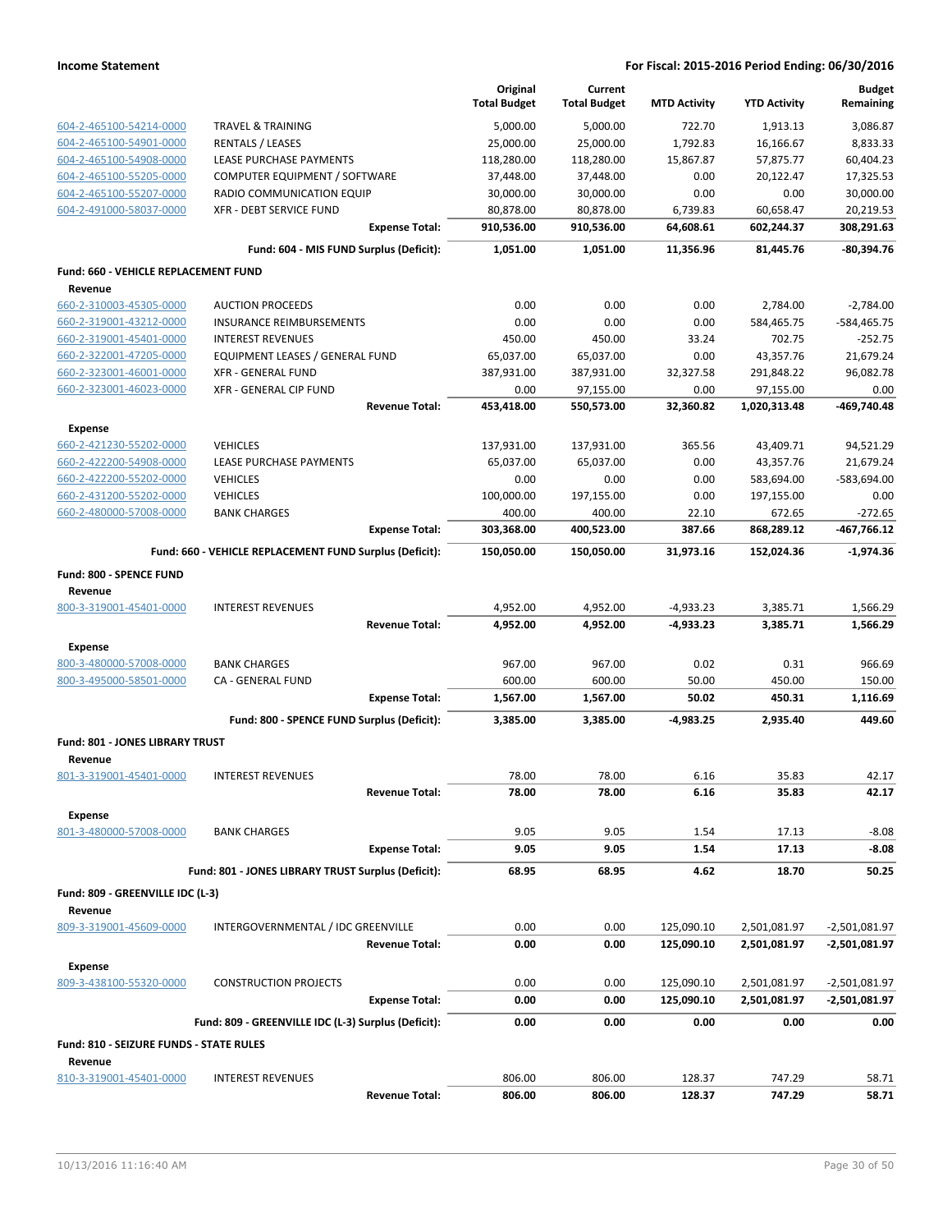|                                                    |                                                         | Original<br><b>Total Budget</b> | Current<br><b>Total Budget</b> | <b>MTD Activity</b> | <b>YTD Activity</b>  | <b>Budget</b><br>Remaining |
|----------------------------------------------------|---------------------------------------------------------|---------------------------------|--------------------------------|---------------------|----------------------|----------------------------|
| 604-2-465100-54214-0000                            | <b>TRAVEL &amp; TRAINING</b>                            | 5,000.00                        | 5.000.00                       | 722.70              | 1,913.13             | 3,086.87                   |
| 604-2-465100-54901-0000                            | <b>RENTALS / LEASES</b>                                 | 25,000.00                       | 25,000.00                      | 1,792.83            | 16,166.67            | 8,833.33                   |
| 604-2-465100-54908-0000                            | LEASE PURCHASE PAYMENTS                                 | 118,280.00                      | 118,280.00                     | 15,867.87           | 57,875.77            | 60,404.23                  |
| 604-2-465100-55205-0000                            | COMPUTER EQUIPMENT / SOFTWARE                           | 37,448.00                       | 37,448.00                      | 0.00                | 20,122.47            | 17,325.53                  |
| 604-2-465100-55207-0000                            | RADIO COMMUNICATION EQUIP                               | 30,000.00                       | 30,000.00                      | 0.00                | 0.00                 | 30,000.00                  |
| 604-2-491000-58037-0000                            | XFR - DEBT SERVICE FUND                                 | 80,878.00                       | 80,878.00                      | 6,739.83            | 60,658.47            | 20,219.53                  |
|                                                    | <b>Expense Total:</b>                                   | 910,536.00                      | 910,536.00                     | 64,608.61           | 602,244.37           | 308,291.63                 |
|                                                    | Fund: 604 - MIS FUND Surplus (Deficit):                 | 1,051.00                        | 1,051.00                       | 11,356.96           | 81,445.76            | -80,394.76                 |
| Fund: 660 - VEHICLE REPLACEMENT FUND<br>Revenue    |                                                         |                                 |                                |                     |                      |                            |
| 660-2-310003-45305-0000                            | <b>AUCTION PROCEEDS</b>                                 | 0.00                            | 0.00                           | 0.00                | 2,784.00             | $-2,784.00$                |
| 660-2-319001-43212-0000                            | INSURANCE REIMBURSEMENTS                                | 0.00                            | 0.00                           | 0.00                | 584,465.75           | -584,465.75                |
| 660-2-319001-45401-0000                            | <b>INTEREST REVENUES</b>                                | 450.00                          | 450.00                         | 33.24               | 702.75               | $-252.75$                  |
| 660-2-322001-47205-0000                            | EQUIPMENT LEASES / GENERAL FUND                         | 65,037.00                       | 65,037.00                      | 0.00                | 43,357.76            | 21,679.24                  |
| 660-2-323001-46001-0000                            | <b>XFR - GENERAL FUND</b>                               | 387,931.00                      | 387,931.00                     | 32,327.58           | 291,848.22           | 96,082.78                  |
| 660-2-323001-46023-0000                            | XFR - GENERAL CIP FUND                                  | 0.00                            | 97,155.00                      | 0.00                | 97,155.00            | 0.00                       |
|                                                    | <b>Revenue Total:</b>                                   | 453,418.00                      | 550,573.00                     | 32,360.82           | 1,020,313.48         | -469.740.48                |
| <b>Expense</b>                                     |                                                         |                                 |                                |                     |                      |                            |
| 660-2-421230-55202-0000                            | <b>VEHICLES</b>                                         | 137,931.00                      | 137,931.00                     | 365.56              | 43,409.71            | 94,521.29                  |
| 660-2-422200-54908-0000                            | <b>LEASE PURCHASE PAYMENTS</b>                          | 65,037.00                       | 65,037.00                      | 0.00                | 43,357.76            | 21,679.24                  |
| 660-2-422200-55202-0000                            | <b>VEHICLES</b>                                         | 0.00                            | 0.00                           | 0.00                | 583,694.00           | -583,694.00                |
| 660-2-431200-55202-0000<br>660-2-480000-57008-0000 | <b>VEHICLES</b>                                         | 100,000.00                      | 197,155.00                     | 0.00                | 197,155.00           | 0.00                       |
|                                                    | <b>BANK CHARGES</b><br><b>Expense Total:</b>            | 400.00<br>303,368.00            | 400.00<br>400,523.00           | 22.10<br>387.66     | 672.65<br>868,289.12 | $-272.65$<br>-467,766.12   |
|                                                    | Fund: 660 - VEHICLE REPLACEMENT FUND Surplus (Deficit): | 150,050.00                      | 150,050.00                     | 31,973.16           | 152,024.36           | $-1,974.36$                |
| Fund: 800 - SPENCE FUND                            |                                                         |                                 |                                |                     |                      |                            |
| Revenue                                            |                                                         |                                 |                                |                     |                      |                            |
| 800-3-319001-45401-0000                            | <b>INTEREST REVENUES</b>                                | 4,952.00                        | 4,952.00                       | $-4,933.23$         | 3,385.71             | 1,566.29                   |
|                                                    | <b>Revenue Total:</b>                                   | 4,952.00                        | 4,952.00                       | -4,933.23           | 3,385.71             | 1,566.29                   |
| Expense                                            |                                                         |                                 |                                |                     |                      |                            |
| 800-3-480000-57008-0000                            | <b>BANK CHARGES</b>                                     | 967.00                          | 967.00                         | 0.02                | 0.31                 | 966.69                     |
| 800-3-495000-58501-0000                            | CA - GENERAL FUND                                       | 600.00                          | 600.00                         | 50.00               | 450.00               | 150.00                     |
|                                                    | <b>Expense Total:</b>                                   | 1,567.00                        | 1,567.00                       | 50.02               | 450.31               | 1,116.69                   |
|                                                    | Fund: 800 - SPENCE FUND Surplus (Deficit):              | 3,385.00                        | 3,385.00                       | -4,983.25           | 2,935.40             | 449.60                     |
| Fund: 801 - JONES LIBRARY TRUST<br>Revenue         |                                                         |                                 |                                |                     |                      |                            |
| 801-3-319001-45401-0000                            | <b>INTEREST REVENUES</b>                                | 78.00                           | 78.00                          | 6.16                | 35.83                | 42.17                      |
|                                                    | <b>Revenue Total:</b>                                   | 78.00                           | 78.00                          | 6.16                | 35.83                | 42.17                      |
| <b>Expense</b><br>801-3-480000-57008-0000          | <b>BANK CHARGES</b>                                     | 9.05                            | 9.05                           | 1.54                | 17.13                | $-8.08$                    |
|                                                    | <b>Expense Total:</b>                                   | 9.05                            | 9.05                           | 1.54                | 17.13                | $-8.08$                    |
|                                                    | Fund: 801 - JONES LIBRARY TRUST Surplus (Deficit):      | 68.95                           | 68.95                          | 4.62                | 18.70                | 50.25                      |
| Fund: 809 - GREENVILLE IDC (L-3)                   |                                                         |                                 |                                |                     |                      |                            |
| Revenue<br>809-3-319001-45609-0000                 | INTERGOVERNMENTAL / IDC GREENVILLE                      | 0.00                            | 0.00                           | 125,090.10          | 2,501,081.97         | $-2,501,081.97$            |
|                                                    | <b>Revenue Total:</b>                                   | 0.00                            | 0.00                           | 125,090.10          | 2,501,081.97         | -2,501,081.97              |
| <b>Expense</b>                                     |                                                         |                                 |                                |                     |                      |                            |
| 809-3-438100-55320-0000                            | <b>CONSTRUCTION PROJECTS</b>                            | 0.00                            | 0.00                           | 125,090.10          | 2,501,081.97         | $-2,501,081.97$            |
|                                                    | <b>Expense Total:</b>                                   | 0.00                            | 0.00                           | 125,090.10          | 2,501,081.97         | -2,501,081.97              |
|                                                    | Fund: 809 - GREENVILLE IDC (L-3) Surplus (Deficit):     | 0.00                            | 0.00                           | 0.00                | 0.00                 | 0.00                       |
| Fund: 810 - SEIZURE FUNDS - STATE RULES            |                                                         |                                 |                                |                     |                      |                            |
| Revenue                                            |                                                         |                                 |                                |                     |                      |                            |
| 810-3-319001-45401-0000                            | <b>INTEREST REVENUES</b>                                | 806.00                          | 806.00                         | 128.37              | 747.29               | 58.71                      |
|                                                    | <b>Revenue Total:</b>                                   | 806.00                          | 806.00                         | 128.37              | 747.29               | 58.71                      |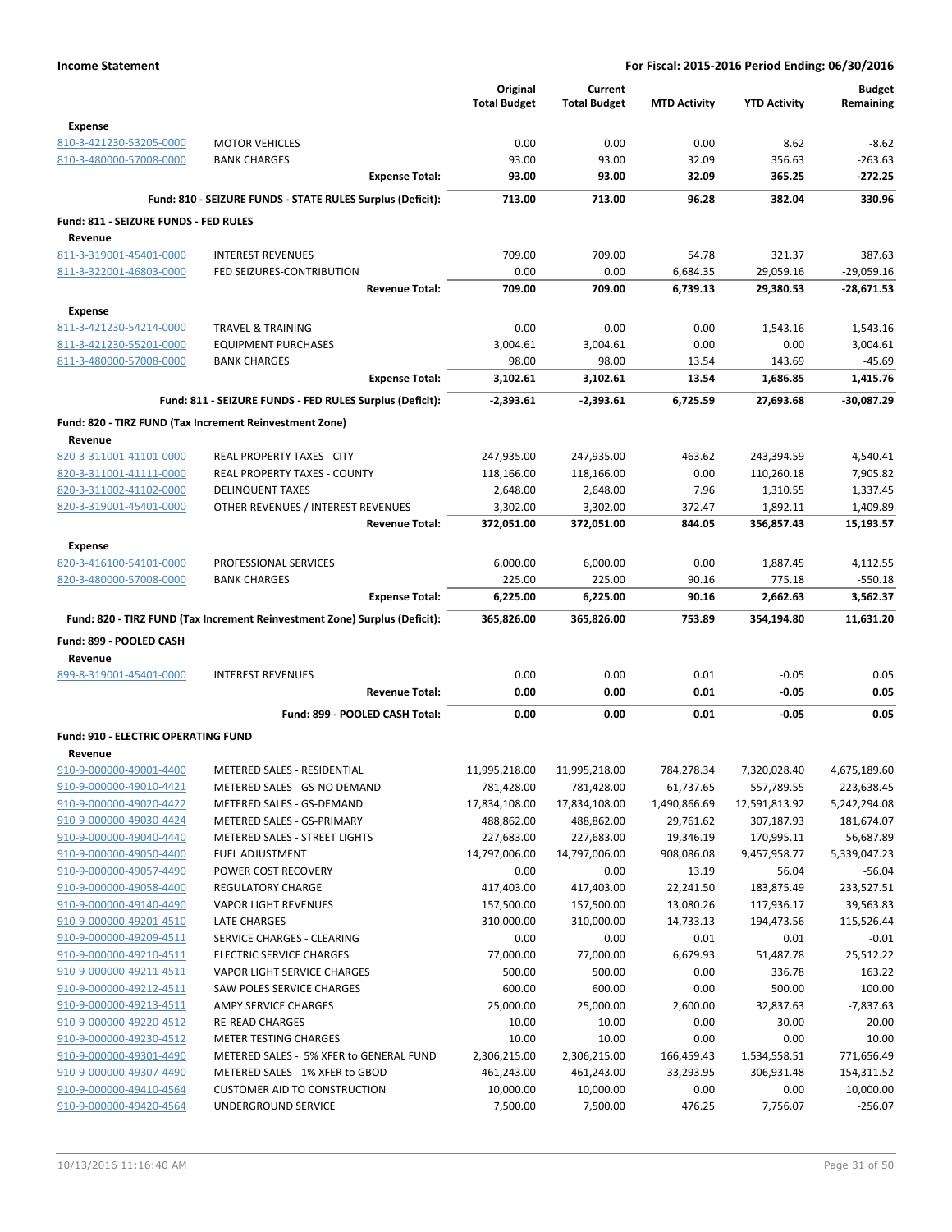|                                                    |                                                                            | Original                | Current                     |                         |                     | <b>Budget</b>              |
|----------------------------------------------------|----------------------------------------------------------------------------|-------------------------|-----------------------------|-------------------------|---------------------|----------------------------|
|                                                    |                                                                            | <b>Total Budget</b>     | <b>Total Budget</b>         | <b>MTD Activity</b>     | <b>YTD Activity</b> | Remaining                  |
| <b>Expense</b>                                     |                                                                            |                         |                             |                         |                     |                            |
| 810-3-421230-53205-0000                            | <b>MOTOR VEHICLES</b>                                                      | 0.00                    | 0.00                        | 0.00                    | 8.62                | $-8.62$                    |
| 810-3-480000-57008-0000                            | <b>BANK CHARGES</b>                                                        | 93.00                   | 93.00                       | 32.09                   | 356.63              | $-263.63$                  |
|                                                    | <b>Expense Total:</b>                                                      | 93.00                   | 93.00                       | 32.09                   | 365.25              | $-272.25$                  |
|                                                    | Fund: 810 - SEIZURE FUNDS - STATE RULES Surplus (Deficit):                 | 713.00                  | 713.00                      | 96.28                   | 382.04              | 330.96                     |
| Fund: 811 - SEIZURE FUNDS - FED RULES              |                                                                            |                         |                             |                         |                     |                            |
| Revenue                                            |                                                                            |                         |                             |                         |                     |                            |
| 811-3-319001-45401-0000                            | <b>INTEREST REVENUES</b>                                                   | 709.00                  | 709.00                      | 54.78                   | 321.37              | 387.63                     |
| 811-3-322001-46803-0000                            | FED SEIZURES-CONTRIBUTION                                                  | 0.00                    | 0.00                        | 6,684.35                | 29,059.16           | $-29,059.16$               |
|                                                    | <b>Revenue Total:</b>                                                      | 709.00                  | 709.00                      | 6,739.13                | 29,380.53           | -28,671.53                 |
| <b>Expense</b>                                     |                                                                            |                         |                             |                         |                     |                            |
| 811-3-421230-54214-0000                            | <b>TRAVEL &amp; TRAINING</b>                                               | 0.00                    | 0.00                        | 0.00                    | 1,543.16            | $-1,543.16$                |
| 811-3-421230-55201-0000                            | <b>EQUIPMENT PURCHASES</b>                                                 | 3,004.61                | 3,004.61                    | 0.00                    | 0.00                | 3,004.61                   |
| 811-3-480000-57008-0000                            | <b>BANK CHARGES</b>                                                        | 98.00                   | 98.00                       | 13.54                   | 143.69              | $-45.69$                   |
|                                                    | <b>Expense Total:</b>                                                      | 3,102.61                | 3,102.61                    | 13.54                   | 1,686.85            | 1,415.76                   |
|                                                    | Fund: 811 - SEIZURE FUNDS - FED RULES Surplus (Deficit):                   | $-2,393.61$             | $-2,393.61$                 | 6,725.59                | 27,693.68           | -30,087.29                 |
|                                                    | Fund: 820 - TIRZ FUND (Tax Increment Reinvestment Zone)                    |                         |                             |                         |                     |                            |
| Revenue                                            |                                                                            |                         |                             |                         |                     |                            |
| 820-3-311001-41101-0000                            | REAL PROPERTY TAXES - CITY                                                 | 247,935.00              | 247,935.00                  | 463.62                  | 243,394.59          | 4,540.41                   |
| 820-3-311001-41111-0000                            | <b>REAL PROPERTY TAXES - COUNTY</b>                                        | 118,166.00              | 118,166.00                  | 0.00                    | 110,260.18          | 7,905.82                   |
| 820-3-311002-41102-0000                            | <b>DELINQUENT TAXES</b>                                                    | 2,648.00                | 2,648.00                    | 7.96                    | 1,310.55            | 1,337.45                   |
| 820-3-319001-45401-0000                            | OTHER REVENUES / INTEREST REVENUES                                         | 3,302.00                | 3,302.00                    | 372.47                  | 1,892.11            | 1,409.89                   |
|                                                    | <b>Revenue Total:</b>                                                      | 372,051.00              | 372,051.00                  | 844.05                  | 356,857.43          | 15,193.57                  |
| <b>Expense</b>                                     |                                                                            |                         |                             |                         |                     |                            |
| 820-3-416100-54101-0000                            | PROFESSIONAL SERVICES                                                      | 6,000.00                | 6,000.00                    | 0.00                    | 1,887.45            | 4,112.55                   |
| 820-3-480000-57008-0000                            | <b>BANK CHARGES</b>                                                        | 225.00                  | 225.00                      | 90.16                   | 775.18              | $-550.18$                  |
|                                                    | <b>Expense Total:</b>                                                      | 6,225.00                | 6,225.00                    | 90.16                   | 2,662.63            | 3,562.37                   |
|                                                    | Fund: 820 - TIRZ FUND (Tax Increment Reinvestment Zone) Surplus (Deficit): | 365,826.00              | 365,826.00                  | 753.89                  | 354,194.80          | 11,631.20                  |
| Fund: 899 - POOLED CASH                            |                                                                            |                         |                             |                         |                     |                            |
| Revenue                                            |                                                                            |                         |                             |                         |                     |                            |
| 899-8-319001-45401-0000                            | <b>INTEREST REVENUES</b>                                                   | 0.00                    | 0.00                        | 0.01                    | $-0.05$             | 0.05                       |
|                                                    | <b>Revenue Total:</b>                                                      | 0.00                    | 0.00                        | 0.01                    | $-0.05$             | 0.05                       |
|                                                    | Fund: 899 - POOLED CASH Total:                                             | 0.00                    | 0.00                        | 0.01                    | -0.05               | 0.05                       |
|                                                    |                                                                            |                         |                             |                         |                     |                            |
| Fund: 910 - ELECTRIC OPERATING FUND                |                                                                            |                         |                             |                         |                     |                            |
| Revenue<br>910-9-000000-49001-4400                 | METERED SALES - RESIDENTIAL                                                | 11,995,218.00           |                             |                         | 7,320,028.40        |                            |
| 910-9-000000-49010-4421                            | METERED SALES - GS-NO DEMAND                                               | 781,428.00              | 11,995,218.00<br>781,428.00 | 784,278.34<br>61,737.65 | 557,789.55          | 4,675,189.60<br>223,638.45 |
| 910-9-000000-49020-4422                            | METERED SALES - GS-DEMAND                                                  | 17,834,108.00           | 17,834,108.00               | 1,490,866.69            | 12,591,813.92       | 5,242,294.08               |
| 910-9-000000-49030-4424                            | METERED SALES - GS-PRIMARY                                                 | 488,862.00              | 488,862.00                  | 29,761.62               | 307,187.93          | 181,674.07                 |
| 910-9-000000-49040-4440                            | <b>METERED SALES - STREET LIGHTS</b>                                       | 227,683.00              | 227,683.00                  | 19,346.19               | 170,995.11          | 56,687.89                  |
| 910-9-000000-49050-4400                            | <b>FUEL ADJUSTMENT</b>                                                     | 14,797,006.00           | 14,797,006.00               | 908,086.08              | 9,457,958.77        | 5,339,047.23               |
| 910-9-000000-49057-4490                            | POWER COST RECOVERY                                                        | 0.00                    | 0.00                        | 13.19                   | 56.04               | $-56.04$                   |
| 910-9-000000-49058-4400                            | <b>REGULATORY CHARGE</b>                                                   | 417,403.00              | 417,403.00                  | 22,241.50               | 183,875.49          | 233,527.51                 |
| 910-9-000000-49140-4490                            | <b>VAPOR LIGHT REVENUES</b>                                                | 157,500.00              | 157,500.00                  | 13,080.26               | 117,936.17          | 39,563.83                  |
| 910-9-000000-49201-4510                            | LATE CHARGES                                                               | 310,000.00              | 310,000.00                  | 14,733.13               | 194,473.56          | 115,526.44                 |
| 910-9-000000-49209-4511                            | SERVICE CHARGES - CLEARING                                                 | 0.00                    | 0.00                        | 0.01                    | 0.01                | $-0.01$                    |
| 910-9-000000-49210-4511                            | <b>ELECTRIC SERVICE CHARGES</b>                                            | 77,000.00               | 77,000.00                   | 6,679.93                | 51,487.78           | 25,512.22                  |
| 910-9-000000-49211-4511                            | VAPOR LIGHT SERVICE CHARGES                                                | 500.00                  | 500.00                      | 0.00                    | 336.78              | 163.22                     |
| 910-9-000000-49212-4511                            | <b>SAW POLES SERVICE CHARGES</b>                                           | 600.00                  | 600.00                      | 0.00                    | 500.00              | 100.00                     |
| 910-9-000000-49213-4511                            | AMPY SERVICE CHARGES                                                       | 25,000.00               | 25,000.00                   | 2,600.00                | 32,837.63           | $-7,837.63$                |
| 910-9-000000-49220-4512                            | <b>RE-READ CHARGES</b>                                                     | 10.00                   | 10.00                       | 0.00                    | 30.00               | $-20.00$                   |
| 910-9-000000-49230-4512                            | <b>METER TESTING CHARGES</b>                                               | 10.00                   | 10.00                       | 0.00                    | 0.00                | 10.00                      |
| 910-9-000000-49301-4490                            | METERED SALES - 5% XFER to GENERAL FUND                                    | 2,306,215.00            | 2,306,215.00                | 166,459.43              | 1,534,558.51        | 771,656.49                 |
| 910-9-000000-49307-4490<br>910-9-000000-49410-4564 | METERED SALES - 1% XFER to GBOD<br><b>CUSTOMER AID TO CONSTRUCTION</b>     | 461,243.00<br>10,000.00 | 461,243.00<br>10,000.00     | 33,293.95<br>0.00       | 306,931.48<br>0.00  | 154,311.52<br>10,000.00    |
| 910-9-000000-49420-4564                            | UNDERGROUND SERVICE                                                        | 7,500.00                | 7,500.00                    | 476.25                  | 7,756.07            | $-256.07$                  |
|                                                    |                                                                            |                         |                             |                         |                     |                            |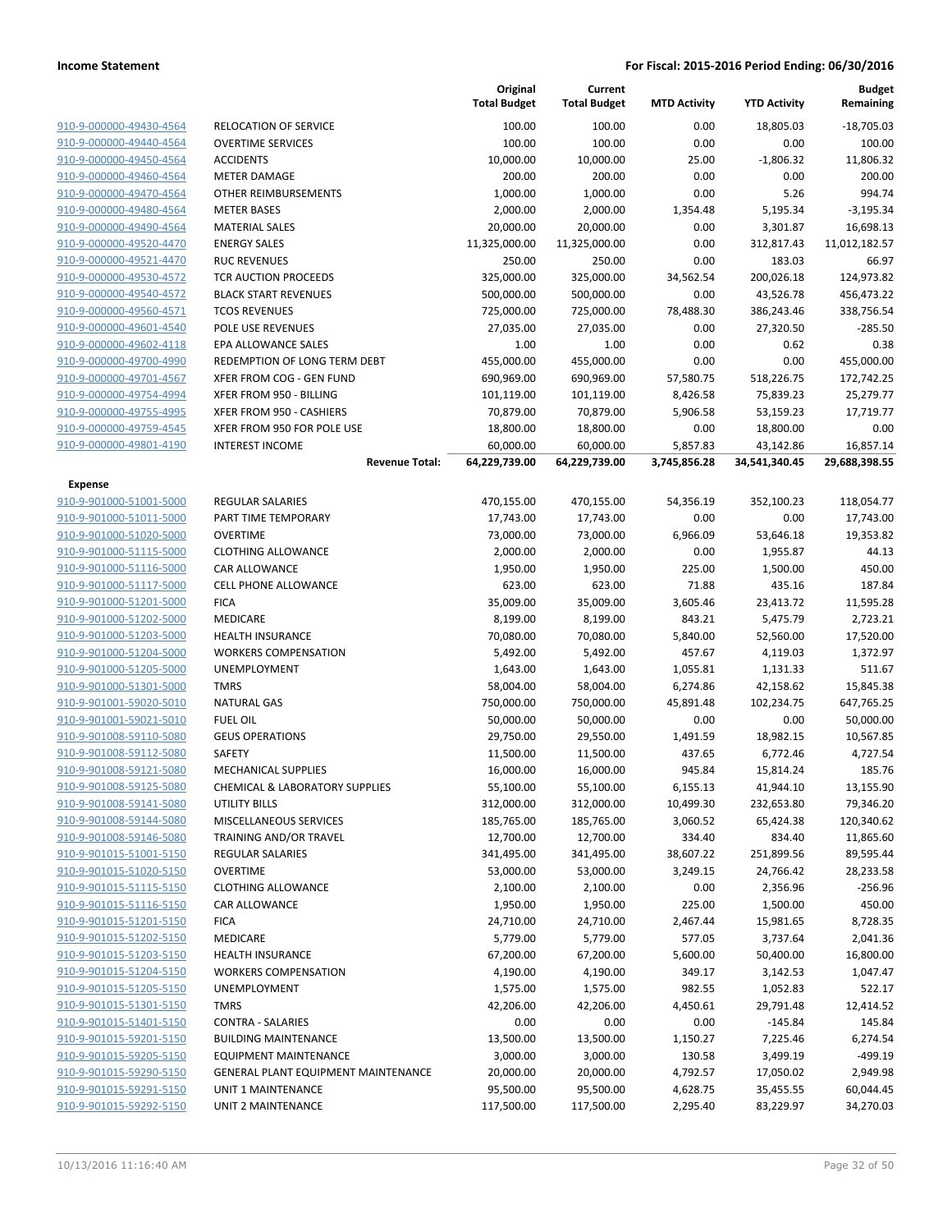|                         |                                            | Original<br><b>Total Budget</b> | Current<br><b>Total Budget</b> | <b>MTD Activity</b> | <b>YTD Activity</b> | <b>Budget</b><br>Remaining |
|-------------------------|--------------------------------------------|---------------------------------|--------------------------------|---------------------|---------------------|----------------------------|
| 910-9-000000-49430-4564 | RELOCATION OF SERVICE                      | 100.00                          | 100.00                         | 0.00                | 18,805.03           | $-18,705.03$               |
| 910-9-000000-49440-4564 | <b>OVERTIME SERVICES</b>                   | 100.00                          | 100.00                         | 0.00                | 0.00                | 100.00                     |
| 910-9-000000-49450-4564 | <b>ACCIDENTS</b>                           | 10,000.00                       | 10,000.00                      | 25.00               | $-1,806.32$         | 11,806.32                  |
| 910-9-000000-49460-4564 | <b>METER DAMAGE</b>                        | 200.00                          | 200.00                         | 0.00                | 0.00                | 200.00                     |
| 910-9-000000-49470-4564 | OTHER REIMBURSEMENTS                       | 1,000.00                        | 1,000.00                       | 0.00                | 5.26                | 994.74                     |
| 910-9-000000-49480-4564 | <b>METER BASES</b>                         | 2,000.00                        | 2,000.00                       | 1,354.48            | 5,195.34            | $-3,195.34$                |
| 910-9-000000-49490-4564 | <b>MATERIAL SALES</b>                      | 20,000.00                       | 20,000.00                      | 0.00                | 3,301.87            | 16,698.13                  |
| 910-9-000000-49520-4470 | <b>ENERGY SALES</b>                        | 11,325,000.00                   | 11,325,000.00                  | 0.00                | 312,817.43          | 11,012,182.57              |
| 910-9-000000-49521-4470 | <b>RUC REVENUES</b>                        | 250.00                          | 250.00                         | 0.00                | 183.03              | 66.97                      |
| 910-9-000000-49530-4572 | TCR AUCTION PROCEEDS                       | 325,000.00                      | 325,000.00                     | 34,562.54           | 200,026.18          | 124,973.82                 |
| 910-9-000000-49540-4572 | <b>BLACK START REVENUES</b>                | 500,000.00                      | 500,000.00                     | 0.00                | 43,526.78           | 456,473.22                 |
| 910-9-000000-49560-4571 | <b>TCOS REVENUES</b>                       | 725,000.00                      | 725,000.00                     | 78,488.30           | 386,243.46          | 338,756.54                 |
| 910-9-000000-49601-4540 | POLE USE REVENUES                          | 27,035.00                       | 27,035.00                      | 0.00                | 27,320.50           | $-285.50$                  |
| 910-9-000000-49602-4118 | EPA ALLOWANCE SALES                        | 1.00                            | 1.00                           | 0.00                | 0.62                | 0.38                       |
| 910-9-000000-49700-4990 | REDEMPTION OF LONG TERM DEBT               | 455,000.00                      | 455,000.00                     | 0.00                | 0.00                | 455,000.00                 |
| 910-9-000000-49701-4567 | XFER FROM COG - GEN FUND                   | 690,969.00                      | 690,969.00                     | 57,580.75           | 518,226.75          | 172,742.25                 |
| 910-9-000000-49754-4994 | XFER FROM 950 - BILLING                    | 101,119.00                      | 101,119.00                     | 8,426.58            | 75,839.23           | 25,279.77                  |
| 910-9-000000-49755-4995 | XFER FROM 950 - CASHIERS                   | 70,879.00                       | 70,879.00                      | 5,906.58            | 53,159.23           | 17,719.77                  |
| 910-9-000000-49759-4545 | XFER FROM 950 FOR POLE USE                 | 18,800.00                       | 18,800.00                      | 0.00                | 18,800.00           | 0.00                       |
| 910-9-000000-49801-4190 | <b>INTEREST INCOME</b>                     | 60,000.00                       | 60,000.00                      | 5,857.83            | 43,142.86           | 16,857.14                  |
|                         | <b>Revenue Total:</b>                      | 64,229,739.00                   | 64,229,739.00                  | 3,745,856.28        | 34,541,340.45       | 29,688,398.55              |
| <b>Expense</b>          |                                            |                                 |                                |                     |                     |                            |
| 910-9-901000-51001-5000 | <b>REGULAR SALARIES</b>                    | 470,155.00                      | 470,155.00                     | 54,356.19           | 352,100.23          | 118,054.77                 |
| 910-9-901000-51011-5000 | PART TIME TEMPORARY                        | 17,743.00                       | 17,743.00                      | 0.00                | 0.00                | 17,743.00                  |
| 910-9-901000-51020-5000 | <b>OVERTIME</b>                            | 73,000.00                       | 73,000.00                      | 6,966.09            | 53,646.18           | 19,353.82                  |
| 910-9-901000-51115-5000 | <b>CLOTHING ALLOWANCE</b>                  | 2,000.00                        | 2,000.00                       | 0.00                | 1,955.87            | 44.13                      |
| 910-9-901000-51116-5000 | <b>CAR ALLOWANCE</b>                       | 1,950.00                        | 1,950.00                       | 225.00              | 1,500.00            | 450.00                     |
| 910-9-901000-51117-5000 | CELL PHONE ALLOWANCE                       | 623.00                          | 623.00                         | 71.88               | 435.16              | 187.84                     |
| 910-9-901000-51201-5000 | <b>FICA</b>                                | 35,009.00                       | 35,009.00                      | 3,605.46            | 23,413.72           | 11,595.28                  |
| 910-9-901000-51202-5000 | <b>MEDICARE</b>                            | 8,199.00                        | 8,199.00                       | 843.21              | 5,475.79            | 2,723.21                   |
| 910-9-901000-51203-5000 | <b>HEALTH INSURANCE</b>                    | 70,080.00                       | 70,080.00                      | 5,840.00            | 52,560.00           | 17,520.00                  |
| 910-9-901000-51204-5000 | <b>WORKERS COMPENSATION</b>                | 5,492.00                        | 5,492.00                       | 457.67              | 4,119.03            | 1,372.97                   |
| 910-9-901000-51205-5000 | UNEMPLOYMENT                               | 1,643.00                        | 1,643.00                       | 1,055.81            | 1,131.33            | 511.67                     |
| 910-9-901000-51301-5000 | <b>TMRS</b>                                | 58,004.00                       | 58,004.00                      | 6,274.86            | 42,158.62           | 15,845.38                  |
| 910-9-901001-59020-5010 | <b>NATURAL GAS</b>                         | 750,000.00                      | 750,000.00                     | 45,891.48           | 102,234.75          | 647,765.25                 |
| 910-9-901001-59021-5010 | <b>FUEL OIL</b>                            | 50,000.00                       | 50,000.00                      | 0.00                | 0.00                | 50,000.00                  |
| 910-9-901008-59110-5080 | <b>GEUS OPERATIONS</b>                     | 29,750.00                       | 29,550.00                      | 1,491.59            | 18,982.15           | 10,567.85                  |
| 910-9-901008-59112-5080 | <b>SAFETY</b>                              | 11,500.00                       | 11,500.00                      | 437.65              | 6,772.46            | 4,727.54                   |
| 910-9-901008-59121-5080 | MECHANICAL SUPPLIES                        | 16,000.00                       | 16,000.00                      | 945.84              | 15,814.24           | 185.76                     |
| 910-9-901008-59125-5080 | CHEMICAL & LABORATORY SUPPLIES             | 55,100.00                       | 55,100.00                      | 6,155.13            | 41,944.10           | 13,155.90                  |
| 910-9-901008-59141-5080 | UTILITY BILLS                              | 312,000.00                      | 312,000.00                     | 10,499.30           | 232,653.80          | 79,346.20                  |
| 910-9-901008-59144-5080 | MISCELLANEOUS SERVICES                     | 185,765.00                      | 185,765.00                     | 3,060.52            | 65,424.38           | 120,340.62                 |
| 910-9-901008-59146-5080 | TRAINING AND/OR TRAVEL                     | 12,700.00                       | 12,700.00                      | 334.40              | 834.40              | 11,865.60                  |
| 910-9-901015-51001-5150 | <b>REGULAR SALARIES</b>                    | 341,495.00                      | 341,495.00                     | 38,607.22           | 251,899.56          | 89,595.44                  |
| 910-9-901015-51020-5150 | <b>OVERTIME</b>                            | 53,000.00                       | 53,000.00                      | 3,249.15            | 24,766.42           | 28,233.58                  |
| 910-9-901015-51115-5150 | <b>CLOTHING ALLOWANCE</b>                  | 2,100.00                        | 2,100.00                       | 0.00                | 2,356.96            | $-256.96$                  |
| 910-9-901015-51116-5150 | CAR ALLOWANCE                              | 1,950.00                        | 1,950.00                       | 225.00              | 1,500.00            | 450.00                     |
| 910-9-901015-51201-5150 | <b>FICA</b>                                | 24,710.00                       | 24,710.00                      | 2,467.44            | 15,981.65           | 8,728.35                   |
| 910-9-901015-51202-5150 | MEDICARE                                   | 5,779.00                        | 5,779.00                       | 577.05              | 3,737.64            | 2,041.36                   |
| 910-9-901015-51203-5150 | <b>HEALTH INSURANCE</b>                    | 67,200.00                       | 67,200.00                      | 5,600.00            | 50,400.00           | 16,800.00                  |
| 910-9-901015-51204-5150 | <b>WORKERS COMPENSATION</b>                | 4,190.00                        | 4,190.00                       | 349.17              | 3,142.53            | 1,047.47                   |
| 910-9-901015-51205-5150 | UNEMPLOYMENT                               | 1,575.00                        | 1,575.00                       | 982.55              | 1,052.83            | 522.17                     |
| 910-9-901015-51301-5150 | <b>TMRS</b>                                | 42,206.00                       | 42,206.00                      | 4,450.61            | 29,791.48           | 12,414.52                  |
| 910-9-901015-51401-5150 | <b>CONTRA - SALARIES</b>                   | 0.00                            | 0.00                           | 0.00                | $-145.84$           | 145.84                     |
| 910-9-901015-59201-5150 | <b>BUILDING MAINTENANCE</b>                | 13,500.00                       | 13,500.00                      | 1,150.27            | 7,225.46            | 6,274.54                   |
| 910-9-901015-59205-5150 | <b>EQUIPMENT MAINTENANCE</b>               | 3,000.00                        | 3,000.00                       | 130.58              | 3,499.19            | $-499.19$                  |
| 910-9-901015-59290-5150 | <b>GENERAL PLANT EQUIPMENT MAINTENANCE</b> | 20,000.00                       | 20,000.00                      | 4,792.57            | 17,050.02           | 2,949.98                   |
| 910-9-901015-59291-5150 | UNIT 1 MAINTENANCE                         | 95,500.00                       | 95,500.00                      | 4,628.75            | 35,455.55           | 60,044.45                  |
| 910-9-901015-59292-5150 | UNIT 2 MAINTENANCE                         | 117,500.00                      | 117,500.00                     | 2,295.40            | 83,229.97           | 34,270.03                  |
|                         |                                            |                                 |                                |                     |                     |                            |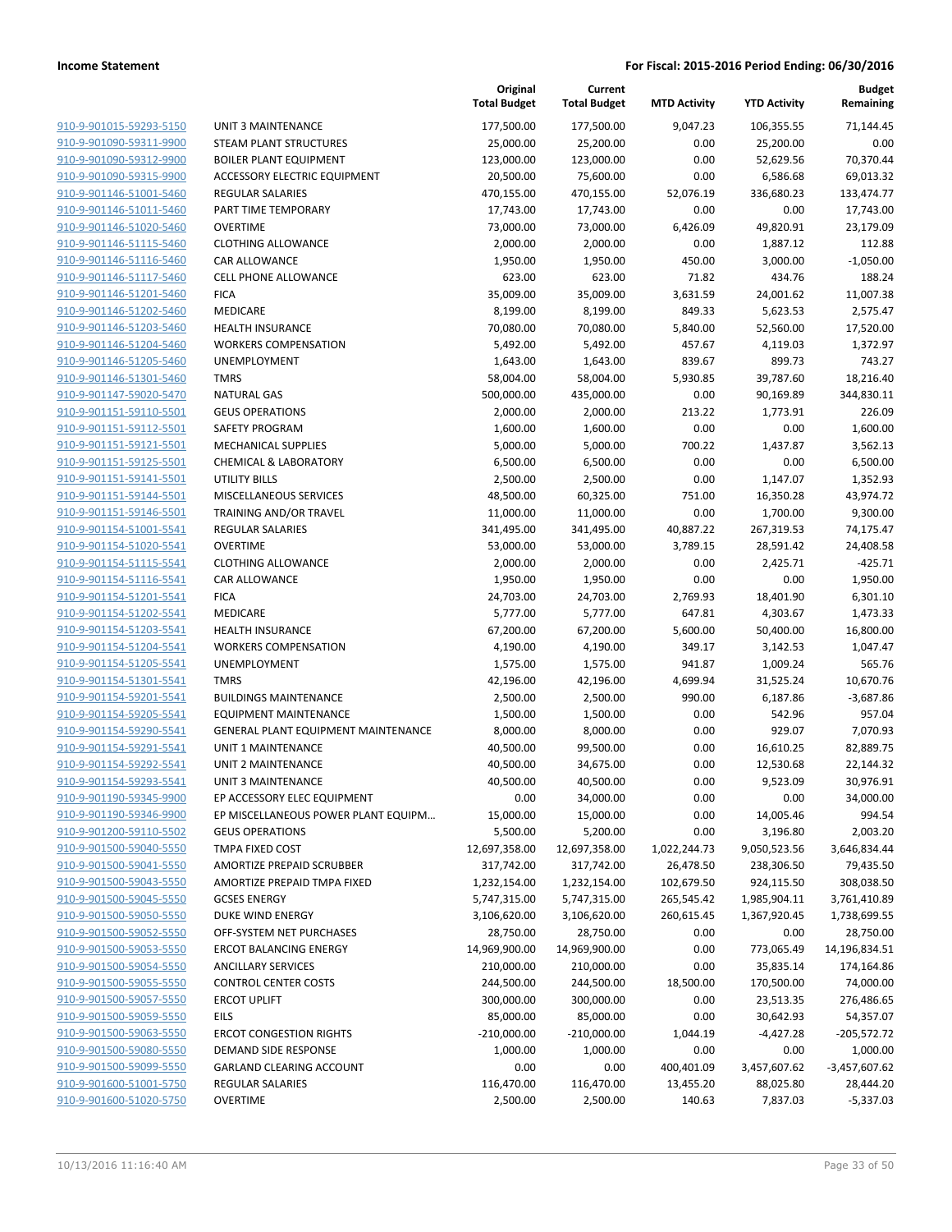**Current**

**Original**

**Budget Remaining**

|                                                    |                                           | <b>Total Budget</b>          | <b>Total Budget</b>          | <b>MTD Activity</b>       | <b>YTD Activity</b>        | Remaining                 |
|----------------------------------------------------|-------------------------------------------|------------------------------|------------------------------|---------------------------|----------------------------|---------------------------|
| 910-9-901015-59293-5150                            | UNIT 3 MAINTENANCE                        | 177,500.00                   | 177,500.00                   | 9,047.23                  | 106,355.55                 | 71,144.45                 |
| 910-9-901090-59311-9900                            | STEAM PLANT STRUCTURES                    | 25,000.00                    | 25,200.00                    | 0.00                      | 25,200.00                  | 0.00                      |
| 910-9-901090-59312-9900                            | <b>BOILER PLANT EQUIPMENT</b>             | 123,000.00                   | 123,000.00                   | 0.00                      | 52,629.56                  | 70,370.44                 |
| 910-9-901090-59315-9900                            | ACCESSORY ELECTRIC EQUIPMENT              | 20,500.00                    | 75,600.00                    | 0.00                      | 6,586.68                   | 69,013.32                 |
| 910-9-901146-51001-5460                            | <b>REGULAR SALARIES</b>                   | 470,155.00                   | 470,155.00                   | 52,076.19                 | 336,680.23                 | 133,474.77                |
| 910-9-901146-51011-5460                            | PART TIME TEMPORARY                       | 17,743.00                    | 17,743.00                    | 0.00                      | 0.00                       | 17,743.00                 |
| 910-9-901146-51020-5460                            | <b>OVERTIME</b>                           | 73,000.00                    | 73,000.00                    | 6,426.09                  | 49,820.91                  | 23,179.09                 |
| 910-9-901146-51115-5460                            | <b>CLOTHING ALLOWANCE</b>                 | 2,000.00                     | 2,000.00                     | 0.00                      | 1,887.12                   | 112.88                    |
| 910-9-901146-51116-5460                            | <b>CAR ALLOWANCE</b>                      | 1,950.00                     | 1,950.00                     | 450.00                    | 3,000.00                   | $-1,050.00$               |
| 910-9-901146-51117-5460                            | <b>CELL PHONE ALLOWANCE</b>               | 623.00                       | 623.00                       | 71.82                     | 434.76                     | 188.24                    |
| 910-9-901146-51201-5460                            | <b>FICA</b>                               | 35,009.00                    | 35,009.00                    | 3,631.59                  | 24,001.62                  | 11,007.38                 |
| 910-9-901146-51202-5460                            | MEDICARE                                  | 8,199.00                     | 8,199.00                     | 849.33                    | 5,623.53                   | 2,575.47                  |
| 910-9-901146-51203-5460                            | HEALTH INSURANCE                          | 70,080.00                    | 70,080.00                    | 5,840.00                  | 52,560.00                  | 17,520.00                 |
| 910-9-901146-51204-5460                            | <b>WORKERS COMPENSATION</b>               | 5,492.00                     | 5,492.00                     | 457.67                    | 4,119.03                   | 1,372.97                  |
| 910-9-901146-51205-5460                            | UNEMPLOYMENT                              | 1,643.00                     | 1,643.00                     | 839.67                    | 899.73                     | 743.27                    |
| 910-9-901146-51301-5460                            | <b>TMRS</b>                               | 58,004.00                    | 58,004.00                    | 5,930.85                  | 39,787.60                  | 18,216.40                 |
| 910-9-901147-59020-5470                            | <b>NATURAL GAS</b>                        | 500,000.00                   | 435,000.00                   | 0.00                      | 90,169.89                  | 344,830.11                |
| 910-9-901151-59110-5501                            | <b>GEUS OPERATIONS</b>                    | 2,000.00                     | 2,000.00                     | 213.22                    | 1,773.91                   | 226.09                    |
| 910-9-901151-59112-5501                            | SAFETY PROGRAM                            | 1,600.00                     | 1,600.00                     | 0.00                      | 0.00                       | 1,600.00                  |
| 910-9-901151-59121-5501                            | MECHANICAL SUPPLIES                       | 5,000.00                     | 5,000.00                     | 700.22                    | 1,437.87                   | 3,562.13                  |
| 910-9-901151-59125-5501                            | <b>CHEMICAL &amp; LABORATORY</b>          | 6,500.00                     | 6,500.00                     | 0.00                      | 0.00                       | 6,500.00                  |
| 910-9-901151-59141-5501                            | <b>UTILITY BILLS</b>                      | 2,500.00                     | 2,500.00                     | 0.00                      | 1,147.07                   | 1,352.93                  |
| 910-9-901151-59144-5501                            | MISCELLANEOUS SERVICES                    | 48,500.00                    | 60,325.00                    | 751.00                    | 16,350.28                  | 43,974.72                 |
| 910-9-901151-59146-5501                            | TRAINING AND/OR TRAVEL                    | 11,000.00                    | 11,000.00                    | 0.00                      | 1,700.00                   | 9,300.00                  |
| 910-9-901154-51001-5541                            | <b>REGULAR SALARIES</b>                   | 341,495.00                   | 341,495.00                   | 40,887.22                 | 267,319.53                 | 74,175.47                 |
| 910-9-901154-51020-5541                            | <b>OVERTIME</b>                           | 53,000.00                    | 53,000.00                    | 3,789.15                  | 28,591.42                  | 24,408.58                 |
| 910-9-901154-51115-5541                            | <b>CLOTHING ALLOWANCE</b>                 | 2,000.00                     | 2,000.00                     | 0.00                      | 2,425.71                   | $-425.71$                 |
| 910-9-901154-51116-5541                            | CAR ALLOWANCE                             | 1,950.00                     | 1,950.00                     | 0.00                      | 0.00                       | 1,950.00                  |
| 910-9-901154-51201-5541                            | <b>FICA</b>                               | 24,703.00                    | 24,703.00                    | 2,769.93                  | 18,401.90                  | 6,301.10                  |
| 910-9-901154-51202-5541                            | MEDICARE                                  | 5,777.00                     | 5,777.00                     | 647.81                    | 4,303.67                   | 1,473.33                  |
| 910-9-901154-51203-5541                            | <b>HEALTH INSURANCE</b>                   | 67,200.00                    | 67,200.00                    | 5,600.00                  | 50,400.00                  | 16,800.00                 |
| 910-9-901154-51204-5541                            | <b>WORKERS COMPENSATION</b>               | 4,190.00                     | 4,190.00                     | 349.17                    | 3,142.53                   | 1,047.47                  |
| 910-9-901154-51205-5541                            | UNEMPLOYMENT                              | 1,575.00                     | 1,575.00                     | 941.87                    | 1,009.24                   | 565.76                    |
| 910-9-901154-51301-5541                            | <b>TMRS</b>                               | 42,196.00                    | 42,196.00                    | 4,699.94                  | 31,525.24                  | 10,670.76                 |
| 910-9-901154-59201-5541                            | <b>BUILDINGS MAINTENANCE</b>              | 2,500.00                     | 2,500.00                     | 990.00                    | 6,187.86                   | $-3,687.86$               |
| 910-9-901154-59205-5541                            | <b>EQUIPMENT MAINTENANCE</b>              | 1,500.00                     | 1,500.00                     | 0.00                      | 542.96                     | 957.04                    |
| 910-9-901154-59290-5541                            | GENERAL PLANT EQUIPMENT MAINTENANCE       | 8,000.00                     | 8,000.00                     | 0.00                      | 929.07                     | 7,070.93                  |
| 910-9-901154-59291-5541                            | UNIT 1 MAINTENANCE                        | 40,500.00                    | 99,500.00                    | 0.00                      | 16,610.25                  | 82,889.75                 |
| 910-9-901154-59292-5541                            | UNIT 2 MAINTENANCE                        | 40,500.00                    | 34,675.00                    | 0.00                      | 12,530.68                  | 22,144.32                 |
| 910-9-901154-59293-5541                            | UNIT 3 MAINTENANCE                        | 40,500.00                    | 40,500.00                    | 0.00                      | 9,523.09                   | 30,976.91                 |
| <u>910-9-901190-59345-9900</u>                     | EP ACCESSORY ELEC EQUIPMENT               | 0.00                         | 34,000.00                    | 0.00                      | 0.00                       | 34,000.00                 |
| 910-9-901190-59346-9900                            | EP MISCELLANEOUS POWER PLANT EQUIPM       | 15,000.00                    | 15,000.00                    | 0.00                      | 14,005.46                  | 994.54                    |
| 910-9-901200-59110-5502<br>910-9-901500-59040-5550 | <b>GEUS OPERATIONS</b><br>TMPA FIXED COST | 5,500.00                     | 5,200.00                     | 0.00                      | 3,196.80                   | 2,003.20                  |
| 910-9-901500-59041-5550                            | AMORTIZE PREPAID SCRUBBER                 | 12,697,358.00<br>317,742.00  | 12,697,358.00<br>317,742.00  | 1,022,244.73<br>26,478.50 | 9,050,523.56<br>238,306.50 | 3,646,834.44<br>79,435.50 |
| 910-9-901500-59043-5550                            | AMORTIZE PREPAID TMPA FIXED               |                              |                              |                           | 924,115.50                 | 308,038.50                |
| 910-9-901500-59045-5550                            | <b>GCSES ENERGY</b>                       | 1,232,154.00<br>5,747,315.00 | 1,232,154.00<br>5,747,315.00 | 102,679.50<br>265,545.42  | 1,985,904.11               | 3,761,410.89              |
| 910-9-901500-59050-5550                            | <b>DUKE WIND ENERGY</b>                   | 3,106,620.00                 | 3,106,620.00                 | 260,615.45                | 1,367,920.45               | 1,738,699.55              |
| 910-9-901500-59052-5550                            | OFF-SYSTEM NET PURCHASES                  | 28,750.00                    | 28,750.00                    | 0.00                      | 0.00                       | 28,750.00                 |
| 910-9-901500-59053-5550                            | <b>ERCOT BALANCING ENERGY</b>             | 14,969,900.00                | 14,969,900.00                | 0.00                      | 773,065.49                 | 14,196,834.51             |
| 910-9-901500-59054-5550                            | <b>ANCILLARY SERVICES</b>                 | 210,000.00                   | 210,000.00                   | 0.00                      | 35,835.14                  | 174,164.86                |
| 910-9-901500-59055-5550                            | <b>CONTROL CENTER COSTS</b>               | 244,500.00                   | 244,500.00                   | 18,500.00                 | 170,500.00                 | 74,000.00                 |
| 910-9-901500-59057-5550                            | <b>ERCOT UPLIFT</b>                       | 300,000.00                   | 300,000.00                   | 0.00                      | 23,513.35                  | 276,486.65                |
| 910-9-901500-59059-5550                            | <b>EILS</b>                               | 85,000.00                    | 85,000.00                    | 0.00                      | 30,642.93                  | 54,357.07                 |
| 910-9-901500-59063-5550                            | <b>ERCOT CONGESTION RIGHTS</b>            | $-210,000.00$                | $-210,000.00$                | 1,044.19                  | $-4,427.28$                | $-205,572.72$             |
| 910-9-901500-59080-5550                            | DEMAND SIDE RESPONSE                      | 1,000.00                     | 1,000.00                     | 0.00                      | 0.00                       | 1,000.00                  |
| 910-9-901500-59099-5550                            | GARLAND CLEARING ACCOUNT                  | 0.00                         | 0.00                         | 400,401.09                | 3,457,607.62               | $-3,457,607.62$           |
| 910-9-901600-51001-5750                            | <b>REGULAR SALARIES</b>                   | 116,470.00                   | 116,470.00                   | 13,455.20                 | 88,025.80                  | 28,444.20                 |
| 910-9-901600-51020-5750                            | <b>OVERTIME</b>                           | 2,500.00                     | 2,500.00                     | 140.63                    | 7,837.03                   | $-5,337.03$               |
|                                                    |                                           |                              |                              |                           |                            |                           |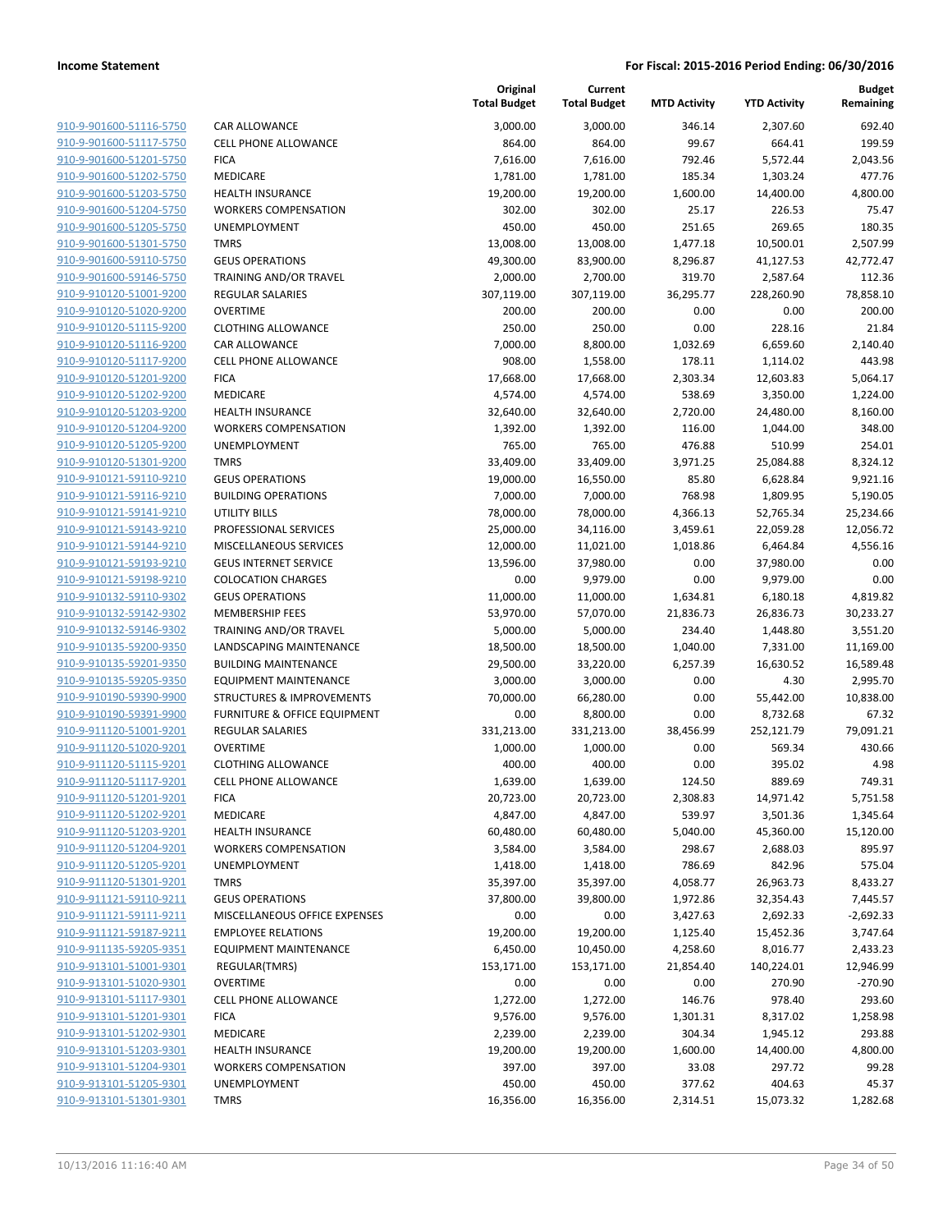| 910-9-901600-51116-5750        |
|--------------------------------|
| 910-9-901600-51117-5750        |
| 910-9-901600-51201-5750        |
| 910-9-901600-51202-5750        |
| <u>910-9-901600-51203-5750</u> |
| <u>910-9-901600-51204-5750</u> |
| 910-9-901600-51205-5750        |
| 910-9-901600-51301-5750        |
| 910-9-901600-59110-5750        |
| <u>910-9-901600-59146-5750</u> |
| <u>910-9-910120-51001-9200</u> |
| 910-9-910120-51020-9200        |
| 910-9-910120-51115-9200        |
| 910-9-910120-51116-9200        |
|                                |
| <u>910-9-910120-51117-9200</u> |
| <u>910-9-910120-51201-9200</u> |
| 910-9-910120-51202-9200        |
| 910-9-910120-51203-9200        |
| 910-9-910120-51204-9200        |
| <u>910-9-910120-51205-9200</u> |
| <u>910-9-910120-51301-9200</u> |
| 910-9-910121-59110-9210        |
| 910-9-910121-59116-9210        |
| 910-9-910121-59141-9210        |
| <u>910-9-910121-59143-9210</u> |
| 910-9-910121-59144-9210        |
| 910-9-910121-59193-9210        |
| 910-9-910121-59198-9210        |
| 910-9-910132-59110-9302        |
| <u>910-9-910132-59142-9302</u> |
| 910-9-910132-59146-9302        |
| 910-9-910135-59200-9350        |
| 910-9-910135-59201-9350        |
| 910-9-910135-59205-9350        |
| <u>910-9-910190-59390-9900</u> |
| 910-9-910190-59391-9900        |
| 910-9-911120-51001-9201        |
| 910-9-911120-51020-9201        |
| 910-9-911120-51115-9201        |
| 910-9-911120-51117-9201        |
| 910-9-911120-51201-9201        |
| 910-9-911120-51202-9201        |
| 910-9-911120-51203-9201        |
|                                |
| 910-9-911120-51204-9201        |
| 910-9-911120-51205-9201        |
| 910-9-911120-51301-9201        |
| 910-9-911121-59110-9211        |
| 910-9-911121-59111-9211        |
| 910-9-911121-59187-9211        |
| 910-9-911135-59205-9351        |
| 910-9-913101-51001-9301        |
| 910-9-913101-51020-9301        |
| 910-9-913101-51117-9301        |
| 910-9-913101-51201-9301        |
| 910-9-913101-51202-9301        |
| 910-9-913101-51203-9301        |
| 910-9-913101-51204-9301        |
| 910-9-913101-51205-9301        |
| 910-9-913101-51301-9301        |
|                                |

| CAR ALLOWANCE                                      |
|----------------------------------------------------|
| CELL PHONE ALLOWANCE                               |
| FICA                                               |
| MEDICARE                                           |
| HEALTH INSURANCE                                   |
| WORKERS COMPENSATION                               |
| UNEMPLOYMENT                                       |
| TMRS                                               |
| <b>GEUS OPERATIONS</b>                             |
| TRAINING AND/OR TRAVEL                             |
| REGULAR SALARIES                                   |
| OVERTIME                                           |
| CLOTHING ALLOWANCE                                 |
| CAR ALLOWANCE                                      |
| CELL PHONE ALLOWANCE                               |
| FICA                                               |
| MEDICARE                                           |
| <b>HEALTH INSURANCE</b>                            |
| WORKERS COMPENSATION                               |
| UNEMPLOYMENT                                       |
| <b>TMRS</b>                                        |
| GEUS OPERATIONS                                    |
| <b>BUILDING OPERATIONS</b>                         |
| UTILITY BILLS                                      |
| PROFESSIONAL SERVICES                              |
| MISCELLANEOUS SERVICES                             |
| GEUS INTERNET SERVICE<br><b>COLOCATION CHARGES</b> |
| GEUS OPERATIONS                                    |
| MEMBERSHIP FEES                                    |
| TRAINING AND/OR TRAVEL                             |
| LANDSCAPING MAINTENANCE                            |
| <b>BUILDING MAINTENANCE</b>                        |
| EQUIPMENT MAINTENANCE                              |
| STRUCTURES & IMPROVEMENTS                          |
| FURNITURE & OFFICE EQUIPMENT                       |
| REGULAR SALARIES                                   |
| OVERTIME                                           |
| CLOTHING ALLOWANCE                                 |
| CELL PHONE ALLOWANCE                               |
| FICA                                               |
| MEDICARE                                           |
| <b>HEALTH INSURANCE</b>                            |
| <b>WORKERS COMPENSATION</b>                        |
| UNEMPLOYMENT                                       |
| TMRS                                               |
| <b>GEUS OPERATIONS</b>                             |
| MISCELLANEOUS OFFICE EXPENSES                      |
| <b>EMPLOYEE RELATIONS</b>                          |
| <b>EQUIPMENT MAINTENANCE</b>                       |
| REGULAR(TMRS)                                      |
| OVERTIME                                           |
| CELL PHONE ALLOWANCE                               |
| FICA                                               |
| MEDICARE                                           |
| HEALTH INSURANCE                                   |
| WORKERS COMPENSATION                               |
| UNEMPLOYMENT                                       |

|                         |                               | Original<br><b>Total Budget</b> | Current<br><b>Total Budget</b> | <b>MTD Activity</b> | <b>YTD Activity</b> | <b>Budget</b><br>Remaining |
|-------------------------|-------------------------------|---------------------------------|--------------------------------|---------------------|---------------------|----------------------------|
| 910-9-901600-51116-5750 | CAR ALLOWANCE                 | 3,000.00                        | 3,000.00                       | 346.14              | 2,307.60            | 692.40                     |
| 910-9-901600-51117-5750 | <b>CELL PHONE ALLOWANCE</b>   | 864.00                          | 864.00                         | 99.67               | 664.41              | 199.59                     |
| 910-9-901600-51201-5750 | <b>FICA</b>                   | 7,616.00                        | 7,616.00                       | 792.46              | 5,572.44            | 2,043.56                   |
| 910-9-901600-51202-5750 | MEDICARE                      | 1,781.00                        | 1,781.00                       | 185.34              | 1,303.24            | 477.76                     |
| 910-9-901600-51203-5750 | <b>HEALTH INSURANCE</b>       | 19,200.00                       | 19,200.00                      | 1,600.00            | 14,400.00           | 4,800.00                   |
| 910-9-901600-51204-5750 | <b>WORKERS COMPENSATION</b>   | 302.00                          | 302.00                         | 25.17               | 226.53              | 75.47                      |
| 910-9-901600-51205-5750 | UNEMPLOYMENT                  | 450.00                          | 450.00                         | 251.65              | 269.65              | 180.35                     |
| 910-9-901600-51301-5750 | <b>TMRS</b>                   | 13,008.00                       | 13,008.00                      | 1,477.18            | 10,500.01           | 2,507.99                   |
| 910-9-901600-59110-5750 | <b>GEUS OPERATIONS</b>        | 49,300.00                       | 83,900.00                      | 8,296.87            | 41,127.53           | 42,772.47                  |
| 910-9-901600-59146-5750 | TRAINING AND/OR TRAVEL        | 2,000.00                        | 2,700.00                       | 319.70              | 2,587.64            | 112.36                     |
| 910-9-910120-51001-9200 | REGULAR SALARIES              | 307,119.00                      | 307,119.00                     | 36,295.77           | 228,260.90          | 78,858.10                  |
| 910-9-910120-51020-9200 | <b>OVERTIME</b>               | 200.00                          | 200.00                         | 0.00                | 0.00                | 200.00                     |
| 910-9-910120-51115-9200 | <b>CLOTHING ALLOWANCE</b>     | 250.00                          | 250.00                         | 0.00                | 228.16              | 21.84                      |
| 910-9-910120-51116-9200 | <b>CAR ALLOWANCE</b>          | 7,000.00                        | 8,800.00                       | 1,032.69            | 6,659.60            | 2,140.40                   |
| 910-9-910120-51117-9200 | <b>CELL PHONE ALLOWANCE</b>   | 908.00                          | 1,558.00                       | 178.11              | 1,114.02            | 443.98                     |
| 910-9-910120-51201-9200 | <b>FICA</b>                   | 17,668.00                       | 17,668.00                      | 2,303.34            | 12,603.83           | 5,064.17                   |
| 910-9-910120-51202-9200 | MEDICARE                      | 4,574.00                        | 4,574.00                       | 538.69              | 3,350.00            | 1,224.00                   |
| 910-9-910120-51203-9200 | <b>HEALTH INSURANCE</b>       | 32,640.00                       | 32,640.00                      | 2,720.00            | 24,480.00           | 8,160.00                   |
| 910-9-910120-51204-9200 | <b>WORKERS COMPENSATION</b>   | 1,392.00                        | 1,392.00                       | 116.00              | 1,044.00            | 348.00                     |
| 910-9-910120-51205-9200 | <b>UNEMPLOYMENT</b>           | 765.00                          | 765.00                         | 476.88              | 510.99              | 254.01                     |
| 910-9-910120-51301-9200 | <b>TMRS</b>                   | 33,409.00                       | 33,409.00                      | 3,971.25            | 25,084.88           | 8,324.12                   |
| 910-9-910121-59110-9210 | <b>GEUS OPERATIONS</b>        | 19,000.00                       | 16,550.00                      | 85.80               | 6,628.84            | 9,921.16                   |
| 910-9-910121-59116-9210 | <b>BUILDING OPERATIONS</b>    | 7,000.00                        | 7,000.00                       | 768.98              | 1,809.95            | 5,190.05                   |
| 910-9-910121-59141-9210 | <b>UTILITY BILLS</b>          | 78,000.00                       | 78,000.00                      | 4,366.13            | 52,765.34           | 25,234.66                  |
| 910-9-910121-59143-9210 | PROFESSIONAL SERVICES         | 25,000.00                       | 34,116.00                      | 3,459.61            | 22,059.28           | 12,056.72                  |
| 910-9-910121-59144-9210 | MISCELLANEOUS SERVICES        | 12,000.00                       | 11,021.00                      | 1,018.86            | 6,464.84            | 4,556.16                   |
| 910-9-910121-59193-9210 | <b>GEUS INTERNET SERVICE</b>  | 13,596.00                       | 37,980.00                      | 0.00                | 37,980.00           | 0.00                       |
| 910-9-910121-59198-9210 | <b>COLOCATION CHARGES</b>     | 0.00                            | 9,979.00                       | 0.00                | 9,979.00            | 0.00                       |
| 910-9-910132-59110-9302 | <b>GEUS OPERATIONS</b>        | 11,000.00                       | 11,000.00                      | 1,634.81            | 6,180.18            | 4,819.82                   |
| 910-9-910132-59142-9302 | <b>MEMBERSHIP FEES</b>        | 53,970.00                       | 57,070.00                      | 21,836.73           | 26,836.73           | 30,233.27                  |
| 910-9-910132-59146-9302 | TRAINING AND/OR TRAVEL        | 5,000.00                        | 5,000.00                       | 234.40              | 1,448.80            | 3,551.20                   |
| 910-9-910135-59200-9350 | LANDSCAPING MAINTENANCE       | 18,500.00                       | 18,500.00                      | 1,040.00            | 7,331.00            | 11,169.00                  |
| 910-9-910135-59201-9350 | <b>BUILDING MAINTENANCE</b>   | 29,500.00                       | 33,220.00                      | 6,257.39            | 16,630.52           | 16,589.48                  |
| 910-9-910135-59205-9350 | <b>EQUIPMENT MAINTENANCE</b>  | 3,000.00                        | 3,000.00                       | 0.00                | 4.30                | 2,995.70                   |
| 910-9-910190-59390-9900 | STRUCTURES & IMPROVEMENTS     | 70,000.00                       | 66,280.00                      | 0.00                | 55,442.00           | 10,838.00                  |
| 910-9-910190-59391-9900 | FURNITURE & OFFICE EQUIPMENT  | 0.00                            | 8,800.00                       | 0.00                | 8,732.68            | 67.32                      |
| 910-9-911120-51001-9201 | <b>REGULAR SALARIES</b>       | 331,213.00                      | 331,213.00                     | 38,456.99           | 252,121.79          | 79,091.21                  |
| 910-9-911120-51020-9201 | <b>OVERTIME</b>               | 1,000.00                        | 1,000.00                       | 0.00                | 569.34              | 430.66                     |
| 910-9-911120-51115-9201 | <b>CLOTHING ALLOWANCE</b>     | 400.00                          | 400.00                         | 0.00                | 395.02              | 4.98                       |
| 910-9-911120-51117-9201 | <b>CELL PHONE ALLOWANCE</b>   | 1,639.00                        | 1,639.00                       | 124.50              | 889.69              | 749.31                     |
| 910-9-911120-51201-9201 | <b>FICA</b>                   | 20,723.00                       | 20,723.00                      | 2,308.83            | 14,971.42           | 5,751.58                   |
| 910-9-911120-51202-9201 | MEDICARE                      | 4,847.00                        | 4,847.00                       | 539.97              | 3,501.36            | 1,345.64                   |
| 910-9-911120-51203-9201 | <b>HEALTH INSURANCE</b>       | 60,480.00                       | 60,480.00                      | 5,040.00            | 45,360.00           | 15,120.00                  |
| 910-9-911120-51204-9201 | <b>WORKERS COMPENSATION</b>   | 3,584.00                        | 3,584.00                       | 298.67              | 2,688.03            | 895.97                     |
| 910-9-911120-51205-9201 | <b>UNEMPLOYMENT</b>           | 1,418.00                        | 1,418.00                       | 786.69              | 842.96              | 575.04                     |
| 910-9-911120-51301-9201 | <b>TMRS</b>                   | 35,397.00                       | 35,397.00                      | 4,058.77            | 26,963.73           | 8,433.27                   |
| 910-9-911121-59110-9211 | <b>GEUS OPERATIONS</b>        | 37,800.00                       | 39,800.00                      | 1,972.86            | 32,354.43           | 7,445.57                   |
| 910-9-911121-59111-9211 | MISCELLANEOUS OFFICE EXPENSES | 0.00                            | 0.00                           | 3,427.63            | 2,692.33            | $-2,692.33$                |
| 910-9-911121-59187-9211 | <b>EMPLOYEE RELATIONS</b>     | 19,200.00                       | 19,200.00                      | 1,125.40            | 15,452.36           | 3,747.64                   |
| 910-9-911135-59205-9351 | <b>EQUIPMENT MAINTENANCE</b>  | 6,450.00                        | 10,450.00                      | 4,258.60            | 8,016.77            | 2,433.23                   |
| 910-9-913101-51001-9301 | REGULAR(TMRS)                 | 153,171.00                      | 153,171.00                     | 21,854.40           | 140,224.01          | 12,946.99                  |
| 910-9-913101-51020-9301 | <b>OVERTIME</b>               | 0.00                            | 0.00                           | 0.00                | 270.90              | $-270.90$                  |
| 910-9-913101-51117-9301 | <b>CELL PHONE ALLOWANCE</b>   | 1,272.00                        | 1,272.00                       | 146.76              | 978.40              | 293.60                     |
| 910-9-913101-51201-9301 | <b>FICA</b>                   | 9,576.00                        | 9,576.00                       | 1,301.31            | 8,317.02            | 1,258.98                   |
| 910-9-913101-51202-9301 | MEDICARE                      | 2,239.00                        | 2,239.00                       | 304.34              | 1,945.12            | 293.88                     |
| 910-9-913101-51203-9301 | <b>HEALTH INSURANCE</b>       | 19,200.00                       | 19,200.00                      | 1,600.00            | 14,400.00           | 4,800.00                   |
| 910-9-913101-51204-9301 | <b>WORKERS COMPENSATION</b>   | 397.00                          | 397.00                         | 33.08               | 297.72              | 99.28                      |
| 910-9-913101-51205-9301 | UNEMPLOYMENT                  | 450.00                          | 450.00                         | 377.62              | 404.63              | 45.37                      |
| 910-9-913101-51301-9301 | <b>TMRS</b>                   | 16,356.00                       | 16,356.00                      | 2,314.51            | 15,073.32           | 1,282.68                   |
|                         |                               |                                 |                                |                     |                     |                            |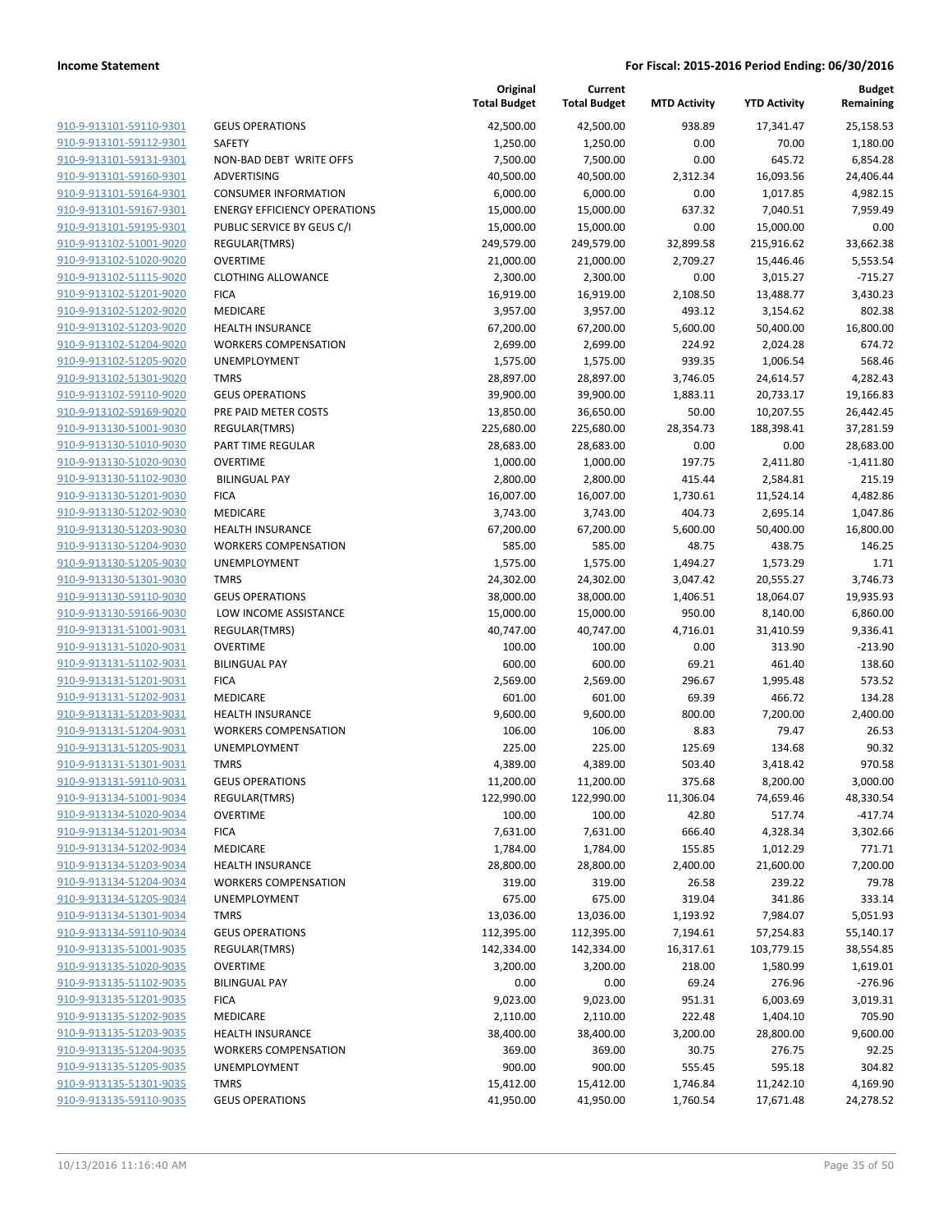| 910-9-913101-59110-9301 | GE         |
|-------------------------|------------|
| 910-9-913101-59112-9301 | SA         |
| 910-9-913101-59131-9301 | NC         |
|                         |            |
| 910-9-913101-59160-9301 | AD         |
| 910-9-913101-59164-9301 | CO         |
| 910-9-913101-59167-9301 | EN         |
| 910-9-913101-59195-9301 | PU         |
| 910-9-913102-51001-9020 | <b>RE</b>  |
| 910-9-913102-51020-9020 | OV         |
| 910-9-913102-51115-9020 | <b>CL</b>  |
| 910-9-913102-51201-9020 | <b>FIC</b> |
| 910-9-913102-51202-9020 | ME         |
| 910-9-913102-51203-9020 | HE         |
| 910-9-913102-51204-9020 | W(         |
| 910-9-913102-51205-9020 | UN         |
|                         |            |
| 910-9-913102-51301-9020 | ΤM         |
| 910-9-913102-59110-9020 | GE         |
| 910-9-913102-59169-9020 | PR         |
| 910-9-913130-51001-9030 | RE         |
| 910-9-913130-51010-9030 | PA         |
| 910-9-913130-51020-9030 | ov         |
| 910-9-913130-51102-9030 | BI         |
| 910-9-913130-51201-9030 | <b>FIC</b> |
| 910-9-913130-51202-9030 | ME         |
| 910-9-913130-51203-9030 | HE         |
| 910-9-913130-51204-9030 | W(         |
| 910-9-913130-51205-9030 | UN         |
| 910-9-913130-51301-9030 | ΤM         |
| 910-9-913130-59110-9030 | GE         |
|                         |            |
| 910-9-913130-59166-9030 | LC         |
| 910-9-913131-51001-9031 | <b>RE</b>  |
| 910-9-913131-51020-9031 | ov         |
| 910-9-913131-51102-9031 | BIL        |
| 910-9-913131-51201-9031 | <b>FIC</b> |
| 910-9-913131-51202-9031 | ME         |
| 910-9-913131-51203-9031 | HE         |
| 910-9-913131-51204-9031 | W(         |
| 910-9-913131-51205-9031 | UN         |
| 910-9-913131-51301-9031 | TM         |
| 910-9-913131-59110-9031 | GЕ         |
| 910-9-913134-51001-9034 | <b>RE</b>  |
| 910-9-913134-51020-9034 | OV         |
| 910-9-913134-51201-9034 | FIC        |
| 910-9-913134-51202-9034 | ME         |
| 910-9-913134-51203-9034 | НE         |
|                         | W(         |
| 910-9-913134-51204-9034 |            |
| 910-9-913134-51205-9034 | U٨         |
| 910-9-913134-51301-9034 | TM         |
| 910-9-913134-59110-9034 | GЕ         |
| 910-9-913135-51001-9035 | <b>RE</b>  |
| 910-9-913135-51020-9035 | о٧         |
| 910-9-913135-51102-9035 | BIL        |
| 910-9-913135-51201-9035 | FIC        |
| 910-9-913135-51202-9035 | ME         |
| 910-9-913135-51203-9035 | НE         |
| 910-9-913135-51204-9035 | W(         |
| 910-9-913135-51205-9035 | U٨         |
| 910-9-913135-51301-9035 | TM         |
| 910-9-913135-59110-9035 | GЕ         |
|                         |            |

|                         |                                     | Original<br><b>Total Budget</b> | Current<br><b>Total Budget</b> | <b>MTD Activity</b> | <b>YTD Activity</b> | <b>Budget</b><br>Remaining |
|-------------------------|-------------------------------------|---------------------------------|--------------------------------|---------------------|---------------------|----------------------------|
| 910-9-913101-59110-9301 | <b>GEUS OPERATIONS</b>              | 42,500.00                       | 42,500.00                      | 938.89              | 17,341.47           | 25,158.53                  |
| 910-9-913101-59112-9301 | SAFETY                              | 1,250.00                        | 1,250.00                       | 0.00                | 70.00               | 1,180.00                   |
| 910-9-913101-59131-9301 | NON-BAD DEBT WRITE OFFS             | 7,500.00                        | 7,500.00                       | 0.00                | 645.72              | 6,854.28                   |
| 910-9-913101-59160-9301 | ADVERTISING                         | 40,500.00                       | 40,500.00                      | 2,312.34            | 16,093.56           | 24,406.44                  |
| 910-9-913101-59164-9301 | <b>CONSUMER INFORMATION</b>         | 6,000.00                        | 6,000.00                       | 0.00                | 1,017.85            | 4,982.15                   |
| 910-9-913101-59167-9301 | <b>ENERGY EFFICIENCY OPERATIONS</b> | 15,000.00                       | 15,000.00                      | 637.32              | 7,040.51            | 7,959.49                   |
| 910-9-913101-59195-9301 | PUBLIC SERVICE BY GEUS C/I          | 15,000.00                       | 15,000.00                      | 0.00                | 15,000.00           | 0.00                       |
| 910-9-913102-51001-9020 | REGULAR(TMRS)                       | 249,579.00                      | 249,579.00                     | 32,899.58           | 215,916.62          | 33,662.38                  |
| 910-9-913102-51020-9020 | <b>OVERTIME</b>                     | 21,000.00                       | 21,000.00                      | 2,709.27            | 15,446.46           | 5,553.54                   |
| 910-9-913102-51115-9020 | <b>CLOTHING ALLOWANCE</b>           | 2,300.00                        | 2,300.00                       | 0.00                | 3,015.27            | $-715.27$                  |
| 910-9-913102-51201-9020 | <b>FICA</b>                         | 16,919.00                       | 16,919.00                      | 2,108.50            | 13,488.77           | 3,430.23                   |
| 910-9-913102-51202-9020 | MEDICARE                            | 3,957.00                        | 3,957.00                       | 493.12              | 3,154.62            | 802.38                     |
| 910-9-913102-51203-9020 | <b>HEALTH INSURANCE</b>             | 67,200.00                       | 67,200.00                      | 5,600.00            | 50,400.00           | 16,800.00                  |
| 910-9-913102-51204-9020 | <b>WORKERS COMPENSATION</b>         | 2,699.00                        | 2,699.00                       | 224.92              | 2,024.28            | 674.72                     |
| 910-9-913102-51205-9020 | <b>UNEMPLOYMENT</b>                 | 1,575.00                        | 1,575.00                       | 939.35              | 1,006.54            | 568.46                     |
| 910-9-913102-51301-9020 | <b>TMRS</b>                         | 28,897.00                       | 28,897.00                      | 3,746.05            | 24,614.57           | 4,282.43                   |
| 910-9-913102-59110-9020 | <b>GEUS OPERATIONS</b>              | 39,900.00                       | 39,900.00                      | 1,883.11            | 20,733.17           | 19,166.83                  |
| 910-9-913102-59169-9020 | PRE PAID METER COSTS                | 13,850.00                       | 36,650.00                      | 50.00               | 10,207.55           | 26,442.45                  |
| 910-9-913130-51001-9030 | REGULAR(TMRS)                       | 225,680.00                      | 225,680.00                     | 28,354.73           | 188,398.41          | 37,281.59                  |
| 910-9-913130-51010-9030 | PART TIME REGULAR                   | 28,683.00                       | 28,683.00                      | 0.00                | 0.00                | 28,683.00                  |
| 910-9-913130-51020-9030 | <b>OVERTIME</b>                     | 1,000.00                        | 1,000.00                       | 197.75              | 2,411.80            | $-1,411.80$                |
| 910-9-913130-51102-9030 | <b>BILINGUAL PAY</b>                | 2,800.00                        | 2,800.00                       | 415.44              | 2,584.81            | 215.19                     |
| 910-9-913130-51201-9030 | <b>FICA</b>                         | 16,007.00                       | 16,007.00                      | 1,730.61            | 11,524.14           | 4,482.86                   |
| 910-9-913130-51202-9030 | MEDICARE                            | 3,743.00                        | 3,743.00                       | 404.73              | 2,695.14            | 1,047.86                   |
| 910-9-913130-51203-9030 | <b>HEALTH INSURANCE</b>             | 67,200.00                       | 67,200.00                      | 5,600.00            | 50,400.00           | 16,800.00                  |
| 910-9-913130-51204-9030 | <b>WORKERS COMPENSATION</b>         | 585.00                          | 585.00                         | 48.75               | 438.75              | 146.25                     |
| 910-9-913130-51205-9030 | UNEMPLOYMENT                        | 1,575.00                        | 1,575.00                       | 1,494.27            | 1,573.29            | 1.71                       |
| 910-9-913130-51301-9030 | <b>TMRS</b>                         | 24,302.00                       | 24,302.00                      | 3,047.42            | 20,555.27           | 3,746.73                   |
| 910-9-913130-59110-9030 | <b>GEUS OPERATIONS</b>              | 38,000.00                       | 38,000.00                      | 1,406.51            | 18,064.07           | 19,935.93                  |
| 910-9-913130-59166-9030 | LOW INCOME ASSISTANCE               | 15,000.00                       | 15,000.00                      | 950.00              | 8,140.00            | 6,860.00                   |
| 910-9-913131-51001-9031 | REGULAR(TMRS)                       | 40,747.00                       | 40,747.00                      | 4,716.01            | 31,410.59           | 9,336.41                   |
| 910-9-913131-51020-9031 | <b>OVERTIME</b>                     | 100.00                          | 100.00                         | 0.00                | 313.90              | $-213.90$                  |
| 910-9-913131-51102-9031 | <b>BILINGUAL PAY</b>                | 600.00                          | 600.00                         | 69.21               | 461.40              | 138.60                     |
| 910-9-913131-51201-9031 | <b>FICA</b>                         | 2,569.00                        | 2,569.00                       | 296.67              | 1,995.48            | 573.52                     |
| 910-9-913131-51202-9031 | MEDICARE                            | 601.00                          | 601.00                         | 69.39               | 466.72              | 134.28                     |
| 910-9-913131-51203-9031 | <b>HEALTH INSURANCE</b>             | 9,600.00                        | 9,600.00                       | 800.00              | 7,200.00            | 2,400.00                   |
| 910-9-913131-51204-9031 | <b>WORKERS COMPENSATION</b>         | 106.00                          | 106.00                         | 8.83                | 79.47               | 26.53                      |
| 910-9-913131-51205-9031 | UNEMPLOYMENT                        | 225.00                          | 225.00                         | 125.69              | 134.68              | 90.32                      |
| 910-9-913131-51301-9031 | <b>TMRS</b>                         | 4,389.00                        | 4,389.00                       | 503.40              | 3,418.42            | 970.58                     |
| 910-9-913131-59110-9031 | <b>GEUS OPERATIONS</b>              | 11,200.00                       | 11,200.00                      | 375.68              | 8,200.00            | 3,000.00                   |
| 910-9-913134-51001-9034 | REGULAR(TMRS)                       | 122,990.00                      | 122,990.00                     | 11,306.04           | 74,659.46           | 48,330.54                  |
| 910-9-913134-51020-9034 | <b>OVERTIME</b>                     | 100.00                          | 100.00                         | 42.80               | 517.74              | $-417.74$                  |
| 910-9-913134-51201-9034 | <b>FICA</b>                         | 7,631.00                        | 7,631.00                       | 666.40              | 4,328.34            | 3,302.66                   |
| 910-9-913134-51202-9034 | MEDICARE                            | 1,784.00                        | 1,784.00                       | 155.85              | 1,012.29            | 771.71                     |
| 910-9-913134-51203-9034 | <b>HEALTH INSURANCE</b>             | 28,800.00                       | 28,800.00                      | 2,400.00            | 21,600.00           | 7,200.00                   |
| 910-9-913134-51204-9034 | <b>WORKERS COMPENSATION</b>         | 319.00                          | 319.00                         | 26.58               | 239.22              | 79.78                      |
| 910-9-913134-51205-9034 | <b>UNEMPLOYMENT</b>                 | 675.00                          | 675.00                         | 319.04              | 341.86              | 333.14                     |
| 910-9-913134-51301-9034 | <b>TMRS</b>                         | 13,036.00                       | 13,036.00                      | 1,193.92            | 7,984.07            | 5,051.93                   |
| 910-9-913134-59110-9034 | <b>GEUS OPERATIONS</b>              | 112,395.00                      | 112,395.00                     | 7,194.61            | 57,254.83           | 55,140.17                  |
| 910-9-913135-51001-9035 | REGULAR(TMRS)                       | 142,334.00                      | 142,334.00                     | 16,317.61           | 103,779.15          | 38,554.85                  |
| 910-9-913135-51020-9035 | <b>OVERTIME</b>                     | 3,200.00                        | 3,200.00                       | 218.00              | 1,580.99            | 1,619.01                   |
| 910-9-913135-51102-9035 | <b>BILINGUAL PAY</b>                | 0.00                            | 0.00                           | 69.24               | 276.96              | $-276.96$                  |
| 910-9-913135-51201-9035 | <b>FICA</b>                         | 9,023.00                        | 9,023.00                       | 951.31              | 6,003.69            | 3,019.31                   |
| 910-9-913135-51202-9035 | MEDICARE                            | 2,110.00                        | 2,110.00                       | 222.48              | 1,404.10            | 705.90                     |
| 910-9-913135-51203-9035 | <b>HEALTH INSURANCE</b>             | 38,400.00                       | 38,400.00                      | 3,200.00            | 28,800.00           | 9,600.00                   |
| 910-9-913135-51204-9035 | <b>WORKERS COMPENSATION</b>         | 369.00                          | 369.00                         | 30.75               | 276.75              | 92.25                      |
| 910-9-913135-51205-9035 | UNEMPLOYMENT                        | 900.00                          | 900.00                         | 555.45              | 595.18              | 304.82                     |
| 910-9-913135-51301-9035 | <b>TMRS</b>                         | 15,412.00                       | 15,412.00                      | 1,746.84            | 11,242.10           | 4,169.90                   |
| 910-9-913135-59110-9035 | <b>GEUS OPERATIONS</b>              | 41,950.00                       | 41,950.00                      | 1,760.54            | 17,671.48           | 24,278.52                  |
|                         |                                     |                                 |                                |                     |                     |                            |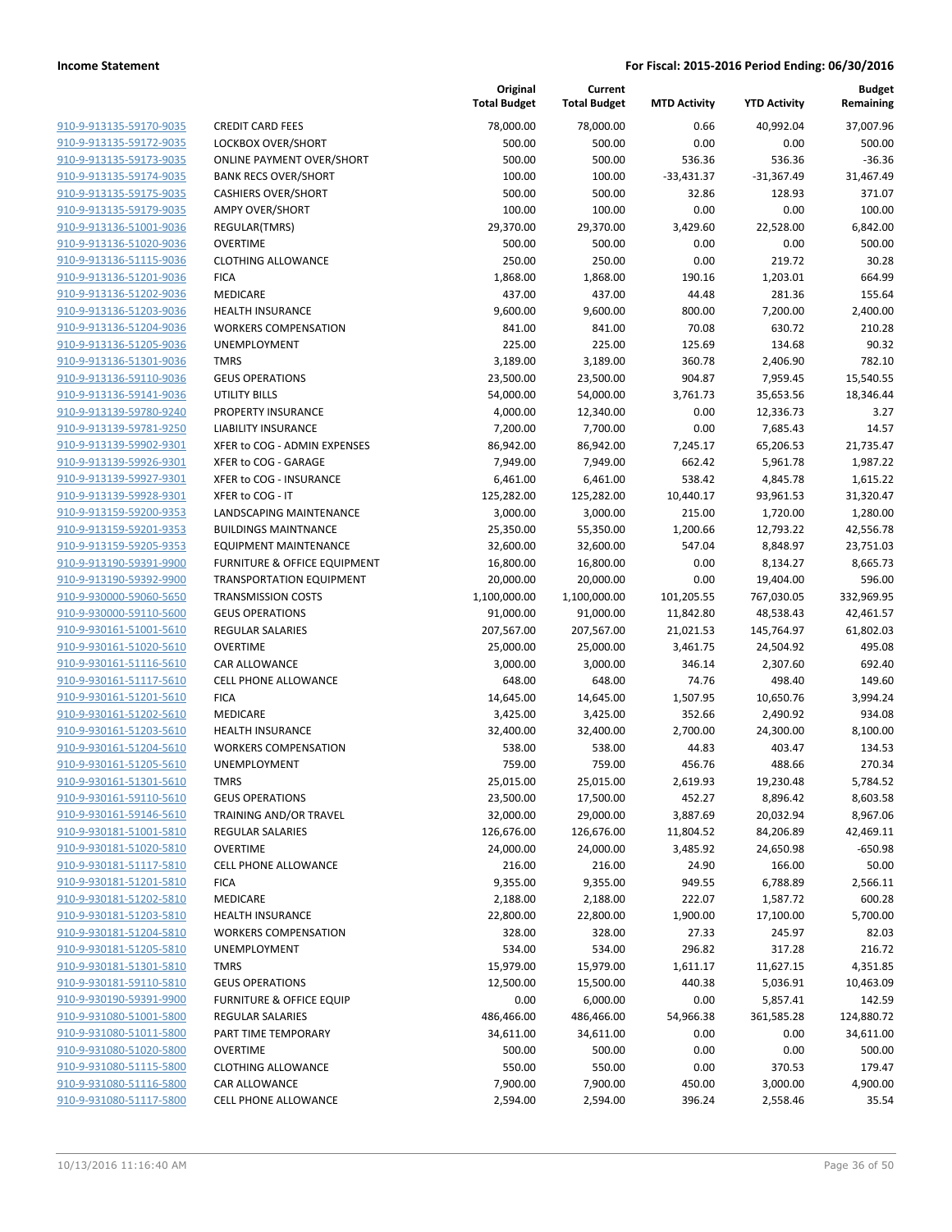|                                                    |                                                | Original<br><b>Total Budget</b> | Current<br><b>Total Budget</b> | <b>MTD Activity</b> | <b>YTD Activity</b> | <b>Budget</b><br>Remaining |
|----------------------------------------------------|------------------------------------------------|---------------------------------|--------------------------------|---------------------|---------------------|----------------------------|
| 910-9-913135-59170-9035                            | <b>CREDIT CARD FEES</b>                        | 78,000.00                       | 78,000.00                      | 0.66                | 40,992.04           | 37,007.96                  |
| 910-9-913135-59172-9035                            | LOCKBOX OVER/SHORT                             | 500.00                          | 500.00                         | 0.00                | 0.00                | 500.00                     |
| 910-9-913135-59173-9035                            | <b>ONLINE PAYMENT OVER/SHORT</b>               | 500.00                          | 500.00                         | 536.36              | 536.36              | $-36.36$                   |
| 910-9-913135-59174-9035                            | <b>BANK RECS OVER/SHORT</b>                    | 100.00                          | 100.00                         | $-33,431.37$        | $-31,367.49$        | 31,467.49                  |
| 910-9-913135-59175-9035                            | <b>CASHIERS OVER/SHORT</b>                     | 500.00                          | 500.00                         | 32.86               | 128.93              | 371.07                     |
| 910-9-913135-59179-9035                            | <b>AMPY OVER/SHORT</b>                         | 100.00                          | 100.00                         | 0.00                | 0.00                | 100.00                     |
| 910-9-913136-51001-9036                            | REGULAR(TMRS)                                  | 29,370.00                       | 29,370.00                      | 3,429.60            | 22,528.00           | 6,842.00                   |
| 910-9-913136-51020-9036                            | <b>OVERTIME</b>                                | 500.00                          | 500.00                         | 0.00                | 0.00                | 500.00                     |
| 910-9-913136-51115-9036                            | <b>CLOTHING ALLOWANCE</b>                      | 250.00                          | 250.00                         | 0.00                | 219.72              | 30.28                      |
| 910-9-913136-51201-9036                            | <b>FICA</b>                                    | 1,868.00                        | 1,868.00                       | 190.16              | 1,203.01            | 664.99                     |
| 910-9-913136-51202-9036                            | MEDICARE                                       | 437.00                          | 437.00                         | 44.48               | 281.36              | 155.64                     |
| 910-9-913136-51203-9036                            | <b>HEALTH INSURANCE</b>                        | 9,600.00                        | 9,600.00                       | 800.00              | 7,200.00            | 2,400.00                   |
| 910-9-913136-51204-9036                            | <b>WORKERS COMPENSATION</b>                    | 841.00                          | 841.00                         | 70.08               | 630.72              | 210.28                     |
| 910-9-913136-51205-9036                            | <b>UNEMPLOYMENT</b>                            | 225.00                          | 225.00                         | 125.69              | 134.68              | 90.32                      |
| 910-9-913136-51301-9036                            | <b>TMRS</b>                                    | 3,189.00                        | 3,189.00                       | 360.78              | 2,406.90            | 782.10                     |
| 910-9-913136-59110-9036                            | <b>GEUS OPERATIONS</b>                         | 23,500.00                       | 23,500.00                      | 904.87              | 7,959.45            | 15,540.55                  |
| 910-9-913136-59141-9036                            | UTILITY BILLS                                  | 54,000.00                       | 54,000.00                      | 3,761.73            | 35,653.56           | 18,346.44                  |
| 910-9-913139-59780-9240                            | PROPERTY INSURANCE                             | 4,000.00                        | 12,340.00                      | 0.00                | 12,336.73           | 3.27                       |
| 910-9-913139-59781-9250                            | <b>LIABILITY INSURANCE</b>                     | 7,200.00                        | 7,700.00                       | 0.00                | 7,685.43            | 14.57                      |
| 910-9-913139-59902-9301                            | XFER to COG - ADMIN EXPENSES                   | 86,942.00                       | 86,942.00                      | 7,245.17            | 65,206.53           | 21,735.47                  |
| 910-9-913139-59926-9301                            | XFER to COG - GARAGE                           | 7,949.00                        | 7,949.00                       | 662.42              | 5,961.78            | 1,987.22                   |
| 910-9-913139-59927-9301                            | XFER to COG - INSURANCE                        | 6,461.00                        | 6,461.00                       | 538.42              | 4,845.78            | 1,615.22                   |
| 910-9-913139-59928-9301                            | XFER to COG - IT                               | 125,282.00                      | 125,282.00                     | 10,440.17           | 93,961.53           | 31,320.47                  |
| 910-9-913159-59200-9353                            | LANDSCAPING MAINTENANCE                        | 3,000.00                        | 3,000.00                       | 215.00              | 1,720.00            | 1,280.00                   |
| 910-9-913159-59201-9353                            | <b>BUILDINGS MAINTNANCE</b>                    | 25,350.00                       | 55,350.00                      | 1,200.66            | 12,793.22           | 42,556.78                  |
| 910-9-913159-59205-9353                            | <b>EQUIPMENT MAINTENANCE</b>                   | 32,600.00                       | 32,600.00                      | 547.04              | 8,848.97            | 23,751.03                  |
| 910-9-913190-59391-9900                            | FURNITURE & OFFICE EQUIPMENT                   | 16,800.00                       | 16,800.00                      | 0.00                | 8,134.27            | 8,665.73                   |
| 910-9-913190-59392-9900                            | <b>TRANSPORTATION EQUIPMENT</b>                | 20,000.00                       | 20,000.00                      | 0.00                | 19,404.00           | 596.00                     |
| 910-9-930000-59060-5650                            | <b>TRANSMISSION COSTS</b>                      | 1,100,000.00                    | 1,100,000.00                   | 101,205.55          | 767,030.05          | 332,969.95                 |
| 910-9-930000-59110-5600                            | <b>GEUS OPERATIONS</b>                         | 91,000.00                       | 91,000.00                      | 11,842.80           | 48,538.43           | 42,461.57                  |
| 910-9-930161-51001-5610                            | REGULAR SALARIES                               | 207,567.00                      | 207,567.00                     | 21,021.53           | 145,764.97          | 61,802.03                  |
| 910-9-930161-51020-5610                            | <b>OVERTIME</b>                                | 25,000.00                       | 25,000.00                      | 3,461.75            | 24,504.92           | 495.08                     |
| 910-9-930161-51116-5610                            | CAR ALLOWANCE                                  | 3,000.00                        | 3,000.00                       | 346.14              | 2,307.60            | 692.40                     |
| 910-9-930161-51117-5610                            | <b>CELL PHONE ALLOWANCE</b>                    | 648.00                          | 648.00                         | 74.76               | 498.40              | 149.60                     |
| 910-9-930161-51201-5610                            | <b>FICA</b>                                    | 14,645.00                       | 14,645.00                      | 1,507.95            | 10,650.76           | 3,994.24                   |
| 910-9-930161-51202-5610                            | MEDICARE                                       | 3,425.00                        | 3,425.00                       | 352.66              | 2,490.92            | 934.08                     |
| 910-9-930161-51203-5610                            | <b>HEALTH INSURANCE</b>                        | 32,400.00                       | 32,400.00                      | 2,700.00            | 24,300.00           | 8,100.00                   |
| 910-9-930161-51204-5610                            | <b>WORKERS COMPENSATION</b>                    | 538.00                          | 538.00                         | 44.83               | 403.47              | 134.53                     |
| 910-9-930161-51205-5610                            | <b>UNEMPLOYMENT</b>                            | 759.00                          | 759.00                         | 456.76              | 488.66              | 270.34                     |
| 910-9-930161-51301-5610                            | TMRS                                           | 25,015.00                       | 25,015.00                      | 2,619.93            | 19,230.48           | 5,784.52                   |
| 910-9-930161-59110-5610                            | <b>GEUS OPERATIONS</b>                         | 23,500.00                       | 17,500.00                      | 452.27              | 8,896.42            | 8,603.58                   |
| 910-9-930161-59146-5610                            | TRAINING AND/OR TRAVEL                         | 32,000.00                       | 29,000.00                      | 3,887.69            | 20,032.94           | 8,967.06                   |
| 910-9-930181-51001-5810                            | <b>REGULAR SALARIES</b>                        | 126,676.00                      | 126,676.00                     | 11,804.52           | 84,206.89           | 42,469.11                  |
| 910-9-930181-51020-5810                            | <b>OVERTIME</b>                                | 24,000.00                       | 24,000.00                      | 3,485.92            | 24,650.98           | $-650.98$                  |
| 910-9-930181-51117-5810                            | <b>CELL PHONE ALLOWANCE</b>                    | 216.00                          | 216.00                         | 24.90               | 166.00              | 50.00                      |
| 910-9-930181-51201-5810                            | <b>FICA</b>                                    | 9,355.00                        | 9,355.00                       | 949.55              | 6,788.89            | 2,566.11                   |
| 910-9-930181-51202-5810                            | MEDICARE                                       | 2,188.00                        | 2,188.00                       | 222.07              | 1,587.72            | 600.28                     |
| 910-9-930181-51203-5810                            | <b>HEALTH INSURANCE</b>                        | 22,800.00                       | 22,800.00                      | 1,900.00            | 17,100.00           | 5,700.00                   |
| 910-9-930181-51204-5810                            | <b>WORKERS COMPENSATION</b>                    | 328.00                          | 328.00                         | 27.33               | 245.97              | 82.03                      |
| 910-9-930181-51205-5810                            | UNEMPLOYMENT                                   | 534.00                          | 534.00                         | 296.82              | 317.28              | 216.72                     |
| 910-9-930181-51301-5810                            | <b>TMRS</b>                                    | 15,979.00                       | 15,979.00                      | 1,611.17            | 11,627.15           | 4,351.85                   |
| 910-9-930181-59110-5810                            | <b>GEUS OPERATIONS</b>                         | 12,500.00                       | 15,500.00                      | 440.38              | 5,036.91            | 10,463.09                  |
| 910-9-930190-59391-9900                            | <b>FURNITURE &amp; OFFICE EQUIP</b>            | 0.00                            | 6,000.00                       | 0.00                | 5,857.41            | 142.59                     |
| 910-9-931080-51001-5800                            | <b>REGULAR SALARIES</b><br>PART TIME TEMPORARY | 486,466.00                      | 486,466.00                     | 54,966.38           | 361,585.28          | 124,880.72                 |
| 910-9-931080-51011-5800                            |                                                | 34,611.00                       | 34,611.00                      | 0.00                | 0.00                | 34,611.00                  |
| 910-9-931080-51020-5800                            | <b>OVERTIME</b>                                | 500.00                          | 500.00                         | 0.00                | 0.00                | 500.00                     |
| 910-9-931080-51115-5800<br>910-9-931080-51116-5800 | <b>CLOTHING ALLOWANCE</b>                      | 550.00                          | 550.00                         | 0.00                | 370.53              | 179.47                     |
| 910-9-931080-51117-5800                            | CAR ALLOWANCE<br>CELL PHONE ALLOWANCE          | 7,900.00                        | 7,900.00                       | 450.00              | 3,000.00            | 4,900.00                   |
|                                                    |                                                | 2,594.00                        | 2,594.00                       | 396.24              | 2,558.46            | 35.54                      |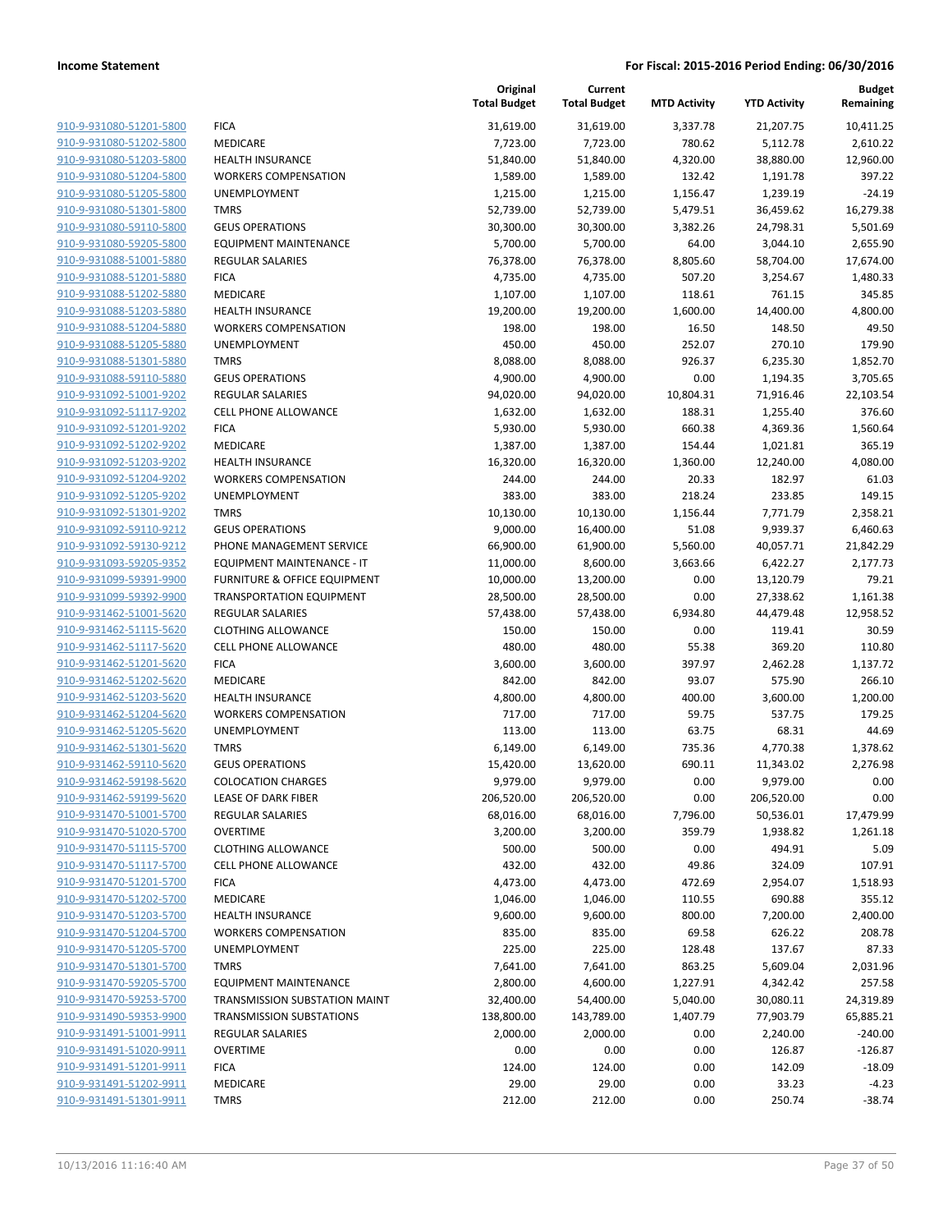|                                                    |                                                      | Original<br><b>Total Budget</b> | Current<br><b>Total Budget</b> | <b>MTD Activity</b> | <b>YTD Activity</b> | Budget<br>Remaining |
|----------------------------------------------------|------------------------------------------------------|---------------------------------|--------------------------------|---------------------|---------------------|---------------------|
| 910-9-931080-51201-5800                            | <b>FICA</b>                                          | 31,619.00                       | 31,619.00                      | 3,337.78            | 21,207.75           | 10,411.25           |
| 910-9-931080-51202-5800                            | MEDICARE                                             | 7,723.00                        | 7,723.00                       | 780.62              | 5,112.78            | 2,610.22            |
| 910-9-931080-51203-5800                            | <b>HEALTH INSURANCE</b>                              | 51,840.00                       | 51,840.00                      | 4,320.00            | 38,880.00           | 12,960.00           |
| 910-9-931080-51204-5800                            | <b>WORKERS COMPENSATION</b>                          | 1,589.00                        | 1,589.00                       | 132.42              | 1,191.78            | 397.22              |
| 910-9-931080-51205-5800                            | UNEMPLOYMENT                                         | 1,215.00                        | 1,215.00                       | 1,156.47            | 1,239.19            | $-24.19$            |
| 910-9-931080-51301-5800                            | <b>TMRS</b>                                          | 52,739.00                       | 52,739.00                      | 5,479.51            | 36,459.62           | 16,279.38           |
| 910-9-931080-59110-5800                            | <b>GEUS OPERATIONS</b>                               | 30,300.00                       | 30,300.00                      | 3,382.26            | 24,798.31           | 5,501.69            |
| 910-9-931080-59205-5800                            | <b>EQUIPMENT MAINTENANCE</b>                         | 5,700.00                        | 5,700.00                       | 64.00               | 3,044.10            | 2,655.90            |
| 910-9-931088-51001-5880                            | <b>REGULAR SALARIES</b>                              | 76,378.00                       | 76,378.00                      | 8,805.60            | 58,704.00           | 17,674.00           |
| 910-9-931088-51201-5880                            | <b>FICA</b>                                          | 4,735.00                        | 4,735.00                       | 507.20              | 3,254.67            | 1,480.33            |
| 910-9-931088-51202-5880                            | MEDICARE                                             | 1,107.00                        | 1,107.00                       | 118.61              | 761.15              | 345.85              |
| 910-9-931088-51203-5880                            | <b>HEALTH INSURANCE</b>                              | 19,200.00                       | 19,200.00                      | 1,600.00            | 14,400.00           | 4,800.00            |
| 910-9-931088-51204-5880                            | <b>WORKERS COMPENSATION</b>                          | 198.00                          | 198.00                         | 16.50               | 148.50              | 49.50               |
| 910-9-931088-51205-5880                            | UNEMPLOYMENT                                         | 450.00                          | 450.00                         | 252.07              | 270.10              | 179.90              |
| 910-9-931088-51301-5880                            | <b>TMRS</b>                                          | 8,088.00                        | 8,088.00                       | 926.37              | 6,235.30            | 1,852.70            |
| 910-9-931088-59110-5880                            | <b>GEUS OPERATIONS</b>                               | 4,900.00                        | 4,900.00                       | 0.00                | 1,194.35            | 3,705.65            |
| 910-9-931092-51001-9202                            | REGULAR SALARIES                                     | 94,020.00                       | 94,020.00                      | 10,804.31           | 71,916.46           | 22,103.54           |
| 910-9-931092-51117-9202                            | <b>CELL PHONE ALLOWANCE</b>                          | 1,632.00                        | 1,632.00                       | 188.31              | 1,255.40            | 376.60              |
| 910-9-931092-51201-9202                            | <b>FICA</b>                                          | 5,930.00                        | 5,930.00                       | 660.38              | 4,369.36            | 1,560.64            |
| 910-9-931092-51202-9202                            | <b>MEDICARE</b>                                      | 1,387.00                        | 1,387.00                       | 154.44              | 1,021.81            | 365.19              |
| 910-9-931092-51203-9202                            | <b>HEALTH INSURANCE</b>                              | 16,320.00                       | 16,320.00                      | 1,360.00            | 12,240.00           | 4,080.00            |
| 910-9-931092-51204-9202                            | <b>WORKERS COMPENSATION</b>                          | 244.00                          | 244.00                         | 20.33               | 182.97              | 61.03               |
| 910-9-931092-51205-9202                            | UNEMPLOYMENT                                         | 383.00                          | 383.00                         | 218.24              | 233.85              | 149.15              |
| 910-9-931092-51301-9202                            | <b>TMRS</b>                                          | 10,130.00                       | 10,130.00                      | 1,156.44            | 7,771.79            | 2,358.21            |
| 910-9-931092-59110-9212                            | <b>GEUS OPERATIONS</b>                               | 9,000.00                        | 16,400.00                      | 51.08               | 9,939.37            | 6,460.63            |
| 910-9-931092-59130-9212                            | PHONE MANAGEMENT SERVICE                             | 66,900.00                       | 61,900.00                      | 5,560.00            | 40,057.71           | 21,842.29           |
| 910-9-931093-59205-9352                            | EQUIPMENT MAINTENANCE - IT                           | 11,000.00                       | 8,600.00                       | 3,663.66            | 6,422.27            | 2,177.73            |
| 910-9-931099-59391-9900                            | <b>FURNITURE &amp; OFFICE EQUIPMENT</b>              | 10,000.00                       | 13,200.00                      | 0.00                | 13,120.79           | 79.21               |
| 910-9-931099-59392-9900                            | <b>TRANSPORTATION EQUIPMENT</b>                      | 28,500.00                       | 28,500.00                      | 0.00                | 27,338.62           | 1,161.38            |
| 910-9-931462-51001-5620<br>910-9-931462-51115-5620 | <b>REGULAR SALARIES</b><br><b>CLOTHING ALLOWANCE</b> | 57,438.00<br>150.00             | 57,438.00<br>150.00            | 6,934.80<br>0.00    | 44,479.48<br>119.41 | 12,958.52<br>30.59  |
| 910-9-931462-51117-5620                            | <b>CELL PHONE ALLOWANCE</b>                          | 480.00                          | 480.00                         | 55.38               | 369.20              | 110.80              |
| 910-9-931462-51201-5620                            | <b>FICA</b>                                          | 3,600.00                        | 3,600.00                       | 397.97              | 2,462.28            | 1,137.72            |
| 910-9-931462-51202-5620                            | MEDICARE                                             | 842.00                          | 842.00                         | 93.07               | 575.90              | 266.10              |
| 910-9-931462-51203-5620                            | <b>HEALTH INSURANCE</b>                              | 4,800.00                        | 4,800.00                       | 400.00              | 3,600.00            | 1,200.00            |
| 910-9-931462-51204-5620                            | <b>WORKERS COMPENSATION</b>                          | 717.00                          | 717.00                         | 59.75               | 537.75              | 179.25              |
| 910-9-931462-51205-5620                            | UNEMPLOYMENT                                         | 113.00                          | 113.00                         | 63.75               | 68.31               | 44.69               |
| 910-9-931462-51301-5620                            | <b>TMRS</b>                                          | 6,149.00                        | 6,149.00                       | 735.36              | 4,770.38            | 1,378.62            |
| 910-9-931462-59110-5620                            | <b>GEUS OPERATIONS</b>                               | 15,420.00                       | 13,620.00                      | 690.11              | 11,343.02           | 2,276.98            |
| 910-9-931462-59198-5620                            | <b>COLOCATION CHARGES</b>                            | 9,979.00                        | 9,979.00                       | 0.00                | 9,979.00            | 0.00                |
| 910-9-931462-59199-5620                            | LEASE OF DARK FIBER                                  | 206,520.00                      | 206,520.00                     | 0.00                | 206,520.00          | 0.00                |
| 910-9-931470-51001-5700                            | <b>REGULAR SALARIES</b>                              | 68,016.00                       | 68,016.00                      | 7,796.00            | 50,536.01           | 17,479.99           |
| 910-9-931470-51020-5700                            | <b>OVERTIME</b>                                      | 3,200.00                        | 3,200.00                       | 359.79              | 1,938.82            | 1,261.18            |
| 910-9-931470-51115-5700                            | <b>CLOTHING ALLOWANCE</b>                            | 500.00                          | 500.00                         | 0.00                | 494.91              | 5.09                |
| 910-9-931470-51117-5700                            | <b>CELL PHONE ALLOWANCE</b>                          | 432.00                          | 432.00                         | 49.86               | 324.09              | 107.91              |
| 910-9-931470-51201-5700                            | <b>FICA</b>                                          | 4,473.00                        | 4,473.00                       | 472.69              | 2,954.07            | 1,518.93            |
| 910-9-931470-51202-5700                            | MEDICARE                                             | 1,046.00                        | 1,046.00                       | 110.55              | 690.88              | 355.12              |
| 910-9-931470-51203-5700                            | <b>HEALTH INSURANCE</b>                              | 9,600.00                        | 9,600.00                       | 800.00              | 7,200.00            | 2,400.00            |
| 910-9-931470-51204-5700                            | <b>WORKERS COMPENSATION</b>                          | 835.00                          | 835.00                         | 69.58               | 626.22              | 208.78              |
| 910-9-931470-51205-5700                            | <b>UNEMPLOYMENT</b>                                  | 225.00                          | 225.00                         | 128.48              | 137.67              | 87.33               |
| 910-9-931470-51301-5700                            | <b>TMRS</b>                                          | 7,641.00                        | 7,641.00                       | 863.25              | 5,609.04            | 2,031.96            |
| 910-9-931470-59205-5700                            | <b>EQUIPMENT MAINTENANCE</b>                         | 2,800.00                        | 4,600.00                       | 1,227.91            | 4,342.42            | 257.58              |
| 910-9-931470-59253-5700                            | TRANSMISSION SUBSTATION MAINT                        | 32,400.00                       | 54,400.00                      | 5,040.00            | 30,080.11           | 24,319.89           |
| 910-9-931490-59353-9900                            | <b>TRANSMISSION SUBSTATIONS</b>                      | 138,800.00                      | 143,789.00                     | 1,407.79            | 77,903.79           | 65,885.21           |
| 910-9-931491-51001-9911                            | <b>REGULAR SALARIES</b>                              | 2,000.00                        | 2,000.00                       | 0.00                | 2,240.00            | $-240.00$           |
| 910-9-931491-51020-9911                            | <b>OVERTIME</b>                                      | 0.00                            | 0.00                           | 0.00                | 126.87              | $-126.87$           |
| 910-9-931491-51201-9911                            | <b>FICA</b>                                          | 124.00                          | 124.00                         | 0.00                | 142.09              | $-18.09$            |
| 910-9-931491-51202-9911                            | MEDICARE                                             | 29.00                           | 29.00                          | 0.00                | 33.23               | $-4.23$             |
| 910-9-931491-51301-9911                            | <b>TMRS</b>                                          | 212.00                          | 212.00                         | 0.00                | 250.74              | $-38.74$            |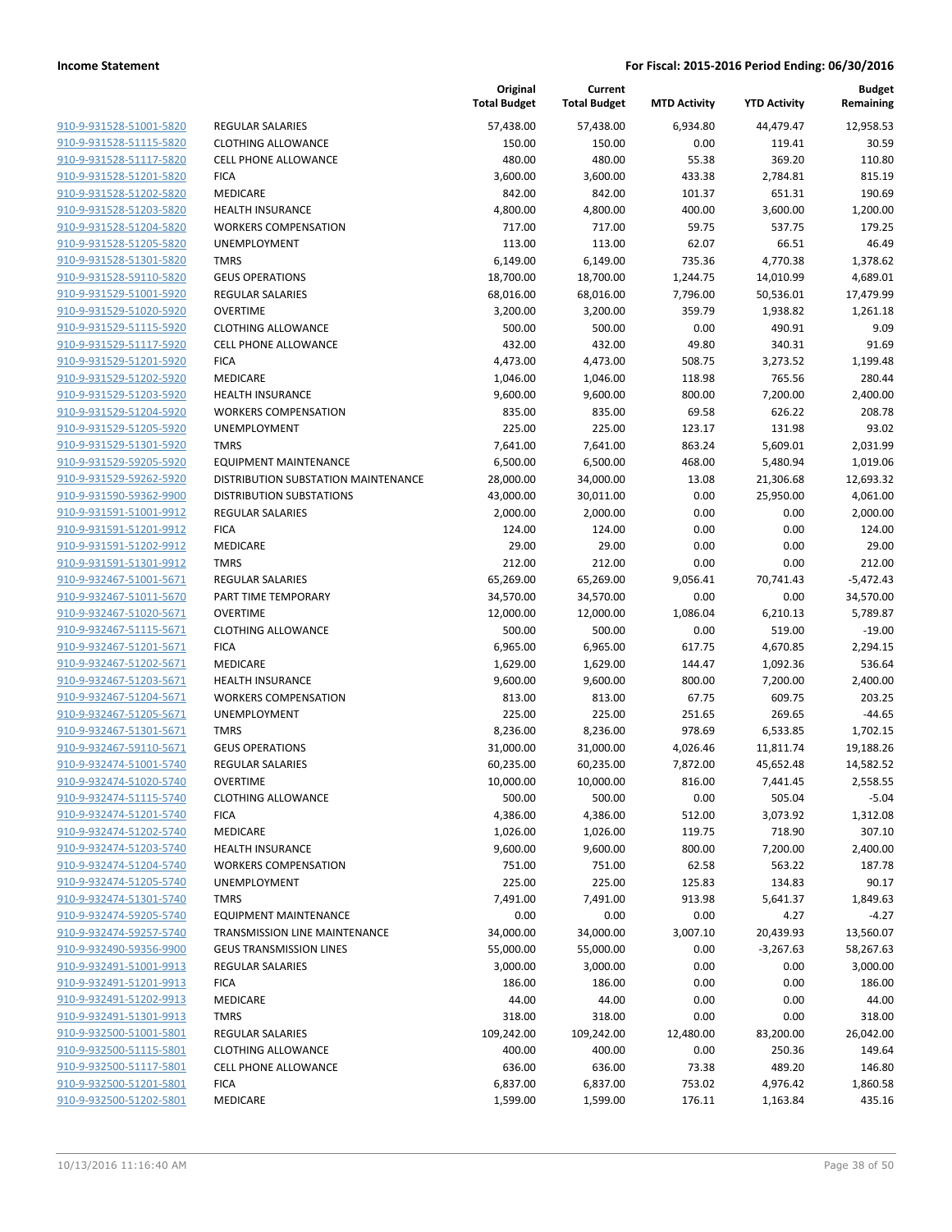|                                                    |                                                          | Original<br><b>Total Budget</b> | Current<br><b>Total Budget</b> | <b>MTD Activity</b> | <b>YTD Activity</b> | <b>Budget</b><br>Remaining |
|----------------------------------------------------|----------------------------------------------------------|---------------------------------|--------------------------------|---------------------|---------------------|----------------------------|
| 910-9-931528-51001-5820                            | <b>REGULAR SALARIES</b>                                  | 57,438.00                       | 57,438.00                      | 6,934.80            | 44,479.47           | 12,958.53                  |
| 910-9-931528-51115-5820                            | <b>CLOTHING ALLOWANCE</b>                                | 150.00                          | 150.00                         | 0.00                | 119.41              | 30.59                      |
| 910-9-931528-51117-5820                            | <b>CELL PHONE ALLOWANCE</b>                              | 480.00                          | 480.00                         | 55.38               | 369.20              | 110.80                     |
| 910-9-931528-51201-5820                            | <b>FICA</b>                                              | 3,600.00                        | 3,600.00                       | 433.38              | 2,784.81            | 815.19                     |
| 910-9-931528-51202-5820                            | MEDICARE                                                 | 842.00                          | 842.00                         | 101.37              | 651.31              | 190.69                     |
| 910-9-931528-51203-5820                            | <b>HEALTH INSURANCE</b>                                  | 4,800.00                        | 4,800.00                       | 400.00              | 3,600.00            | 1,200.00                   |
| 910-9-931528-51204-5820                            | <b>WORKERS COMPENSATION</b>                              | 717.00                          | 717.00                         | 59.75               | 537.75              | 179.25                     |
| 910-9-931528-51205-5820                            | UNEMPLOYMENT                                             | 113.00                          | 113.00                         | 62.07               | 66.51               | 46.49                      |
| 910-9-931528-51301-5820                            | <b>TMRS</b>                                              | 6,149.00                        | 6,149.00                       | 735.36              | 4,770.38            | 1,378.62                   |
| 910-9-931528-59110-5820                            | <b>GEUS OPERATIONS</b>                                   | 18,700.00                       | 18,700.00                      | 1,244.75            | 14,010.99           | 4,689.01                   |
| 910-9-931529-51001-5920                            | REGULAR SALARIES                                         | 68,016.00                       | 68,016.00                      | 7,796.00            | 50,536.01           | 17,479.99                  |
| 910-9-931529-51020-5920                            | <b>OVERTIME</b>                                          | 3,200.00                        | 3,200.00                       | 359.79              | 1,938.82            | 1,261.18                   |
| 910-9-931529-51115-5920                            | <b>CLOTHING ALLOWANCE</b>                                | 500.00                          | 500.00                         | 0.00                | 490.91              | 9.09                       |
| 910-9-931529-51117-5920                            | <b>CELL PHONE ALLOWANCE</b>                              | 432.00                          | 432.00                         | 49.80               | 340.31              | 91.69                      |
| 910-9-931529-51201-5920                            | <b>FICA</b>                                              | 4,473.00                        | 4,473.00                       | 508.75              | 3,273.52            | 1,199.48                   |
| 910-9-931529-51202-5920                            | MEDICARE                                                 | 1,046.00                        | 1,046.00                       | 118.98              | 765.56              | 280.44                     |
| 910-9-931529-51203-5920                            | <b>HEALTH INSURANCE</b>                                  | 9,600.00                        | 9,600.00                       | 800.00              | 7,200.00            | 2,400.00                   |
| 910-9-931529-51204-5920                            | <b>WORKERS COMPENSATION</b>                              | 835.00                          | 835.00                         | 69.58               | 626.22              | 208.78                     |
| 910-9-931529-51205-5920                            | <b>UNEMPLOYMENT</b>                                      | 225.00                          | 225.00                         | 123.17              | 131.98              | 93.02                      |
| 910-9-931529-51301-5920                            | <b>TMRS</b>                                              | 7,641.00                        | 7,641.00                       | 863.24              | 5,609.01            | 2,031.99                   |
| 910-9-931529-59205-5920                            | EQUIPMENT MAINTENANCE                                    | 6,500.00                        | 6,500.00                       | 468.00              | 5,480.94            | 1,019.06                   |
| 910-9-931529-59262-5920                            | DISTRIBUTION SUBSTATION MAINTENANCE                      | 28,000.00                       | 34,000.00                      | 13.08               | 21,306.68           | 12,693.32                  |
| 910-9-931590-59362-9900                            | <b>DISTRIBUTION SUBSTATIONS</b>                          | 43,000.00                       | 30,011.00                      | 0.00                | 25,950.00           | 4,061.00                   |
| 910-9-931591-51001-9912                            | <b>REGULAR SALARIES</b>                                  | 2,000.00                        | 2,000.00                       | 0.00                | 0.00                | 2,000.00                   |
| 910-9-931591-51201-9912                            | <b>FICA</b>                                              | 124.00                          | 124.00                         | 0.00                | 0.00                | 124.00                     |
| 910-9-931591-51202-9912                            | MEDICARE                                                 | 29.00                           | 29.00                          | 0.00                | 0.00                | 29.00                      |
| 910-9-931591-51301-9912                            | <b>TMRS</b>                                              | 212.00                          | 212.00                         | 0.00                | 0.00                | 212.00                     |
| 910-9-932467-51001-5671                            | <b>REGULAR SALARIES</b>                                  | 65,269.00                       | 65,269.00                      | 9,056.41            | 70,741.43           | $-5,472.43$                |
| 910-9-932467-51011-5670                            | PART TIME TEMPORARY                                      | 34,570.00                       | 34,570.00                      | 0.00                | 0.00                | 34,570.00                  |
| 910-9-932467-51020-5671                            | <b>OVERTIME</b>                                          | 12,000.00                       | 12,000.00                      | 1,086.04            | 6,210.13            | 5,789.87                   |
| 910-9-932467-51115-5671                            | <b>CLOTHING ALLOWANCE</b>                                | 500.00                          | 500.00                         | 0.00                | 519.00              | $-19.00$                   |
| 910-9-932467-51201-5671                            | <b>FICA</b>                                              | 6,965.00                        | 6,965.00                       | 617.75              | 4,670.85            | 2,294.15                   |
| 910-9-932467-51202-5671                            | MEDICARE                                                 | 1,629.00                        | 1,629.00                       | 144.47              | 1,092.36            | 536.64                     |
| 910-9-932467-51203-5671                            | <b>HEALTH INSURANCE</b>                                  | 9,600.00                        | 9,600.00                       | 800.00              | 7,200.00            | 2,400.00                   |
| 910-9-932467-51204-5671                            | <b>WORKERS COMPENSATION</b>                              | 813.00                          | 813.00                         | 67.75               | 609.75              | 203.25                     |
| 910-9-932467-51205-5671                            | UNEMPLOYMENT                                             | 225.00                          | 225.00                         | 251.65              | 269.65              | $-44.65$                   |
| 910-9-932467-51301-5671                            | <b>TMRS</b>                                              | 8,236.00                        | 8,236.00                       | 978.69              | 6,533.85            | 1,702.15                   |
| 910-9-932467-59110-5671                            | <b>GEUS OPERATIONS</b>                                   | 31,000.00                       | 31,000.00                      | 4,026.46            | 11,811.74           | 19,188.26                  |
| 910-9-932474-51001-5740                            | <b>REGULAR SALARIES</b><br><b>OVERTIME</b>               | 60,235.00                       | 60,235.00                      | 7,872.00            | 45,652.48           | 14,582.52                  |
| 910-9-932474-51020-5740                            |                                                          | 10,000.00                       | 10,000.00                      | 816.00              | 7,441.45            | 2,558.55                   |
| 910-9-932474-51115-5740                            | <b>CLOTHING ALLOWANCE</b>                                | 500.00                          | 500.00                         | 0.00                | 505.04              | $-5.04$                    |
| 910-9-932474-51201-5740<br>910-9-932474-51202-5740 | <b>FICA</b>                                              | 4,386.00                        | 4,386.00                       | 512.00              | 3,073.92            | 1,312.08                   |
|                                                    | MEDICARE                                                 | 1,026.00                        | 1,026.00                       | 119.75              | 718.90              | 307.10                     |
| 910-9-932474-51203-5740<br>910-9-932474-51204-5740 | <b>HEALTH INSURANCE</b>                                  | 9,600.00                        | 9,600.00                       | 800.00              | 7,200.00            | 2,400.00<br>187.78         |
|                                                    | <b>WORKERS COMPENSATION</b>                              | 751.00                          | 751.00                         | 62.58               | 563.22              |                            |
| 910-9-932474-51205-5740                            | <b>UNEMPLOYMENT</b>                                      | 225.00                          | 225.00                         | 125.83              | 134.83              | 90.17                      |
| 910-9-932474-51301-5740<br>910-9-932474-59205-5740 | <b>TMRS</b>                                              | 7,491.00                        | 7,491.00                       | 913.98              | 5,641.37            | 1,849.63                   |
|                                                    | <b>EQUIPMENT MAINTENANCE</b>                             | 0.00                            | 0.00                           | 0.00                | 4.27                | $-4.27$                    |
| 910-9-932474-59257-5740<br>910-9-932490-59356-9900 | TRANSMISSION LINE MAINTENANCE                            | 34,000.00                       | 34,000.00                      | 3,007.10<br>0.00    | 20,439.93           | 13,560.07<br>58,267.63     |
| 910-9-932491-51001-9913                            | <b>GEUS TRANSMISSION LINES</b>                           | 55,000.00<br>3,000.00           | 55,000.00<br>3,000.00          | 0.00                | $-3,267.63$<br>0.00 | 3,000.00                   |
| 910-9-932491-51201-9913                            | REGULAR SALARIES                                         |                                 |                                |                     |                     |                            |
|                                                    | <b>FICA</b>                                              | 186.00                          | 186.00                         | 0.00                | 0.00                | 186.00                     |
| 910-9-932491-51202-9913<br>910-9-932491-51301-9913 | MEDICARE<br><b>TMRS</b>                                  | 44.00                           | 44.00                          | 0.00                | 0.00                | 44.00                      |
| 910-9-932500-51001-5801                            |                                                          | 318.00<br>109,242.00            | 318.00                         | 0.00                | 0.00                | 318.00<br>26,042.00        |
|                                                    | REGULAR SALARIES                                         |                                 | 109,242.00                     | 12,480.00           | 83,200.00           |                            |
| 910-9-932500-51115-5801                            | <b>CLOTHING ALLOWANCE</b><br><b>CELL PHONE ALLOWANCE</b> | 400.00                          | 400.00                         | 0.00                | 250.36              | 149.64                     |
| 910-9-932500-51117-5801                            |                                                          | 636.00                          | 636.00                         | 73.38               | 489.20              | 146.80                     |
| 910-9-932500-51201-5801                            | <b>FICA</b>                                              | 6,837.00                        | 6,837.00                       | 753.02              | 4,976.42            | 1,860.58                   |
| 910-9-932500-51202-5801                            | MEDICARE                                                 | 1,599.00                        | 1,599.00                       | 176.11              | 1,163.84            | 435.16                     |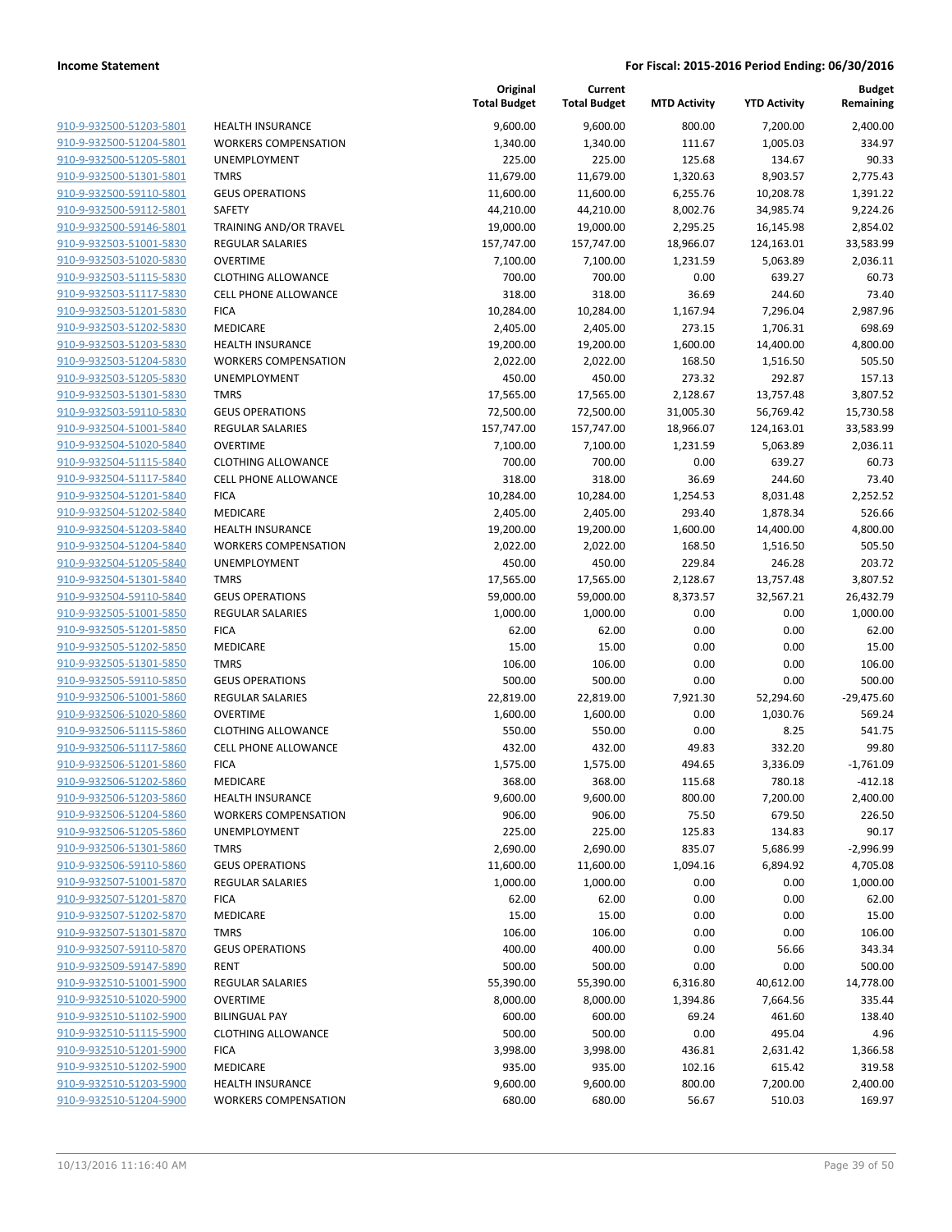| 910-9-932500-51203-5801        |
|--------------------------------|
| 910-9-932500-51204-5801        |
| 910-9-932500-51205-5801        |
| <u>910-9-932500-51301-5801</u> |
| 910-9-932500-59110-5801        |
| 910-9-932500-59112-5801        |
| 910-9-932500-59146-5801        |
| 910-9-932503-51001-5830        |
| 910-9-932503-51020-5830        |
| 910-9-932503-51115-5830        |
| 910-9-932503-51117-5830        |
| 910-9-932503-51201-5830        |
| 910-9-932503-51202-5830        |
|                                |
| <u>910-9-932503-51203-5830</u> |
| 910-9-932503-51204-5830        |
| 910-9-932503-51205-5830        |
| 910-9-932503-51301-5830        |
| 910-9-932503-59110-5830        |
| 910-9-932504-51001-5840        |
| 910-9-932504-51020-5840        |
| 910-9-932504-51115-5840        |
| 910-9-932504-51117-5840        |
| 910-9-932504-51201-5840        |
| 910-9-932504-51202-5840        |
| 910-9-932504-51203-5840        |
| 910-9-932504-51204-5840        |
| 910-9-932504-51205-5840        |
| 910-9-932504-51301-5840        |
| 910-9-932504-59110-5840        |
|                                |
| 910-9-932505-51001-5850        |
| 910-9-932505-51201-5850        |
| 910-9-932505-51202-5850        |
| 910-9-932505-51301-5850        |
| 910-9-932505-59110-5850        |
| 910-9-932506-51001-5860        |
| 910-9-932506-51020-5860        |
| 910-9-932506-51115-5860        |
| 910-9-932506-51117-5860        |
| 910-9-932506-51201-5860        |
| 910-9-932506-51202-5860        |
| 910-9-932506-51203-5860        |
| 910-9-932506-51204-5860        |
| 910-9-932506-51205-5860        |
| 910-9-932506-51301-5860        |
| 910-9-932506-59110-5860        |
| 910-9-932507-51001-5870        |
|                                |
| 910-9-932507-51201-5870        |
| 910-9-932507-51202-5870        |
| 910-9-932507-51301-5870        |
| 910-9-932507-59110-5870        |
| 910-9-932509-59147-5890        |
| 910-9-932510-51001-5900        |
| 910-9-932510-51020-5900        |
| 910-9-932510-51102-5900        |
| 910-9-932510-51115-5900        |
| 910-9-932510-51201-5900        |
| 910-9-932510-51202-5900        |
| 910-9-932510-51203-5900        |
| 910-9-932510-51204-5900        |
|                                |

| <b>HEALTH INSURANCE</b>        |
|--------------------------------|
| <b>WORKERS COMPENSATION</b>    |
| <b>UNEMPLOYMENT</b>            |
| TMRS                           |
| <b>GEUS OPERATIONS</b>         |
| <b>SAFETY</b>                  |
| TRAINING AND/OR TRAVEL         |
| <b>REGULAR SALARIES</b>        |
| <b>OVERTIME</b>                |
| <b>CLOTHING ALLOWANCE</b>      |
| <b>CELL PHONE ALLOWANCE</b>    |
| <b>FICA</b>                    |
| MEDICARE                       |
| <b>HEALTH INSURANCE</b>        |
| <b>WORKERS COMPENSATION</b>    |
| UNEMPLOYMENT                   |
| <b>TMRS</b>                    |
| <b>GEUS OPERATIONS</b>         |
| <b>REGULAR SALARIES</b>        |
| OVERTIME                       |
| <b>CLOTHING ALLOWANCE</b>      |
| <b>CELL PHONE ALLOWANCE</b>    |
| <b>FICA</b>                    |
| MEDICARE                       |
| <b>HEALTH INSURANCE</b>        |
| <b>WORKERS COMPENSATION</b>    |
| <b>UNEMPLOYMENT</b>            |
| TMRS                           |
| <b>GEUS OPERATIONS</b>         |
| <b>REGULAR SALARIES</b>        |
| <b>FICA</b>                    |
| <b>MEDICARE</b>                |
| TMRS                           |
| <b>GEUS OPERATIONS</b>         |
| <b>REGULAR SALARIES</b>        |
| <b>OVERTIME</b>                |
| <b>CLOTHING ALLOWANCE</b>      |
| <b>CELL PHONE ALLOWANCE</b>    |
| <b>FICA</b>                    |
| <b>MEDICARE</b>                |
| <b>HEALTH INSURANCE</b>        |
| <b>WORKERS COMPENSATION</b>    |
| UNEMPLOYMENT                   |
| <b>TMRS</b>                    |
| <b>GEUS OPERATIONS</b>         |
| <b>REGULAR SALARIES</b>        |
|                                |
| <b>FICA</b>                    |
| <b>MEDICARE</b><br><b>TMRS</b> |
| <b>GEUS OPERATIONS</b>         |
|                                |
| <b>RENT</b>                    |
| <b>REGULAR SALARIES</b>        |
| <b>OVERTIME</b>                |
| <b>BILINGUAL PAY</b>           |
| <b>CLOTHING ALLOWANCE</b>      |
| <b>FICA</b>                    |
| <b>MEDICARE</b>                |
| <b>HEALTH INSURANCE</b>        |

|                                                                        | Original<br><b>Total Budget</b> | Current<br><b>Total Budget</b> | <b>MTD Activity</b> | <b>YTD Activity</b> | <b>Budget</b><br>Remaining |
|------------------------------------------------------------------------|---------------------------------|--------------------------------|---------------------|---------------------|----------------------------|
| 910-9-932500-51203-5801<br><b>HEALTH INSURANCE</b>                     | 9,600.00                        | 9,600.00                       | 800.00              | 7,200.00            | 2,400.00                   |
| 910-9-932500-51204-5801<br><b>WORKERS COMPENSATION</b>                 | 1,340.00                        | 1,340.00                       | 111.67              | 1,005.03            | 334.97                     |
| 910-9-932500-51205-5801<br><b>UNEMPLOYMENT</b>                         | 225.00                          | 225.00                         | 125.68              | 134.67              | 90.33                      |
| 910-9-932500-51301-5801<br><b>TMRS</b>                                 | 11,679.00                       | 11,679.00                      | 1,320.63            | 8,903.57            | 2,775.43                   |
| 910-9-932500-59110-5801<br><b>GEUS OPERATIONS</b>                      | 11,600.00                       | 11,600.00                      | 6,255.76            | 10,208.78           | 1,391.22                   |
| 910-9-932500-59112-5801<br>SAFETY                                      | 44,210.00                       | 44,210.00                      | 8,002.76            | 34,985.74           | 9,224.26                   |
| 910-9-932500-59146-5801<br>TRAINING AND/OR TRAVEL                      | 19,000.00                       | 19,000.00                      | 2,295.25            | 16,145.98           | 2,854.02                   |
| 910-9-932503-51001-5830<br>REGULAR SALARIES                            | 157,747.00                      | 157,747.00                     | 18,966.07           | 124,163.01          | 33,583.99                  |
| 910-9-932503-51020-5830<br><b>OVERTIME</b>                             | 7,100.00                        | 7,100.00                       | 1,231.59            | 5,063.89            | 2,036.11                   |
| 910-9-932503-51115-5830<br><b>CLOTHING ALLOWANCE</b>                   | 700.00                          | 700.00                         | 0.00                | 639.27              | 60.73                      |
| 910-9-932503-51117-5830<br><b>CELL PHONE ALLOWANCE</b>                 | 318.00                          | 318.00                         | 36.69               | 244.60              | 73.40                      |
| 910-9-932503-51201-5830<br><b>FICA</b>                                 | 10,284.00                       | 10,284.00                      | 1,167.94            | 7,296.04            | 2,987.96                   |
| 910-9-932503-51202-5830<br>MEDICARE                                    | 2,405.00                        | 2,405.00                       | 273.15              | 1,706.31            | 698.69                     |
| 910-9-932503-51203-5830<br><b>HEALTH INSURANCE</b>                     | 19,200.00                       | 19,200.00                      | 1,600.00            | 14,400.00           | 4,800.00                   |
| 910-9-932503-51204-5830<br><b>WORKERS COMPENSATION</b>                 | 2,022.00                        | 2,022.00                       | 168.50              | 1,516.50            | 505.50                     |
| 910-9-932503-51205-5830<br>UNEMPLOYMENT                                | 450.00                          | 450.00                         | 273.32              | 292.87              | 157.13                     |
| 910-9-932503-51301-5830<br><b>TMRS</b>                                 | 17,565.00                       | 17,565.00                      | 2,128.67            | 13,757.48           | 3,807.52                   |
| 910-9-932503-59110-5830<br><b>GEUS OPERATIONS</b>                      | 72,500.00                       | 72,500.00                      | 31,005.30           | 56,769.42           | 15,730.58                  |
| 910-9-932504-51001-5840<br>REGULAR SALARIES                            | 157,747.00                      | 157,747.00                     | 18,966.07           | 124,163.01          | 33,583.99                  |
| 910-9-932504-51020-5840<br><b>OVERTIME</b>                             | 7,100.00                        | 7,100.00                       | 1,231.59            | 5,063.89            | 2,036.11                   |
| 910-9-932504-51115-5840<br><b>CLOTHING ALLOWANCE</b>                   | 700.00                          | 700.00                         | 0.00                | 639.27              | 60.73                      |
| 910-9-932504-51117-5840<br>CELL PHONE ALLOWANCE                        | 318.00                          | 318.00                         | 36.69               | 244.60              | 73.40                      |
| 910-9-932504-51201-5840<br><b>FICA</b>                                 | 10,284.00                       | 10,284.00                      | 1,254.53            | 8,031.48            | 2,252.52                   |
| 910-9-932504-51202-5840<br>MEDICARE                                    | 2,405.00                        | 2,405.00                       | 293.40              | 1,878.34            | 526.66                     |
| 910-9-932504-51203-5840<br><b>HEALTH INSURANCE</b>                     | 19,200.00                       | 19,200.00                      | 1,600.00            | 14,400.00           | 4,800.00                   |
| 910-9-932504-51204-5840<br><b>WORKERS COMPENSATION</b>                 | 2,022.00                        | 2,022.00                       | 168.50              | 1,516.50            | 505.50                     |
| 910-9-932504-51205-5840<br>UNEMPLOYMENT                                | 450.00                          | 450.00                         | 229.84              | 246.28              | 203.72                     |
| 910-9-932504-51301-5840<br><b>TMRS</b>                                 | 17,565.00                       | 17,565.00                      | 2,128.67            | 13,757.48           | 3,807.52                   |
| 910-9-932504-59110-5840<br><b>GEUS OPERATIONS</b>                      | 59,000.00                       | 59,000.00                      | 8,373.57            | 32,567.21           | 26,432.79                  |
| 910-9-932505-51001-5850<br>REGULAR SALARIES<br>910-9-932505-51201-5850 | 1,000.00                        | 1,000.00                       | 0.00<br>0.00        | 0.00                | 1,000.00                   |
| <b>FICA</b><br>910-9-932505-51202-5850<br>MEDICARE                     | 62.00                           | 62.00                          |                     | 0.00                | 62.00                      |
| 910-9-932505-51301-5850<br><b>TMRS</b>                                 | 15.00                           | 15.00                          | 0.00<br>0.00        | 0.00<br>0.00        | 15.00                      |
| 910-9-932505-59110-5850<br><b>GEUS OPERATIONS</b>                      | 106.00<br>500.00                | 106.00<br>500.00               | 0.00                | 0.00                | 106.00<br>500.00           |
| 910-9-932506-51001-5860<br>REGULAR SALARIES                            | 22,819.00                       | 22,819.00                      | 7,921.30            | 52,294.60           | $-29,475.60$               |
| 910-9-932506-51020-5860<br><b>OVERTIME</b>                             | 1,600.00                        | 1,600.00                       | 0.00                | 1,030.76            | 569.24                     |
| 910-9-932506-51115-5860<br><b>CLOTHING ALLOWANCE</b>                   | 550.00                          | 550.00                         | 0.00                | 8.25                | 541.75                     |
| 910-9-932506-51117-5860<br>CELL PHONE ALLOWANCE                        | 432.00                          | 432.00                         | 49.83               | 332.20              | 99.80                      |
| 910-9-932506-51201-5860<br><b>FICA</b>                                 | 1,575.00                        | 1,575.00                       | 494.65              | 3,336.09            | $-1,761.09$                |
| MEDICARE<br>910-9-932506-51202-5860                                    | 368.00                          | 368.00                         | 115.68              | 780.18              | $-412.18$                  |
| 910-9-932506-51203-5860<br><b>HEALTH INSURANCE</b>                     | 9,600.00                        | 9,600.00                       | 800.00              | 7,200.00            | 2,400.00                   |
| 910-9-932506-51204-5860<br><b>WORKERS COMPENSATION</b>                 | 906.00                          | 906.00                         | 75.50               | 679.50              | 226.50                     |
| 910-9-932506-51205-5860<br><b>UNEMPLOYMENT</b>                         | 225.00                          | 225.00                         | 125.83              | 134.83              | 90.17                      |
| 910-9-932506-51301-5860<br><b>TMRS</b>                                 | 2,690.00                        | 2,690.00                       | 835.07              | 5,686.99            | $-2,996.99$                |
| 910-9-932506-59110-5860<br><b>GEUS OPERATIONS</b>                      | 11,600.00                       | 11,600.00                      | 1,094.16            | 6,894.92            | 4,705.08                   |
| 910-9-932507-51001-5870<br>REGULAR SALARIES                            | 1,000.00                        | 1,000.00                       | 0.00                | 0.00                | 1,000.00                   |
| 910-9-932507-51201-5870<br><b>FICA</b>                                 | 62.00                           | 62.00                          | 0.00                | 0.00                | 62.00                      |
| 910-9-932507-51202-5870<br>MEDICARE                                    | 15.00                           | 15.00                          | 0.00                | 0.00                | 15.00                      |
| 910-9-932507-51301-5870<br><b>TMRS</b>                                 | 106.00                          | 106.00                         | 0.00                | 0.00                | 106.00                     |
| 910-9-932507-59110-5870<br><b>GEUS OPERATIONS</b>                      | 400.00                          | 400.00                         | 0.00                | 56.66               | 343.34                     |
| 910-9-932509-59147-5890<br><b>RENT</b>                                 | 500.00                          | 500.00                         | 0.00                | 0.00                | 500.00                     |
| 910-9-932510-51001-5900<br>REGULAR SALARIES                            | 55,390.00                       | 55,390.00                      | 6,316.80            | 40,612.00           | 14,778.00                  |
| 910-9-932510-51020-5900<br><b>OVERTIME</b>                             | 8,000.00                        | 8,000.00                       | 1,394.86            | 7,664.56            | 335.44                     |
| 910-9-932510-51102-5900<br><b>BILINGUAL PAY</b>                        | 600.00                          | 600.00                         | 69.24               | 461.60              | 138.40                     |
| 910-9-932510-51115-5900<br><b>CLOTHING ALLOWANCE</b>                   | 500.00                          | 500.00                         | 0.00                | 495.04              | 4.96                       |
| 910-9-932510-51201-5900<br><b>FICA</b>                                 | 3,998.00                        | 3,998.00                       | 436.81              | 2,631.42            | 1,366.58                   |
| 910-9-932510-51202-5900<br>MEDICARE                                    | 935.00                          | 935.00                         | 102.16              | 615.42              | 319.58                     |
| 910-9-932510-51203-5900<br><b>HEALTH INSURANCE</b>                     | 9,600.00                        | 9,600.00                       | 800.00              | 7,200.00            | 2,400.00                   |
| 910-9-932510-51204-5900<br><b>WORKERS COMPENSATION</b>                 | 680.00                          | 680.00                         | 56.67               | 510.03              | 169.97                     |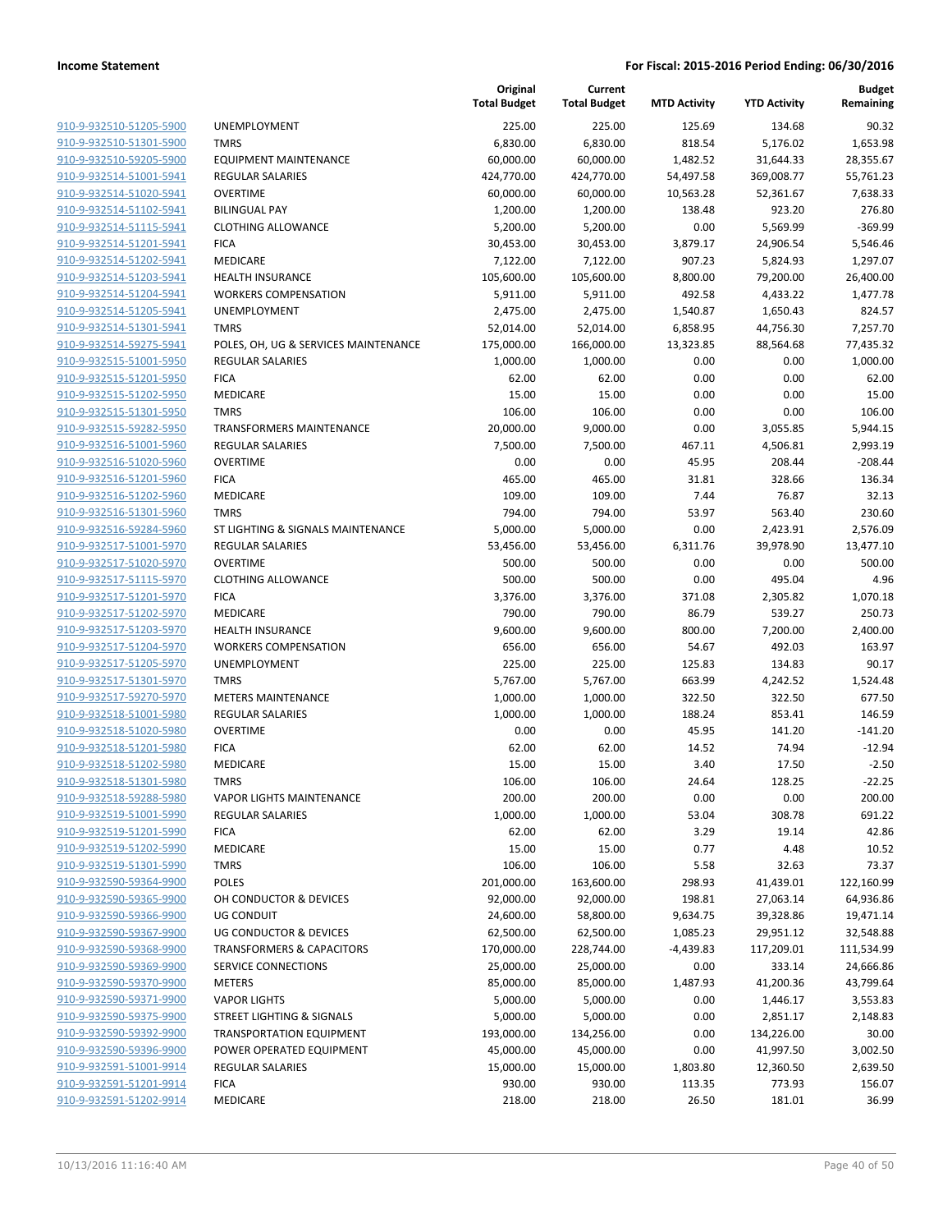|                                                    |                                      | Original<br><b>Total Budget</b> | Current<br><b>Total Budget</b> | <b>MTD Activity</b> | <b>YTD Activity</b> | <b>Budget</b><br>Remaining |
|----------------------------------------------------|--------------------------------------|---------------------------------|--------------------------------|---------------------|---------------------|----------------------------|
| 910-9-932510-51205-5900                            | UNEMPLOYMENT                         | 225.00                          | 225.00                         | 125.69              | 134.68              | 90.32                      |
| 910-9-932510-51301-5900                            | <b>TMRS</b>                          | 6,830.00                        | 6,830.00                       | 818.54              | 5,176.02            | 1,653.98                   |
| 910-9-932510-59205-5900                            | <b>EQUIPMENT MAINTENANCE</b>         | 60,000.00                       | 60,000.00                      | 1,482.52            | 31,644.33           | 28,355.67                  |
| 910-9-932514-51001-5941                            | <b>REGULAR SALARIES</b>              | 424,770.00                      | 424,770.00                     | 54,497.58           | 369,008.77          | 55,761.23                  |
| 910-9-932514-51020-5941                            | <b>OVERTIME</b>                      | 60,000.00                       | 60,000.00                      | 10,563.28           | 52,361.67           | 7,638.33                   |
| 910-9-932514-51102-5941                            | <b>BILINGUAL PAY</b>                 | 1,200.00                        | 1,200.00                       | 138.48              | 923.20              | 276.80                     |
| 910-9-932514-51115-5941                            | <b>CLOTHING ALLOWANCE</b>            | 5,200.00                        | 5,200.00                       | 0.00                | 5,569.99            | $-369.99$                  |
| 910-9-932514-51201-5941                            | <b>FICA</b>                          | 30,453.00                       | 30,453.00                      | 3,879.17            | 24,906.54           | 5,546.46                   |
| 910-9-932514-51202-5941                            | MEDICARE                             | 7,122.00                        | 7,122.00                       | 907.23              | 5,824.93            | 1,297.07                   |
| 910-9-932514-51203-5941                            | <b>HEALTH INSURANCE</b>              | 105,600.00                      | 105,600.00                     | 8,800.00            | 79,200.00           | 26,400.00                  |
| 910-9-932514-51204-5941                            | <b>WORKERS COMPENSATION</b>          | 5,911.00                        | 5,911.00                       | 492.58              | 4,433.22            | 1,477.78                   |
| 910-9-932514-51205-5941                            | UNEMPLOYMENT                         | 2,475.00                        | 2,475.00                       | 1,540.87            | 1,650.43            | 824.57                     |
| 910-9-932514-51301-5941                            | <b>TMRS</b>                          | 52,014.00                       | 52,014.00                      | 6,858.95            | 44,756.30           | 7,257.70                   |
| 910-9-932514-59275-5941                            | POLES, OH, UG & SERVICES MAINTENANCE | 175,000.00                      | 166,000.00                     | 13,323.85           | 88,564.68           | 77,435.32                  |
| 910-9-932515-51001-5950                            | <b>REGULAR SALARIES</b>              | 1,000.00                        | 1,000.00                       | 0.00                | 0.00                | 1,000.00                   |
| 910-9-932515-51201-5950                            | <b>FICA</b>                          | 62.00                           | 62.00                          | 0.00                | 0.00                | 62.00                      |
| 910-9-932515-51202-5950                            | MEDICARE                             | 15.00                           | 15.00                          | 0.00                | 0.00                | 15.00                      |
| 910-9-932515-51301-5950                            | <b>TMRS</b>                          | 106.00                          | 106.00                         | 0.00                | 0.00                | 106.00                     |
| 910-9-932515-59282-5950                            | <b>TRANSFORMERS MAINTENANCE</b>      | 20,000.00                       | 9,000.00                       | 0.00                | 3,055.85            | 5,944.15                   |
| 910-9-932516-51001-5960                            | <b>REGULAR SALARIES</b>              | 7,500.00                        | 7,500.00                       | 467.11              | 4,506.81            | 2,993.19                   |
| 910-9-932516-51020-5960                            | <b>OVERTIME</b>                      | 0.00                            | 0.00                           | 45.95               | 208.44              | $-208.44$                  |
| 910-9-932516-51201-5960                            | <b>FICA</b>                          | 465.00                          | 465.00                         | 31.81               | 328.66              | 136.34                     |
| 910-9-932516-51202-5960                            | MEDICARE                             | 109.00                          | 109.00                         | 7.44                | 76.87               | 32.13                      |
| 910-9-932516-51301-5960                            | <b>TMRS</b>                          | 794.00                          | 794.00                         | 53.97               | 563.40              | 230.60                     |
| 910-9-932516-59284-5960                            | ST LIGHTING & SIGNALS MAINTENANCE    | 5,000.00                        | 5,000.00                       | 0.00                | 2,423.91            | 2,576.09                   |
| 910-9-932517-51001-5970                            | <b>REGULAR SALARIES</b>              | 53,456.00                       | 53,456.00                      | 6,311.76            | 39,978.90           | 13,477.10                  |
| 910-9-932517-51020-5970                            | <b>OVERTIME</b>                      | 500.00                          | 500.00                         | 0.00                | 0.00                | 500.00                     |
| 910-9-932517-51115-5970                            | <b>CLOTHING ALLOWANCE</b>            | 500.00                          | 500.00                         | 0.00                | 495.04              | 4.96                       |
| 910-9-932517-51201-5970                            | <b>FICA</b>                          | 3,376.00                        | 3,376.00                       | 371.08              | 2,305.82            | 1,070.18                   |
| 910-9-932517-51202-5970                            | MEDICARE                             | 790.00                          | 790.00                         | 86.79               | 539.27              | 250.73                     |
| 910-9-932517-51203-5970                            | <b>HEALTH INSURANCE</b>              | 9,600.00                        | 9,600.00                       | 800.00              | 7,200.00            | 2,400.00                   |
| 910-9-932517-51204-5970                            | <b>WORKERS COMPENSATION</b>          | 656.00                          | 656.00                         | 54.67               | 492.03              | 163.97                     |
| 910-9-932517-51205-5970                            | UNEMPLOYMENT                         | 225.00                          | 225.00                         | 125.83              | 134.83              | 90.17                      |
| 910-9-932517-51301-5970                            | <b>TMRS</b>                          | 5,767.00                        | 5,767.00                       | 663.99              | 4,242.52            | 1,524.48                   |
| 910-9-932517-59270-5970                            | <b>METERS MAINTENANCE</b>            | 1,000.00                        | 1,000.00                       | 322.50              | 322.50              | 677.50                     |
| 910-9-932518-51001-5980                            | <b>REGULAR SALARIES</b>              | 1,000.00                        | 1,000.00                       | 188.24              | 853.41              | 146.59                     |
| 910-9-932518-51020-5980                            | <b>OVERTIME</b>                      | 0.00                            | 0.00                           | 45.95               | 141.20              | $-141.20$                  |
| 910-9-932518-51201-5980<br>910-9-932518-51202-5980 | <b>FICA</b>                          | 62.00                           | 62.00                          | 14.52               | 74.94               | $-12.94$                   |
| 910-9-932518-51301-5980                            | MEDICARE<br><b>TMRS</b>              | 15.00                           | 15.00                          | 3.40<br>24.64       | 17.50<br>128.25     | $-2.50$<br>$-22.25$        |
| 910-9-932518-59288-5980                            | VAPOR LIGHTS MAINTENANCE             | 106.00<br>200.00                | 106.00<br>200.00               | 0.00                | 0.00                | 200.00                     |
| 910-9-932519-51001-5990                            | REGULAR SALARIES                     | 1,000.00                        | 1,000.00                       | 53.04               | 308.78              | 691.22                     |
| 910-9-932519-51201-5990                            | <b>FICA</b>                          | 62.00                           | 62.00                          | 3.29                | 19.14               | 42.86                      |
| 910-9-932519-51202-5990                            | MEDICARE                             | 15.00                           | 15.00                          | 0.77                | 4.48                | 10.52                      |
| 910-9-932519-51301-5990                            | <b>TMRS</b>                          | 106.00                          | 106.00                         | 5.58                | 32.63               | 73.37                      |
| 910-9-932590-59364-9900                            | POLES                                | 201,000.00                      | 163,600.00                     | 298.93              | 41,439.01           | 122,160.99                 |
| 910-9-932590-59365-9900                            | OH CONDUCTOR & DEVICES               | 92,000.00                       | 92,000.00                      | 198.81              | 27,063.14           | 64,936.86                  |
| 910-9-932590-59366-9900                            | UG CONDUIT                           | 24,600.00                       | 58,800.00                      | 9,634.75            | 39,328.86           | 19,471.14                  |
| 910-9-932590-59367-9900                            | UG CONDUCTOR & DEVICES               | 62,500.00                       | 62,500.00                      | 1,085.23            | 29,951.12           | 32,548.88                  |
| 910-9-932590-59368-9900                            | <b>TRANSFORMERS &amp; CAPACITORS</b> | 170,000.00                      | 228,744.00                     | $-4,439.83$         | 117,209.01          | 111,534.99                 |
| 910-9-932590-59369-9900                            | SERVICE CONNECTIONS                  | 25,000.00                       | 25,000.00                      | 0.00                | 333.14              | 24,666.86                  |
| 910-9-932590-59370-9900                            | <b>METERS</b>                        | 85,000.00                       | 85,000.00                      | 1,487.93            | 41,200.36           | 43,799.64                  |
| 910-9-932590-59371-9900                            | <b>VAPOR LIGHTS</b>                  | 5,000.00                        | 5,000.00                       | 0.00                | 1,446.17            | 3,553.83                   |
| 910-9-932590-59375-9900                            | STREET LIGHTING & SIGNALS            | 5,000.00                        | 5,000.00                       | 0.00                | 2,851.17            | 2,148.83                   |
| 910-9-932590-59392-9900                            | <b>TRANSPORTATION EQUIPMENT</b>      | 193,000.00                      | 134,256.00                     | 0.00                | 134,226.00          | 30.00                      |
| 910-9-932590-59396-9900                            | POWER OPERATED EQUIPMENT             | 45,000.00                       | 45,000.00                      | 0.00                | 41,997.50           | 3,002.50                   |
| 910-9-932591-51001-9914                            | REGULAR SALARIES                     | 15,000.00                       | 15,000.00                      | 1,803.80            | 12,360.50           | 2,639.50                   |
| 910-9-932591-51201-9914                            | <b>FICA</b>                          | 930.00                          | 930.00                         | 113.35              | 773.93              | 156.07                     |
| 910-9-932591-51202-9914                            | MEDICARE                             | 218.00                          | 218.00                         | 26.50               | 181.01              | 36.99                      |
|                                                    |                                      |                                 |                                |                     |                     |                            |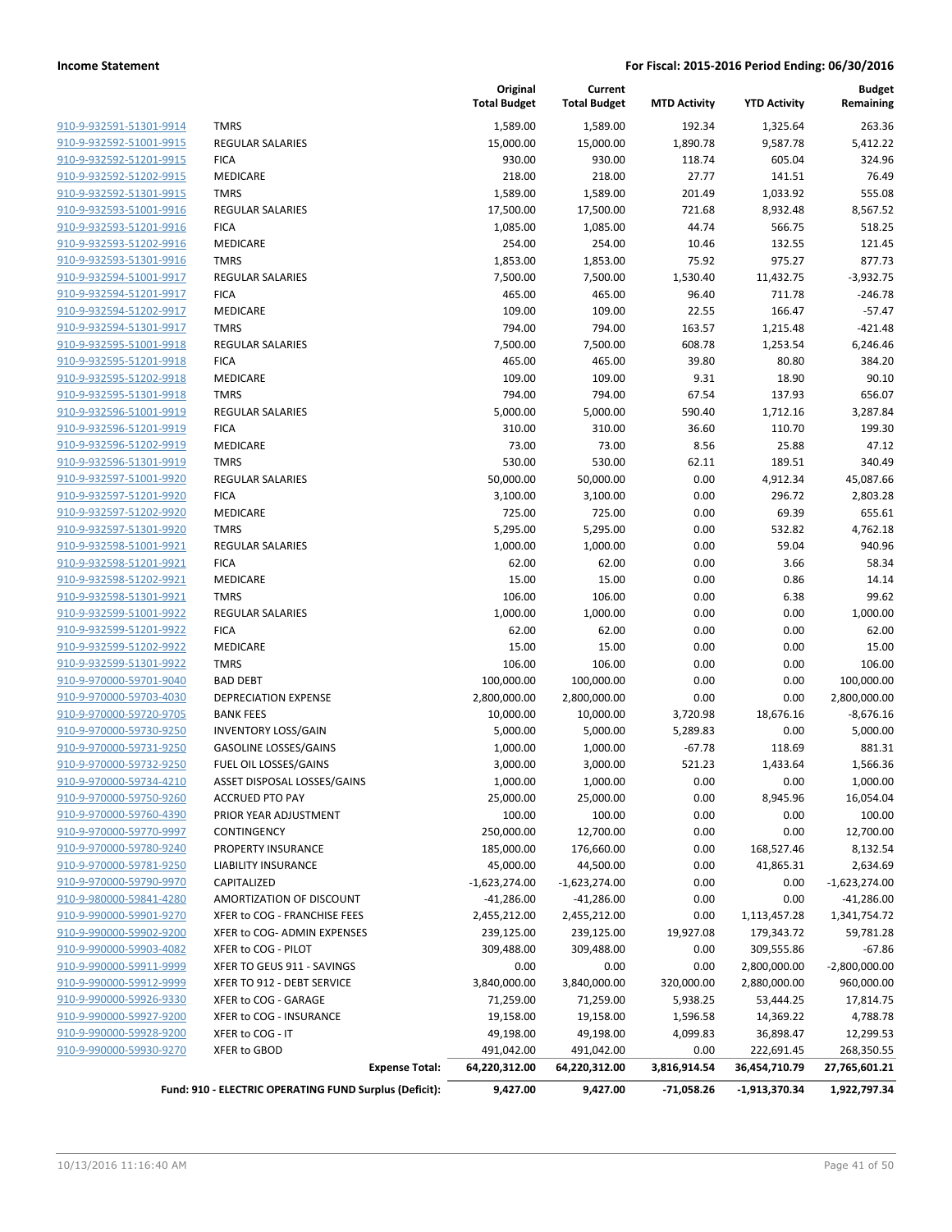| 910-9-932591-51301-9914        |
|--------------------------------|
| 910-9-932592-51001-9915        |
| <u>910-9-932592-51201-9915</u> |
| 910-9-932592-51202-9915        |
| 910-9-932592-51301-9915        |
| 910-9-932593-51001-9916        |
| <u>910-9-932593-51201-9916</u> |
| 910-9-932593-51202-9916        |
| 910-9-932593-51301-9916        |
| 910-9-932594-51001-9917        |
| 910-9-932594-51201-9917        |
| 910-9-932594-51202-9917        |
| 910-9-932594-51301-9917        |
| 910-9-932595-51001-9918        |
| 910-9-932595-51201-9918        |
| 910-9-932595-51202-9918        |
| <u>910-9-932595-51301-9918</u> |
| <u>910-9-932596-51001-9919</u> |
| 910-9-932596-51201-9919        |
| 910-9-932596-51202-9919        |
| 910-9-932596-51301-9919        |
| <u>910-9-932597-51001-9920</u> |
| 910-9-932597-51201-9920        |
| 910-9-932597-51202-9920        |
| 910-9-932597-51301-9920        |
| 910-9-932598-51001-9921        |
| <u>910-9-932598-51201-9921</u> |
| 910-9-932598-51202-9921        |
| 910-9-932598-51301-9921        |
| 910-9-932599-51001-9922        |
| <u>910-9-932599-51201-9922</u> |
| <u>910-9-932599-51202-9922</u> |
| 910-9-932599-51301-9922        |
| 910-9-970000-59701-9040        |
| 910-9-970000-59703-4030        |
|                                |
| 910-9-970000-59720-9705        |
| <u>910-9-970000-59730-9250</u> |
| 910-9-970000-59731-9250        |
| 910-9-970000-59732-9250        |
| 910-9-970000-59734-4210        |
| 910-9-970000-59750-9260        |
| <u>910-9-970000-59760-4390</u> |
| 910-9-970000-59770-9997        |
| 910-9-970000-59780-9240        |
| 910-9-970000-59781-9250        |
| <u>910-9-970000-59790-9970</u> |
| <u>910-9-980000-59841-4280</u> |
| <u>910-9-990000-59901-9270</u> |
| 910-9-990000-59902-9200        |
| 910-9-990000-59903-4082        |
| <u>910-9-990000-59911-9999</u> |
| <u>910-9-990000-59912-9999</u> |
| <u>910-9-990000-59926-9330</u> |
| 910-9-990000-59927-9200        |
| 910-9-990000-59928-9200        |
| 910-9-990000-59930-9270        |
|                                |

|                                                    |                                                        | Original<br><b>Total Budget</b> | Current<br><b>Total Budget</b> | <b>MTD Activity</b> | <b>YTD Activity</b> | <b>Budget</b><br>Remaining |
|----------------------------------------------------|--------------------------------------------------------|---------------------------------|--------------------------------|---------------------|---------------------|----------------------------|
| 910-9-932591-51301-9914                            | <b>TMRS</b>                                            | 1,589.00                        | 1,589.00                       | 192.34              | 1,325.64            | 263.36                     |
| 910-9-932592-51001-9915                            | <b>REGULAR SALARIES</b>                                | 15,000.00                       | 15,000.00                      | 1,890.78            | 9,587.78            | 5,412.22                   |
| 910-9-932592-51201-9915                            | <b>FICA</b>                                            | 930.00                          | 930.00                         | 118.74              | 605.04              | 324.96                     |
| 910-9-932592-51202-9915                            | <b>MEDICARE</b>                                        | 218.00                          | 218.00                         | 27.77               | 141.51              | 76.49                      |
| 910-9-932592-51301-9915                            | <b>TMRS</b>                                            | 1,589.00                        | 1,589.00                       | 201.49              | 1,033.92            | 555.08                     |
| 910-9-932593-51001-9916                            | <b>REGULAR SALARIES</b>                                | 17,500.00                       | 17,500.00                      | 721.68              | 8,932.48            | 8,567.52                   |
| 910-9-932593-51201-9916                            | <b>FICA</b>                                            | 1,085.00                        | 1,085.00                       | 44.74               | 566.75              | 518.25                     |
| 910-9-932593-51202-9916                            | MEDICARE                                               | 254.00                          | 254.00                         | 10.46               | 132.55              | 121.45                     |
| 910-9-932593-51301-9916                            | <b>TMRS</b>                                            | 1,853.00                        | 1,853.00                       | 75.92               | 975.27              | 877.73                     |
| 910-9-932594-51001-9917                            | <b>REGULAR SALARIES</b>                                | 7,500.00                        | 7,500.00                       | 1,530.40            | 11,432.75           | $-3,932.75$                |
| 910-9-932594-51201-9917                            | <b>FICA</b>                                            | 465.00                          | 465.00                         | 96.40               | 711.78              | $-246.78$                  |
| 910-9-932594-51202-9917                            | MEDICARE                                               | 109.00                          | 109.00                         | 22.55               | 166.47              | $-57.47$                   |
| 910-9-932594-51301-9917                            | <b>TMRS</b>                                            | 794.00                          | 794.00                         | 163.57              | 1,215.48            | $-421.48$                  |
| 910-9-932595-51001-9918                            | <b>REGULAR SALARIES</b>                                | 7,500.00                        | 7,500.00                       | 608.78              | 1,253.54            | 6,246.46                   |
| 910-9-932595-51201-9918                            | <b>FICA</b>                                            | 465.00                          | 465.00                         | 39.80               | 80.80               | 384.20                     |
| 910-9-932595-51202-9918                            | MEDICARE                                               | 109.00                          | 109.00                         | 9.31                | 18.90               | 90.10                      |
| 910-9-932595-51301-9918                            | <b>TMRS</b>                                            | 794.00                          | 794.00                         | 67.54               | 137.93              | 656.07                     |
| 910-9-932596-51001-9919                            | <b>REGULAR SALARIES</b>                                | 5,000.00                        | 5,000.00                       | 590.40              | 1,712.16            | 3,287.84                   |
| 910-9-932596-51201-9919                            | <b>FICA</b>                                            | 310.00                          | 310.00                         | 36.60               | 110.70              | 199.30                     |
| 910-9-932596-51202-9919                            | <b>MEDICARE</b>                                        | 73.00                           | 73.00                          | 8.56                | 25.88               | 47.12                      |
| 910-9-932596-51301-9919                            | <b>TMRS</b>                                            | 530.00                          | 530.00                         | 62.11               | 189.51              | 340.49                     |
| 910-9-932597-51001-9920                            | <b>REGULAR SALARIES</b>                                | 50,000.00                       | 50,000.00                      | 0.00                | 4,912.34            | 45,087.66                  |
| 910-9-932597-51201-9920                            | <b>FICA</b>                                            | 3,100.00                        | 3,100.00                       | 0.00                | 296.72              | 2,803.28                   |
| 910-9-932597-51202-9920                            | MEDICARE                                               | 725.00                          | 725.00                         | 0.00                | 69.39               | 655.61                     |
| 910-9-932597-51301-9920                            | <b>TMRS</b>                                            | 5,295.00                        | 5,295.00                       | 0.00                | 532.82              | 4,762.18                   |
| 910-9-932598-51001-9921                            | <b>REGULAR SALARIES</b>                                | 1,000.00                        | 1,000.00                       | 0.00                | 59.04               | 940.96                     |
| 910-9-932598-51201-9921                            | <b>FICA</b>                                            | 62.00                           | 62.00                          | 0.00                | 3.66                | 58.34                      |
| 910-9-932598-51202-9921                            | MEDICARE                                               | 15.00                           | 15.00                          | 0.00                | 0.86                | 14.14                      |
| 910-9-932598-51301-9921<br>910-9-932599-51001-9922 | <b>TMRS</b>                                            | 106.00                          | 106.00                         | 0.00                | 6.38                | 99.62                      |
| 910-9-932599-51201-9922                            | <b>REGULAR SALARIES</b><br><b>FICA</b>                 | 1,000.00                        | 1,000.00                       | 0.00                | 0.00<br>0.00        | 1,000.00<br>62.00          |
| 910-9-932599-51202-9922                            | MEDICARE                                               | 62.00<br>15.00                  | 62.00<br>15.00                 | 0.00<br>0.00        | 0.00                | 15.00                      |
| 910-9-932599-51301-9922                            | <b>TMRS</b>                                            | 106.00                          | 106.00                         | 0.00                | 0.00                | 106.00                     |
| 910-9-970000-59701-9040                            | <b>BAD DEBT</b>                                        | 100,000.00                      | 100,000.00                     | 0.00                | 0.00                | 100,000.00                 |
| 910-9-970000-59703-4030                            | <b>DEPRECIATION EXPENSE</b>                            | 2,800,000.00                    | 2,800,000.00                   | 0.00                | 0.00                | 2,800,000.00               |
| 910-9-970000-59720-9705                            | <b>BANK FEES</b>                                       | 10,000.00                       | 10,000.00                      | 3,720.98            | 18,676.16           | $-8,676.16$                |
| 910-9-970000-59730-9250                            | <b>INVENTORY LOSS/GAIN</b>                             | 5,000.00                        | 5,000.00                       | 5,289.83            | 0.00                | 5,000.00                   |
| 910-9-970000-59731-9250                            | <b>GASOLINE LOSSES/GAINS</b>                           | 1,000.00                        | 1,000.00                       | $-67.78$            | 118.69              | 881.31                     |
| 910-9-970000-59732-9250                            | FUEL OIL LOSSES/GAINS                                  | 3,000.00                        | 3,000.00                       | 521.23              | 1,433.64            | 1,566.36                   |
| 910-9-970000-59734-4210                            | ASSET DISPOSAL LOSSES/GAINS                            | 1,000.00                        | 1,000.00                       | 0.00                | 0.00                | 1,000.00                   |
| 910-9-970000-59750-9260                            | <b>ACCRUED PTO PAY</b>                                 | 25,000.00                       | 25,000.00                      | 0.00                | 8,945.96            | 16,054.04                  |
| 910-9-970000-59760-4390                            | PRIOR YEAR ADJUSTMENT                                  | 100.00                          | 100.00                         | 0.00                | 0.00                | 100.00                     |
| 910-9-970000-59770-9997                            | CONTINGENCY                                            | 250,000.00                      | 12,700.00                      | 0.00                | 0.00                | 12,700.00                  |
| 910-9-970000-59780-9240                            | <b>PROPERTY INSURANCE</b>                              | 185,000.00                      | 176,660.00                     | 0.00                | 168,527.46          | 8,132.54                   |
| 910-9-970000-59781-9250                            | LIABILITY INSURANCE                                    | 45,000.00                       | 44,500.00                      | 0.00                | 41,865.31           | 2,634.69                   |
| 910-9-970000-59790-9970                            | CAPITALIZED                                            | $-1,623,274.00$                 | $-1,623,274.00$                | 0.00                | 0.00                | $-1,623,274.00$            |
| 910-9-980000-59841-4280                            | AMORTIZATION OF DISCOUNT                               | $-41,286.00$                    | $-41,286.00$                   | 0.00                | 0.00                | $-41,286.00$               |
| 910-9-990000-59901-9270                            | XFER to COG - FRANCHISE FEES                           | 2,455,212.00                    | 2,455,212.00                   | 0.00                | 1,113,457.28        | 1,341,754.72               |
| 910-9-990000-59902-9200                            | XFER to COG- ADMIN EXPENSES                            | 239,125.00                      | 239,125.00                     | 19,927.08           | 179,343.72          | 59,781.28                  |
| 910-9-990000-59903-4082                            | XFER to COG - PILOT                                    | 309,488.00                      | 309,488.00                     | 0.00                | 309,555.86          | $-67.86$                   |
| 910-9-990000-59911-9999                            | XFER TO GEUS 911 - SAVINGS                             | 0.00                            | 0.00                           | 0.00                | 2,800,000.00        | $-2,800,000.00$            |
| 910-9-990000-59912-9999                            | XFER TO 912 - DEBT SERVICE                             | 3,840,000.00                    | 3,840,000.00                   | 320,000.00          | 2,880,000.00        | 960,000.00                 |
| 910-9-990000-59926-9330                            | XFER to COG - GARAGE                                   | 71,259.00                       | 71,259.00                      | 5,938.25            | 53,444.25           | 17,814.75                  |
| 910-9-990000-59927-9200                            | XFER to COG - INSURANCE                                | 19,158.00                       | 19,158.00                      | 1,596.58            | 14,369.22           | 4,788.78                   |
| 910-9-990000-59928-9200                            | XFER to COG - IT                                       | 49,198.00                       | 49,198.00                      | 4,099.83            | 36,898.47           | 12,299.53                  |
| 910-9-990000-59930-9270                            | XFER to GBOD                                           | 491,042.00                      | 491,042.00                     | 0.00                | 222,691.45          | 268,350.55                 |
|                                                    | <b>Expense Total:</b>                                  | 64,220,312.00                   | 64,220,312.00                  | 3,816,914.54        | 36,454,710.79       | 27,765,601.21              |
|                                                    | Fund: 910 - ELECTRIC OPERATING FUND Surplus (Deficit): | 9,427.00                        | 9,427.00                       | $-71,058.26$        | -1,913,370.34       | 1,922,797.34               |
|                                                    |                                                        |                                 |                                |                     |                     |                            |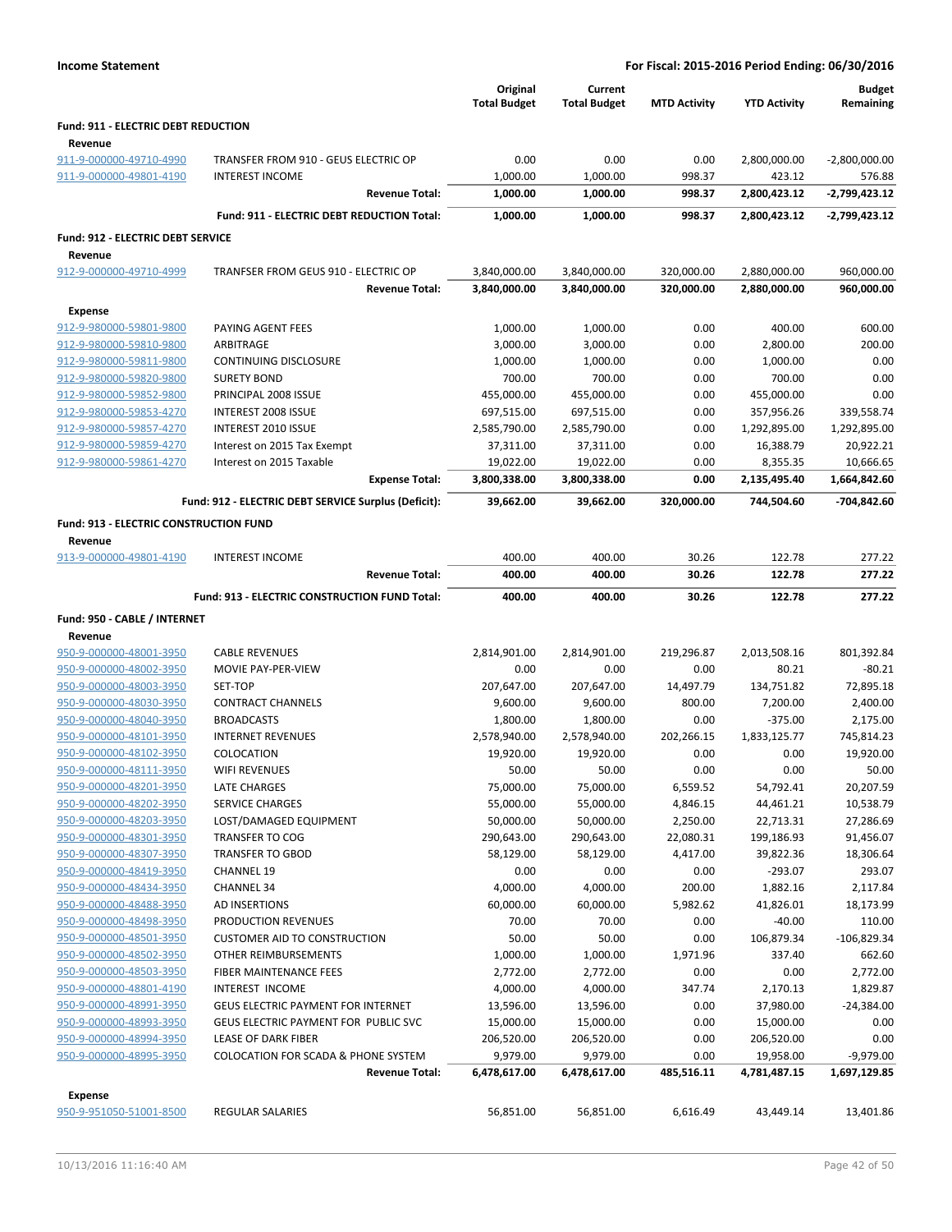| <b>Income Statement</b>                    |                                                   |                                 |                                | For Fiscal: 2015-2016 Period Ending: 06/30/2016 |                     |                            |
|--------------------------------------------|---------------------------------------------------|---------------------------------|--------------------------------|-------------------------------------------------|---------------------|----------------------------|
|                                            |                                                   | Original<br><b>Total Budget</b> | Current<br><b>Total Budget</b> | <b>MTD Activity</b>                             | <b>YTD Activity</b> | <b>Budget</b><br>Remaining |
| <b>Fund: 911 - ELECTRIC DEBT REDUCTION</b> |                                                   |                                 |                                |                                                 |                     |                            |
| Revenue                                    |                                                   |                                 |                                |                                                 |                     |                            |
| 911-9-000000-49710-4990                    | TRANSFER FROM 910 - GEUS ELECTRIC OP              | 0.00                            | 0.00                           | 0.00                                            | 2,800,000.00        | $-2,800,000.00$            |
| 911-9-000000-49801-4190                    | <b>INTEREST INCOME</b>                            | 1,000.00                        | 1,000.00                       | 998.37                                          | 423.12              | 576.88                     |
|                                            | <b>Revenue Total:</b>                             | 1,000.00                        | 1,000.00                       | 998.37                                          | 2,800,423.12        | -2,799,423.12              |
|                                            | <b>Fund: 911 - ELECTRIC DEBT REDUCTION Total:</b> | 1,000.00                        | 1,000.00                       | 998.37                                          | 2,800,423.12        | -2,799,423.12              |
| <b>Fund: 912 - ELECTRIC DEBT SERVICE</b>   |                                                   |                                 |                                |                                                 |                     |                            |
| Revenue                                    |                                                   |                                 |                                |                                                 |                     |                            |
| 912-9-000000-49710-4999                    | TRANFSER FROM GEUS 910 - ELECTRIC OP              | 3,840,000.00                    | 3,840,000.00                   | 320.000.00                                      | 2,880,000.00        | 960,000.00                 |
|                                            | <b>Revenue Total:</b>                             | 3,840,000.00                    | 3,840,000.00                   | 320,000.00                                      | 2,880,000.00        | 960,000.00                 |
| Expense                                    |                                                   |                                 |                                |                                                 |                     |                            |

| 912-9-980000-59810-9800                       | ARBITRAGE                                            | 3,000.00     | 3,000.00     | 0.00       | 2,800.00     | 200.00        |
|-----------------------------------------------|------------------------------------------------------|--------------|--------------|------------|--------------|---------------|
| 912-9-980000-59811-9800                       | CONTINUING DISCLOSURE                                | 1,000.00     | 1,000.00     | 0.00       | 1,000.00     | 0.00          |
| 912-9-980000-59820-9800                       | <b>SURETY BOND</b>                                   | 700.00       | 700.00       | 0.00       | 700.00       | 0.00          |
| 912-9-980000-59852-9800                       | PRINCIPAL 2008 ISSUE                                 | 455,000.00   | 455,000.00   | 0.00       | 455,000.00   | 0.00          |
| 912-9-980000-59853-4270                       | <b>INTEREST 2008 ISSUE</b>                           | 697,515.00   | 697,515.00   | 0.00       | 357,956.26   | 339,558.74    |
| 912-9-980000-59857-4270                       | <b>INTEREST 2010 ISSUE</b>                           | 2,585,790.00 | 2,585,790.00 | 0.00       | 1,292,895.00 | 1,292,895.00  |
| 912-9-980000-59859-4270                       | Interest on 2015 Tax Exempt                          | 37,311.00    | 37,311.00    | 0.00       | 16,388.79    | 20,922.21     |
| 912-9-980000-59861-4270                       | Interest on 2015 Taxable                             | 19,022.00    | 19,022.00    | 0.00       | 8,355.35     | 10,666.65     |
|                                               | <b>Expense Total:</b>                                | 3,800,338.00 | 3,800,338.00 | 0.00       | 2,135,495.40 | 1,664,842.60  |
|                                               | Fund: 912 - ELECTRIC DEBT SERVICE Surplus (Deficit): | 39,662.00    | 39,662.00    | 320,000.00 | 744,504.60   | -704,842.60   |
| <b>Fund: 913 - ELECTRIC CONSTRUCTION FUND</b> |                                                      |              |              |            |              |               |
| Revenue                                       |                                                      |              |              |            |              |               |
| 913-9-000000-49801-4190                       | <b>INTEREST INCOME</b>                               | 400.00       | 400.00       | 30.26      | 122.78       | 277.22        |
|                                               | <b>Revenue Total:</b>                                | 400.00       | 400.00       | 30.26      | 122.78       | 277.22        |
|                                               | Fund: 913 - ELECTRIC CONSTRUCTION FUND Total:        | 400.00       | 400.00       | 30.26      | 122.78       | 277.22        |
| Fund: 950 - CABLE / INTERNET                  |                                                      |              |              |            |              |               |
| Revenue                                       |                                                      |              |              |            |              |               |
| 950-9-000000-48001-3950                       | <b>CABLE REVENUES</b>                                | 2,814,901.00 | 2,814,901.00 | 219,296.87 | 2,013,508.16 | 801,392.84    |
| 950-9-000000-48002-3950                       | MOVIE PAY-PER-VIEW                                   | 0.00         | 0.00         | 0.00       | 80.21        | $-80.21$      |
| 950-9-000000-48003-3950                       | SET-TOP                                              | 207,647.00   | 207,647.00   | 14,497.79  | 134,751.82   | 72,895.18     |
| 950-9-000000-48030-3950                       | <b>CONTRACT CHANNELS</b>                             | 9,600.00     | 9,600.00     | 800.00     | 7,200.00     | 2,400.00      |
| 950-9-000000-48040-3950                       | <b>BROADCASTS</b>                                    | 1,800.00     | 1,800.00     | 0.00       | $-375.00$    | 2,175.00      |
| 950-9-000000-48101-3950                       | <b>INTERNET REVENUES</b>                             | 2,578,940.00 | 2,578,940.00 | 202,266.15 | 1,833,125.77 | 745,814.23    |
| 950-9-000000-48102-3950                       | COLOCATION                                           | 19,920.00    | 19,920.00    | 0.00       | 0.00         | 19,920.00     |
| 950-9-000000-48111-3950                       | <b>WIFI REVENUES</b>                                 | 50.00        | 50.00        | 0.00       | 0.00         | 50.00         |
| 950-9-000000-48201-3950                       | <b>LATE CHARGES</b>                                  | 75,000.00    | 75,000.00    | 6,559.52   | 54,792.41    | 20,207.59     |
| 950-9-000000-48202-3950                       | <b>SERVICE CHARGES</b>                               | 55,000.00    | 55,000.00    | 4,846.15   | 44,461.21    | 10,538.79     |
| 950-9-000000-48203-3950                       | LOST/DAMAGED EQUIPMENT                               | 50,000.00    | 50,000.00    | 2,250.00   | 22,713.31    | 27,286.69     |
| 950-9-000000-48301-3950                       | <b>TRANSFER TO COG</b>                               | 290,643.00   | 290,643.00   | 22,080.31  | 199,186.93   | 91,456.07     |
| 950-9-000000-48307-3950                       | <b>TRANSFER TO GBOD</b>                              | 58,129.00    | 58,129.00    | 4,417.00   | 39,822.36    | 18,306.64     |
| 950-9-000000-48419-3950                       | <b>CHANNEL 19</b>                                    | 0.00         | 0.00         | 0.00       | $-293.07$    | 293.07        |
| 950-9-000000-48434-3950                       | <b>CHANNEL 34</b>                                    | 4,000.00     | 4,000.00     | 200.00     | 1,882.16     | 2,117.84      |
| 950-9-000000-48488-3950                       | <b>AD INSERTIONS</b>                                 | 60,000.00    | 60,000.00    | 5,982.62   | 41,826.01    | 18,173.99     |
| 950-9-000000-48498-3950                       | PRODUCTION REVENUES                                  | 70.00        | 70.00        | 0.00       | $-40.00$     | 110.00        |
| 950-9-000000-48501-3950                       | <b>CUSTOMER AID TO CONSTRUCTION</b>                  | 50.00        | 50.00        | 0.00       | 106,879.34   | $-106,829.34$ |
| 950-9-000000-48502-3950                       | OTHER REIMBURSEMENTS                                 | 1,000.00     | 1,000.00     | 1,971.96   | 337.40       | 662.60        |
| 950-9-000000-48503-3950                       | <b>FIBER MAINTENANCE FEES</b>                        | 2,772.00     | 2,772.00     | 0.00       | 0.00         | 2,772.00      |

950-9-000000-48801-4190 INTEREST INCOME 4,000.00 4,000.00 347.74 2,170.13 1,829.87 950-9-000000-48991-3950 GEUS ELECTRIC PAYMENT FOR INTERNET 13,596.00 13,596.00 0.00 37,980.00 -24,384.00 950-9-000000-48993-3950 GEUS ELECTRIC PAYMENT FOR PUBLIC SVC 15,000.00 15,000.00 0.00 15,000.00 0.00 950-9-000000-48994-3950 LEASE OF DARK FIBER 206,520.00 206,520.00 0.00 206,520.00 0.00 950-9-000000-48995-3950 COLOCATION FOR SCADA & PHONE SYSTEM 9,979.00 9,979.00 0.00 19,958.00 -9,979.00

**Revenue Total: 6,478,617.00 6,478,617.00 485,516.11 4,781,487.15 1,697,129.85**

912-9-980000-59801-9800 PAYING AGENT FEES 1,000.00 1,000.00 0.00 400.00 600.00

950-9-951050-51001-8500 REGULAR SALARIES 56,851.00 56,851.00 6,616.49 43,449.14 13,401.86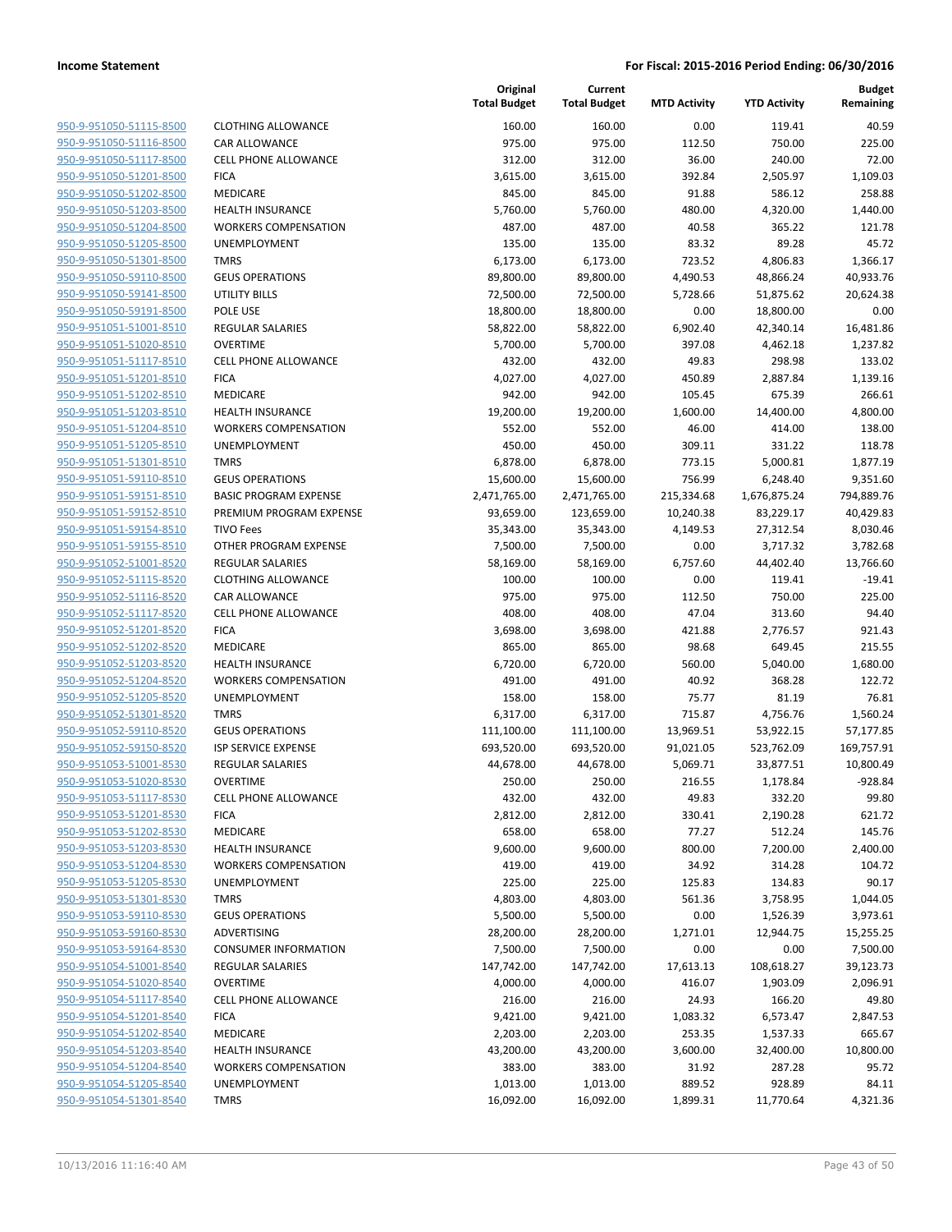| <u>950-9-951050-51115-8500</u> |
|--------------------------------|
| 950-9-951050-51116-8500        |
| 950-9-951050-51117-8500        |
| 950-9-951050-51201-8500        |
| <u>950-9-951050-51202-8500</u> |
| <u>950-9-951050-51203-8500</u> |
| 950-9-951050-51204-8500        |
| 950-9-951050-51205-8500        |
| 950-9-951050-51301-8500        |
| <u>950-9-951050-59110-8500</u> |
| 950-9-951050-59141-8500        |
| 950-9-951050-59191-8500        |
| 950-9-951051-51001-8510        |
| 950-9-951051-51020-8510        |
| <u>950-9-951051-51117-8510</u> |
| <u>950-9-951051-51201-8510</u> |
| 950-9-951051-51202-8510        |
| 950-9-951051-51203-8510        |
| 950-9-951051-51204-8510        |
| <u>950-9-951051-51205-8510</u> |
| 950-9-951051-51301-8510        |
| 950-9-951051-59110-8510        |
| 950-9-951051-59151-8510        |
| 950-9-951051-59152-8510        |
| <u>950-9-951051-59154-8510</u> |
| 950-9-951051-59155-8510        |
| 950-9-951052-51001-8520        |
| 950-9-951052-51115-8520        |
| 950-9-951052-51116-8520        |
| <u>950-9-951052-51117-8520</u> |
| 950-9-951052-51201-8520        |
| 950-9-951052-51202-8520        |
| 950-9-951052-51203-8520        |
| <u>950-9-951052-51204-8520</u> |
| <u>950-9-951052-51205-8520</u> |
| <u>950-9-951052-51301-8520</u> |
| 950-9-951052-59110-8520        |
| 950-9-951052-59150-8520        |
| 950-9-951053-51001-8530        |
| 950-9-951053-51020-8530        |
| <u>950-9-951053-51117-8530</u> |
| 950-9-951053-51201-8530        |
| 950-9-951053-51202-8530        |
| <u>950-9-951053-51203-8530</u> |
| 950-9-951053-51204-8530        |
| 950-9-951053-51205-8530        |
| 950-9-951053-51301-8530        |
| 950-9-951053-59110-8530        |
| 950-9-951053-59160-8530        |
| <u>950-9-951053-59164-8530</u> |
| 950-9-951054-51001-8540        |
| 950-9-951054-51020-8540        |
| 950-9-951054-51117-8540        |
| 950-9-951054-51201-8540        |
| <u>950-9-951054-51202-8540</u> |
| <u>950-9-951054-51203-8540</u> |
| 950-9-951054-51204-8540        |
| 950-9-951054-51205-8540        |
| 950-9-951054-51301-8540        |
|                                |

|                                                    |                                            | Original<br><b>Total Budget</b> | Current<br><b>Total Budget</b> | <b>MTD Activity</b> | <b>YTD Activity</b> | <b>Budget</b><br>Remaining |
|----------------------------------------------------|--------------------------------------------|---------------------------------|--------------------------------|---------------------|---------------------|----------------------------|
| 950-9-951050-51115-8500                            | <b>CLOTHING ALLOWANCE</b>                  | 160.00                          | 160.00                         | 0.00                | 119.41              | 40.59                      |
| 950-9-951050-51116-8500                            | CAR ALLOWANCE                              | 975.00                          | 975.00                         | 112.50              | 750.00              | 225.00                     |
| 950-9-951050-51117-8500                            | <b>CELL PHONE ALLOWANCE</b>                | 312.00                          | 312.00                         | 36.00               | 240.00              | 72.00                      |
| 950-9-951050-51201-8500                            | <b>FICA</b>                                | 3,615.00                        | 3,615.00                       | 392.84              | 2,505.97            | 1,109.03                   |
| 950-9-951050-51202-8500                            | <b>MEDICARE</b>                            | 845.00                          | 845.00                         | 91.88               | 586.12              | 258.88                     |
| 950-9-951050-51203-8500                            | <b>HEALTH INSURANCE</b>                    | 5,760.00                        | 5,760.00                       | 480.00              | 4,320.00            | 1,440.00                   |
| 950-9-951050-51204-8500                            | <b>WORKERS COMPENSATION</b>                | 487.00                          | 487.00                         | 40.58               | 365.22              | 121.78                     |
| 950-9-951050-51205-8500                            | <b>UNEMPLOYMENT</b>                        | 135.00                          | 135.00                         | 83.32               | 89.28               | 45.72                      |
| 950-9-951050-51301-8500                            | <b>TMRS</b>                                | 6,173.00                        | 6,173.00                       | 723.52              | 4,806.83            | 1,366.17                   |
| 950-9-951050-59110-8500                            | <b>GEUS OPERATIONS</b>                     | 89,800.00                       | 89,800.00                      | 4,490.53            | 48,866.24           | 40,933.76                  |
| 950-9-951050-59141-8500                            | <b>UTILITY BILLS</b>                       | 72,500.00                       | 72,500.00                      | 5,728.66            | 51,875.62           | 20,624.38                  |
| 950-9-951050-59191-8500                            | POLE USE                                   | 18,800.00                       | 18,800.00                      | 0.00                | 18,800.00           | 0.00                       |
| 950-9-951051-51001-8510                            | <b>REGULAR SALARIES</b>                    | 58,822.00                       | 58,822.00                      | 6,902.40            | 42,340.14           | 16,481.86                  |
| 950-9-951051-51020-8510                            | <b>OVERTIME</b>                            | 5,700.00                        | 5,700.00                       | 397.08              | 4,462.18            | 1,237.82                   |
| 950-9-951051-51117-8510                            | <b>CELL PHONE ALLOWANCE</b>                | 432.00                          | 432.00                         | 49.83               | 298.98              | 133.02                     |
| 950-9-951051-51201-8510<br>950-9-951051-51202-8510 | <b>FICA</b>                                | 4,027.00                        | 4,027.00                       | 450.89              | 2,887.84            | 1,139.16                   |
| 950-9-951051-51203-8510                            | <b>MEDICARE</b><br><b>HEALTH INSURANCE</b> | 942.00                          | 942.00                         | 105.45              | 675.39              | 266.61<br>4,800.00         |
| 950-9-951051-51204-8510                            | <b>WORKERS COMPENSATION</b>                | 19,200.00                       | 19,200.00                      | 1,600.00            | 14,400.00           | 138.00                     |
| 950-9-951051-51205-8510                            | UNEMPLOYMENT                               | 552.00<br>450.00                | 552.00<br>450.00               | 46.00<br>309.11     | 414.00<br>331.22    | 118.78                     |
| 950-9-951051-51301-8510                            | <b>TMRS</b>                                | 6,878.00                        | 6,878.00                       | 773.15              | 5,000.81            | 1,877.19                   |
| 950-9-951051-59110-8510                            | <b>GEUS OPERATIONS</b>                     | 15,600.00                       | 15,600.00                      | 756.99              | 6,248.40            | 9,351.60                   |
| 950-9-951051-59151-8510                            | <b>BASIC PROGRAM EXPENSE</b>               | 2,471,765.00                    | 2,471,765.00                   | 215,334.68          | 1,676,875.24        | 794,889.76                 |
| 950-9-951051-59152-8510                            | PREMIUM PROGRAM EXPENSE                    | 93,659.00                       | 123,659.00                     | 10,240.38           | 83,229.17           | 40,429.83                  |
| 950-9-951051-59154-8510                            | <b>TIVO Fees</b>                           | 35,343.00                       | 35,343.00                      | 4,149.53            | 27,312.54           | 8,030.46                   |
| 950-9-951051-59155-8510                            | OTHER PROGRAM EXPENSE                      | 7,500.00                        | 7,500.00                       | 0.00                | 3,717.32            | 3,782.68                   |
| 950-9-951052-51001-8520                            | <b>REGULAR SALARIES</b>                    | 58,169.00                       | 58,169.00                      | 6,757.60            | 44,402.40           | 13,766.60                  |
| 950-9-951052-51115-8520                            | <b>CLOTHING ALLOWANCE</b>                  | 100.00                          | 100.00                         | 0.00                | 119.41              | $-19.41$                   |
| 950-9-951052-51116-8520                            | CAR ALLOWANCE                              | 975.00                          | 975.00                         | 112.50              | 750.00              | 225.00                     |
| 950-9-951052-51117-8520                            | <b>CELL PHONE ALLOWANCE</b>                | 408.00                          | 408.00                         | 47.04               | 313.60              | 94.40                      |
| 950-9-951052-51201-8520                            | <b>FICA</b>                                | 3,698.00                        | 3,698.00                       | 421.88              | 2,776.57            | 921.43                     |
| 950-9-951052-51202-8520                            | MEDICARE                                   | 865.00                          | 865.00                         | 98.68               | 649.45              | 215.55                     |
| 950-9-951052-51203-8520                            | <b>HEALTH INSURANCE</b>                    | 6,720.00                        | 6,720.00                       | 560.00              | 5,040.00            | 1,680.00                   |
| 950-9-951052-51204-8520                            | <b>WORKERS COMPENSATION</b>                | 491.00                          | 491.00                         | 40.92               | 368.28              | 122.72                     |
| 950-9-951052-51205-8520                            | <b>UNEMPLOYMENT</b>                        | 158.00                          | 158.00                         | 75.77               | 81.19               | 76.81                      |
| 950-9-951052-51301-8520                            | <b>TMRS</b>                                | 6,317.00                        | 6,317.00                       | 715.87              | 4,756.76            | 1,560.24                   |
| 950-9-951052-59110-8520                            | <b>GEUS OPERATIONS</b>                     | 111,100.00                      | 111,100.00                     | 13,969.51           | 53,922.15           | 57,177.85                  |
| 950-9-951052-59150-8520                            | ISP SERVICE EXPENSE                        | 693,520.00                      | 693,520.00                     | 91,021.05           | 523,762.09          | 169,757.91                 |
| 950-9-951053-51001-8530                            | <b>REGULAR SALARIES</b>                    | 44,678.00                       | 44,678.00                      | 5,069.71            | 33,877.51           | 10,800.49                  |
| 950-9-951053-51020-8530                            | <b>OVERTIME</b>                            | 250.00                          | 250.00                         | 216.55              | 1,178.84            | $-928.84$                  |
| 950-9-951053-51117-8530                            | <b>CELL PHONE ALLOWANCE</b>                | 432.00                          | 432.00                         | 49.83               | 332.20              | 99.80                      |
| 950-9-951053-51201-8530                            | <b>FICA</b>                                | 2,812.00                        | 2,812.00                       | 330.41              | 2,190.28            | 621.72                     |
| 950-9-951053-51202-8530                            | MEDICARE                                   | 658.00                          | 658.00                         | 77.27               | 512.24              | 145.76                     |
| 950-9-951053-51203-8530                            | <b>HEALTH INSURANCE</b>                    | 9,600.00                        | 9,600.00                       | 800.00              | 7,200.00            | 2,400.00                   |
| 950-9-951053-51204-8530                            | <b>WORKERS COMPENSATION</b>                | 419.00                          | 419.00                         | 34.92               | 314.28              | 104.72                     |
| 950-9-951053-51205-8530                            | UNEMPLOYMENT                               | 225.00                          | 225.00                         | 125.83              | 134.83              | 90.17                      |
| 950-9-951053-51301-8530                            | <b>TMRS</b>                                | 4,803.00                        | 4,803.00                       | 561.36              | 3,758.95            | 1,044.05                   |
| 950-9-951053-59110-8530                            | <b>GEUS OPERATIONS</b>                     | 5,500.00                        | 5,500.00                       | 0.00                | 1,526.39            | 3,973.61                   |
| 950-9-951053-59160-8530                            | ADVERTISING                                | 28,200.00                       | 28,200.00                      | 1,271.01            | 12,944.75           | 15,255.25                  |
| 950-9-951053-59164-8530                            | <b>CONSUMER INFORMATION</b>                | 7,500.00                        | 7,500.00                       | 0.00                | 0.00                | 7,500.00                   |
| 950-9-951054-51001-8540                            | REGULAR SALARIES                           | 147,742.00                      | 147,742.00                     | 17,613.13           | 108,618.27          | 39,123.73                  |
| 950-9-951054-51020-8540                            | <b>OVERTIME</b>                            | 4,000.00                        | 4,000.00                       | 416.07              | 1,903.09            | 2,096.91                   |
| 950-9-951054-51117-8540                            | <b>CELL PHONE ALLOWANCE</b>                | 216.00                          | 216.00                         | 24.93               | 166.20              | 49.80                      |
| 950-9-951054-51201-8540                            | <b>FICA</b>                                | 9,421.00                        | 9,421.00                       | 1,083.32            | 6,573.47            | 2,847.53                   |
| 950-9-951054-51202-8540                            | MEDICARE                                   | 2,203.00                        | 2,203.00                       | 253.35              | 1,537.33            | 665.67                     |
| 950-9-951054-51203-8540                            | <b>HEALTH INSURANCE</b>                    | 43,200.00                       | 43,200.00                      | 3,600.00            | 32,400.00           | 10,800.00                  |
| 950-9-951054-51204-8540                            | <b>WORKERS COMPENSATION</b>                | 383.00                          | 383.00                         | 31.92               | 287.28              | 95.72                      |
| 950-9-951054-51205-8540                            | UNEMPLOYMENT                               | 1,013.00                        | 1,013.00                       | 889.52              | 928.89              | 84.11                      |
| 950-9-951054-51301-8540                            | <b>TMRS</b>                                | 16,092.00                       | 16,092.00                      | 1,899.31            | 11,770.64           | 4,321.36                   |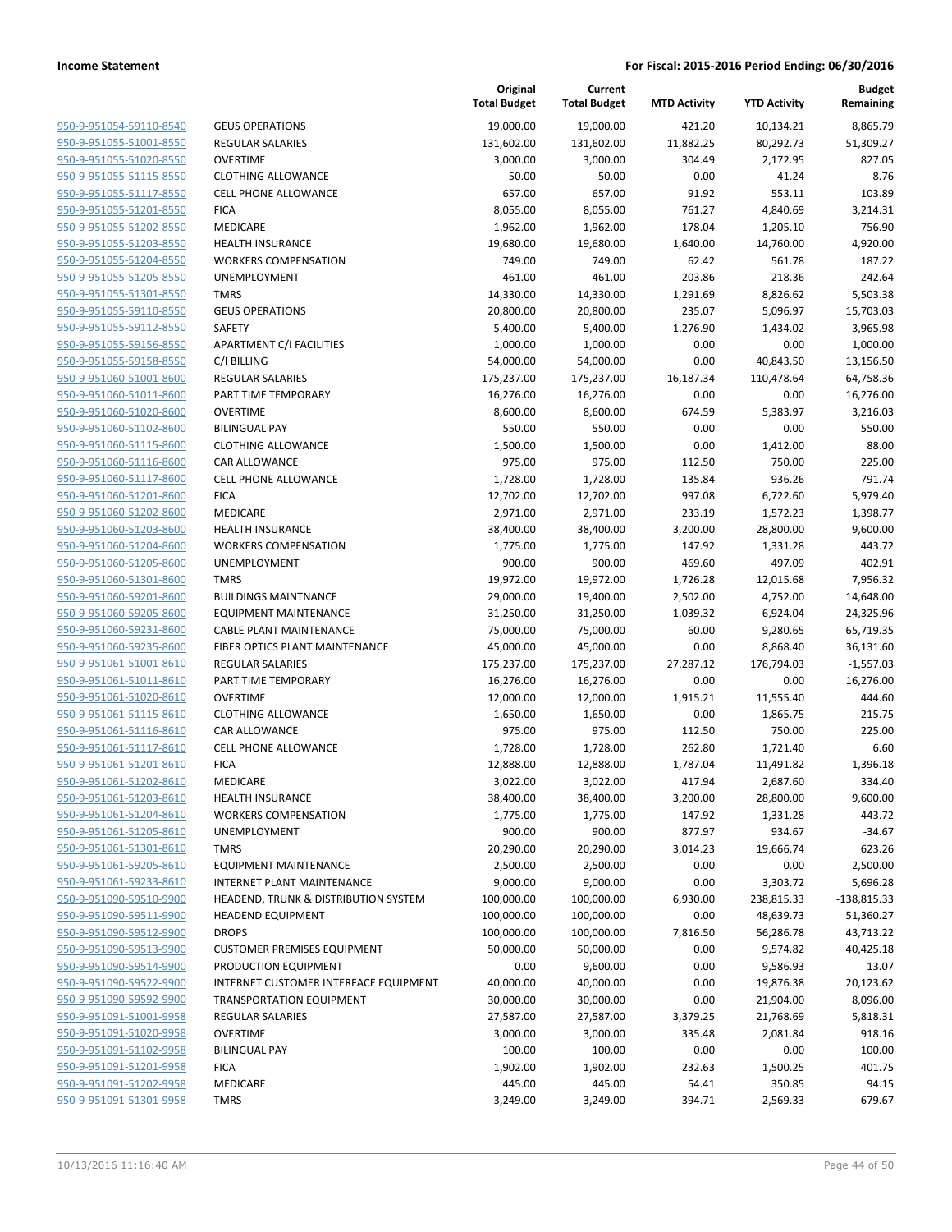| 950-9-951054-59110-8540        |
|--------------------------------|
| 950-9-951055-51001-8550        |
| 950-9-951055-51020-8550        |
| 950-9-951055-51115-8550        |
| 950-9-951055-51117-8550        |
| 950-9-951055-51201-8550        |
| 950-9-951055-51202-8550        |
| 950-9-951055-51203-8550        |
| 950-9-951055-51204-8550        |
| 950-9-951055-51205-8550        |
| 950-9-951055-51301-8550        |
| 950-9-951055-59110-8550        |
|                                |
| 950-9-951055-59112-8550        |
| 950-9-951055-59156-8550        |
| 950-9-951055-59158-8550        |
| 950-9-951060-51001-8600        |
| 950-9-951060-51011-8600        |
| 950-9-951060-51020-8600        |
| 950-9-951060-51102-8600        |
| 950-9-951060-51115-8600        |
| 950-9-951060-51116-8600        |
| 950-9-951060-51117-8600        |
| <u>950-9-951060-51201-8600</u> |
| 950-9-951060-51202-8600        |
| 950-9-951060-51203-8600        |
| 950-9-951060-51204-8600        |
| 950-9-951060-51205-8600        |
| 950-9-951060-51301-8600        |
| 950-9-951060-59201-8600        |
| 950-9-951060-59205-8600        |
| 950-9-951060-59231-8600        |
| 950-9-951060-59235-8600        |
|                                |
| <u>950-9-951061-51001-8610</u> |
| 950-9-951061-51011-8610        |
| 950-9-951061-51020-8610        |
| 950-9-951061-51115-8610        |
| 950-9-951061-51116-8610        |
| 950-9-951061-51117-8610        |
| 950-9-951061-51201-8610        |
| 950-9-951061-51202-8610        |
| 950-9-951061-51203-8610        |
| 950-9-951061-51204-8610        |
| <u>950-9-951061-51205-8610</u> |
| 950-9-951061-51301-8610        |
| <u>950-9-951061-59205-8610</u> |
| 950-9-951061-59233-8610        |
| 950-9-951090-59510-9900        |
| <u>950-9-951090-59511-9900</u> |
| <u>950-9-951090-59512-9900</u> |
| 950-9-951090-59513-9900        |
| 950-9-951090-59514-9900        |
|                                |
| 950-9-951090-59522-9900        |
| <u>950-9-951090-59592-9900</u> |
| 950-9-951091-51001-9958        |
| <u>950-9-951091-51020-9958</u> |
| 950-9-951091-51102-9958        |
| <u>950-9-951091-51201-9958</u> |
| <u>950-9-951091-51202-9958</u> |
| <u>950-9-951091-51301-9958</u> |
|                                |

|                         |                                       | Original<br><b>Total Budget</b> | Current<br><b>Total Budget</b> | <b>MTD Activity</b> | <b>YTD Activity</b> | <b>Budget</b><br>Remaining |
|-------------------------|---------------------------------------|---------------------------------|--------------------------------|---------------------|---------------------|----------------------------|
| 950-9-951054-59110-8540 | <b>GEUS OPERATIONS</b>                | 19,000.00                       | 19,000.00                      | 421.20              | 10,134.21           | 8,865.79                   |
| 950-9-951055-51001-8550 | <b>REGULAR SALARIES</b>               | 131,602.00                      | 131,602.00                     | 11,882.25           | 80,292.73           | 51,309.27                  |
| 950-9-951055-51020-8550 | <b>OVERTIME</b>                       | 3,000.00                        | 3,000.00                       | 304.49              | 2,172.95            | 827.05                     |
| 950-9-951055-51115-8550 | <b>CLOTHING ALLOWANCE</b>             | 50.00                           | 50.00                          | 0.00                | 41.24               | 8.76                       |
| 950-9-951055-51117-8550 | <b>CELL PHONE ALLOWANCE</b>           | 657.00                          | 657.00                         | 91.92               | 553.11              | 103.89                     |
| 950-9-951055-51201-8550 | <b>FICA</b>                           | 8,055.00                        | 8,055.00                       | 761.27              | 4,840.69            | 3,214.31                   |
| 950-9-951055-51202-8550 | MEDICARE                              | 1,962.00                        | 1,962.00                       | 178.04              | 1,205.10            | 756.90                     |
| 950-9-951055-51203-8550 | <b>HEALTH INSURANCE</b>               | 19,680.00                       | 19,680.00                      | 1,640.00            | 14,760.00           | 4,920.00                   |
| 950-9-951055-51204-8550 | <b>WORKERS COMPENSATION</b>           | 749.00                          | 749.00                         | 62.42               | 561.78              | 187.22                     |
| 950-9-951055-51205-8550 | <b>UNEMPLOYMENT</b>                   | 461.00                          | 461.00                         | 203.86              | 218.36              | 242.64                     |
| 950-9-951055-51301-8550 | <b>TMRS</b>                           | 14,330.00                       | 14,330.00                      | 1,291.69            | 8,826.62            | 5,503.38                   |
| 950-9-951055-59110-8550 | <b>GEUS OPERATIONS</b>                | 20,800.00                       | 20,800.00                      | 235.07              | 5,096.97            | 15,703.03                  |
| 950-9-951055-59112-8550 | SAFETY                                | 5,400.00                        | 5,400.00                       | 1,276.90            | 1,434.02            | 3,965.98                   |
| 950-9-951055-59156-8550 | APARTMENT C/I FACILITIES              | 1,000.00                        | 1,000.00                       | 0.00                | 0.00                | 1,000.00                   |
| 950-9-951055-59158-8550 | C/I BILLING                           | 54,000.00                       | 54,000.00                      | 0.00                | 40,843.50           | 13,156.50                  |
| 950-9-951060-51001-8600 | <b>REGULAR SALARIES</b>               | 175,237.00                      | 175,237.00                     | 16,187.34           | 110,478.64          | 64,758.36                  |
| 950-9-951060-51011-8600 | PART TIME TEMPORARY                   | 16,276.00                       | 16,276.00                      | 0.00                | 0.00                | 16,276.00                  |
| 950-9-951060-51020-8600 | <b>OVERTIME</b>                       | 8,600.00                        | 8,600.00                       | 674.59              | 5,383.97            | 3,216.03                   |
| 950-9-951060-51102-8600 | <b>BILINGUAL PAY</b>                  | 550.00                          | 550.00                         | 0.00                | 0.00                | 550.00                     |
| 950-9-951060-51115-8600 | <b>CLOTHING ALLOWANCE</b>             | 1,500.00                        | 1,500.00                       | 0.00                | 1,412.00            | 88.00                      |
| 950-9-951060-51116-8600 | <b>CAR ALLOWANCE</b>                  | 975.00                          | 975.00                         | 112.50              | 750.00              | 225.00                     |
| 950-9-951060-51117-8600 | <b>CELL PHONE ALLOWANCE</b>           | 1,728.00                        | 1,728.00                       | 135.84              | 936.26              | 791.74                     |
| 950-9-951060-51201-8600 | <b>FICA</b>                           | 12,702.00                       | 12,702.00                      | 997.08              | 6,722.60            | 5,979.40                   |
| 950-9-951060-51202-8600 | MEDICARE                              | 2,971.00                        | 2,971.00                       | 233.19              | 1,572.23            | 1,398.77                   |
| 950-9-951060-51203-8600 | <b>HEALTH INSURANCE</b>               | 38,400.00                       | 38,400.00                      | 3,200.00            | 28,800.00           | 9,600.00                   |
| 950-9-951060-51204-8600 | <b>WORKERS COMPENSATION</b>           | 1,775.00                        | 1,775.00                       | 147.92              | 1,331.28            | 443.72                     |
| 950-9-951060-51205-8600 | <b>UNEMPLOYMENT</b>                   | 900.00                          | 900.00                         | 469.60              | 497.09              | 402.91                     |
| 950-9-951060-51301-8600 | <b>TMRS</b>                           | 19,972.00                       | 19,972.00                      | 1,726.28            | 12,015.68           | 7,956.32                   |
| 950-9-951060-59201-8600 | <b>BUILDINGS MAINTNANCE</b>           | 29,000.00                       | 19,400.00                      | 2,502.00            | 4,752.00            | 14,648.00                  |
| 950-9-951060-59205-8600 | <b>EQUIPMENT MAINTENANCE</b>          | 31,250.00                       | 31,250.00                      | 1,039.32            | 6,924.04            | 24,325.96                  |
| 950-9-951060-59231-8600 | CABLE PLANT MAINTENANCE               | 75,000.00                       | 75,000.00                      | 60.00               | 9,280.65            | 65,719.35                  |
| 950-9-951060-59235-8600 | FIBER OPTICS PLANT MAINTENANCE        | 45,000.00                       | 45,000.00                      | 0.00                | 8,868.40            | 36,131.60                  |
| 950-9-951061-51001-8610 | <b>REGULAR SALARIES</b>               | 175,237.00                      | 175,237.00                     | 27,287.12           | 176,794.03          | $-1,557.03$                |
| 950-9-951061-51011-8610 | PART TIME TEMPORARY                   | 16,276.00                       | 16,276.00                      | 0.00                | 0.00                | 16,276.00                  |
| 950-9-951061-51020-8610 | <b>OVERTIME</b>                       | 12,000.00                       | 12,000.00                      | 1,915.21            | 11,555.40           | 444.60                     |
| 950-9-951061-51115-8610 | <b>CLOTHING ALLOWANCE</b>             | 1,650.00                        | 1,650.00                       | 0.00                | 1,865.75            | $-215.75$                  |
| 950-9-951061-51116-8610 | CAR ALLOWANCE                         | 975.00                          | 975.00                         | 112.50              | 750.00              | 225.00                     |
| 950-9-951061-51117-8610 | <b>CELL PHONE ALLOWANCE</b>           | 1,728.00                        | 1,728.00                       | 262.80              | 1,721.40            | 6.60                       |
| 950-9-951061-51201-8610 | <b>FICA</b>                           | 12,888.00                       | 12,888.00                      | 1,787.04            | 11,491.82           | 1,396.18                   |
| 950-9-951061-51202-8610 | MEDICARE                              | 3,022.00                        | 3,022.00                       | 417.94              | 2,687.60            | 334.40                     |
| 950-9-951061-51203-8610 | <b>HEALTH INSURANCE</b>               | 38,400.00                       | 38,400.00                      | 3,200.00            | 28,800.00           | 9,600.00                   |
| 950-9-951061-51204-8610 | <b>WORKERS COMPENSATION</b>           | 1,775.00                        | 1,775.00                       | 147.92              | 1,331.28            | 443.72                     |
| 950-9-951061-51205-8610 | <b>UNEMPLOYMENT</b>                   | 900.00                          | 900.00                         | 877.97              | 934.67              | $-34.67$                   |
| 950-9-951061-51301-8610 | <b>TMRS</b>                           | 20,290.00                       | 20,290.00                      | 3,014.23            | 19,666.74           | 623.26                     |
| 950-9-951061-59205-8610 | <b>EQUIPMENT MAINTENANCE</b>          | 2,500.00                        | 2,500.00                       | 0.00                | 0.00                | 2,500.00                   |
| 950-9-951061-59233-8610 | INTERNET PLANT MAINTENANCE            | 9,000.00                        | 9,000.00                       | 0.00                | 3,303.72            | 5,696.28                   |
| 950-9-951090-59510-9900 | HEADEND, TRUNK & DISTRIBUTION SYSTEM  | 100,000.00                      | 100,000.00                     | 6,930.00            | 238,815.33          | $-138,815.33$              |
| 950-9-951090-59511-9900 | <b>HEADEND EQUIPMENT</b>              | 100,000.00                      | 100,000.00                     | 0.00                | 48,639.73           | 51,360.27                  |
| 950-9-951090-59512-9900 | <b>DROPS</b>                          | 100,000.00                      | 100,000.00                     | 7,816.50            | 56,286.78           | 43,713.22                  |
| 950-9-951090-59513-9900 | <b>CUSTOMER PREMISES EQUIPMENT</b>    | 50,000.00                       | 50,000.00                      | 0.00                | 9,574.82            | 40,425.18                  |
| 950-9-951090-59514-9900 | PRODUCTION EQUIPMENT                  | 0.00                            | 9,600.00                       | 0.00                | 9,586.93            | 13.07                      |
| 950-9-951090-59522-9900 | INTERNET CUSTOMER INTERFACE EQUIPMENT | 40,000.00                       | 40,000.00                      | 0.00                | 19,876.38           | 20,123.62                  |
| 950-9-951090-59592-9900 | <b>TRANSPORTATION EQUIPMENT</b>       | 30,000.00                       | 30,000.00                      | 0.00                | 21,904.00           | 8,096.00                   |
| 950-9-951091-51001-9958 | <b>REGULAR SALARIES</b>               | 27,587.00                       | 27,587.00                      | 3,379.25            | 21,768.69           | 5,818.31                   |
| 950-9-951091-51020-9958 | <b>OVERTIME</b>                       | 3,000.00                        | 3,000.00                       | 335.48              | 2,081.84            | 918.16                     |
| 950-9-951091-51102-9958 | <b>BILINGUAL PAY</b>                  | 100.00                          | 100.00                         | 0.00                | 0.00                | 100.00                     |
| 950-9-951091-51201-9958 | <b>FICA</b>                           | 1,902.00                        | 1,902.00                       | 232.63              | 1,500.25            | 401.75                     |
| 950-9-951091-51202-9958 | MEDICARE                              | 445.00                          | 445.00                         | 54.41               | 350.85              | 94.15                      |
| 950-9-951091-51301-9958 | <b>TMRS</b>                           | 3,249.00                        | 3,249.00                       | 394.71              | 2,569.33            | 679.67                     |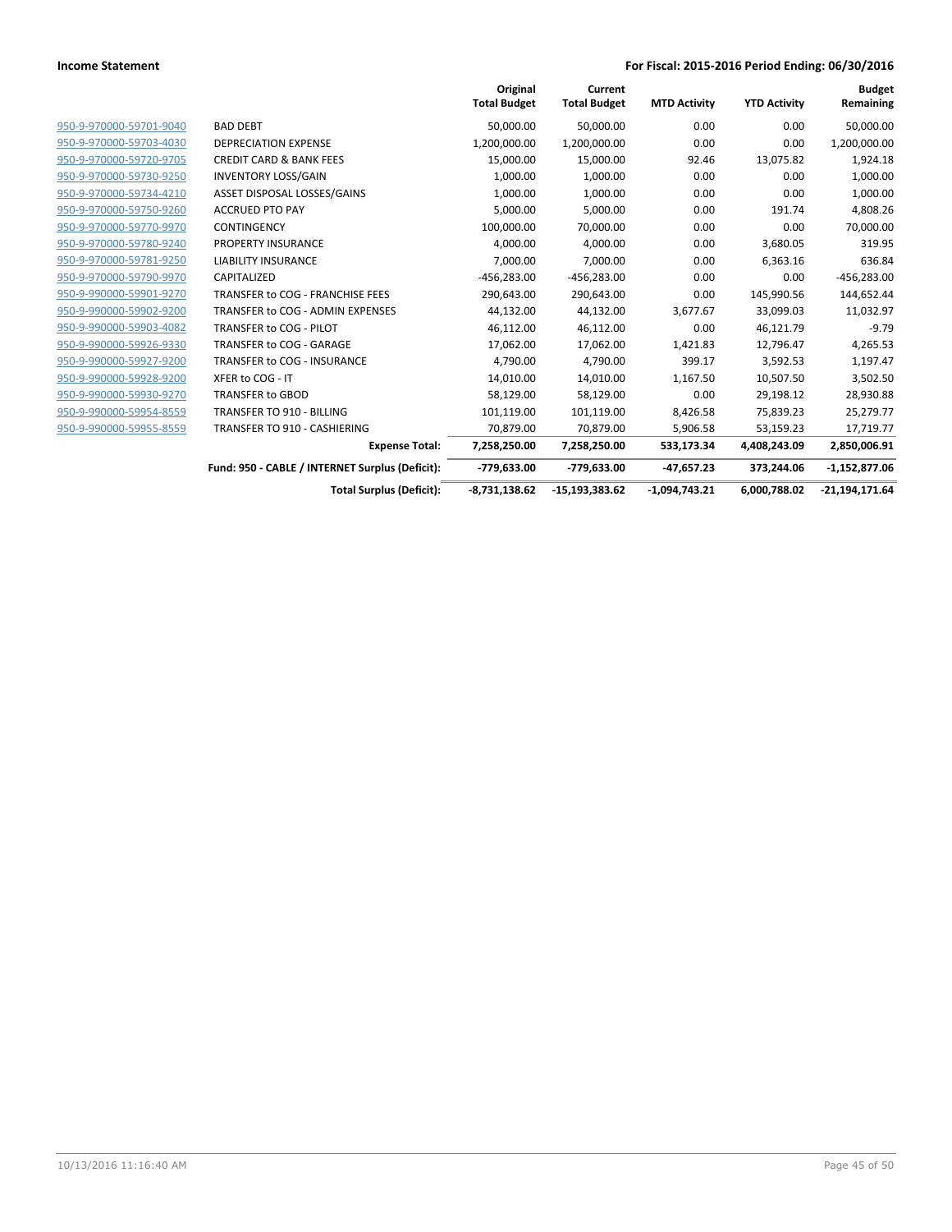|                         |                                                 | Original<br><b>Total Budget</b> | Current<br><b>Total Budget</b> | <b>MTD Activity</b> | <b>YTD Activity</b> | <b>Budget</b><br>Remaining |
|-------------------------|-------------------------------------------------|---------------------------------|--------------------------------|---------------------|---------------------|----------------------------|
| 950-9-970000-59701-9040 | <b>BAD DEBT</b>                                 | 50,000.00                       | 50,000.00                      | 0.00                | 0.00                | 50,000.00                  |
| 950-9-970000-59703-4030 | <b>DEPRECIATION EXPENSE</b>                     | 1,200,000.00                    | 1,200,000.00                   | 0.00                | 0.00                | 1,200,000.00               |
| 950-9-970000-59720-9705 | <b>CREDIT CARD &amp; BANK FEES</b>              | 15,000.00                       | 15,000.00                      | 92.46               | 13,075.82           | 1,924.18                   |
| 950-9-970000-59730-9250 | <b>INVENTORY LOSS/GAIN</b>                      | 1,000.00                        | 1,000.00                       | 0.00                | 0.00                | 1,000.00                   |
| 950-9-970000-59734-4210 | ASSET DISPOSAL LOSSES/GAINS                     | 1,000.00                        | 1,000.00                       | 0.00                | 0.00                | 1,000.00                   |
| 950-9-970000-59750-9260 | <b>ACCRUED PTO PAY</b>                          | 5,000.00                        | 5,000.00                       | 0.00                | 191.74              | 4,808.26                   |
| 950-9-970000-59770-9970 | <b>CONTINGENCY</b>                              | 100,000.00                      | 70,000.00                      | 0.00                | 0.00                | 70,000.00                  |
| 950-9-970000-59780-9240 | PROPERTY INSURANCE                              | 4,000.00                        | 4,000.00                       | 0.00                | 3,680.05            | 319.95                     |
| 950-9-970000-59781-9250 | <b>LIABILITY INSURANCE</b>                      | 7,000.00                        | 7,000.00                       | 0.00                | 6,363.16            | 636.84                     |
| 950-9-970000-59790-9970 | CAPITALIZED                                     | $-456,283.00$                   | $-456,283.00$                  | 0.00                | 0.00                | $-456,283.00$              |
| 950-9-990000-59901-9270 | TRANSFER to COG - FRANCHISE FEES                | 290,643.00                      | 290,643.00                     | 0.00                | 145,990.56          | 144,652.44                 |
| 950-9-990000-59902-9200 | TRANSFER to COG - ADMIN EXPENSES                | 44,132.00                       | 44,132.00                      | 3,677.67            | 33,099.03           | 11,032.97                  |
| 950-9-990000-59903-4082 | TRANSFER to COG - PILOT                         | 46,112.00                       | 46,112.00                      | 0.00                | 46,121.79           | $-9.79$                    |
| 950-9-990000-59926-9330 | TRANSFER to COG - GARAGE                        | 17,062.00                       | 17,062.00                      | 1,421.83            | 12,796.47           | 4,265.53                   |
| 950-9-990000-59927-9200 | TRANSFER to COG - INSURANCE                     | 4,790.00                        | 4,790.00                       | 399.17              | 3,592.53            | 1,197.47                   |
| 950-9-990000-59928-9200 | XFER to COG - IT                                | 14,010.00                       | 14,010.00                      | 1,167.50            | 10,507.50           | 3,502.50                   |
| 950-9-990000-59930-9270 | <b>TRANSFER to GBOD</b>                         | 58,129.00                       | 58,129.00                      | 0.00                | 29,198.12           | 28,930.88                  |
| 950-9-990000-59954-8559 | <b>TRANSFER TO 910 - BILLING</b>                | 101,119.00                      | 101,119.00                     | 8,426.58            | 75,839.23           | 25,279.77                  |
| 950-9-990000-59955-8559 | TRANSFER TO 910 - CASHIERING                    | 70,879.00                       | 70,879.00                      | 5,906.58            | 53,159.23           | 17,719.77                  |
|                         | <b>Expense Total:</b>                           | 7,258,250.00                    | 7,258,250.00                   | 533,173.34          | 4,408,243.09        | 2,850,006.91               |
|                         | Fund: 950 - CABLE / INTERNET Surplus (Deficit): | -779,633.00                     | -779,633.00                    | $-47,657.23$        | 373,244.06          | $-1,152,877.06$            |
|                         | <b>Total Surplus (Deficit):</b>                 | $-8,731,138.62$                 | $-15,193,383.62$               | $-1,094,743.21$     | 6,000,788.02        | $-21,194,171.64$           |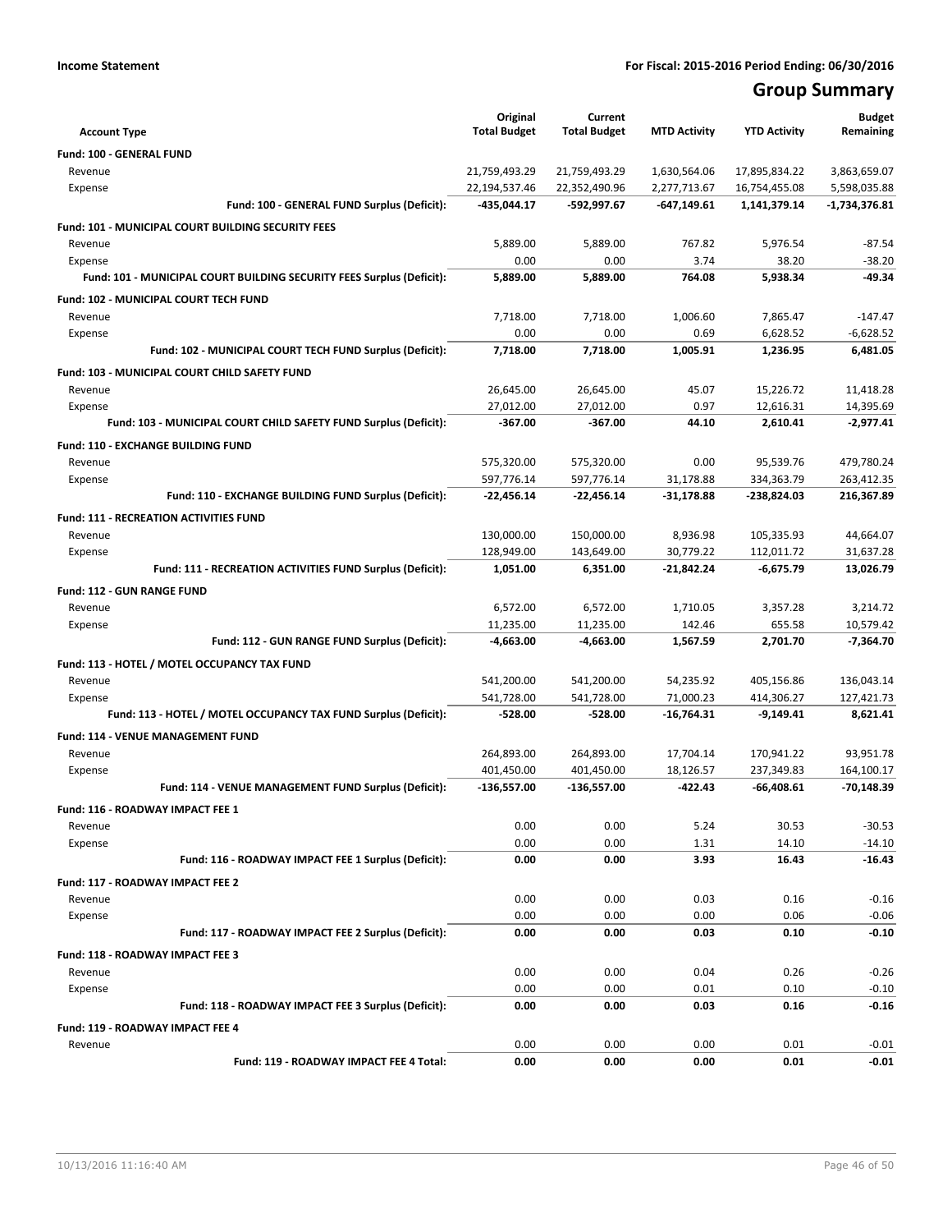## **Group Summary**

| <b>Account Type</b>                                                   | Original<br><b>Total Budget</b> | Current<br><b>Total Budget</b> | <b>MTD Activity</b> | <b>YTD Activity</b> | <b>Budget</b><br>Remaining |
|-----------------------------------------------------------------------|---------------------------------|--------------------------------|---------------------|---------------------|----------------------------|
| Fund: 100 - GENERAL FUND                                              |                                 |                                |                     |                     |                            |
| Revenue                                                               | 21,759,493.29                   | 21,759,493.29                  | 1,630,564.06        | 17,895,834.22       | 3,863,659.07               |
| Expense                                                               | 22,194,537.46                   | 22,352,490.96                  | 2,277,713.67        | 16,754,455.08       | 5,598,035.88               |
| Fund: 100 - GENERAL FUND Surplus (Deficit):                           | -435,044.17                     | -592,997.67                    | $-647,149.61$       | 1,141,379.14        | -1,734,376.81              |
| <b>Fund: 101 - MUNICIPAL COURT BUILDING SECURITY FEES</b>             |                                 |                                |                     |                     |                            |
| Revenue                                                               | 5,889.00                        | 5,889.00                       | 767.82              | 5,976.54            | $-87.54$                   |
| Expense                                                               | 0.00                            | 0.00                           | 3.74                | 38.20               | $-38.20$                   |
| Fund: 101 - MUNICIPAL COURT BUILDING SECURITY FEES Surplus (Deficit): | 5,889.00                        | 5,889.00                       | 764.08              | 5,938.34            | -49.34                     |
| Fund: 102 - MUNICIPAL COURT TECH FUND                                 |                                 |                                |                     |                     |                            |
| Revenue                                                               | 7,718.00                        | 7,718.00                       | 1,006.60            | 7,865.47            | $-147.47$                  |
| Expense                                                               | 0.00                            | 0.00                           | 0.69                | 6,628.52            | $-6,628.52$                |
| Fund: 102 - MUNICIPAL COURT TECH FUND Surplus (Deficit):              | 7,718.00                        | 7,718.00                       | 1,005.91            | 1,236.95            | 6,481.05                   |
| Fund: 103 - MUNICIPAL COURT CHILD SAFETY FUND                         |                                 |                                |                     |                     |                            |
| Revenue                                                               | 26,645.00                       | 26,645.00                      | 45.07               | 15,226.72           | 11,418.28                  |
| Expense                                                               | 27,012.00                       | 27,012.00                      | 0.97                | 12,616.31           | 14,395.69                  |
| Fund: 103 - MUNICIPAL COURT CHILD SAFETY FUND Surplus (Deficit):      | -367.00                         | $-367.00$                      | 44.10               | 2,610.41            | $-2,977.41$                |
| Fund: 110 - EXCHANGE BUILDING FUND                                    |                                 |                                |                     |                     |                            |
| Revenue                                                               | 575,320.00                      | 575,320.00                     | 0.00                | 95.539.76           | 479,780.24                 |
| Expense                                                               | 597,776.14                      | 597,776.14                     | 31,178.88           | 334,363.79          | 263,412.35                 |
| Fund: 110 - EXCHANGE BUILDING FUND Surplus (Deficit):                 | $-22,456.14$                    | -22,456.14                     | $-31,178.88$        | -238,824.03         | 216,367.89                 |
| <b>Fund: 111 - RECREATION ACTIVITIES FUND</b>                         |                                 |                                |                     |                     |                            |
| Revenue                                                               | 130,000.00                      | 150,000.00                     | 8.936.98            | 105,335.93          | 44,664.07                  |
| Expense                                                               | 128,949.00                      | 143,649.00                     | 30,779.22           | 112,011.72          | 31,637.28                  |
| Fund: 111 - RECREATION ACTIVITIES FUND Surplus (Deficit):             | 1,051.00                        | 6,351.00                       | $-21,842.24$        | $-6,675.79$         | 13,026.79                  |
| <b>Fund: 112 - GUN RANGE FUND</b>                                     |                                 |                                |                     |                     |                            |
| Revenue                                                               | 6,572.00                        | 6,572.00                       | 1,710.05            | 3,357.28            | 3,214.72                   |
| Expense                                                               | 11,235.00                       | 11,235.00                      | 142.46              | 655.58              | 10,579.42                  |
| Fund: 112 - GUN RANGE FUND Surplus (Deficit):                         | $-4,663.00$                     | $-4,663.00$                    | 1,567.59            | 2,701.70            | $-7,364.70$                |
| Fund: 113 - HOTEL / MOTEL OCCUPANCY TAX FUND                          |                                 |                                |                     |                     |                            |
| Revenue                                                               | 541,200.00                      | 541,200.00                     | 54,235.92           | 405,156.86          | 136,043.14                 |
| Expense                                                               | 541,728.00                      | 541,728.00                     | 71,000.23           | 414,306.27          | 127,421.73                 |
| Fund: 113 - HOTEL / MOTEL OCCUPANCY TAX FUND Surplus (Deficit):       | -528.00                         | $-528.00$                      | $-16,764.31$        | -9,149.41           | 8,621.41                   |
| Fund: 114 - VENUE MANAGEMENT FUND                                     |                                 |                                |                     |                     |                            |
| Revenue                                                               | 264,893.00                      | 264,893.00                     | 17,704.14           | 170,941.22          | 93,951.78                  |
| Expense                                                               | 401,450.00                      | 401,450.00                     | 18,126.57           | 237,349.83          | 164,100.17                 |
| Fund: 114 - VENUE MANAGEMENT FUND Surplus (Deficit):                  | -136,557.00                     | -136,557.00                    | $-422.43$           | -66,408.61          | $-70,148.39$               |
| Fund: 116 - ROADWAY IMPACT FEE 1                                      |                                 |                                |                     |                     |                            |
| Revenue                                                               | 0.00                            | 0.00                           | 5.24                | 30.53               | $-30.53$                   |
| Expense                                                               | 0.00                            | 0.00                           | 1.31                | 14.10               | $-14.10$                   |
| Fund: 116 - ROADWAY IMPACT FEE 1 Surplus (Deficit):                   | 0.00                            | 0.00                           | 3.93                | 16.43               | $-16.43$                   |
| Fund: 117 - ROADWAY IMPACT FEE 2                                      |                                 |                                |                     |                     |                            |
| Revenue                                                               | 0.00                            | 0.00                           | 0.03                | 0.16                | $-0.16$                    |
| Expense                                                               | 0.00                            | 0.00                           | 0.00                | 0.06                | $-0.06$                    |
| Fund: 117 - ROADWAY IMPACT FEE 2 Surplus (Deficit):                   | 0.00                            | 0.00                           | 0.03                | 0.10                | $-0.10$                    |
| Fund: 118 - ROADWAY IMPACT FEE 3                                      |                                 |                                |                     |                     |                            |
| Revenue                                                               | 0.00                            | 0.00                           | 0.04                | 0.26                | $-0.26$                    |
| Expense                                                               | 0.00                            | 0.00                           | 0.01                | 0.10                | $-0.10$                    |
| Fund: 118 - ROADWAY IMPACT FEE 3 Surplus (Deficit):                   | 0.00                            | 0.00                           | 0.03                | 0.16                | $-0.16$                    |
| Fund: 119 - ROADWAY IMPACT FEE 4                                      |                                 |                                |                     |                     |                            |
| Revenue                                                               | 0.00                            | 0.00                           | 0.00                | 0.01                | $-0.01$                    |
| Fund: 119 - ROADWAY IMPACT FEE 4 Total:                               | 0.00                            | 0.00                           | 0.00                | 0.01                | $-0.01$                    |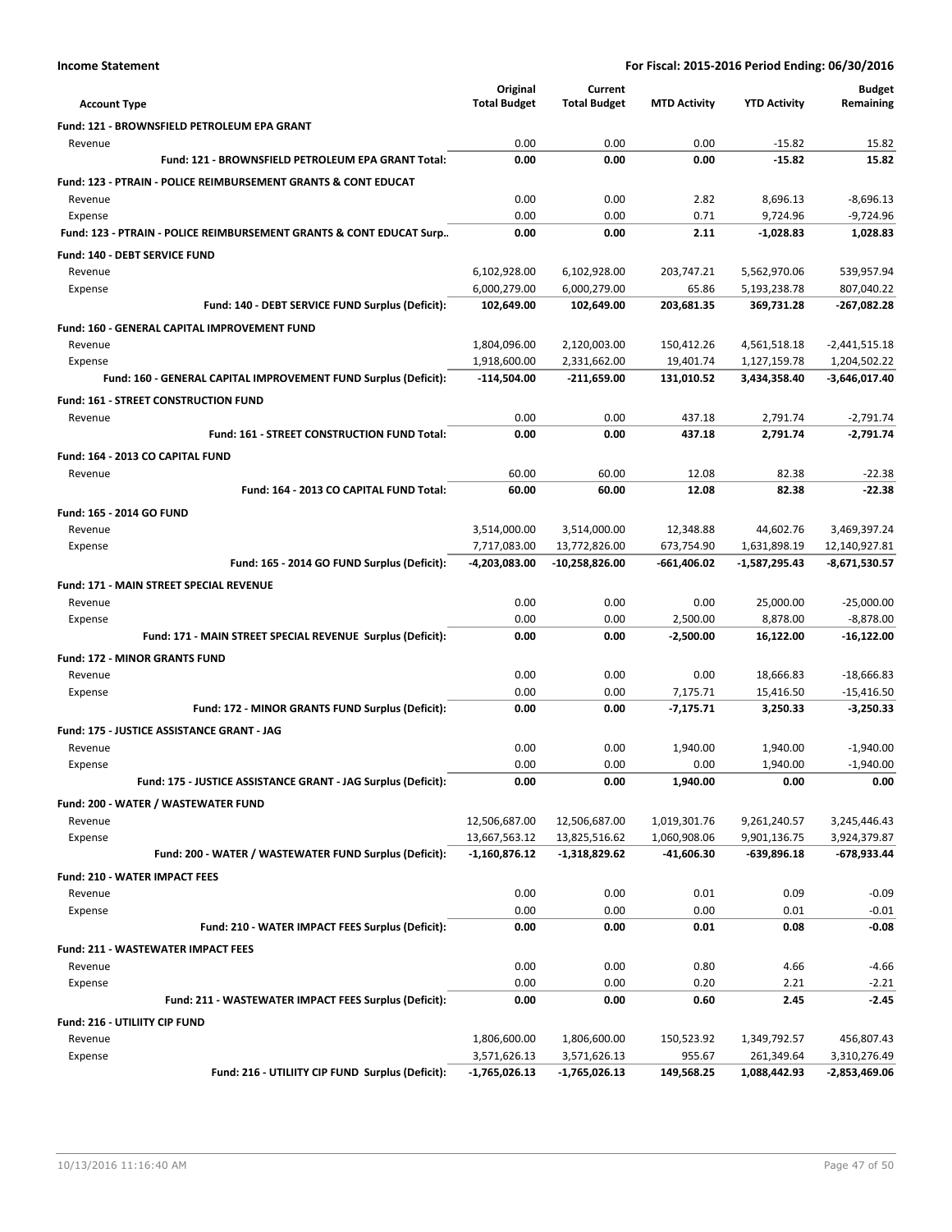|                                                                           | Original            | Current             |                         |                        | <b>Budget</b>                |
|---------------------------------------------------------------------------|---------------------|---------------------|-------------------------|------------------------|------------------------------|
| <b>Account Type</b>                                                       | <b>Total Budget</b> | <b>Total Budget</b> | <b>MTD Activity</b>     | <b>YTD Activity</b>    | Remaining                    |
| Fund: 121 - BROWNSFIELD PETROLEUM EPA GRANT                               |                     |                     |                         |                        |                              |
| Revenue                                                                   | 0.00                | 0.00                | 0.00                    | $-15.82$               | 15.82                        |
| Fund: 121 - BROWNSFIELD PETROLEUM EPA GRANT Total:                        | 0.00                | 0.00                | 0.00                    | $-15.82$               | 15.82                        |
| <b>Fund: 123 - PTRAIN - POLICE REIMBURSEMENT GRANTS &amp; CONT EDUCAT</b> |                     |                     |                         |                        |                              |
| Revenue                                                                   | 0.00                | 0.00                | 2.82                    | 8,696.13               | $-8,696.13$                  |
| Expense                                                                   | 0.00                | 0.00                | 0.71                    | 9,724.96               | $-9,724.96$                  |
| Fund: 123 - PTRAIN - POLICE REIMBURSEMENT GRANTS & CONT EDUCAT Surp       | 0.00                | 0.00                | 2.11                    | $-1,028.83$            | 1.028.83                     |
| <b>Fund: 140 - DEBT SERVICE FUND</b>                                      |                     |                     |                         |                        |                              |
| Revenue                                                                   | 6,102,928.00        | 6,102,928.00        | 203,747.21              | 5,562,970.06           | 539,957.94                   |
| Expense                                                                   | 6,000,279.00        | 6,000,279.00        | 65.86                   | 5,193,238.78           | 807,040.22                   |
| Fund: 140 - DEBT SERVICE FUND Surplus (Deficit):                          | 102,649.00          | 102,649.00          | 203,681.35              | 369,731.28             | $-267,082.28$                |
| <b>Fund: 160 - GENERAL CAPITAL IMPROVEMENT FUND</b>                       |                     |                     |                         |                        |                              |
| Revenue                                                                   | 1,804,096.00        | 2,120,003.00        | 150,412.26              | 4,561,518.18           | $-2,441,515.18$              |
| Expense                                                                   | 1,918,600.00        | 2,331,662.00        | 19,401.74               | 1,127,159.78           | 1,204,502.22                 |
| Fund: 160 - GENERAL CAPITAL IMPROVEMENT FUND Surplus (Deficit):           | $-114,504.00$       | $-211,659.00$       | 131,010.52              | 3,434,358.40           | -3,646,017.40                |
| Fund: 161 - STREET CONSTRUCTION FUND                                      |                     |                     |                         |                        |                              |
| Revenue                                                                   | 0.00                | 0.00                | 437.18                  | 2,791.74               | $-2,791.74$                  |
| Fund: 161 - STREET CONSTRUCTION FUND Total:                               | 0.00                | 0.00                | 437.18                  | 2,791.74               | $-2,791.74$                  |
| Fund: 164 - 2013 CO CAPITAL FUND                                          |                     |                     |                         |                        |                              |
| Revenue                                                                   | 60.00               | 60.00               | 12.08                   | 82.38                  | $-22.38$                     |
| Fund: 164 - 2013 CO CAPITAL FUND Total:                                   | 60.00               | 60.00               | 12.08                   | 82.38                  | $-22.38$                     |
| Fund: 165 - 2014 GO FUND                                                  |                     |                     |                         |                        |                              |
| Revenue                                                                   | 3,514,000.00        | 3,514,000.00        | 12,348.88               | 44,602.76              | 3,469,397.24                 |
| Expense                                                                   | 7,717,083.00        | 13,772,826.00       | 673,754.90              | 1,631,898.19           | 12,140,927.81                |
| Fund: 165 - 2014 GO FUND Surplus (Deficit):                               | -4,203,083.00       | $-10,258,826.00$    | $-661,406.02$           | -1,587,295.43          | -8,671,530.57                |
| Fund: 171 - MAIN STREET SPECIAL REVENUE                                   |                     |                     |                         |                        |                              |
| Revenue                                                                   | 0.00                | 0.00                | 0.00                    | 25,000.00              | $-25,000.00$                 |
| Expense<br>Fund: 171 - MAIN STREET SPECIAL REVENUE Surplus (Deficit):     | 0.00<br>0.00        | 0.00<br>0.00        | 2,500.00<br>$-2,500.00$ | 8,878.00<br>16,122.00  | $-8,878.00$<br>$-16,122.00$  |
|                                                                           |                     |                     |                         |                        |                              |
| <b>Fund: 172 - MINOR GRANTS FUND</b>                                      |                     |                     |                         |                        |                              |
| Revenue<br>Expense                                                        | 0.00<br>0.00        | 0.00<br>0.00        | 0.00<br>7,175.71        | 18,666.83<br>15,416.50 | $-18,666.83$<br>$-15,416.50$ |
| Fund: 172 - MINOR GRANTS FUND Surplus (Deficit):                          | 0.00                | 0.00                | $-7,175.71$             | 3,250.33               | $-3,250.33$                  |
|                                                                           |                     |                     |                         |                        |                              |
| <b>Fund: 175 - JUSTICE ASSISTANCE GRANT - JAG</b><br>Revenue              | 0.00                | 0.00                | 1,940.00                | 1,940.00               | $-1,940.00$                  |
| Expense                                                                   | 0.00                | 0.00                | 0.00                    | 1,940.00               | $-1,940.00$                  |
| Fund: 175 - JUSTICE ASSISTANCE GRANT - JAG Surplus (Deficit):             | 0.00                | 0.00                | 1,940.00                | 0.00                   | 0.00                         |
| Fund: 200 - WATER / WASTEWATER FUND                                       |                     |                     |                         |                        |                              |
| Revenue                                                                   | 12,506,687.00       | 12,506,687.00       | 1,019,301.76            | 9,261,240.57           | 3,245,446.43                 |
| Expense                                                                   | 13,667,563.12       | 13,825,516.62       | 1,060,908.06            | 9,901,136.75           | 3,924,379.87                 |
| Fund: 200 - WATER / WASTEWATER FUND Surplus (Deficit):                    | $-1,160,876.12$     | $-1,318,829.62$     | -41,606.30              | -639,896.18            | -678,933.44                  |
| Fund: 210 - WATER IMPACT FEES                                             |                     |                     |                         |                        |                              |
| Revenue                                                                   | 0.00                | 0.00                | 0.01                    | 0.09                   | $-0.09$                      |
| Expense                                                                   | 0.00                | 0.00                | 0.00                    | 0.01                   | $-0.01$                      |
| Fund: 210 - WATER IMPACT FEES Surplus (Deficit):                          | 0.00                | 0.00                | 0.01                    | 0.08                   | $-0.08$                      |
| <b>Fund: 211 - WASTEWATER IMPACT FEES</b>                                 |                     |                     |                         |                        |                              |
| Revenue                                                                   | 0.00                | 0.00                | 0.80                    | 4.66                   | $-4.66$                      |
| Expense                                                                   | 0.00                | 0.00                | 0.20                    | 2.21                   | $-2.21$                      |
| Fund: 211 - WASTEWATER IMPACT FEES Surplus (Deficit):                     | 0.00                | 0.00                | 0.60                    | 2.45                   | $-2.45$                      |
| Fund: 216 - UTILIITY CIP FUND                                             |                     |                     |                         |                        |                              |
| Revenue                                                                   | 1,806,600.00        | 1,806,600.00        | 150,523.92              | 1,349,792.57           | 456,807.43                   |
| Expense                                                                   | 3,571,626.13        | 3,571,626.13        | 955.67                  | 261,349.64             | 3,310,276.49                 |
| Fund: 216 - UTILIITY CIP FUND Surplus (Deficit):                          | $-1,765,026.13$     | -1,765,026.13       | 149,568.25              | 1,088,442.93           | -2,853,469.06                |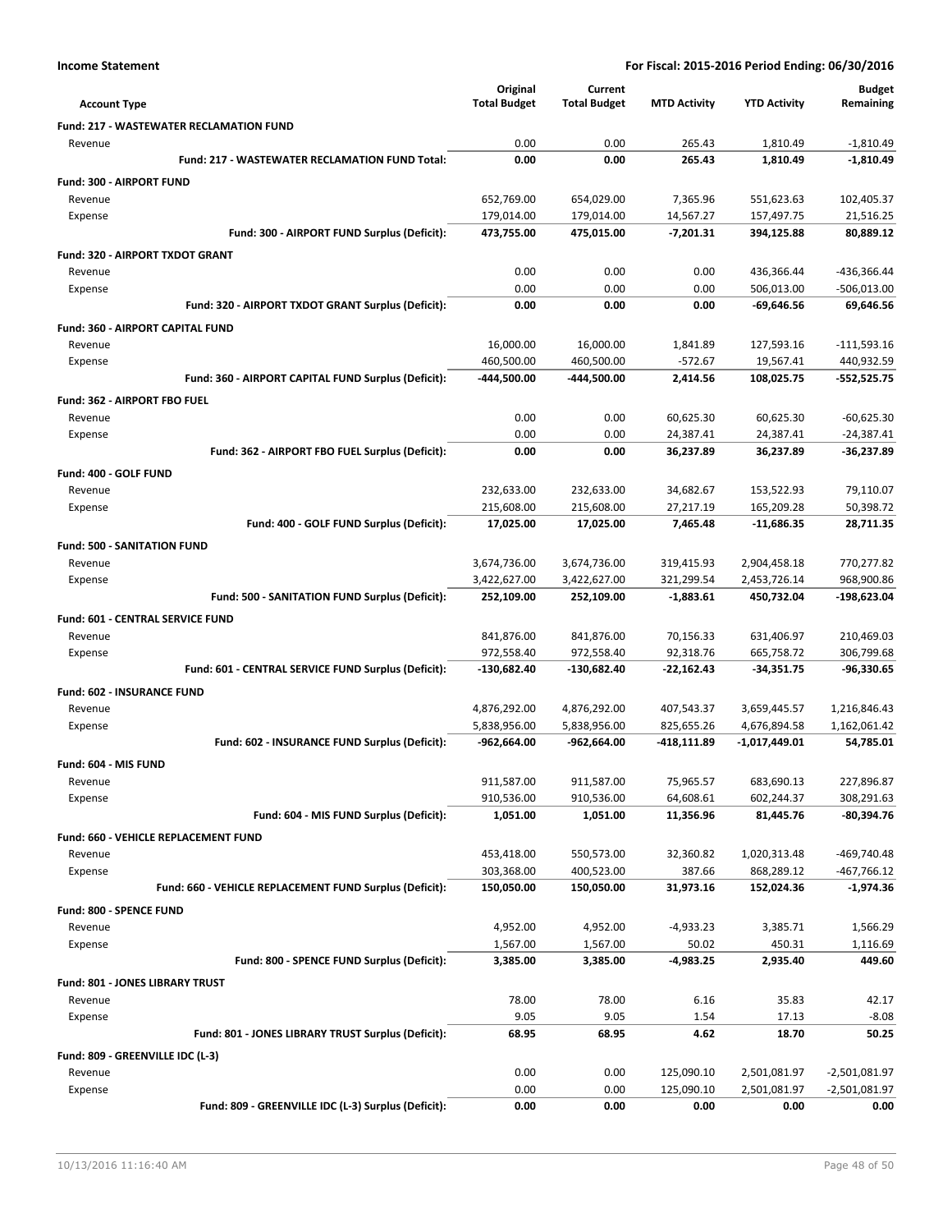|                                                         | Original            | Current             |                     |                     | <b>Budget</b>   |
|---------------------------------------------------------|---------------------|---------------------|---------------------|---------------------|-----------------|
| <b>Account Type</b>                                     | <b>Total Budget</b> | <b>Total Budget</b> | <b>MTD Activity</b> | <b>YTD Activity</b> | Remaining       |
| <b>Fund: 217 - WASTEWATER RECLAMATION FUND</b>          |                     |                     |                     |                     |                 |
| Revenue                                                 | 0.00                | 0.00                | 265.43              | 1,810.49            | $-1,810.49$     |
| Fund: 217 - WASTEWATER RECLAMATION FUND Total:          | 0.00                | 0.00                | 265.43              | 1.810.49            | $-1,810.49$     |
| Fund: 300 - AIRPORT FUND                                |                     |                     |                     |                     |                 |
| Revenue                                                 | 652,769.00          | 654,029.00          | 7,365.96            | 551,623.63          | 102,405.37      |
| Expense                                                 | 179,014.00          | 179,014.00          | 14,567.27           | 157,497.75          | 21,516.25       |
| Fund: 300 - AIRPORT FUND Surplus (Deficit):             | 473,755.00          | 475,015.00          | $-7,201.31$         | 394,125.88          | 80,889.12       |
| Fund: 320 - AIRPORT TXDOT GRANT                         |                     |                     |                     |                     |                 |
| Revenue                                                 | 0.00                | 0.00                | 0.00                | 436,366.44          | -436,366.44     |
| Expense                                                 | 0.00                | 0.00                | 0.00                | 506,013.00          | $-506,013.00$   |
| Fund: 320 - AIRPORT TXDOT GRANT Surplus (Deficit):      | 0.00                | 0.00                | 0.00                | $-69,646.56$        | 69,646.56       |
| Fund: 360 - AIRPORT CAPITAL FUND                        |                     |                     |                     |                     |                 |
| Revenue                                                 | 16,000.00           | 16,000.00           | 1,841.89            | 127,593.16          | $-111,593.16$   |
| Expense                                                 | 460,500.00          | 460,500.00          | $-572.67$           | 19,567.41           | 440,932.59      |
| Fund: 360 - AIRPORT CAPITAL FUND Surplus (Deficit):     | -444,500.00         | -444,500.00         | 2,414.56            | 108,025.75          | $-552,525.75$   |
| Fund: 362 - AIRPORT FBO FUEL                            |                     |                     |                     |                     |                 |
| Revenue                                                 | 0.00                | 0.00                | 60,625.30           | 60,625.30           | $-60,625.30$    |
| Expense                                                 | 0.00                | 0.00                | 24,387.41           | 24,387.41           | $-24,387.41$    |
| Fund: 362 - AIRPORT FBO FUEL Surplus (Deficit):         | 0.00                | 0.00                | 36,237.89           | 36,237.89           | -36,237.89      |
| Fund: 400 - GOLF FUND                                   |                     |                     |                     |                     |                 |
| Revenue                                                 | 232,633.00          | 232,633.00          | 34,682.67           | 153,522.93          | 79,110.07       |
| Expense                                                 | 215,608.00          | 215,608.00          | 27,217.19           | 165,209.28          | 50,398.72       |
| Fund: 400 - GOLF FUND Surplus (Deficit):                | 17,025.00           | 17,025.00           | 7,465.48            | $-11,686.35$        | 28,711.35       |
| <b>Fund: 500 - SANITATION FUND</b>                      |                     |                     |                     |                     |                 |
| Revenue                                                 | 3,674,736.00        | 3,674,736.00        | 319,415.93          | 2,904,458.18        | 770,277.82      |
| Expense                                                 | 3,422,627.00        | 3,422,627.00        | 321,299.54          | 2,453,726.14        | 968,900.86      |
| Fund: 500 - SANITATION FUND Surplus (Deficit):          | 252,109.00          | 252,109.00          | $-1,883.61$         | 450,732.04          | $-198,623.04$   |
| Fund: 601 - CENTRAL SERVICE FUND                        |                     |                     |                     |                     |                 |
| Revenue                                                 | 841,876.00          | 841,876.00          | 70,156.33           | 631,406.97          | 210,469.03      |
| Expense                                                 | 972,558.40          | 972,558.40          | 92,318.76           | 665,758.72          | 306,799.68      |
| Fund: 601 - CENTRAL SERVICE FUND Surplus (Deficit):     | -130,682.40         | -130,682.40         | $-22,162.43$        | -34,351.75          | $-96,330.65$    |
| <b>Fund: 602 - INSURANCE FUND</b>                       |                     |                     |                     |                     |                 |
| Revenue                                                 | 4,876,292.00        | 4,876,292.00        | 407,543.37          | 3,659,445.57        | 1,216,846.43    |
| Expense                                                 | 5,838,956.00        | 5,838,956.00        | 825,655.26          | 4,676,894.58        | 1,162,061.42    |
| Fund: 602 - INSURANCE FUND Surplus (Deficit):           | $-962,664.00$       | -962,664.00         | -418,111.89         | $-1,017,449.01$     | 54,785.01       |
| Fund: 604 - MIS FUND                                    |                     |                     |                     |                     |                 |
| Revenue                                                 | 911,587.00          | 911,587.00          | 75,965.57           | 683,690.13          | 227,896.87      |
| Expense                                                 | 910,536.00          | 910,536.00          | 64,608.61           | 602,244.37          | 308,291.63      |
| Fund: 604 - MIS FUND Surplus (Deficit):                 | 1,051.00            | 1,051.00            | 11,356.96           | 81,445.76           | $-80,394.76$    |
| Fund: 660 - VEHICLE REPLACEMENT FUND                    |                     |                     |                     |                     |                 |
| Revenue                                                 | 453,418.00          | 550,573.00          | 32,360.82           | 1,020,313.48        | -469,740.48     |
| Expense                                                 | 303,368.00          | 400,523.00          | 387.66              | 868,289.12          | -467,766.12     |
| Fund: 660 - VEHICLE REPLACEMENT FUND Surplus (Deficit): | 150,050.00          | 150,050.00          | 31,973.16           | 152,024.36          | $-1,974.36$     |
| Fund: 800 - SPENCE FUND                                 |                     |                     |                     |                     |                 |
| Revenue                                                 | 4,952.00            | 4,952.00            | -4,933.23           | 3,385.71            | 1,566.29        |
| Expense                                                 | 1,567.00            | 1,567.00            | 50.02               | 450.31              | 1,116.69        |
| Fund: 800 - SPENCE FUND Surplus (Deficit):              | 3,385.00            | 3,385.00            | -4,983.25           | 2,935.40            | 449.60          |
| Fund: 801 - JONES LIBRARY TRUST                         |                     |                     |                     |                     |                 |
| Revenue                                                 | 78.00               | 78.00               | 6.16                | 35.83               | 42.17           |
| Expense                                                 | 9.05                | 9.05                | 1.54                | 17.13               | $-8.08$         |
| Fund: 801 - JONES LIBRARY TRUST Surplus (Deficit):      | 68.95               | 68.95               | 4.62                | 18.70               | 50.25           |
| Fund: 809 - GREENVILLE IDC (L-3)                        |                     |                     |                     |                     |                 |
| Revenue                                                 | 0.00                | 0.00                | 125,090.10          | 2,501,081.97        | $-2,501,081.97$ |
| Expense                                                 | 0.00                | 0.00                | 125,090.10          | 2,501,081.97        | $-2,501,081.97$ |
| Fund: 809 - GREENVILLE IDC (L-3) Surplus (Deficit):     | 0.00                | 0.00                | 0.00                | 0.00                | 0.00            |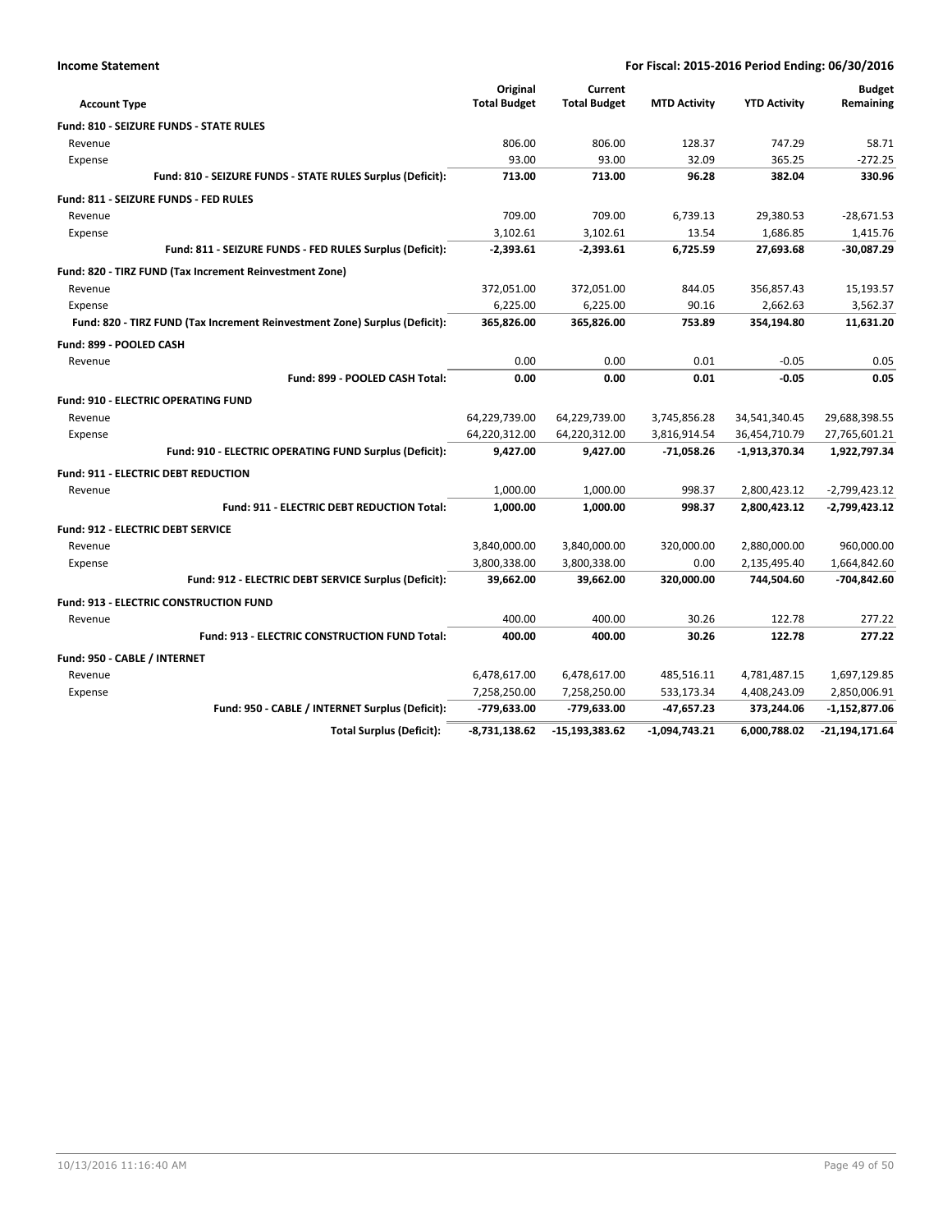| <b>Income Statement</b> |
|-------------------------|
|-------------------------|

| <b>Account Type</b>                                                        | Original<br><b>Total Budget</b> | Current<br><b>Total Budget</b> | <b>MTD Activity</b> | <b>YTD Activity</b> | <b>Budget</b><br>Remaining |
|----------------------------------------------------------------------------|---------------------------------|--------------------------------|---------------------|---------------------|----------------------------|
| <b>Fund: 810 - SEIZURE FUNDS - STATE RULES</b>                             |                                 |                                |                     |                     |                            |
| Revenue                                                                    | 806.00                          | 806.00                         | 128.37              | 747.29              | 58.71                      |
| Expense                                                                    | 93.00                           | 93.00                          | 32.09               | 365.25              | $-272.25$                  |
| Fund: 810 - SEIZURE FUNDS - STATE RULES Surplus (Deficit):                 | 713.00                          | 713.00                         | 96.28               | 382.04              | 330.96                     |
| Fund: 811 - SEIZURE FUNDS - FED RULES                                      |                                 |                                |                     |                     |                            |
| Revenue                                                                    | 709.00                          | 709.00                         | 6,739.13            | 29,380.53           | $-28,671.53$               |
| Expense                                                                    | 3,102.61                        | 3,102.61                       | 13.54               | 1,686.85            | 1,415.76                   |
| Fund: 811 - SEIZURE FUNDS - FED RULES Surplus (Deficit):                   | $-2,393.61$                     | $-2,393.61$                    | 6,725.59            | 27,693.68           | $-30,087.29$               |
| Fund: 820 - TIRZ FUND (Tax Increment Reinvestment Zone)                    |                                 |                                |                     |                     |                            |
| Revenue                                                                    | 372,051.00                      | 372,051.00                     | 844.05              | 356,857.43          | 15,193.57                  |
| Expense                                                                    | 6,225.00                        | 6,225.00                       | 90.16               | 2,662.63            | 3,562.37                   |
| Fund: 820 - TIRZ FUND (Tax Increment Reinvestment Zone) Surplus (Deficit): | 365,826.00                      | 365,826.00                     | 753.89              | 354,194.80          | 11,631.20                  |
| Fund: 899 - POOLED CASH                                                    |                                 |                                |                     |                     |                            |
| Revenue                                                                    | 0.00                            | 0.00                           | 0.01                | $-0.05$             | 0.05                       |
| Fund: 899 - POOLED CASH Total:                                             | 0.00                            | 0.00                           | 0.01                | $-0.05$             | 0.05                       |
| <b>Fund: 910 - ELECTRIC OPERATING FUND</b>                                 |                                 |                                |                     |                     |                            |
| Revenue                                                                    | 64,229,739.00                   | 64,229,739.00                  | 3,745,856.28        | 34,541,340.45       | 29,688,398.55              |
| Expense                                                                    | 64,220,312.00                   | 64,220,312.00                  | 3,816,914.54        | 36,454,710.79       | 27,765,601.21              |
| Fund: 910 - ELECTRIC OPERATING FUND Surplus (Deficit):                     | 9,427.00                        | 9,427.00                       | $-71,058.26$        | $-1,913,370.34$     | 1,922,797.34               |
| <b>Fund: 911 - ELECTRIC DEBT REDUCTION</b>                                 |                                 |                                |                     |                     |                            |
| Revenue                                                                    | 1,000.00                        | 1,000.00                       | 998.37              | 2,800,423.12        | $-2,799,423.12$            |
| <b>Fund: 911 - ELECTRIC DEBT REDUCTION Total:</b>                          | 1,000.00                        | 1,000.00                       | 998.37              | 2,800,423.12        | $-2,799,423.12$            |
| <b>Fund: 912 - ELECTRIC DEBT SERVICE</b>                                   |                                 |                                |                     |                     |                            |
| Revenue                                                                    | 3,840,000.00                    | 3,840,000.00                   | 320,000.00          | 2,880,000.00        | 960,000.00                 |
| Expense                                                                    | 3,800,338.00                    | 3,800,338.00                   | 0.00                | 2,135,495.40        | 1,664,842.60               |
| Fund: 912 - ELECTRIC DEBT SERVICE Surplus (Deficit):                       | 39,662.00                       | 39,662.00                      | 320,000.00          | 744,504.60          | -704,842.60                |
| <b>Fund: 913 - ELECTRIC CONSTRUCTION FUND</b>                              |                                 |                                |                     |                     |                            |
| Revenue                                                                    | 400.00                          | 400.00                         | 30.26               | 122.78              | 277.22                     |
| <b>Fund: 913 - ELECTRIC CONSTRUCTION FUND Total:</b>                       | 400.00                          | 400.00                         | 30.26               | 122.78              | 277.22                     |
| Fund: 950 - CABLE / INTERNET                                               |                                 |                                |                     |                     |                            |
| Revenue                                                                    | 6,478,617.00                    | 6,478,617.00                   | 485,516.11          | 4,781,487.15        | 1,697,129.85               |
| Expense                                                                    | 7,258,250.00                    | 7,258,250.00                   | 533,173.34          | 4,408,243.09        | 2,850,006.91               |
| Fund: 950 - CABLE / INTERNET Surplus (Deficit):                            | -779,633.00                     | -779,633.00                    | -47,657.23          | 373,244.06          | $-1,152,877.06$            |
| <b>Total Surplus (Deficit):</b>                                            | $-8,731,138.62$                 | $-15,193,383.62$               | $-1,094,743.21$     | 6,000,788.02        | -21,194,171.64             |